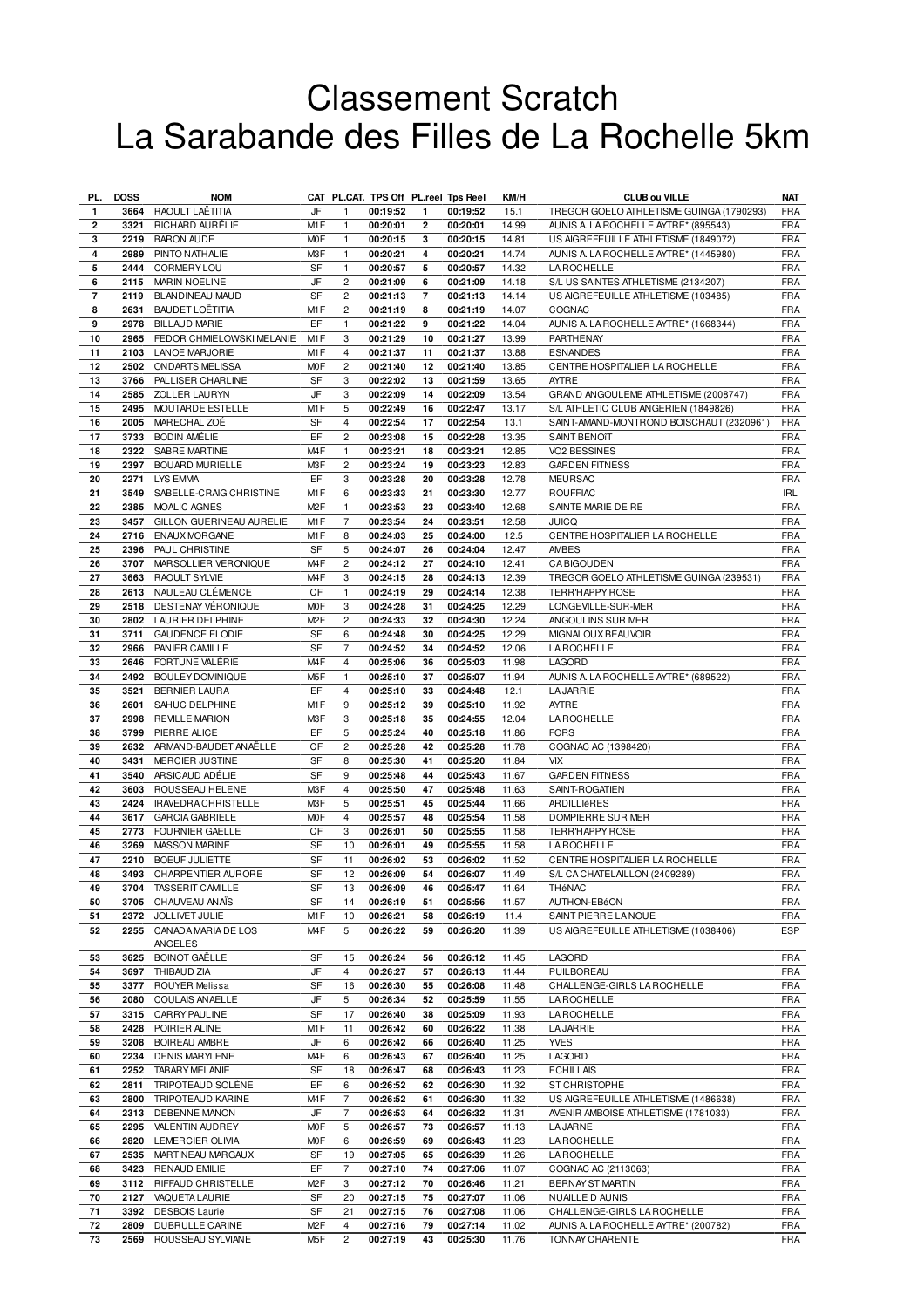## Classement Scratch La Sarabande des Filles de La Rochelle 5km

| PL.                      | <b>DOSS</b> | <b>NOM</b>                            |                  |                     | CAT PL.CAT. TPS Off PL.reel Tps Reel |                |                      | KM/H          | <b>CLUB ou VILLE</b>                                                             | <b>NAT</b>               |
|--------------------------|-------------|---------------------------------------|------------------|---------------------|--------------------------------------|----------------|----------------------|---------------|----------------------------------------------------------------------------------|--------------------------|
| $\mathbf{1}$             |             | 3664 RAOULT LAËTITIA                  | JF               | $\mathbf{1}$        | 00:19:52                             | 1              | 00:19:52             | 15.1          | TREGOR GOELO ATHLETISME GUINGA (1790293)                                         | <b>FRA</b>               |
| $\mathbf{2}$             | 3321        | RICHARD AURÉLIE                       | M <sub>1</sub> F | $\mathbf{1}$        | 00:20:01                             | 2              | 00:20:01             | 14.99         | AUNIS A. LA ROCHELLE AYTRE* (895543)                                             | <b>FRA</b>               |
| 3                        |             | 2219 BARON AUDE                       | M <sub>O</sub> F | $\mathbf{1}$        | 00:20:15                             | 3              | 00:20:15             | 14.81         | US AIGREFEUILLE ATHLETISME (1849072)                                             | <b>FRA</b>               |
| 4                        | 2989        | PINTO NATHALIE                        | M3F              | $\mathbf{1}$        | 00:20:21                             | 4              | 00:20:21             | 14.74         | AUNIS A. LA ROCHELLE AYTRE* (1445980)                                            | <b>FRA</b>               |
| 5                        | 2444        | <b>CORMERY LOU</b>                    | <b>SF</b>        | $\mathbf{1}$        | 00:20:57                             | 5              | 00:20:57             | 14.32         | <b>LA ROCHELLE</b>                                                               | <b>FRA</b>               |
| 6                        | 2115        | <b>MARIN NOELINE</b>                  | JF               | $\overline{c}$      | 00:21:09                             | 6              | 00:21:09             | 14.18         | S/L US SAINTES ATHLETISME (2134207)                                              | <b>FRA</b>               |
| $\overline{\phantom{a}}$ | 2119        | BLANDINEAU MAUD                       | SF               | $\overline{c}$      | 00:21:13                             | $\overline{7}$ | 00:21:13             | 14.14         | US AIGREFEUILLE ATHLETISME (103485)                                              | <b>FRA</b>               |
| 8                        | 2631        | <b>BAUDET LOËTITIA</b>                | M <sub>1</sub> F | $\overline{c}$      | 00:21:19                             | 8              | 00:21:19             | 14.07         | COGNAC                                                                           | <b>FRA</b>               |
| 9                        |             | 2978 BILLAUD MARIE                    | EF               | $\mathbf{1}$        | 00:21:22                             | 9              | 00:21:22             | 14.04         | AUNIS A. LA ROCHELLE AYTRE* (1668344)                                            | <b>FRA</b>               |
| 10                       | 2965        | FEDOR CHMIELOWSKI MELANIE             | M <sub>1</sub> F | 3                   | 00:21:29                             | 10             | 00:21:27             | 13.99         | PARTHENAY                                                                        | FRA                      |
| 11                       | 2103        | <b>LANOE MARJORIE</b>                 | M1F              | 4                   | 00:21:37                             | 11             | 00:21:37             | 13.88         | <b>ESNANDES</b>                                                                  | <b>FRA</b>               |
| 12                       | 2502        | <b>ONDARTS MELISSA</b>                | <b>MOF</b>       | $\overline{c}$      | 00:21:40                             | 12             | 00:21:40             | 13.85         | CENTRE HOSPITALIER LA ROCHELLE                                                   | <b>FRA</b>               |
| 13                       | 3766        | PALLISER CHARLINE                     | SF               | 3                   | 00:22:02                             | 13             | 00:21:59             | 13.65         | <b>AYTRE</b>                                                                     | <b>FRA</b>               |
| 14                       |             | 2585 ZOLLER LAURYN                    | JF               | 3                   | 00:22:09                             | 14             | 00:22:09             | 13.54         | GRAND ANGOULEME ATHLETISME (2008747)                                             | <b>FRA</b>               |
| 15<br>16                 | 2005        | 2495 MOUTARDE ESTELLE<br>MARECHAL ZOÉ | M1F<br>SF        | 5<br>$\overline{4}$ | 00:22:49<br>00:22:54                 | 16<br>17       | 00:22:47<br>00:22:54 | 13.17<br>13.1 | S/L ATHLETIC CLUB ANGERIEN (1849826)<br>SAINT-AMAND-MONTROND BOISCHAUT (2320961) | <b>FRA</b><br><b>FRA</b> |
| 17                       | 3733        | <b>BODIN AMÉLIE</b>                   | EF               | $\overline{c}$      | 00:23:08                             | 15             | 00:22:28             | 13.35         | SAINT BENOIT                                                                     | <b>FRA</b>               |
| 18                       | 2322        | SABRE MARTINE                         | M <sub>4</sub> F | $\mathbf{1}$        | 00:23:21                             | 18             | 00:23:21             | 12.85         | VO2 BESSINES                                                                     | FRA                      |
| 19                       | 2397        | BOUARD MURIELLE                       | M <sub>3</sub> F | $\overline{c}$      | 00:23:24                             | 19             | 00:23:23             | 12.83         | <b>GARDEN FITNESS</b>                                                            | <b>FRA</b>               |
| 20                       | 2271        | LYS EMMA                              | EF               | 3                   | 00:23:28                             | 20             | 00:23:28             | 12.78         | <b>MEURSAC</b>                                                                   | FRA                      |
| 21                       |             | 3549 SABELLE-CRAIG CHRISTINE          | M <sub>1</sub> F | 6                   | 00:23:33                             | 21             | 00:23:30             | 12.77         | <b>ROUFFIAC</b>                                                                  | <b>IRL</b>               |
| 22                       |             | 2385 MOALIC AGNES                     | M <sub>2</sub> F | $\mathbf{1}$        | 00:23:53                             | 23             | 00:23:40             | 12.68         | SAINTE MARIE DE RE                                                               | <b>FRA</b>               |
| 23                       |             | 3457 GILLON GUERINEAU AURELIE         | M1F              | $\overline{7}$      | 00:23:54                             | 24             | 00:23:51             | 12.58         | <b>JUICQ</b>                                                                     | <b>FRA</b>               |
| 24                       | 2716        | ENAUX MORGANE                         | M1F              | 8                   | 00:24:03                             | 25             | 00:24:00             | 12.5          | CENTRE HOSPITALIER LA ROCHELLE                                                   | <b>FRA</b>               |
| 25                       | 2396        | PAUL CHRISTINE                        | SF               | 5                   | 00:24:07                             | 26             | 00:24:04             | 12.47         | <b>AMBES</b>                                                                     | <b>FRA</b>               |
| 26                       | 3707        | MARSOLLIER VERONIQUE                  | M <sub>4</sub> F | $\overline{c}$      | 00:24:12                             | 27             | 00:24:10             | 12.41         | <b>CABIGOUDEN</b>                                                                | <b>FRA</b>               |
| 27                       | 3663        | <b>RAOULT SYLVIE</b>                  | M <sub>4</sub> F | 3                   | 00:24:15                             | 28             | 00:24:13             | 12.39         | TREGOR GOELO ATHLETISME GUINGA (239531)                                          | <b>FRA</b>               |
| 28                       | 2613        | NAULEAU CLÉMENCE                      | CF               | 1                   | 00:24:19                             | 29             | 00:24:14             | 12.38         | <b>TERR'HAPPY ROSE</b>                                                           | FRA                      |
| 29                       | 2518        | DESTENAY VÉRONIQUE                    | <b>MOF</b>       | 3                   | 00:24:28                             | 31             | 00:24:25             | 12.29         | LONGEVILLE-SUR-MER                                                               | <b>FRA</b>               |
| 30                       | 2802        | LAURIER DELPHINE                      | M <sub>2</sub> F | 2                   | 00:24:33                             | 32             | 00:24:30             | 12.24         | ANGOULINS SUR MER                                                                | FRA                      |
| 31                       | 3711        | <b>GAUDENCE ELODIE</b>                | SF               | 6                   | 00:24:48                             | 30             | 00:24:25             | 12.29         | MIGNALOUX BEAUVOIR                                                               | <b>FRA</b>               |
| 32                       | 2966        | PANIER CAMILLE                        | SF               | $\overline{7}$      | 00:24:52                             | 34             | 00:24:52             | 12.06         | <b>LA ROCHELLE</b>                                                               | <b>FRA</b>               |
| 33                       |             | 2646 FORTUNE VALÉRIE                  | M <sub>4</sub> F | 4                   | 00:25:06                             | 36             | 00:25:03             | 11.98         | LAGORD                                                                           | <b>FRA</b>               |
| 34                       | 2492        | BOULEY DOMINIQUE                      | M <sub>5</sub> F | $\mathbf{1}$        | 00:25:10                             | 37             | 00:25:07             | 11.94         | AUNIS A. LA ROCHELLE AYTRE* (689522)                                             | <b>FRA</b>               |
| 35                       | 3521        | <b>BERNIER LAURA</b>                  | EF               | 4                   | 00:25:10                             | 33             | 00:24:48             | 12.1          | <b>LA JARRIE</b>                                                                 | FRA                      |
| 36                       | 2601        | SAHUC DELPHINE                        | M1F              | 9                   | 00:25:12                             | 39             | 00:25:10             | 11.92         | AYTRE                                                                            | <b>FRA</b>               |
| 37                       | 2998        | <b>REVILLE MARION</b>                 | M3F              | 3                   | 00:25:18                             | 35             | 00:24:55             | 12.04         | <b>LA ROCHELLE</b>                                                               | FRA                      |
| 38                       |             | 3799 PIERRE ALICE                     | EF               | 5                   | 00:25:24                             | 40             | 00:25:18             | 11.86         | <b>FORS</b>                                                                      | FRA                      |
| 39                       |             | 2632 ARMAND-BAUDET AN AËLLE           | CF               | $\overline{c}$      | 00:25:28                             | 42             | 00:25:28             | 11.78         | COGNAC AC (1398420)                                                              | <b>FRA</b>               |
| 40                       | 3431        | MERCIER JUSTINE                       | SF               | 8                   | 00:25:30                             | 41             | 00:25:20             | 11.84         | <b>VIX</b>                                                                       | <b>FRA</b>               |
| 41                       | 3540        | ARSICAUD ADÉLIE                       | SF               | 9                   | 00:25:48                             | 44             | 00:25:43             | 11.67         | <b>GARDEN FITNESS</b>                                                            | <b>FRA</b>               |
| 42                       | 3603        | ROUSSEAU HELENE                       | M3F              | $\overline{4}$      | 00:25:50                             | 47             | 00:25:48             | 11.63         | SAINT-ROGATIEN                                                                   | <b>FRA</b>               |
| 43                       | 2424        | <b>IRAVEDRA CHRISTELLE</b>            | M3F              | 5                   | 00:25:51                             | 45             | 00:25:44             | 11.66         | ARDILLIèRES                                                                      | FRA                      |
| 44                       | 3617        | <b>GARCIA GABRIELE</b>                | M <sub>O</sub> F | $\overline{4}$      | 00:25:57                             | 48             | 00:25:54             | 11.58         | DOMPIERRE SUR MER                                                                | <b>FRA</b>               |
| 45                       | 2773        | <b>FOURNIER GAELLE</b>                | СF               | 3                   | 00:26:01                             | 50             | 00:25:55             | 11.58         | <b>TERR'HAPPY ROSE</b>                                                           | FRA                      |
| 46                       | 3269        | <b>MASSON MARINE</b>                  | SF               | 10                  | 00:26:01                             | 49             | 00:25:55             | 11.58         | <b>LA ROCHELLE</b>                                                               | <b>FRA</b>               |
| 47                       | 2210        | <b>BOEUF JULIETTE</b>                 | SF               | 11                  | 00:26:02                             | 53             | 00:26:02             | 11.52         | CENTRE HOSPITALIER LA ROCHELLE                                                   | <b>FRA</b>               |
| 48                       | 3493        | CHARPENTIER AURORE                    | SF               | 12                  | 00:26:09                             | 54             | 00:26:07             | 11.49         | S/L CA CHATELAILLON (2409289)                                                    | <b>FRA</b>               |
| 49                       |             | 3704 TASSERIT CAMILLE                 | SF<br>SF         | 13                  | 00:26:09                             | 46             | 00:25:47             | 11.64         | THéNAC                                                                           | FRA<br><b>FRA</b>        |
| 50                       | 2372        | 3705 CHAUVEAU ANAIS<br>JOLLIVET JULIE | M1F              | 14<br>10            | 00:26:19<br>00:26:21                 | 51<br>58       | 00:25:56<br>00:26:19 | 11.57<br>11.4 | AUTHON-EBéON<br>SAINT PIERRE LA NOUE                                             | FRA                      |
| 51<br>52                 |             | 2255 CANADA MARIA DE LOS              | M <sub>4</sub> F | 5                   | 00:26:22                             | 59             | 00:26:20             | 11.39         | US AIGREFEUILLE ATHLETISME (1038406)                                             | <b>ESP</b>               |
|                          |             | ANGELES                               |                  |                     |                                      |                |                      |               |                                                                                  |                          |
| 53                       | 3625        | <b>BOINOT GAËLLE</b>                  | SF               | 15                  | 00:26:24                             | 56             | 00:26:12             | 11.45         | LAGORD                                                                           | <b>FRA</b>               |
| 54                       | 3697        | THIBAUD ZIA                           | JF               | 4                   | 00:26:27                             | 57             | 00:26:13             | 11.44         | PUILBOREAU                                                                       | <b>FRA</b>               |
| 55                       |             | 3377 ROUYER Melissa                   | SF               | 16                  | 00:26:30                             | 55             | 00:26:08             | 11.48         | CHALLENGE-GIRLS LA ROCHELLE                                                      | <b>FRA</b>               |
| 56                       | 2080        | COULAIS ANAELLE                       | JF               | 5                   | 00:26:34                             | 52             | 00:25:59             | 11.55         | <b>LA ROCHELLE</b>                                                               | <b>FRA</b>               |
| 57                       |             | 3315 CARRY PAULINE                    | SF               | 17                  | 00:26:40                             | 38             | 00:25:09             | 11.93         | <b>LA ROCHELLE</b>                                                               | <b>FRA</b>               |
| 58                       | 2428        | POIRIER ALINE                         | M1F              | 11                  | 00:26:42                             | 60             | 00:26:22             | 11.38         | <b>LA JARRIE</b>                                                                 | <b>FRA</b>               |
| 59                       | 3208        | <b>BOIREAU AMBRE</b>                  | JF               | 6                   | 00:26:42                             | 66             | 00:26:40             | 11.25         | <b>YVES</b>                                                                      | <b>FRA</b>               |
| 60                       | 2234        | <b>DENIS MARYLENE</b>                 | M4F              | 6                   | 00:26:43                             | 67             | 00:26:40             | 11.25         | LAGORD                                                                           | <b>FRA</b>               |
| 61                       | 2252        | <b>TABARY MELANIE</b>                 | SF               | 18                  | 00:26:47                             | 68             | 00:26:43             | 11.23         | <b>ECHILLAIS</b>                                                                 | <b>FRA</b>               |
| 62                       | 2811        | TRIPOTEAUD SOLÈNE                     | EF               | 6                   | 00:26:52                             | 62             | 00:26:30             | 11.32         | ST CHRISTOPHE                                                                    | <b>FRA</b>               |
| 63                       | 2800        | TRIPOTEAUD KARINE                     | M <sub>4</sub> F | $\overline{7}$      | 00:26:52                             | 61             | 00:26:30             | 11.32         | US AIGREFEUILLE ATHLETISME (1486638)                                             | <b>FRA</b>               |
| 64                       | 2313        | <b>DEBENNE MANON</b>                  | JF               | 7                   | 00:26:53                             | 64             | 00:26:32             | 11.31         | AVENIR AMBOISE ATHLETISME (1781033)                                              | <b>FRA</b>               |
| 65                       | 2295        | VALENTIN AUDREY                       | M <sub>O</sub> F | 5                   | 00:26:57                             | 73             | 00:26:57             | 11.13         | <b>LA JARNE</b>                                                                  | <b>FRA</b>               |
| 66                       |             | 2820 LEMERCIER OLIVIA                 | <b>MOF</b>       | 6                   | 00:26:59                             | 69             | 00:26:43             | 11.23         | <b>LAROCHELLE</b>                                                                | <b>FRA</b>               |
| 67                       |             | 2535 MARTINEAU MARGAUX                | SF               | 19                  | 00:27:05                             | 65             | 00:26:39             | 11.26         | <b>LAROCHELLE</b>                                                                | <b>FRA</b>               |
| 68                       | 3423        | <b>RENAUD EMILIE</b>                  | EF               | $\overline{7}$      | 00:27:10                             | 74             | 00:27:06             | 11.07         | COGNAC AC (2113063)                                                              | <b>FRA</b>               |
| 69                       | 3112        | RIFFAUD CHRISTELLE                    | M <sub>2</sub> F | 3                   | 00:27:12                             | 70             | 00:26:46             | 11.21         | BERNAY ST MARTIN                                                                 | <b>FRA</b>               |
| 70                       | 2127        | VAQUETA LAURIE                        | SF               | 20                  | 00:27:15                             | 75             | 00:27:07             | 11.06         | NUAILLE D AUNIS                                                                  | <b>FRA</b>               |
| 71                       | 3392        | <b>DESBOIS Laurie</b>                 | SF               | 21                  | 00:27:15                             | 76             | 00:27:08             | 11.06         | CHALLENGE-GIRLS LA ROCHELLE                                                      | <b>FRA</b>               |
| 72                       | 2809        | DUBRULLE CARINE                       | M <sub>2</sub> F | 4                   | 00:27:16                             | 79             | 00:27:14             | 11.02         | AUNIS A. LA ROCHELLE AYTRE* (200782)                                             | <b>FRA</b>               |
| 73                       |             | 2569 ROUSSEAU SYLVIANE                | M5F              | 2                   | 00:27:19                             | 43             | 00:25:30             | 11.76         | TONNAY CHARENTE                                                                  | <b>FRA</b>               |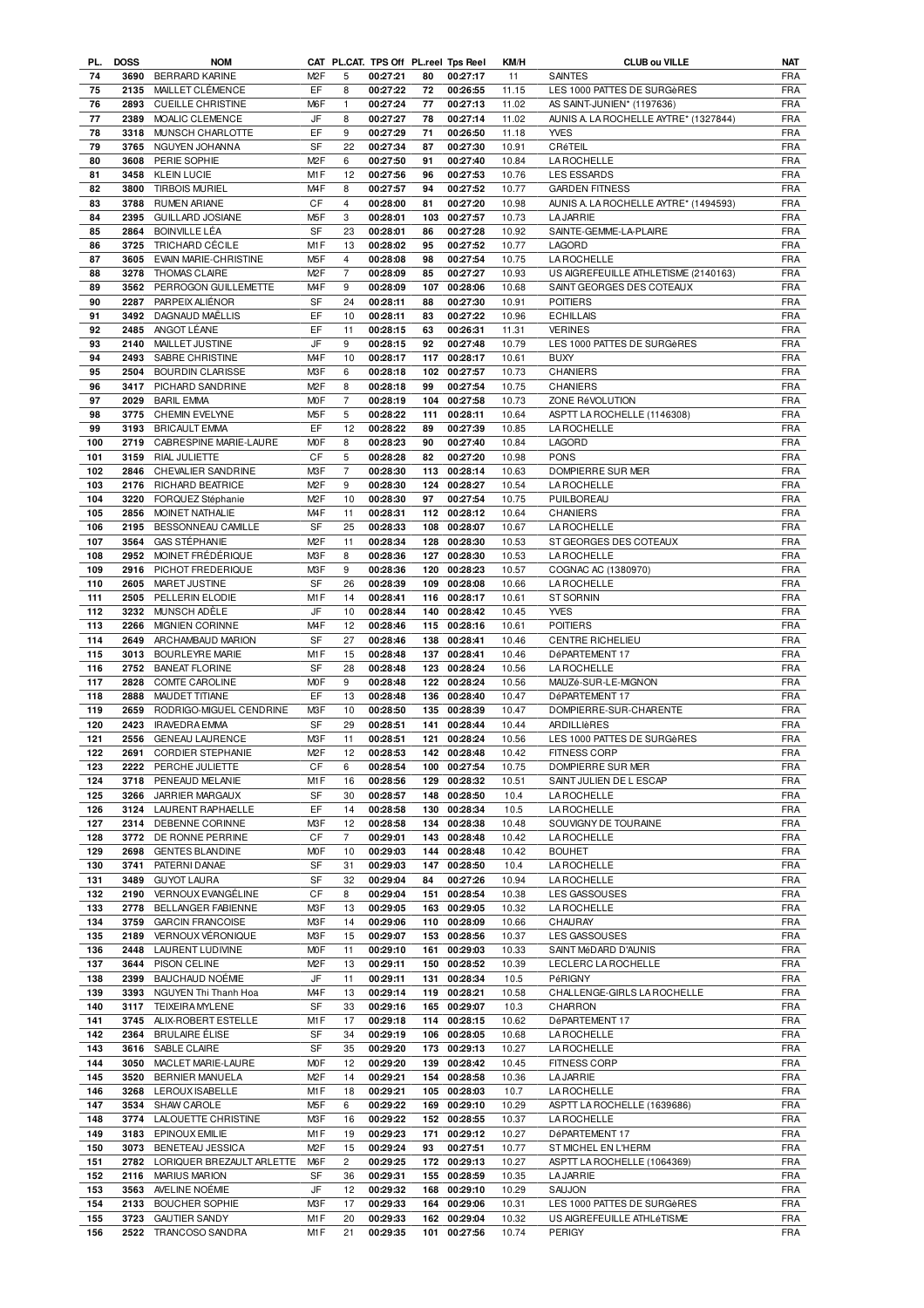| PL. | <b>DOSS</b> | <b>NOM</b>                |                  |                | CAT PL.CAT. TPS Off PL.reel Tps Reel |     |              | KM/H  | <b>CLUB ou VILLE</b>                  | <b>NAT</b> |
|-----|-------------|---------------------------|------------------|----------------|--------------------------------------|-----|--------------|-------|---------------------------------------|------------|
| 74  | 3690        | <b>BERRARD KARINE</b>     | M <sub>2</sub> F | 5              | 00:27:21                             | 80  | 00:27:17     | 11    | <b>SAINTES</b>                        | <b>FRA</b> |
| 75  | 2135        | MAILLET CLÉMENCE          | EF               | 8              | 00:27:22                             | 72  | 00:26:55     | 11.15 | LES 1000 PATTES DE SURGèRES           | <b>FRA</b> |
| 76  | 2893        | <b>CUEILLE CHRISTINE</b>  | M <sub>6</sub> F | $\mathbf{1}$   | 00:27:24                             | 77  | 00:27:13     | 11.02 | AS SAINT-JUNIEN* (1197636)            | <b>FRA</b> |
| 77  | 2389        | MOALIC CLEMENCE           | JF               | 8              | 00:27:27                             | 78  | 00:27:14     | 11.02 | AUNIS A. LA ROCHELLE AYTRE* (1327844) | <b>FRA</b> |
| 78  | 3318        | MUNSCH CHARLOTTE          | EF               | 9              | 00:27:29                             | 71  | 00:26:50     | 11.18 | <b>YVES</b>                           | <b>FRA</b> |
| 79  | 3765        | NGUYEN JOHANNA            | SF               | 22             | 00:27:34                             | 87  | 00:27:30     | 10.91 | CRéTEIL                               | <b>FRA</b> |
| 80  | 3608        | PERIE SOPHIE              | M <sub>2</sub> F | 6              | 00:27:50                             | 91  | 00:27:40     | 10.84 | <b>LA ROCHELLE</b>                    | <b>FRA</b> |
| 81  | 3458        | <b>KLEIN LUCIE</b>        | M1F              | 12             | 00:27:56                             | 96  | 00:27:53     | 10.76 | <b>LES ESSARDS</b>                    | <b>FRA</b> |
| 82  | 3800        | <b>TIRBOIS MURIEL</b>     | M <sub>4</sub> F | 8              | 00:27:57                             | 94  | 00:27:52     | 10.77 | <b>GARDEN FITNESS</b>                 | <b>FRA</b> |
| 83  | 3788        | <b>RUMEN ARIANE</b>       | CF               | $\overline{4}$ | 00:28:00                             | 81  | 00:27:20     | 10.98 | AUNIS A. LA ROCHELLE AYTRE* (1494593) | <b>FRA</b> |
| 84  | 2395        | <b>GUILLARD JOSIANE</b>   | M <sub>5</sub> F | 3              | 00:28:01                             | 103 | 00:27:57     | 10.73 | <b>LA JARRIE</b>                      | <b>FRA</b> |
|     | 2864        | <b>BOINVILLE LÉA</b>      | SF               | 23             |                                      |     |              | 10.92 | SAINTE-GEMME-LA-PLAIRE                | <b>FRA</b> |
| 85  |             |                           |                  |                | 00:28:01                             | 86  | 00:27:28     |       |                                       |            |
| 86  | 3725        | TRICHARD CÉCILE           | M1F              | 13             | 00:28:02                             | 95  | 00:27:52     | 10.77 | <b>LAGORD</b>                         | <b>FRA</b> |
| 87  | 3605        | EVAIN MARIE-CHRISTINE     | M <sub>5</sub> F | $\overline{4}$ | 00:28:08                             | 98  | 00:27:54     | 10.75 | LA ROCHELLE                           | <b>FRA</b> |
| 88  | 3278        | <b>THOMAS CLAIRE</b>      | M <sub>2</sub> F | $\overline{7}$ | 00:28:09                             | 85  | 00:27:27     | 10.93 | US AIGREFEUILLE ATHLETISME (2140163)  | <b>FRA</b> |
| 89  | 3562        | PERROGON GUILLEMETTE      | M <sub>4</sub> F | 9              | 00:28:09                             | 107 | 00:28:06     | 10.68 | SAINT GEORGES DES COTEAUX             | <b>FRA</b> |
| 90  | 2287        | PARPEIX ALIÉNOR           | <b>SF</b>        | 24             | 00:28:11                             | 88  | 00:27:30     | 10.91 | <b>POITIERS</b>                       | <b>FRA</b> |
| 91  | 3492        | DAGNAUD MAËLLIS           | EF               | 10             | 00:28:11                             | 83  | 00:27:22     | 10.96 | <b>ECHILLAIS</b>                      | <b>FRA</b> |
| 92  | 2485        | ANGOT LÉANE               | EF               | 11             | 00:28:15                             | 63  | 00:26:31     | 11.31 | <b>VERINES</b>                        | <b>FRA</b> |
| 93  | 2140        | MAILLET JUSTINE           | JF               | 9              | 00:28:15                             | 92  | 00:27:48     | 10.79 | LES 1000 PATTES DE SURGèRES           | <b>FRA</b> |
| 94  | 2493        | SABRE CHRISTINE           | M <sub>4</sub> F | 10             | 00:28:17                             | 117 | 00:28:17     | 10.61 | <b>BUXY</b>                           | <b>FRA</b> |
| 95  | 2504        | <b>BOURDIN CLARISSE</b>   | M3F              | 6              | 00:28:18                             | 102 | 00:27:57     | 10.73 | <b>CHANIERS</b>                       | <b>FRA</b> |
| 96  | 3417        | PICHARD SANDRINE          | M <sub>2</sub> F | 8              | 00:28:18                             | 99  | 00:27:54     | 10.75 | <b>CHANIERS</b>                       | <b>FRA</b> |
| 97  | 2029        | <b>BARIL EMMA</b>         | <b>MOF</b>       | $\overline{7}$ | 00:28:19                             | 104 | 00:27:58     | 10.73 | ZONE RéVOLUTION                       | <b>FRA</b> |
| 98  | 3775        | CHEMIN EVELYNE            | M <sub>5</sub> F | 5              | 00:28:22                             | 111 | 00:28:11     | 10.64 | ASPTT LA ROCHELLE (1146308)           | <b>FRA</b> |
| 99  | 3193        | <b>BRICAULT EMMA</b>      | EF               | 12             | 00:28:22                             | 89  | 00:27:39     | 10.85 | LA ROCHELLE                           | <b>FRA</b> |
| 100 | 2719        | CABRESPINE MARIE-LAURE    | M <sub>O</sub> F | 8              | 00:28:23                             | 90  | 00:27:40     | 10.84 | LAGORD                                | <b>FRA</b> |
| 101 | 3159        | RIAL JULIETTE             | CF               | 5              | 00:28:28                             | 82  | 00:27:20     | 10.98 | <b>PONS</b>                           | <b>FRA</b> |
| 102 | 2846        | CHEVALIER SANDRINE        | M3F              | $\overline{7}$ | 00:28:30                             | 113 | 00:28:14     | 10.63 | DOMPIERRE SUR MER                     | <b>FRA</b> |
| 103 | 2176        | <b>RICHARD BEATRICE</b>   | M <sub>2</sub> F | 9              | 00:28:30                             | 124 | 00:28:27     | 10.54 | <b>LAROCHELLE</b>                     | <b>FRA</b> |
| 104 | 3220        | FORQUEZ Stéphanie         | M <sub>2</sub> F | 10             | 00:28:30                             | 97  | 00:27:54     | 10.75 | PUILBOREAU                            | <b>FRA</b> |
|     |             |                           | M <sub>4</sub> F |                |                                      |     |              |       |                                       |            |
| 105 | 2856        | MOINET NATHALIE           |                  | 11             | 00:28:31                             |     | 112 00:28:12 | 10.64 | <b>CHANIERS</b>                       | <b>FRA</b> |
| 106 | 2195        | BESSONNEAU CAMILLE        | SF               | 25             | 00:28:33                             | 108 | 00:28:07     | 10.67 | <b>LA ROCHELLE</b>                    | <b>FRA</b> |
| 107 | 3564        | <b>GAS STÉPHANIE</b>      | M <sub>2</sub> F | 11             | 00:28:34                             |     | 128 00:28:30 | 10.53 | ST GEORGES DES COTEAUX                | <b>FRA</b> |
| 108 | 2952        | MOINET FRÉDÉRIQUE         | M3F              | 8              | 00:28:36                             | 127 | 00:28:30     | 10.53 | LA ROCHELLE                           | <b>FRA</b> |
| 109 | 2916        | PICHOT FREDERIQUE         | M3F              | 9              | 00:28:36                             |     | 120 00:28:23 | 10.57 | COGNAC AC (1380970)                   | <b>FRA</b> |
| 110 | 2605        | MARET JUSTINE             | SF               | 26             | 00:28:39                             | 109 | 00:28:08     | 10.66 | LA ROCHELLE                           | <b>FRA</b> |
| 111 | 2505        | PELLERIN ELODIE           | M1F              | 14             | 00:28:41                             | 116 | 00:28:17     | 10.61 | ST SORNIN                             | <b>FRA</b> |
| 112 | 3232        | MUNSCH ADÈLE              | JF               | 10             | 00:28:44                             |     | 140 00:28:42 | 10.45 | <b>YVES</b>                           | <b>FRA</b> |
| 113 | 2266        | <b>MIGNIEN CORINNE</b>    | M <sub>4</sub> F | 12             | 00:28:46                             | 115 | 00:28:16     | 10.61 | <b>POITIERS</b>                       | <b>FRA</b> |
| 114 | 2649        | ARCHAMBAUD MARION         | SF               | 27             | 00:28:46                             | 138 | 00:28:41     | 10.46 | CENTRE RICHELIEU                      | <b>FRA</b> |
| 115 | 3013        | BOURLEYRE MARIE           | M <sub>1</sub> F | 15             | 00:28:48                             |     | 137 00:28:41 | 10.46 | DéPARTEMENT 17                        | <b>FRA</b> |
| 116 | 2752        | <b>BANEAT FLORINE</b>     | SF               | 28             | 00:28:48                             |     | 123 00:28:24 | 10.56 | <b>LA ROCHELLE</b>                    | <b>FRA</b> |
| 117 | 2828        | COMTE CAROLINE            | <b>MOF</b>       | 9              | 00:28:48                             |     | 122 00:28:24 | 10.56 | MAUZé-SUR-LE-MIGNON                   | <b>FRA</b> |
| 118 | 2888        | MAUDET TITIANE            | EF               | 13             | 00:28:48                             |     | 136 00:28:40 | 10.47 | DéPARTEMENT 17                        | <b>FRA</b> |
| 119 | 2659        | RODRIGO-MIGUEL CENDRINE   | M3F              | 10             | 00:28:50                             |     | 135 00:28:39 | 10.47 | DOMPIERRE-SUR-CHARENTE                | <b>FRA</b> |
| 120 | 2423        | <b>IRAVEDRA EMMA</b>      | SF               | 29             | 00:28:51                             |     | 141 00:28:44 | 10.44 | ARDILLIèRES                           | <b>FRA</b> |
| 121 | 2556        | <b>GENEAU LAURENCE</b>    | M3F              | 11             | 00:28:51                             |     | 121 00:28:24 | 10.56 | LES 1000 PATTES DE SURGèRES           | <b>FRA</b> |
| 122 |             | 2691 CORDIER STEPHANIE    | M <sub>2</sub> F | 12             | 00:28:53                             |     | 142 00:28:48 | 10.42 | FITNESS CORP                          | <b>FRA</b> |
| 123 |             | 2222 PERCHE JULIETTE      | СF               | 6              | 00:28:54                             |     | 100 00:27:54 | 10.75 | DOMPIERRE SUR MER                     | <b>FRA</b> |
| 124 |             | 3718 PENEAUD MELANIE      | M1F              | 16             | 00:28:56                             | 129 | 00:28:32     | 10.51 | SAINT JULIEN DE L ESCAP               | <b>FRA</b> |
| 125 | 3266        | JARRIER MARGAUX           | SF               | 30             | 00:28:57                             | 148 | 00:28:50     | 10.4  | LA ROCHELLE                           | <b>FRA</b> |
| 126 | 3124        | LAURENT RAPHAELLE         | EF               | 14             | 00:28:58                             | 130 | 00:28:34     | 10.5  | LA ROCHELLE                           | <b>FRA</b> |
|     | 2314        | DEBENNE CORINNE           |                  | 12             |                                      |     |              |       | SOUVIGNY DE TOURAINE                  |            |
| 127 |             |                           | M3F              |                | 00:28:58                             | 134 | 00:28:38     | 10.48 |                                       | <b>FRA</b> |
| 128 | 3772        | DE RONNE PERRINE          | СF               | $\overline{7}$ | 00:29:01                             | 143 | 00:28:48     | 10.42 | LA ROCHELLE                           | <b>FRA</b> |
| 129 | 2698        | <b>GENTES BLANDINE</b>    | <b>MOF</b>       | 10             | 00:29:03                             | 144 | 00:28:48     | 10.42 | <b>BOUHET</b>                         | <b>FRA</b> |
| 130 | 3741        | PATERNI DANAE             | SF               | 31             | 00:29:03                             | 147 | 00:28:50     | 10.4  | LA ROCHELLE                           | <b>FRA</b> |
| 131 | 3489        | <b>GUYOT LAURA</b>        | SF               | 32             | 00:29:04                             | 84  | 00:27:26     | 10.94 | LA ROCHELLE                           | <b>FRA</b> |
| 132 | 2190        | VERNOUX EVANGÉLINE        | CF               | 8              | 00:29:04                             | 151 | 00:28:54     | 10.38 | LES GASSOUSES                         | <b>FRA</b> |
| 133 | 2778        | BELLANGER FABIENNE        | M3F              | 13             | 00:29:05                             | 163 | 00:29:05     | 10.32 | <b>LA ROCHELLE</b>                    | <b>FRA</b> |
| 134 | 3759        | <b>GARCIN FRANCOISE</b>   | M3F              | 14             | 00:29:06                             | 110 | 00:28:09     | 10.66 | CHAURAY                               | <b>FRA</b> |
| 135 | 2189        | VERNOUX VÉRONIQUE         | M3F              | 15             | 00:29:07                             | 153 | 00:28:56     | 10.37 | LES GASSOUSES                         | <b>FRA</b> |
| 136 | 2448        | LAURENT LUDIVINE          | <b>MOF</b>       | 11             | 00:29:10                             | 161 | 00:29:03     | 10.33 | SAINT MéDARD D'AUNIS                  | <b>FRA</b> |
| 137 | 3644        | PISON CELINE              | M <sub>2</sub> F | 13             | 00:29:11                             | 150 | 00:28:52     | 10.39 | LECLERC LA ROCHELLE                   | <b>FRA</b> |
| 138 | 2399        | BAUCHAUD NOÉMIE           | JF               | 11             | 00:29:11                             | 131 | 00:28:34     | 10.5  | PéRIGNY                               | <b>FRA</b> |
| 139 | 3393        | NGUYEN Thi Thanh Hoa      | M <sub>4</sub> F | 13             | 00:29:14                             | 119 | 00:28:21     | 10.58 | CHALLENGE-GIRLS LA ROCHELLE           | FRA        |
| 140 | 3117        | TEIXEIRA MYLENE           | SF               | 33             | 00:29:16                             |     | 165 00:29:07 | 10.3  | CHARRON                               | <b>FRA</b> |
| 141 | 3745        | ALIX-ROBERT ESTELLE       | M1F              | 17             | 00:29:18                             | 114 | 00:28:15     | 10.62 | DéPARTEMENT 17                        | FRA        |
| 142 | 2364        | <b>BRULAIRE ÉLISE</b>     | SF               | 34             | 00:29:19                             |     | 106 00:28:05 | 10.68 | <b>LA ROCHELLE</b>                    | <b>FRA</b> |
| 143 | 3616        | SABLE CLAIRE              | SF               | 35             | 00:29:20                             |     | 173 00:29:13 | 10.27 | LA ROCHELLE                           | <b>FRA</b> |
| 144 | 3050        | MACLET MARIE-LAURE        | <b>MOF</b>       | 12             | 00:29:20                             |     | 139 00:28:42 | 10.45 | <b>FITNESS CORP</b>                   | <b>FRA</b> |
| 145 | 3520        | BERNIER MANUELA           | M <sub>2</sub> F | 14             | 00:29:21                             | 154 | 00:28:58     | 10.36 | <b>LA JARRIE</b>                      | <b>FRA</b> |
| 146 | 3268        | LEROUX ISABELLE           | M1F              | 18             | 00:29:21                             |     | 105 00:28:03 | 10.7  | LA ROCHELLE                           | <b>FRA</b> |
| 147 | 3534        | SHAW CAROLE               | M <sub>5</sub> F | 6              | 00:29:22                             |     | 169 00:29:10 | 10.29 | ASPTT LA ROCHELLE (1639686)           | <b>FRA</b> |
| 148 | 3774        | LALOUETTE CHRISTINE       | M3F              | 16             | 00:29:22                             |     | 152 00:28:55 | 10.37 | LA ROCHELLE                           | <b>FRA</b> |
| 149 | 3183        | EPINOUX EMILIE            | M1F              | 19             | 00:29:23                             | 171 | 00:29:12     | 10.27 | DéPARTEMENT 17                        | <b>FRA</b> |
| 150 | 3073        | BENETEAU JESSICA          | M <sub>2</sub> F | 15             | 00:29:24                             | 93  | 00:27:51     | 10.77 | ST MICHEL EN L'HERM                   | <b>FRA</b> |
| 151 | 2782        | LORIQUER BREZAULT ARLETTE | M6F              | $\overline{2}$ | 00:29:25                             |     | 172 00:29:13 | 10.27 | ASPTT LA ROCHELLE (1064369)           | <b>FRA</b> |
|     |             |                           |                  |                |                                      |     |              |       |                                       |            |
| 152 | 2116        | <b>MARIUS MARION</b>      | SF               | 36             | 00:29:31                             |     | 155 00:28:59 | 10.35 | <b>LA JARRIE</b>                      | FRA        |
| 153 | 3563        | AVELINE NOEMIE            | JF               | 12             | 00:29:32                             |     | 168 00:29:10 | 10.29 | SAUJON                                | <b>FRA</b> |
| 154 | 2133        | <b>BOUCHER SOPHIE</b>     | M3F              | 17             | 00:29:33                             |     | 164 00:29:06 | 10.31 | LES 1000 PATTES DE SURGèRES           | FRA        |
| 155 | 3723        | <b>GAUTIER SANDY</b>      | M1F              | 20             | 00:29:33                             |     | 162 00:29:04 | 10.32 | US AIGREFEUILLE ATHLéTISME            | <b>FRA</b> |
| 156 |             | 2522 TRANCOSO SANDRA      | M1F              | 21             | 00:29:35                             |     | 101 00:27:56 | 10.74 | <b>PERIGY</b>                         | FRA        |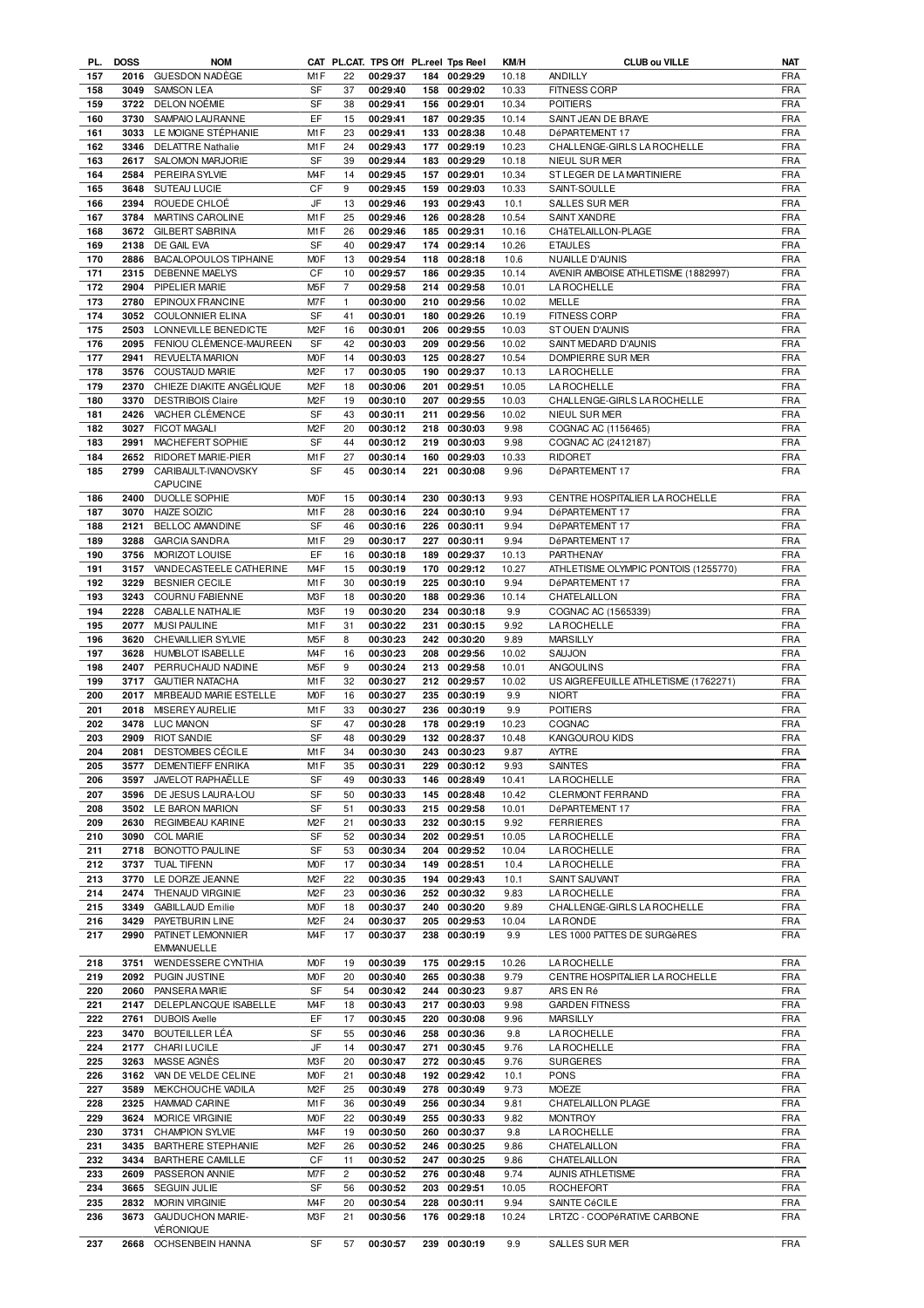|     | <b>DOSS</b> | <b>NOM</b>                |                  |                | CAT PL.CAT. TPS Off PL.reel Tps Reel |     |              | KM/H  | <b>CLUB ou VILLE</b>                 | NAT        |
|-----|-------------|---------------------------|------------------|----------------|--------------------------------------|-----|--------------|-------|--------------------------------------|------------|
| 157 | 2016        | <b>GUESDON NADÈGE</b>     | M <sub>1</sub> F | 22             | 00:29:37                             |     | 184 00:29:29 | 10.18 | ANDILLY                              | <b>FRA</b> |
| 158 | 3049        | <b>SAMSON LEA</b>         | SF               | 37             | 00:29:40                             |     | 158 00:29:02 | 10.33 | <b>FITNESS CORP</b>                  | <b>FRA</b> |
| 159 | 3722        | DELON NOÉMIE              | SF               | 38             | 00:29:41                             |     | 156 00:29:01 | 10.34 | <b>POITIERS</b>                      | <b>FRA</b> |
| 160 | 3730        | SAMPAIO LAURANNE          | EF               | 15             | 00:29:41                             | 187 | 00:29:35     | 10.14 | SAINT JEAN DE BRAYE                  | <b>FRA</b> |
| 161 | 3033        | LE MOIGNE STÉPHANIE       | M1F              | 23             | 00:29:41                             |     | 133 00:28:38 | 10.48 | DéPARTEMENT 17                       | <b>FRA</b> |
| 162 | 3346        | <b>DELATTRE Nathalie</b>  | M <sub>1</sub> F | 24             | 00:29:43                             | 177 | 00:29:19     | 10.23 | CHALLENGE-GIRLS LA ROCHELLE          | <b>FRA</b> |
|     |             |                           |                  |                |                                      |     |              |       |                                      |            |
| 163 | 2617        | SALOMON MARJORIE          | SF               | 39             | 00:29:44                             |     | 183 00:29:29 | 10.18 | NIEUL SUR MER                        | <b>FRA</b> |
| 164 | 2584        | PEREIRA SYLVIE            | M <sub>4</sub> F | 14             | 00:29:45                             | 157 | 00:29:01     | 10.34 | ST LEGER DE LA MARTINIERE            | <b>FRA</b> |
| 165 | 3648        | SUTEAU LUCIE              | СF               | 9              | 00:29:45                             |     | 159 00:29:03 | 10.33 | SAINT-SOULLE                         | <b>FRA</b> |
| 166 | 2394        | ROUEDE CHLOÉ              | JF               | 13             | 00:29:46                             |     | 193 00:29:43 | 10.1  | SALLES SUR MER                       | <b>FRA</b> |
| 167 | 3784        | MARTINS CAROLINE          | M1F              | 25             | 00:29:46                             |     | 126 00:28:28 | 10.54 | SAINT XANDRE                         | <b>FRA</b> |
| 168 | 3672        | <b>GILBERT SABRINA</b>    | M <sub>1</sub> F | 26             | 00:29:46                             |     | 185 00:29:31 | 10.16 | CHâTELAILLON-PLAGE                   | <b>FRA</b> |
| 169 | 2138        | DE GAIL EVA               | <b>SF</b>        | 40             | 00:29:47                             |     | 174 00:29:14 | 10.26 | <b>ETAULES</b>                       | <b>FRA</b> |
| 170 | 2886        | BACALOPOULOS TIPHAINE     | M <sub>O</sub> F | 13             | 00:29:54                             |     | 118 00:28:18 |       | NUAILLE D'AUNIS                      | <b>FRA</b> |
|     |             |                           |                  |                |                                      |     |              | 10.6  |                                      |            |
| 171 | 2315        | <b>DEBENNE MAELYS</b>     | CF               | 10             | 00:29:57                             |     | 186 00:29:35 | 10.14 | AVENIR AMBOISE ATHLETISME (1882997)  | <b>FRA</b> |
| 172 | 2904        | PIPELIER MARIE            | M <sub>5</sub> F | $\overline{7}$ | 00:29:58                             | 214 | 00:29:58     | 10.01 | <b>LA ROCHELLE</b>                   | <b>FRA</b> |
| 173 | 2780        | EPINOUX FRANCINE          | M7F              | 1              | 00:30:00                             |     | 210 00:29:56 | 10.02 | MELLE                                | <b>FRA</b> |
| 174 | 3052        | <b>COULONNIER ELINA</b>   | SF               | 41             | 00:30:01                             |     | 180 00:29:26 | 10.19 | <b>FITNESS CORP</b>                  | <b>FRA</b> |
| 175 | 2503        | LONNEVILLE BENEDICTE      | M <sub>2</sub> F | 16             | 00:30:01                             |     | 206 00:29:55 | 10.03 | ST OUEN D'AUNIS                      | <b>FRA</b> |
| 176 | 2095        | FENIOU CLÉMENCE-MAUREEN   | <b>SF</b>        | 42             | 00:30:03                             |     | 209 00:29:56 | 10.02 | SAINT MEDARD D'AUNIS                 | <b>FRA</b> |
| 177 | 2941        | <b>REVUELTA MARION</b>    | <b>MOF</b>       | 14             | 00:30:03                             |     | 125 00:28:27 | 10.54 | DOMPIERRE SUR MER                    | <b>FRA</b> |
| 178 | 3576        | <b>COUSTAUD MARIE</b>     | M <sub>2</sub> F | 17             | 00:30:05                             |     | 190 00:29:37 | 10.13 | <b>LA ROCHELLE</b>                   | <b>FRA</b> |
|     |             |                           |                  |                |                                      |     |              |       |                                      |            |
| 179 | 2370        | CHIEZE DIAKITE ANGÉLIQUE  | M <sub>2</sub> F | 18             | 00:30:06                             |     | 201 00:29:51 | 10.05 | LA ROCHELLE                          | <b>FRA</b> |
| 180 | 3370        | <b>DESTRIBOIS Claire</b>  | M <sub>2</sub> F | 19             | 00:30:10                             |     | 207 00:29:55 | 10.03 | CHALLENGE-GIRLS LA ROCHELLE          | <b>FRA</b> |
| 181 | 2426        | VACHER CLÉMENCE           | SF               | 43             | 00:30:11                             | 211 | 00:29:56     | 10.02 | NIEUL SUR MER                        | <b>FRA</b> |
| 182 | 3027        | <b>FICOT MAGALI</b>       | M <sub>2</sub> F | 20             | 00:30:12                             |     | 218 00:30:03 | 9.98  | COGNAC AC (1156465)                  | <b>FRA</b> |
| 183 | 2991        | MACHEFERT SOPHIE          | SF               | 44             | 00:30:12                             |     | 219 00:30:03 | 9.98  | COGNAC AC (2412187)                  | <b>FRA</b> |
| 184 | 2652        | RIDORET MARIE-PIER        | M <sub>1</sub> F | 27             | 00:30:14                             |     | 160 00:29:03 | 10.33 | <b>RIDORET</b>                       | <b>FRA</b> |
| 185 | 2799        | CARIBAULT-IVANOVSKY       | SF               | 45             | 00:30:14                             | 221 | 00:30:08     | 9.96  | DéPARTEMENT 17                       | <b>FRA</b> |
|     |             | CAPUCINE                  |                  |                |                                      |     |              |       |                                      |            |
|     | 2400        | <b>DUOLLE SOPHIE</b>      | <b>MOF</b>       |                | 00:30:14                             |     |              |       |                                      |            |
| 186 |             |                           |                  | 15             |                                      |     | 230 00:30:13 | 9.93  | CENTRE HOSPITALIER LA ROCHELLE       | <b>FRA</b> |
| 187 | 3070        | <b>HAIZE SOIZIC</b>       | M1F              | 28             | 00:30:16                             |     | 224 00:30:10 | 9.94  | DéPARTEMENT 17                       | <b>FRA</b> |
| 188 | 2121        | BELLOC AMANDINE           | SF               | 46             | 00:30:16                             |     | 226 00:30:11 | 9.94  | DéPARTEMENT 17                       | <b>FRA</b> |
| 189 | 3288        | <b>GARCIA SANDRA</b>      | M <sub>1</sub> F | 29             | 00:30:17                             | 227 | 00:30:11     | 9.94  | DéPARTEMENT 17                       | <b>FRA</b> |
| 190 | 3756        | MORIZOT LOUISE            | EF               | 16             | 00:30:18                             | 189 | 00:29:37     | 10.13 | PARTHENAY                            | <b>FRA</b> |
| 191 | 3157        | VANDECASTEELE CATHERINE   | M <sub>4</sub> F | 15             | 00:30:19                             | 170 | 00:29:12     | 10.27 | ATHLETISME OLYMPIC PONTOIS (1255770) | <b>FRA</b> |
| 192 | 3229        | <b>BESNIER CECILE</b>     | M <sub>1</sub> F | 30             | 00:30:19                             | 225 | 00:30:10     | 9.94  | DéPARTEMENT 17                       | <b>FRA</b> |
| 193 | 3243        | <b>COURNU FABIENNE</b>    | M3F              | 18             | 00:30:20                             |     | 188 00:29:36 | 10.14 | CHATELAILLON                         | <b>FRA</b> |
| 194 | 2228        | <b>CABALLE NATHALIE</b>   | M3F              | 19             | 00:30:20                             | 234 | 00:30:18     | 9.9   |                                      | <b>FRA</b> |
|     |             |                           |                  |                |                                      |     |              |       | COGNAC AC (1565339)                  |            |
| 195 | 2077        | <b>MUSI PAULINE</b>       | M1F              | 31             | 00:30:22                             |     | 231 00:30:15 | 9.92  | <b>LA ROCHELLE</b>                   | <b>FRA</b> |
| 196 | 3620        | <b>CHEVAILLIER SYLVIE</b> | M <sub>5</sub> F | 8              | 00:30:23                             |     | 242 00:30:20 | 9.89  | <b>MARSILLY</b>                      | <b>FRA</b> |
| 197 | 3628        | <b>HUMBLOT ISABELLE</b>   | M <sub>4</sub> F | 16             | 00:30:23                             | 208 | 00:29:56     | 10.02 | SAUJON                               | <b>FRA</b> |
| 198 | 2407        | PERRUCHAUD NADINE         | M <sub>5</sub> F | 9              | 00:30:24                             | 213 | 00:29:58     | 10.01 | <b>ANGOULINS</b>                     | <b>FRA</b> |
| 199 | 3717        | <b>GAUTIER NATACHA</b>    | M1F              | 32             | 00:30:27                             |     | 212 00:29:57 | 10.02 | US AIGREFEUILLE ATHLETISME (1762271) | <b>FRA</b> |
| 200 |             | MIRBEAUD MARIE ESTELLE    | M <sub>O</sub> F | 16             | 00:30:27                             | 235 | 00:30:19     | 9.9   | <b>NIORT</b>                         | <b>FRA</b> |
|     | 2017        |                           |                  |                |                                      |     |              |       |                                      |            |
|     |             | MISEREY AURELIE           | M <sub>1</sub> F |                |                                      |     |              |       |                                      |            |
| 201 | 2018        |                           |                  | 33             | 00:30:27                             |     | 236 00:30:19 | 9.9   | <b>POITIERS</b>                      | <b>FRA</b> |
| 202 | 3478        | <b>LUC MANON</b>          | SF               | 47             | 00:30:28                             | 178 | 00:29:19     | 10.23 | COGNAC                               | <b>FRA</b> |
| 203 | 2909        | <b>RIOT SANDIE</b>        | <b>SF</b>        | 48             | 00:30:29                             |     | 132 00:28:37 | 10.48 | <b>KANGOUROU KIDS</b>                | <b>FRA</b> |
| 204 | 2081        | DESTOMBES CÉCILE          | M <sub>1</sub> F | 34             | 00:30:30                             |     | 243 00:30:23 | 9.87  | <b>AYTRE</b>                         | <b>FRA</b> |
| 205 | 3577        | <b>DEMENTIEFF ENRIKA</b>  | M1F              | 35             | 00:30:31                             |     | 229 00:30:12 | 9.93  | <b>SAINTES</b>                       | <b>FRA</b> |
| 206 | 3597        | JAVELOT RAPHAËLLE         | SF               | 49             | 00:30:33                             |     | 146 00:28:49 | 10.41 | <b>LA ROCHELLE</b>                   | FRA        |
| 207 | 3596        | DE JESUS LAURA-LOU        | SF               | 50             | 00:30:33                             |     | 145 00:28:48 | 10.42 | CLERMONT FERRAND                     | <b>FRA</b> |
| 208 | 3502        | LE BARON MARION           | SF               | 51             | 00:30:33                             |     | 215 00:29:58 | 10.01 | DéPARTEMENT 17                       | FRA        |
| 209 | 2630        | REGIMBEAU KARINE          | M <sub>2</sub> F | 21             | 00:30:33                             |     | 232 00:30:15 | 9.92  | <b>FERRIERES</b>                     | FRA        |
| 210 | 3090        | <b>COL MARIE</b>          | SF               | 52             | 00:30:34                             | 202 | 00:29:51     | 10.05 | LA ROCHELLE                          | FRA        |
|     |             |                           |                  |                |                                      |     |              |       |                                      |            |
| 211 |             | 2718 BONOTTO PAULINE      | SF               | 53             | 00:30:34                             |     | 204 00:29:52 | 10.04 | <b>LA ROCHELLE</b>                   | <b>FRA</b> |
| 212 | 3737        | TUAL TIFENN               | M <sub>O</sub> F | 17             | 00:30:34                             | 149 | 00:28:51     | 10.4  | LA ROCHELLE                          | <b>FRA</b> |
| 213 | 3770        | LE DORZE JEANNE           | M <sub>2</sub> F | 22             | 00:30:35                             |     | 194 00:29:43 | 10.1  | SAINT SAUVANT                        | <b>FRA</b> |
| 214 | 2474        | THENAUD VIRGINIE          | M <sub>2</sub> F | 23             | 00:30:36                             | 252 | 00:30:32     | 9.83  | <b>LAROCHELLE</b>                    | <b>FRA</b> |
| 215 | 3349        | <b>GABILLAUD Emilie</b>   | M0F              | 18             | 00:30:37                             |     | 240 00:30:20 | 9.89  | CHALLENGE-GIRLS LA ROCHELLE          | <b>FRA</b> |
| 216 | 3429        | PAYETBURIN LINE           | M <sub>2</sub> F | 24             | 00:30:37                             |     | 205 00:29:53 | 10.04 | <b>LARONDE</b>                       | FRA        |
| 217 | 2990        | PATINET LEMONNIER         | M <sub>4</sub> F | 17             | 00:30:37                             |     | 238 00:30:19 | 9.9   | LES 1000 PATTES DE SURGèRES          | FRA        |
|     |             | <b>EMMANUELLE</b>         |                  |                |                                      |     |              |       |                                      |            |
| 218 | 3751        | WENDESSERE CYNTHIA        | <b>MOF</b>       | 19             | 00:30:39                             |     | 175 00:29:15 | 10.26 | <b>LAROCHELLE</b>                    | FRA        |
| 219 | 2092        | PUGIN JUSTINE             | <b>MOF</b>       | 20             | 00:30:40                             |     | 265 00:30:38 | 9.79  | CENTRE HOSPITALIER LA ROCHELLE       | FRA        |
| 220 | 2060        |                           | SF               | 54             |                                      |     |              | 9.87  |                                      |            |
|     |             | PANSERA MARIE             |                  |                | 00:30:42                             |     | 244 00:30:23 |       | ARS EN Ré                            | <b>FRA</b> |
| 221 | 2147        | DELEPLANCQUE ISABELLE     | M <sub>4F</sub>  | 18             | 00:30:43                             |     | 217 00:30:03 | 9.98  | <b>GARDEN FITNESS</b>                | <b>FRA</b> |
| 222 | 2761        | <b>DUBOIS Axelle</b>      | EF               | 17             | 00:30:45                             | 220 | 00:30:08     | 9.96  | <b>MARSILLY</b>                      | <b>FRA</b> |
| 223 | 3470        | BOUTEILLER LÉA            | SF               | 55             | 00:30:46                             | 258 | 00:30:36     | 9.8   | LA ROCHELLE                          | <b>FRA</b> |
| 224 | 2177        | <b>CHARILUCILE</b>        | JF               | 14             | 00:30:47                             | 271 | 00:30:45     | 9.76  | <b>LA ROCHELLE</b>                   | FRA        |
| 225 | 3263        | MASSE AGNÈS               | M3F              | 20             | 00:30:47                             |     | 272 00:30:45 | 9.76  | <b>SURGERES</b>                      | <b>FRA</b> |
| 226 | 3162        | VAN DE VELDE CELINE       | <b>MOF</b>       | 21             | 00:30:48                             |     | 192 00:29:42 | 10.1  | <b>PONS</b>                          | FRA        |
| 227 | 3589        | MEKCHOUCHE VADILA         | M <sub>2</sub> F | 25             | 00:30:49                             |     | 278 00:30:49 | 9.73  | <b>MOEZE</b>                         | <b>FRA</b> |
| 228 | 2325        | <b>HAMMAD CARINE</b>      | M1F              | 36             | 00:30:49                             |     | 256 00:30:34 | 9.81  | CHATELAILLON PLAGE                   | <b>FRA</b> |
|     |             |                           |                  |                |                                      |     |              |       |                                      |            |
| 229 | 3624        | MORICE VIRGINIE           | <b>MOF</b>       | 22             | 00:30:49                             |     | 255 00:30:33 | 9.82  | <b>MONTROY</b>                       | <b>FRA</b> |
| 230 | 3731        | <b>CHAMPION SYLVIE</b>    | M <sub>4</sub> F | 19             | 00:30:50                             | 260 | 00:30:37     | 9.8   | <b>LA ROCHELLE</b>                   | <b>FRA</b> |
| 231 | 3435        | BARTHERE STEPHANIE        | M <sub>2</sub> F | 26             | 00:30:52                             |     | 246 00:30:25 | 9.86  | CHATELAILLON                         | <b>FRA</b> |
| 232 | 3434        | <b>BARTHERE CAMILLE</b>   | СF               | 11             | 00:30:52                             |     | 247 00:30:25 | 9.86  | CHATELAILLON                         | <b>FRA</b> |
| 233 | 2609        | PASSERON ANNIE            | M7F              | $\overline{c}$ | 00:30:52                             | 276 | 00:30:48     | 9.74  | AUNIS ATHLETISME                     | <b>FRA</b> |
| 234 | 3665        | SEGUIN JULIE              | SF               | 56             | 00:30:52                             | 203 | 00:29:51     | 10.05 | <b>ROCHEFORT</b>                     | <b>FRA</b> |
| 235 | 2832        | <b>MORIN VIRGINIE</b>     | M <sub>4</sub> F | 20             | 00:30:54                             |     | 228 00:30:11 | 9.94  | SAINTE CéCILE                        | <b>FRA</b> |
| 236 | 3673        | GAUDUCHON MARIE-          | M3F              | 21             | 00:30:56                             |     | 176 00:29:18 | 10.24 | LRTZC - COOPéRATIVE CARBONE          | <b>FRA</b> |
|     |             | <b>VÉRONIQUE</b>          |                  |                |                                      |     |              |       |                                      |            |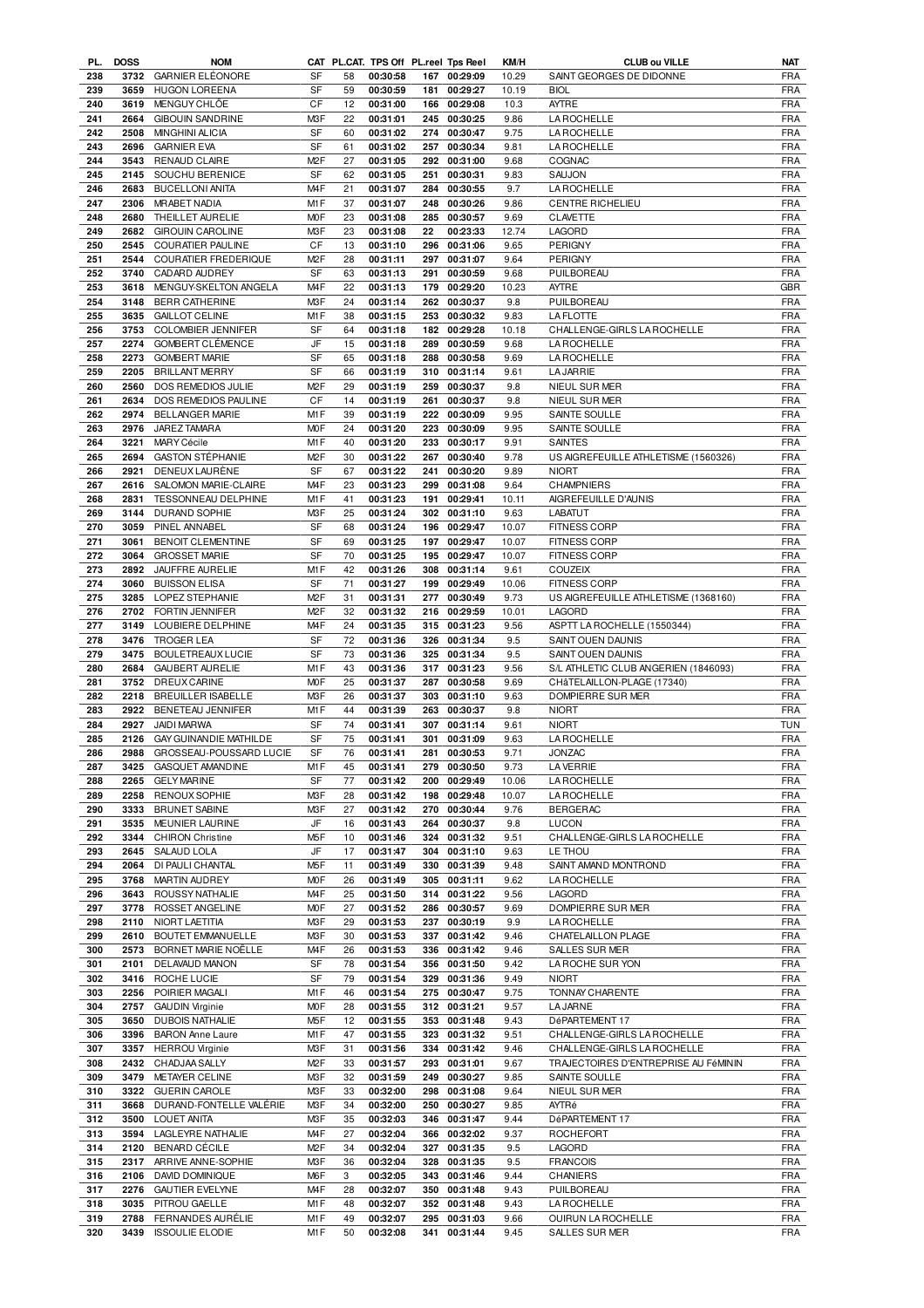| PL.        | <b>DOSS</b> | <b>NOM</b>                                |                  |    | CAT PL.CAT. TPS Off PL.reel Tps Reel |     |              | KM/H  | <b>CLUB ou VILLE</b>                 | <b>NAT</b> |
|------------|-------------|-------------------------------------------|------------------|----|--------------------------------------|-----|--------------|-------|--------------------------------------|------------|
| 238        | 3732        | <b>GARNIER ELÉONORE</b>                   | SF               | 58 | 00:30:58                             |     | 167 00:29:09 | 10.29 | SAINT GEORGES DE DIDONNE             | <b>FRA</b> |
| 239        | 3659        | <b>HUGON LOREENA</b>                      | SF               | 59 | 00:30:59                             | 181 | 00:29:27     | 10.19 | <b>BIOL</b>                          | <b>FRA</b> |
| 240        | 3619        | MENGUY CHLOE                              | CF               | 12 | 00:31:00                             |     | 166 00:29:08 | 10.3  | <b>AYTRE</b>                         | <b>FRA</b> |
| 241        | 2664        | <b>GIBOUIN SANDRINE</b>                   | M3F              | 22 | 00:31:01                             |     | 245 00:30:25 | 9.86  | LA ROCHELLE                          | <b>FRA</b> |
| 242        | 2508        | <b>MINGHINI ALICIA</b>                    | SF               | 60 | 00:31:02                             |     | 274 00:30:47 | 9.75  | <b>LA ROCHELLE</b>                   | <b>FRA</b> |
| 243        | 2696        | <b>GARNIER EVA</b>                        | SF               | 61 | 00:31:02                             |     | 257 00:30:34 | 9.81  | <b>LA ROCHELLE</b>                   | <b>FRA</b> |
| 244        | 3543        | RENAUD CLAIRE                             | M <sub>2</sub> F | 27 | 00:31:05                             |     | 292 00:31:00 | 9.68  | COGNAC                               | <b>FRA</b> |
| 245        | 2145        | SOUCHU BERENICE                           | SF               | 62 | 00:31:05                             | 251 | 00:30:31     | 9.83  | SAUJON                               | <b>FRA</b> |
| 246        | 2683        | <b>BUCELLONI ANITA</b>                    | M <sub>4F</sub>  | 21 | 00:31:07                             | 284 | 00:30:55     | 9.7   | LA ROCHELLE                          | <b>FRA</b> |
| 247        | 2306        | <b>MRABET NADIA</b>                       | M1F              | 37 | 00:31:07                             | 248 | 00:30:26     | 9.86  | CENTRE RICHELIEU                     | <b>FRA</b> |
| 248        | 2680        | THEILLET AURELIE                          | <b>MOF</b>       | 23 | 00:31:08                             |     | 285 00:30:57 | 9.69  | <b>CLAVETTE</b>                      | <b>FRA</b> |
| 249        | 2682        | <b>GIROUIN CAROLINE</b>                   | M3F              | 23 |                                      |     |              |       |                                      | <b>FRA</b> |
|            |             |                                           |                  |    | 00:31:08                             | 22  | 00:23:33     | 12.74 | LAGORD                               |            |
| 250        | 2545        | COURATIER PAULINE                         | CF               | 13 | 00:31:10                             | 296 | 00:31:06     | 9.65  | <b>PERIGNY</b>                       | <b>FRA</b> |
| 251        | 2544        | <b>COURATIER FREDERIQUE</b>               | M <sub>2</sub> F | 28 | 00:31:11                             | 297 | 00:31:07     | 9.64  | <b>PERIGNY</b>                       | <b>FRA</b> |
| 252        | 3740        | CADARD AUDREY                             | SF               | 63 | 00:31:13                             | 291 | 00:30:59     | 9.68  | PUILBOREAU                           | <b>FRA</b> |
| 253        | 3618        | MENGUY-SKELTON ANGELA                     | M <sub>4</sub> F | 22 | 00:31:13                             | 179 | 00:29:20     | 10.23 | <b>AYTRE</b>                         | <b>GBR</b> |
| 254        | 3148        | <b>BERR CATHERINE</b>                     | M3F              | 24 | 00:31:14                             | 262 | 00:30:37     | 9.8   | PUILBOREAU                           | <b>FRA</b> |
| 255        | 3635        | <b>GAILLOT CELINE</b>                     | M1F              | 38 | 00:31:15                             |     | 253 00:30:32 | 9.83  | <b>LAFLOTTE</b>                      | <b>FRA</b> |
| 256        | 3753        | <b>COLOMBIER JENNIFER</b>                 | SF               | 64 | 00:31:18                             | 182 | 00:29:28     | 10.18 | CHALLENGE-GIRLS LA ROCHELLE          | <b>FRA</b> |
| 257        | 2274        | <b>GOMBERT CLÉMENCE</b>                   | JF               | 15 | 00:31:18                             | 289 | 00:30:59     | 9.68  | <b>LA ROCHELLE</b>                   | <b>FRA</b> |
| 258        | 2273        | <b>GOMBERT MARIE</b>                      | SF               | 65 | 00:31:18                             | 288 | 00:30:58     | 9.69  | LA ROCHELLE                          | <b>FRA</b> |
| 259        | 2205        | <b>BRILLANT MERRY</b>                     | SF               | 66 | 00:31:19                             | 310 | 00:31:14     | 9.61  | <b>LA JARRIE</b>                     | <b>FRA</b> |
| 260        | 2560        | DOS REMEDIOS JULIE                        | M <sub>2</sub> F | 29 | 00:31:19                             | 259 | 00:30:37     | 9.8   | NIEUL SUR MER                        | <b>FRA</b> |
| 261        | 2634        | DOS REMEDIOS PAULINE                      | CF               | 14 | 00:31:19                             | 261 | 00:30:37     | 9.8   | NIEUL SUR MER                        | <b>FRA</b> |
| 262        | 2974        | <b>BELLANGER MARIE</b>                    | M1F              | 39 | 00:31:19                             | 222 | 00:30:09     | 9.95  | SAINTE SOULLE                        | <b>FRA</b> |
| 263        | 2976        | JAREZ TAMARA                              | M <sub>O</sub> F | 24 | 00:31:20                             |     | 223 00:30:09 | 9.95  | SAINTE SOULLE                        | <b>FRA</b> |
| 264        | 3221        | <b>MARY Cécile</b>                        | M <sub>1</sub> F | 40 | 00:31:20                             | 233 | 00:30:17     | 9.91  | <b>SAINTES</b>                       | <b>FRA</b> |
| 265        | 2694        | <b>GASTON STÉPHANIE</b>                   | M <sub>2</sub> F | 30 | 00:31:22                             | 267 | 00:30:40     | 9.78  | US AIGREFEUILLE ATHLETISME (1560326) | <b>FRA</b> |
|            |             |                                           |                  |    |                                      |     |              |       |                                      |            |
| 266        | 2921        | DENEUX LAURÈNE                            | SF               | 67 | 00:31:22                             | 241 | 00:30:20     | 9.89  | <b>NIORT</b>                         | <b>FRA</b> |
| 267        | 2616        | SALOMON MARIE-CLAIRE                      | M <sub>4</sub> F | 23 | 00:31:23                             | 299 | 00:31:08     | 9.64  | <b>CHAMPNIERS</b>                    | <b>FRA</b> |
| 268        | 2831        | TESSONNEAU DELPHINE                       | M1F              | 41 | 00:31:23                             | 191 | 00:29:41     | 10.11 | AIGREFEUILLE D'AUNIS                 | <b>FRA</b> |
| 269        | 3144        | DURAND SOPHIE                             | M3F              | 25 | 00:31:24                             |     | 302 00:31:10 | 9.63  | LABATUT                              | <b>FRA</b> |
| 270        | 3059        | PINEL ANNABEL                             | SF               | 68 | 00:31:24                             | 196 | 00:29:47     | 10.07 | <b>FITNESS CORP</b>                  | <b>FRA</b> |
| 271        | 3061        | <b>BENOIT CLEMENTINE</b>                  | SF               | 69 | 00:31:25                             |     | 197 00:29:47 | 10.07 | <b>FITNESS CORP</b>                  | <b>FRA</b> |
| 272        | 3064        | <b>GROSSET MARIE</b>                      | SF               | 70 | 00:31:25                             |     | 195 00:29:47 | 10.07 | <b>FITNESS CORP</b>                  | <b>FRA</b> |
| 273        | 2892        | JAUFFRE AURELIE                           | M1F              | 42 | 00:31:26                             |     | 308 00:31:14 | 9.61  | <b>COUZEIX</b>                       | <b>FRA</b> |
| 274        | 3060        | <b>BUISSON ELISA</b>                      | SF               | 71 | 00:31:27                             |     | 199 00:29:49 | 10.06 | <b>FITNESS CORP</b>                  | <b>FRA</b> |
| 275        | 3285        | LOPEZ STEPHANIE                           | M <sub>2</sub> F | 31 | 00:31:31                             |     | 277 00:30:49 | 9.73  | US AIGREFEUILLE ATHLETISME (1368160) | <b>FRA</b> |
| 276        | 2702        | FORTIN JENNIFER                           | M <sub>2</sub> F | 32 | 00:31:32                             |     | 216 00:29:59 | 10.01 | <b>LAGORD</b>                        | <b>FRA</b> |
| 277        | 3149        | LOUBIERE DELPHINE                         | M <sub>4</sub> F | 24 | 00:31:35                             |     | 315 00:31:23 | 9.56  | ASPTT LA ROCHELLE (1550344)          | <b>FRA</b> |
| 278        | 3476        | <b>TROGER LEA</b>                         | SF               | 72 | 00:31:36                             | 326 | 00:31:34     | 9.5   | SAINT OUEN DAUNIS                    | <b>FRA</b> |
| 279        | 3475        | <b>BOULETREAUX LUCIE</b>                  | SF               | 73 | 00:31:36                             |     | 325 00:31:34 | 9.5   | SAINT OUEN DAUNIS                    | <b>FRA</b> |
| 280        | 2684        | <b>GAUBERT AURELIE</b>                    | M <sub>1</sub> F | 43 | 00:31:36                             |     | 317 00:31:23 | 9.56  | S/L ATHLETIC CLUB ANGERIEN (1846093) | <b>FRA</b> |
| 281        | 3752        | <b>DREUX CARINE</b>                       | <b>MOF</b>       | 25 | 00:31:37                             |     | 287 00:30:58 | 9.69  | CHâTELAILLON-PLAGE (17340)           | <b>FRA</b> |
| 282        | 2218        | BREUILLER ISABELLE                        | M <sub>3</sub> F | 26 | 00:31:37                             |     | 303 00:31:10 | 9.63  | <b>DOMPIERRE SUR MER</b>             | <b>FRA</b> |
| 283        | 2922        | BENETEAU JENNIFER                         | M1F              | 44 | 00:31:39                             |     | 263 00:30:37 | 9.8   | <b>NIORT</b>                         | <b>FRA</b> |
|            |             |                                           | <b>SF</b>        |    |                                      |     |              |       |                                      |            |
| 284        | 2927        | <b>JAIDI MARWA</b>                        |                  | 74 | 00:31:41                             |     | 307 00:31:14 | 9.61  | <b>NIORT</b>                         | <b>TUN</b> |
| 285        |             | 2126 GAY GUINANDIE MATHILDE               | SF               | 75 | 00:31:41                             |     | 301 00:31:09 | 9.63  | <b>LA ROCHELLE</b>                   | <b>FRA</b> |
| 286        |             | 2988 GROSSEAU-POUSSARD LUCIE              | $S$ F            | 76 | 00:31:41                             |     | 281 00:30:53 | 9.71  | <b>JONZAC</b>                        | <b>FRA</b> |
| 287        |             | 3425 GASQUET AMANDINE                     | M1F              | 45 | 00:31:41                             |     | 279 00:30:50 | 9.73  | <b>LAVERRIE</b>                      | <b>FRA</b> |
| 288        | 2265        | <b>GELY MARINE</b>                        | SF               | 77 | 00:31:42                             |     | 200 00:29:49 | 10.06 | LA ROCHELLE                          | <b>FRA</b> |
| 289        | 2258        | RENOUX SOPHIE                             | M3F              | 28 | 00:31:42                             | 198 | 00:29:48     | 10.07 | <b>LA ROCHELLE</b>                   | <b>FRA</b> |
| 290        | 3333        | <b>BRUNET SABINE</b>                      | M3F              | 27 | 00:31:42                             | 270 | 00:30:44     | 9.76  | <b>BERGERAC</b>                      | <b>FRA</b> |
| 291        | 3535        | MEUNIER LAURINE                           | JF               | 16 | 00:31:43                             | 264 | 00:30:37     | 9.8   | <b>LUCON</b>                         | <b>FRA</b> |
| 292        | 3344        | <b>CHIRON Christine</b>                   | M <sub>5</sub> F | 10 | 00:31:46                             | 324 | 00:31:32     | 9.51  | CHALLENGE-GIRLS LA ROCHELLE          | <b>FRA</b> |
| 293        | 2645        | SALAUD LOLA                               | JF               | 17 | 00:31:47                             | 304 | 00:31:10     | 9.63  | LE THOU                              | <b>FRA</b> |
| 294        | 2064        | DI PAULI CHANTAL                          | M <sub>5</sub> F | 11 | 00:31:49                             |     | 330 00:31:39 | 9.48  | SAINT AMAND MONTROND                 | <b>FRA</b> |
| 295        | 3768        | MARTIN AUDREY                             | <b>MOF</b>       | 26 | 00:31:49                             | 305 | 00:31:11     | 9.62  | <b>LA ROCHELLE</b>                   | <b>FRA</b> |
| 296        | 3643        | ROUSSY NATHALIE                           | M <sub>4</sub> F | 25 | 00:31:50                             |     | 314 00:31:22 | 9.56  | LAGORD                               | <b>FRA</b> |
| 297        | 3778        | ROSSET ANGELINE                           | <b>MOF</b>       | 27 | 00:31:52                             | 286 | 00:30:57     | 9.69  | DOMPIERRE SUR MER                    | <b>FRA</b> |
| 298        | 2110        | NIORT LAETITIA                            | M3F              | 29 | 00:31:53                             | 237 | 00:30:19     | 9.9   | LA ROCHELLE                          | <b>FRA</b> |
| 299        | 2610        | BOUTET EMMANUELLE                         | M3F              | 30 | 00:31:53                             | 337 | 00:31:42     | 9.46  | CHATELAILLON PLAGE                   | <b>FRA</b> |
| 300        | 2573        | BORNET MARIE NOELLE                       | M4F              | 26 | 00:31:53                             | 336 | 00:31:42     | 9.46  | <b>SALLES SUR MER</b>                | <b>FRA</b> |
| 301        | 2101        | DELAVAUD MANON                            | SF               | 78 | 00:31:54                             | 356 | 00:31:50     | 9.42  | LA ROCHE SUR YON                     | <b>FRA</b> |
| 302        | 3416        | ROCHE LUCIE                               | SF               | 79 | 00:31:54                             |     | 329 00:31:36 | 9.49  | <b>NIORT</b>                         | <b>FRA</b> |
| 303        | 2256        | POIRIER MAGALI                            | M1F              | 46 | 00:31:54                             | 275 | 00:30:47     | 9.75  | TONNAY CHARENTE                      | <b>FRA</b> |
|            | 2757        |                                           |                  |    |                                      |     |              |       |                                      | <b>FRA</b> |
| 304        |             | <b>GAUDIN Virginie</b>                    | <b>MOF</b>       | 28 | 00:31:55                             |     | 312 00:31:21 | 9.57  | <b>LA JARNE</b>                      |            |
| 305        | 3650        | <b>DUBOIS NATHALIE</b>                    | M <sub>5</sub> F | 12 | 00:31:55                             | 353 | 00:31:48     | 9.43  | DéPARTEMENT 17                       | <b>FRA</b> |
| 306        | 3396        | <b>BARON Anne Laure</b>                   | M1F              | 47 | 00:31:55                             |     | 323 00:31:32 | 9.51  | CHALLENGE-GIRLS LA ROCHELLE          | <b>FRA</b> |
| 307        | 3357        | <b>HERROU Virginie</b>                    | M3F              | 31 | 00:31:56                             |     | 334 00:31:42 | 9.46  | CHALLENGE-GIRLS LA ROCHELLE          | <b>FRA</b> |
| 308        | 2432        | CHADJAA SALLY                             | M <sub>2</sub> F | 33 | 00:31:57                             |     | 293 00:31:01 | 9.67  | TRAJECTOIRES D'ENTREPRISE AU FéMININ | FRA        |
| 309        | 3479        | <b>METAYER CELINE</b>                     | M3F              | 32 | 00:31:59                             | 249 | 00:30:27     | 9.85  | SAINTE SOULLE                        | <b>FRA</b> |
| 310        | 3322        | <b>GUERIN CAROLE</b>                      | M3F              | 33 | 00:32:00                             |     | 298 00:31:08 | 9.64  | NIEUL SUR MER                        | <b>FRA</b> |
| 311        | 3668        | DURAND-FONTELLE VALÉRIE                   | M3F              | 34 | 00:32:00                             | 250 | 00:30:27     | 9.85  | AYTRé                                | <b>FRA</b> |
| 312        | 3500        | <b>LOUET ANITA</b>                        | M3F              | 35 | 00:32:03                             |     | 346 00:31:47 | 9.44  | DéPARTEMENT 17                       | <b>FRA</b> |
| 313        | 3594        | LAGLEYRE NATHALIE                         | M <sub>4</sub> F | 27 | 00:32:04                             |     | 366 00:32:02 | 9.37  | ROCHEFORT                            | <b>FRA</b> |
| 314        | 2120        | <b>BENARD CÉCILE</b>                      | M <sub>2</sub> F | 34 | 00:32:04                             | 327 | 00:31:35     | 9.5   | LAGORD                               | <b>FRA</b> |
| 315        | 2317        | ARRIVE ANNE-SOPHIE                        | M3F              | 36 | 00:32:04                             |     | 328 00:31:35 | 9.5   | <b>FRANCOIS</b>                      | <b>FRA</b> |
| 316        | 2106        | DAVID DOMINIQUE                           | M6F              | 3  | 00:32:05                             |     | 343 00:31:46 | 9.44  | CHANIERS                             | FRA        |
| 317        | 2276        | <b>GAUTIER EVELYNE</b>                    | M <sub>4</sub> F | 28 | 00:32:07                             |     | 350 00:31:48 | 9.43  | PUILBOREAU                           | <b>FRA</b> |
| 318        | 3035        | PITROU GAELLE                             | M1F              | 48 | 00:32:07                             |     | 352 00:31:48 | 9.43  | <b>LA ROCHELLE</b>                   | <b>FRA</b> |
|            | 2788        |                                           | M1F              | 49 | 00:32:07                             |     | 295 00:31:03 | 9.66  |                                      | <b>FRA</b> |
| 319<br>320 |             | FERNANDES AURÉLIE<br>3439 ISSOULIE ELODIE | M1F              | 50 | 00:32:08                             |     | 341 00:31:44 | 9.45  | OUIRUN LA ROCHELLE<br>SALLES SUR MER | <b>FRA</b> |
|            |             |                                           |                  |    |                                      |     |              |       |                                      |            |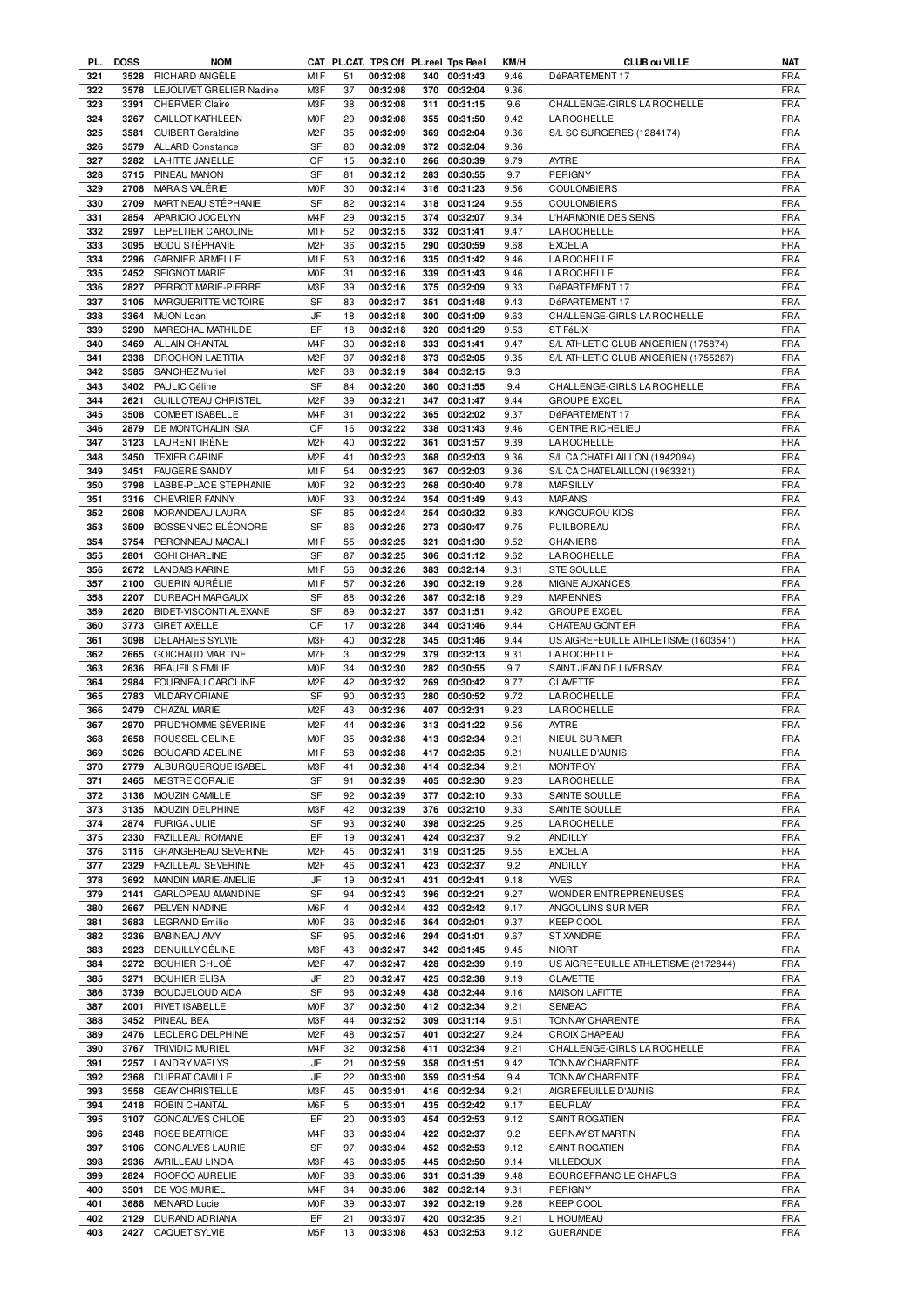| PL. | <b>DOSS</b> | <b>NOM</b>                      |                  |    | CAT PL.CAT. TPS Off PL.reel Tps Reel |     |              | KM/H | <b>CLUB ou VILLE</b>                 | NAT        |
|-----|-------------|---------------------------------|------------------|----|--------------------------------------|-----|--------------|------|--------------------------------------|------------|
| 321 | 3528        | RICHARD ANGÈLE                  | M <sub>1</sub> F | 51 | 00:32:08                             |     | 340 00:31:43 | 9.46 | DéPARTEMENT 17                       | <b>FRA</b> |
| 322 | 3578        | <b>LEJOLIVET GRELIER Nadine</b> | M3F              | 37 | 00:32:08                             | 370 | 00:32:04     | 9.36 |                                      | <b>FRA</b> |
| 323 | 3391        | <b>CHERVIER Claire</b>          | M3F              | 38 | 00:32:08                             | 311 | 00:31:15     | 9.6  | CHALLENGE-GIRLS LA ROCHELLE          | <b>FRA</b> |
|     |             |                                 |                  |    |                                      |     |              |      |                                      |            |
| 324 | 3267        | <b>GAILLOT KATHLEEN</b>         | M <sub>O</sub> F | 29 | 00:32:08                             | 355 | 00:31:50     | 9.42 | <b>LA ROCHELLE</b>                   | <b>FRA</b> |
| 325 | 3581        | <b>GUIBERT Geraldine</b>        | M <sub>2</sub> F | 35 | 00:32:09                             |     | 369 00:32:04 | 9.36 | S/L SC SURGERES (1284174)            | <b>FRA</b> |
| 326 | 3579        | <b>ALLARD Constance</b>         | SF               | 80 | 00:32:09                             |     | 372 00:32:04 | 9.36 |                                      | <b>FRA</b> |
| 327 | 3282        | LAHITTE JANELLE                 | CF               | 15 | 00:32:10                             |     | 266 00:30:39 | 9.79 | <b>AYTRE</b>                         | <b>FRA</b> |
|     |             |                                 |                  |    |                                      |     |              |      |                                      |            |
| 328 | 3715        | PINEAU MANON                    | SF               | 81 | 00:32:12                             | 283 | 00:30:55     | 9.7  | <b>PERIGNY</b>                       | <b>FRA</b> |
| 329 | 2708        | MARAIS VALÉRIE                  | M <sub>O</sub> F | 30 | 00:32:14                             |     | 316 00:31:23 | 9.56 | <b>COULOMBIERS</b>                   | <b>FRA</b> |
| 330 | 2709        | MARTINEAU STÉPHANIE             | SF               | 82 | 00:32:14                             |     | 318 00:31:24 | 9.55 | <b>COULOMBIERS</b>                   | <b>FRA</b> |
| 331 | 2854        | APARICIO JOCELYN                | M <sub>4F</sub>  | 29 | 00:32:15                             |     | 374 00:32:07 | 9.34 | L'HARMONIE DES SENS                  | <b>FRA</b> |
|     |             |                                 |                  |    |                                      |     |              |      |                                      |            |
| 332 | 2997        | LEPELTIER CAROLINE              | M1F              | 52 | 00:32:15                             | 332 | 00:31:41     | 9.47 | LA ROCHELLE                          | <b>FRA</b> |
| 333 | 3095        | <b>BODU STÉPHANIE</b>           | M <sub>2</sub> F | 36 | 00:32:15                             |     | 290 00:30:59 | 9.68 | <b>EXCELIA</b>                       | <b>FRA</b> |
| 334 | 2296        | <b>GARNIER ARMELLE</b>          | M1F              | 53 | 00:32:16                             |     | 335 00:31:42 | 9.46 | LA ROCHELLE                          | <b>FRA</b> |
|     |             |                                 |                  |    |                                      |     |              |      |                                      |            |
| 335 | 2452        | SEIGNOT MARIE                   | M <sub>O</sub> F | 31 | 00:32:16                             |     | 339 00:31:43 | 9.46 | LA ROCHELLE                          | <b>FRA</b> |
| 336 | 2827        | PERROT MARIE-PIERRE             | M3F              | 39 | 00:32:16                             | 375 | 00:32:09     | 9.33 | DéPARTEMENT 17                       | <b>FRA</b> |
| 337 | 3105        | MARGUERITTE VICTOIRE            | SF               | 83 | 00:32:17                             | 351 | 00:31:48     | 9.43 | DéPARTEMENT 17                       | <b>FRA</b> |
| 338 | 3364        | MUON Loan                       | JF               | 18 | 00:32:18                             | 300 | 00:31:09     | 9.63 | CHALLENGE-GIRLS LA ROCHELLE          | <b>FRA</b> |
|     |             |                                 | EF               |    |                                      |     |              |      |                                      |            |
| 339 | 3290        | MARECHAL MATHILDE               |                  | 18 | 00:32:18                             | 320 | 00:31:29     | 9.53 | ST FéLIX                             | <b>FRA</b> |
| 340 | 3469        | ALLAIN CHANTAL                  | M <sub>4</sub> F | 30 | 00:32:18                             | 333 | 00:31:41     | 9.47 | S/L ATHLETIC CLUB ANGERIEN (175874)  | <b>FRA</b> |
| 341 | 2338        | DROCHON LAETITIA                | M <sub>2</sub> F | 37 | 00:32:18                             | 373 | 00:32:05     | 9.35 | S/L ATHLETIC CLUB ANGERIEN (1755287) | <b>FRA</b> |
| 342 | 3585        | <b>SANCHEZ Muriel</b>           | M <sub>2</sub> F | 38 | 00:32:19                             | 384 | 00:32:15     | 9.3  |                                      | <b>FRA</b> |
|     |             |                                 |                  |    |                                      |     |              |      |                                      |            |
| 343 | 3402        | <b>PAULIC Céline</b>            | SF               | 84 | 00:32:20                             |     | 360 00:31:55 | 9.4  | CHALLENGE-GIRLS LA ROCHELLE          | <b>FRA</b> |
| 344 | 2621        | <b>GUILLOTEAU CHRISTEL</b>      | M <sub>2</sub> F | 39 | 00:32:21                             | 347 | 00:31:47     | 9.44 | <b>GROUPE EXCEL</b>                  | <b>FRA</b> |
| 345 | 3508        | <b>COMBET ISABELLE</b>          | M <sub>4</sub> F | 31 | 00:32:22                             |     | 365 00:32:02 | 9.37 | DéPARTEMENT 17                       | <b>FRA</b> |
| 346 | 2879        | DE MONTCHALIN ISIA              | CF               | 16 | 00:32:22                             |     | 338 00:31:43 | 9.46 | <b>CENTRE RICHELIEU</b>              | <b>FRA</b> |
|     |             |                                 |                  |    |                                      |     |              |      |                                      |            |
| 347 | 3123        | LAURENT IRÈNE                   | M <sub>2</sub> F | 40 | 00:32:22                             | 361 | 00:31:57     | 9.39 | <b>LA ROCHELLE</b>                   | <b>FRA</b> |
| 348 | 3450        | <b>TEXIER CARINE</b>            | M <sub>2</sub> F | 41 | 00:32:23                             |     | 368 00:32:03 | 9.36 | S/L CA CHATELAILLON (1942094)        | <b>FRA</b> |
| 349 | 3451        | <b>FAUGERE SANDY</b>            | M1F              | 54 | 00:32:23                             | 367 | 00:32:03     | 9.36 | S/L CA CHATELAILLON (1963321)        | <b>FRA</b> |
| 350 | 3798        | LABBE-PLACE STEPHANIE           | M <sub>O</sub> F | 32 | 00:32:23                             |     | 268 00:30:40 | 9.78 | <b>MARSILLY</b>                      | <b>FRA</b> |
|     |             |                                 |                  |    |                                      |     |              |      |                                      |            |
| 351 | 3316        | <b>CHEVRIER FANNY</b>           | M <sub>O</sub> F | 33 | 00:32:24                             | 354 | 00:31:49     | 9.43 | <b>MARANS</b>                        | <b>FRA</b> |
| 352 | 2908        | MORANDEAU LAURA                 | SF               | 85 | 00:32:24                             | 254 | 00:30:32     | 9.83 | KANGOUROU KIDS                       | <b>FRA</b> |
| 353 | 3509        | BOSSENNEC ELÉONORE              | SF               | 86 | 00:32:25                             |     | 273 00:30:47 | 9.75 | PUILBOREAU                           | <b>FRA</b> |
| 354 | 3754        | PERONNEAU MAGALI                | M <sub>1</sub> F | 55 | 00:32:25                             | 321 | 00:31:30     | 9.52 | CHANIERS                             | <b>FRA</b> |
|     |             |                                 |                  |    |                                      |     |              |      |                                      |            |
| 355 | 2801        | <b>GOHI CHARLINE</b>            | SF               | 87 | 00:32:25                             | 306 | 00:31:12     | 9.62 | <b>LA ROCHELLE</b>                   | <b>FRA</b> |
| 356 | 2672        | <b>LANDAIS KARINE</b>           | M <sub>1</sub> F | 56 | 00:32:26                             | 383 | 00:32:14     | 9.31 | <b>STE SOULLE</b>                    | <b>FRA</b> |
| 357 | 2100        | <b>GUERIN AURÉLIE</b>           | M1F              | 57 | 00:32:26                             | 390 | 00:32:19     | 9.28 | MIGNE AUXANCES                       | <b>FRA</b> |
|     |             |                                 |                  |    |                                      |     |              |      |                                      |            |
| 358 | 2207        | DURBACH MARGAUX                 | SF               | 88 | 00:32:26                             | 387 | 00:32:18     | 9.29 | <b>MARENNES</b>                      | <b>FRA</b> |
| 359 | 2620        | BIDET-VISCONTI ALEXANE          | SF               | 89 | 00:32:27                             | 357 | 00:31:51     | 9.42 | <b>GROUPE EXCEL</b>                  | <b>FRA</b> |
| 360 | 3773        | <b>GIRET AXELLE</b>             | CF               | 17 | 00:32:28                             | 344 | 00:31:46     | 9.44 | CHATEAU GONTIER                      | <b>FRA</b> |
| 361 | 3098        | <b>DELAHAIES SYLVIE</b>         | M3F              | 40 | 00:32:28                             | 345 | 00:31:46     | 9.44 | US AIGREFEUILLE ATHLETISME (1603541) | <b>FRA</b> |
|     |             |                                 |                  |    |                                      |     |              |      |                                      |            |
| 362 | 2665        | <b>GOICHAUD MARTINE</b>         | M7F              | 3  | 00:32:29                             |     | 379 00:32:13 | 9.31 | <b>LA ROCHELLE</b>                   | <b>FRA</b> |
| 363 | 2636        | <b>BEAUFILS EMILIE</b>          | M <sub>O</sub> F | 34 | 00:32:30                             | 282 | 00:30:55     | 9.7  | SAINT JEAN DE LIVERSAY               | <b>FRA</b> |
| 364 | 2984        | FOURNEAU CAROLINE               | M <sub>2</sub> F | 42 | 00:32:32                             | 269 | 00:30:42     | 9.77 | <b>CLAVETTE</b>                      | <b>FRA</b> |
| 365 | 2783        | <b>VILDARY ORIANE</b>           | <b>SF</b>        | 90 | 00:32:33                             | 280 | 00:30:52     | 9.72 | <b>LA ROCHELLE</b>                   | <b>FRA</b> |
|     |             |                                 |                  |    |                                      |     |              |      |                                      |            |
| 366 | 2479        | CHAZAL MARIE                    | M <sub>2</sub> F | 43 | 00:32:36                             | 407 | 00:32:31     | 9.23 | <b>LA ROCHELLE</b>                   | <b>FRA</b> |
| 367 | 2970        | PRUD'HOMME SÈVERINE             | M <sub>2</sub> F | 44 | 00:32:36                             | 313 | 00:31:22     | 9.56 | <b>AYTRE</b>                         | <b>FRA</b> |
| 368 | 2658        | ROUSSEL CELINE                  | <b>MOF</b>       | 35 | 00:32:38                             |     | 413 00:32:34 | 9.21 | NIEUL SUR MER                        | <b>FRA</b> |
| 369 | 3026        |                                 | M1F              | 58 | 00:32:38                             |     | 417 00:32:35 | 9.21 | NUAILLE D'AUNIS                      | <b>FRA</b> |
|     |             | BOUCARD ADELINE                 |                  |    |                                      |     |              |      |                                      |            |
| 370 |             | 2779 ALBURQUERQUE ISABEL        | M3F              | 41 | 00:32:38                             |     | 414 00:32:34 | 9.21 | <b>MONTROY</b>                       | <b>FRA</b> |
| 371 | 2465        | MESTRE CORALIE                  | SF               | 91 | 00:32:39                             |     | 405 00:32:30 | 9.23 | <b>LA ROCHELLE</b>                   | <b>FRA</b> |
| 372 | 3136        | MOUZIN CAMILLE                  | SF               | 92 | 00:32:39                             |     | 377 00:32:10 | 9.33 | SAINTE SOULLE                        | <b>FRA</b> |
|     | 3135        | MOUZIN DELPHINE                 |                  | 42 |                                      |     | 376 00:32:10 | 9.33 |                                      |            |
| 373 |             |                                 | M3F              |    | 00:32:39                             |     |              |      | SAINTE SOULLE                        | <b>FRA</b> |
| 374 | 2874        | <b>FURIGA JULIE</b>             | SF               | 93 | 00:32:40                             |     | 398 00:32:25 | 9.25 | <b>LA ROCHELLE</b>                   | <b>FRA</b> |
| 375 | 2330        | FAZILLEAU ROMANE                | EF               | 19 | 00:32:41                             | 424 | 00:32:37     | 9.2  | ANDILLY                              | <b>FRA</b> |
| 376 | 3116        | <b>GRANGEREAU SEVERINE</b>      | M <sub>2</sub> F | 45 | 00:32:41                             |     | 319 00:31:25 | 9.55 | <b>EXCELIA</b>                       | <b>FRA</b> |
|     |             |                                 |                  |    |                                      |     |              |      |                                      |            |
| 377 | 2329        | FAZILLEAU SEVERINE              | M <sub>2</sub> F | 46 | 00:32:41                             | 423 | 00:32:37     | 9.2  | <b>ANDILLY</b>                       | <b>FRA</b> |
| 378 | 3692        | MANDIN MARIE-AMELIE             | JF               | 19 | 00:32:41                             | 431 | 00:32:41     | 9.18 | <b>YVES</b>                          | <b>FRA</b> |
| 379 | 2141        | GARLOPEAU AMANDINE              | SF               | 94 | 00:32:43                             | 396 | 00:32:21     | 9.27 | WONDER ENTREPRENEUSES                | <b>FRA</b> |
| 380 | 2667        | PELVEN NADINE                   | M6F              | 4  | 00:32:44                             | 432 | 00:32:42     | 9.17 | ANGOULINS SUR MER                    | <b>FRA</b> |
|     | 3683        |                                 | M <sub>O</sub> F |    |                                      |     | 364 00:32:01 | 9.37 |                                      | <b>FRA</b> |
| 381 |             | <b>LEGRAND Emilie</b>           |                  | 36 | 00:32:45                             |     |              |      | <b>KEEP COOL</b>                     |            |
| 382 | 3236        | <b>BABINEAU AMY</b>             | SF               | 95 | 00:32:46                             |     | 294 00:31:01 | 9.67 | ST XANDRE                            | FRA        |
| 383 | 2923        | DENUILLY CELINE                 | M3F              | 43 | 00:32:47                             |     | 342 00:31:45 | 9.45 | <b>NIORT</b>                         | <b>FRA</b> |
| 384 | 3272        | <b>BOUHIER CHLOE</b>            | M <sub>2</sub> F | 47 | 00:32:47                             |     | 428 00:32:39 | 9.19 | US AIGREFEUILLE ATHLETISME (2172844) | FRA        |
| 385 | 3271        | <b>BOUHIER ELISA</b>            | JF               | 20 | 00:32:47                             |     | 425 00:32:38 | 9.19 | <b>CLAVETTE</b>                      | <b>FRA</b> |
|     |             |                                 |                  |    |                                      |     |              |      |                                      |            |
| 386 | 3739        | <b>BOUDJELOUD AIDA</b>          | SF               | 96 | 00:32:49                             |     | 438 00:32:44 | 9.16 | <b>MAISON LAFITTE</b>                | <b>FRA</b> |
| 387 | 2001        | <b>RIVET ISABELLE</b>           | <b>MOF</b>       | 37 | 00:32:50                             |     | 412 00:32:34 | 9.21 | <b>SEMEAC</b>                        | <b>FRA</b> |
| 388 | 3452        | PINEAU BEA                      | M3F              | 44 | 00:32:52                             |     | 309 00:31:14 | 9.61 | TONNAY CHARENTE                      | <b>FRA</b> |
| 389 | 2476        | LECLERC DELPHINE                | M <sub>2</sub> F | 48 | 00:32:57                             | 401 | 00:32:27     | 9.24 | CROIX CHAPEAU                        | <b>FRA</b> |
|     |             |                                 |                  |    |                                      |     |              |      |                                      |            |
| 390 | 3767        | <b>TRIVIDIC MURIEL</b>          | M <sub>4</sub> F | 32 | 00:32:58                             | 411 | 00:32:34     | 9.21 | CHALLENGE-GIRLS LA ROCHELLE          | <b>FRA</b> |
| 391 | 2257        | <b>LANDRY MAELYS</b>            | JF               | 21 | 00:32:59                             |     | 358 00:31:51 | 9.42 | <b>TONNAY CHARENTE</b>               | <b>FRA</b> |
| 392 | 2368        | <b>DUPRAT CAMILLE</b>           | JF               | 22 | 00:33:00                             | 359 | 00:31:54     | 9.4  | <b>TONNAY CHARENTE</b>               | <b>FRA</b> |
|     |             |                                 |                  |    |                                      |     |              |      |                                      |            |
| 393 | 3558        | <b>GEAY CHRISTELLE</b>          | M3F              | 45 | 00:33:01                             |     | 416 00:32:34 | 9.21 | AIGREFEUILLE D'AUNIS                 | <b>FRA</b> |
| 394 | 2418        | ROBIN CHANTAL                   | M6F              | 5  | 00:33:01                             |     | 435 00:32:42 | 9.17 | <b>BEURLAY</b>                       | <b>FRA</b> |
| 395 | 3107        | GONCALVES CHLOÉ                 | EF               | 20 | 00:33:03                             |     | 454 00:32:53 | 9.12 | SAINT ROGATIEN                       | <b>FRA</b> |
|     |             |                                 |                  |    |                                      |     |              |      |                                      |            |
| 396 | 2348        | <b>ROSE BEATRICE</b>            | M <sub>4F</sub>  | 33 | 00:33:04                             |     | 422 00:32:37 | 9.2  | <b>BERNAY ST MARTIN</b>              | <b>FRA</b> |
| 397 | 3106        | <b>GONCALVES LAURIE</b>         | SF               | 97 | 00:33:04                             |     | 452 00:32:53 | 9.12 | SAINT ROGATIEN                       | <b>FRA</b> |
| 398 | 2936        | AVRILLEAU LINDA                 | M3F              | 46 | 00:33:05                             |     | 445 00:32:50 | 9.14 | <b>VILLEDOUX</b>                     | <b>FRA</b> |
| 399 | 2824        | ROOPOO AURELIE                  | <b>MOF</b>       | 38 | 00:33:06                             | 331 | 00:31:39     | 9.48 | BOURCEFRANC LE CHAPUS                | <b>FRA</b> |
| 400 |             |                                 | M <sub>4</sub> F |    |                                      |     |              |      |                                      | <b>FRA</b> |
|     | 3501        | DE VOS MURIEL                   |                  | 34 | 00:33:06                             | 382 | 00:32:14     | 9.31 | <b>PERIGNY</b>                       |            |
| 401 | 3688        | <b>MENARD Lucie</b>             | <b>MOF</b>       | 39 | 00:33:07                             |     | 392 00:32:19 | 9.28 | <b>KEEP COOL</b>                     | <b>FRA</b> |
| 402 | 2129        | DURAND ADRIANA                  | EF               | 21 | 00:33:07                             | 420 | 00:32:35     | 9.21 | L HOUMEAU                            | FRA        |
|     |             | 2427 CAQUET SYLVIE              | M5F              | 13 | 00:33:08                             |     | 453 00:32:53 | 9.12 | <b>GUERANDE</b>                      | <b>FRA</b> |
| 403 |             |                                 |                  |    |                                      |     |              |      |                                      |            |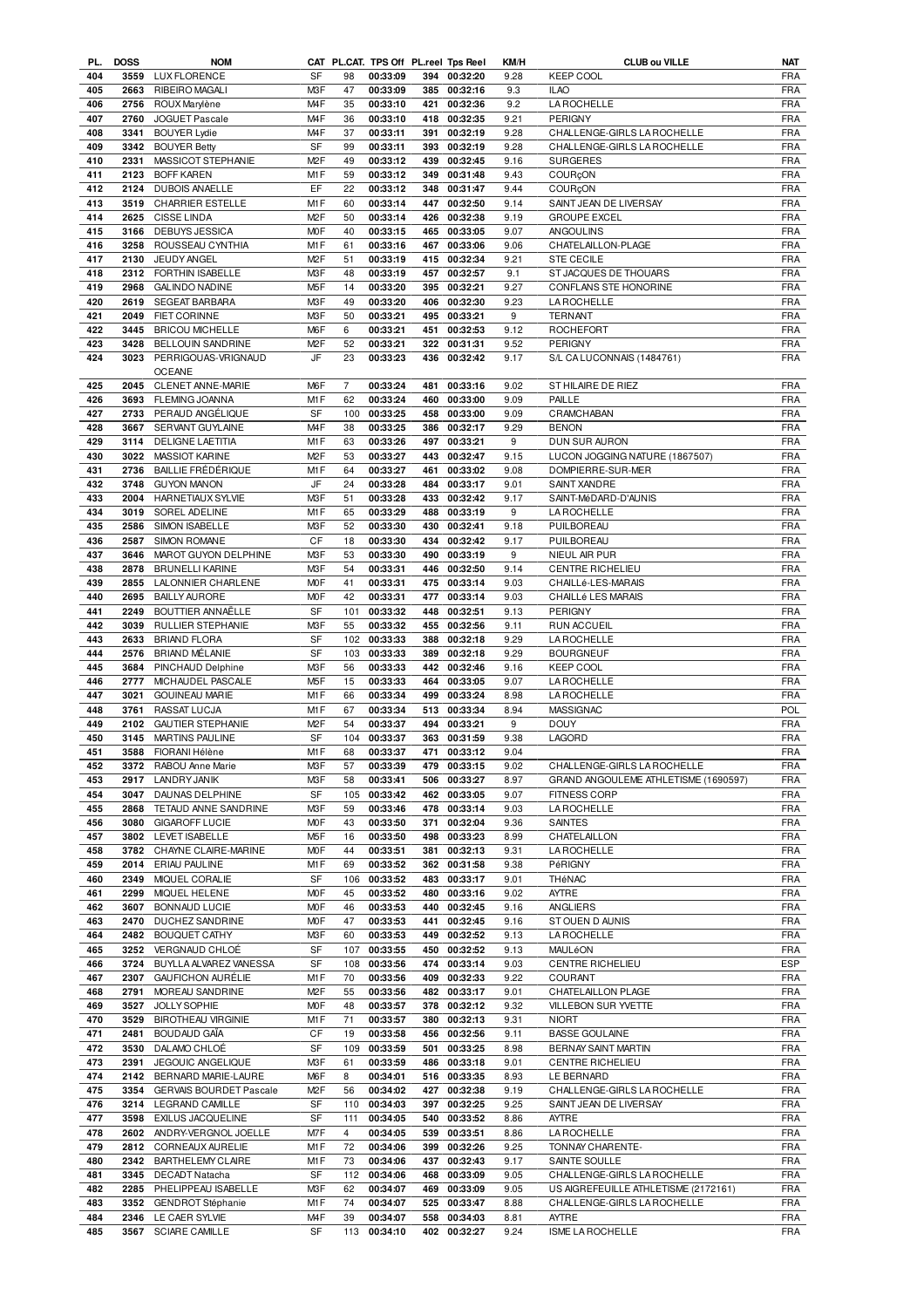|            | <b>DOSS</b> | <b>NOM</b>                                 |                        |                | CAT PL.CAT. TPS Off PL.reel Tps Reel |     |                              | KM/H         | <b>CLUB ou VILLE</b>                 | NAT               |
|------------|-------------|--------------------------------------------|------------------------|----------------|--------------------------------------|-----|------------------------------|--------------|--------------------------------------|-------------------|
| 404        | 3559        | <b>LUX FLORENCE</b>                        | SF                     | 98             | 00:33:09                             |     | 394 00:32:20                 | 9.28         | <b>KEEP COOL</b>                     | <b>FRA</b>        |
| 405        | 2663        | RIBEIRO MAGALI                             | M3F                    | 47             | 00:33:09                             | 385 | 00:32:16                     | 9.3          | <b>ILAO</b>                          | <b>FRA</b>        |
| 406        | 2756        | ROUX Marylène                              | M <sub>4</sub> F       | 35             | 00:33:10                             | 421 | 00:32:36                     | 9.2          | <b>LA ROCHELLE</b>                   | <b>FRA</b>        |
|            |             |                                            |                        |                |                                      |     |                              |              |                                      |                   |
| 407        | 2760        | <b>JOGUET Pascale</b>                      | M <sub>4</sub> F       | 36             | 00:33:10                             | 418 | 00:32:35                     | 9.21         | <b>PERIGNY</b>                       | <b>FRA</b>        |
| 408        | 3341        | <b>BOUYER Lydie</b>                        | M <sub>4</sub> F       | 37             | 00:33:11                             | 391 | 00:32:19                     | 9.28         | CHALLENGE-GIRLS LA ROCHELLE          | <b>FRA</b>        |
| 409        | 3342        | <b>BOUYER Betty</b>                        | <b>SF</b>              | 99             | 00:33:11                             | 393 | 00:32:19                     | 9.28         | CHALLENGE-GIRLS LA ROCHELLE          | <b>FRA</b>        |
| 410        | 2331        | MASSICOT STEPHANIE                         | M <sub>2</sub> F       | 49             | 00:33:12                             | 439 | 00:32:45                     | 9.16         | <b>SURGERES</b>                      | <b>FRA</b>        |
|            |             |                                            |                        |                |                                      |     |                              |              |                                      |                   |
| 411        | 2123        | <b>BOFF KAREN</b>                          | M1F                    | 59             | 00:33:12                             | 349 | 00:31:48                     | 9.43         | COURÇON                              | <b>FRA</b>        |
| 412        | 2124        | <b>DUBOIS ANAELLE</b>                      | EF                     | 22             | 00:33:12                             | 348 | 00:31:47                     | 9.44         | COURÇON                              | <b>FRA</b>        |
| 413        | 3519        | <b>CHARRIER ESTELLE</b>                    | M1F                    | 60             | 00:33:14                             | 447 | 00:32:50                     | 9.14         | SAINT JEAN DE LIVERSAY               | <b>FRA</b>        |
| 414        | 2625        | <b>CISSE LINDA</b>                         | M <sub>2</sub> F       | 50             | 00:33:14                             | 426 | 00:32:38                     | 9.19         | <b>GROUPE EXCEL</b>                  | <b>FRA</b>        |
|            |             |                                            |                        |                |                                      |     |                              |              |                                      |                   |
| 415        | 3166        | DEBUYS JESSICA                             | <b>MOF</b>             | 40             | 00:33:15                             | 465 | 00:33:05                     | 9.07         | ANGOULINS                            | <b>FRA</b>        |
| 416        | 3258        | ROUSSEAU CYNTHIA                           | M1F                    | 61             | 00:33:16                             |     | 467 00:33:06                 | 9.06         | CHATELAILLON-PLAGE                   | <b>FRA</b>        |
| 417        | 2130        | JEUDY ANGEL                                | M <sub>2</sub> F       | 51             | 00:33:19                             | 415 | 00:32:34                     | 9.21         | <b>STE CECILE</b>                    | <b>FRA</b>        |
|            | 2312        |                                            |                        | 48             |                                      |     | 00:32:57                     |              | ST JACQUES DE THOUARS                |                   |
| 418        |             | FORTHIN ISABELLE                           | M3F                    |                | 00:33:19                             | 457 |                              | 9.1          |                                      | <b>FRA</b>        |
| 419        | 2968        | <b>GALINDO NADINE</b>                      | M <sub>5</sub> F       | 14             | 00:33:20                             | 395 | 00:32:21                     | 9.27         | CONFLANS STE HONORINE                | <b>FRA</b>        |
| 420        | 2619        | <b>SEGEAT BARBARA</b>                      | M3F                    | 49             | 00:33:20                             | 406 | 00:32:30                     | 9.23         | <b>LA ROCHELLE</b>                   | <b>FRA</b>        |
| 421        | 2049        | <b>FIET CORINNE</b>                        | M3F                    | 50             | 00:33:21                             | 495 | 00:33:21                     | 9            | <b>TERNANT</b>                       | <b>FRA</b>        |
| 422        |             |                                            | M6F                    |                | 00:33:21                             |     |                              |              |                                      |                   |
|            | 3445        | <b>BRICOU MICHELLE</b>                     |                        | 6              |                                      |     | 451 00:32:53                 | 9.12         | <b>ROCHEFORT</b>                     | <b>FRA</b>        |
| 423        | 3428        | <b>BELLOUIN SANDRINE</b>                   | M <sub>2</sub> F       | 52             | 00:33:21                             |     | 322 00:31:31                 | 9.52         | PERIGNY                              | <b>FRA</b>        |
| 424        | 3023        | PERRIGOUAS-VRIGNAUD                        | JF                     | 23             | 00:33:23                             | 436 | 00:32:42                     | 9.17         | S/L CA LUCONNAIS (1484761)           | <b>FRA</b>        |
|            |             | <b>OCEANE</b>                              |                        |                |                                      |     |                              |              |                                      |                   |
|            |             |                                            |                        |                |                                      |     |                              |              |                                      |                   |
| 425        | 2045        | CLENET ANNE-MARIE                          | M <sub>6</sub> F       | $\overline{7}$ | 00:33:24                             | 481 | 00:33:16                     | 9.02         | ST HILAIRE DE RIEZ                   | <b>FRA</b>        |
| 426        | 3693        | FLEMING JOANNA                             | M1F                    | 62             | 00:33:24                             |     | 460 00:33:00                 | 9.09         | PAILLE                               | <b>FRA</b>        |
| 427        | 2733        | PERAUD ANGÉLIQUE                           | SF                     | 100            | 00:33:25                             |     | 458 00:33:00                 | 9.09         | <b>CRAMCHABAN</b>                    | <b>FRA</b>        |
| 428        | 3667        | SERVANT GUYLAINE                           | M <sub>4F</sub>        | 38             | 00:33:25                             | 386 | 00:32:17                     | 9.29         | <b>BENON</b>                         | <b>FRA</b>        |
|            |             |                                            |                        |                |                                      |     |                              |              |                                      |                   |
| 429        | 3114        | <b>DELIGNE LAETITIA</b>                    | M1F                    | 63             | 00:33:26                             | 497 | 00:33:21                     | 9            | DUN SUR AURON                        | <b>FRA</b>        |
| 430        | 3022        | MASSIOT KARINE                             | M <sub>2</sub> F       | 53             | 00:33:27                             | 443 | 00:32:47                     | 9.15         | LUCON JOGGING NATURE (1867507)       | <b>FRA</b>        |
| 431        | 2736        | <b>BAILLIE FRÉDÉRIQUE</b>                  | M <sub>1</sub> F       | 64             | 00:33:27                             | 461 | 00:33:02                     | 9.08         | DOMPIERRE-SUR-MER                    | <b>FRA</b>        |
|            | 3748        |                                            | JF                     | 24             |                                      |     |                              | 9.01         | SAINT XANDRE                         |                   |
| 432        |             | <b>GUYON MANON</b>                         |                        |                | 00:33:28                             | 484 | 00:33:17                     |              |                                      | <b>FRA</b>        |
| 433        | 2004        | HARNETIAUX SYLVIE                          | M3F                    | 51             | 00:33:28                             | 433 | 00:32:42                     | 9.17         | SAINT-MéDARD-D'AUNIS                 | <b>FRA</b>        |
| 434        | 3019        | SOREL ADELINE                              | M <sub>1</sub> F       | 65             | 00:33:29                             | 488 | 00:33:19                     | 9            | <b>LA ROCHELLE</b>                   | <b>FRA</b>        |
| 435        | 2586        | SIMON ISABELLE                             | M3F                    | 52             | 00:33:30                             | 430 | 00:32:41                     | 9.18         | PUILBOREAU                           | <b>FRA</b>        |
|            |             |                                            |                        |                |                                      |     |                              |              |                                      |                   |
| 436        | 2587        | SIMON ROMANE                               | CF                     | 18             | 00:33:30                             | 434 | 00:32:42                     | 9.17         | PUILBOREAU                           | <b>FRA</b>        |
| 437        | 3646        | MAROT GUYON DELPHINE                       | M3F                    | 53             | 00:33:30                             | 490 | 00:33:19                     | 9            | NIEUL AIR PUR                        | <b>FRA</b>        |
| 438        | 2878        | <b>BRUNELLI KARINE</b>                     | M3F                    | 54             | 00:33:31                             |     | 446 00:32:50                 | 9.14         | <b>CENTRE RICHELIEU</b>              | <b>FRA</b>        |
| 439        | 2855        | LALONNIER CHARLENE                         | M <sub>O</sub> F       | 41             | 00:33:31                             |     | 475 00:33:14                 | 9.03         | CHAILLé-LES-MARAIS                   | <b>FRA</b>        |
|            |             |                                            |                        |                |                                      |     |                              |              |                                      |                   |
| 440        | 2695        | <b>BAILLY AURORE</b>                       | <b>MOF</b>             | 42             | 00:33:31                             | 477 | 00:33:14                     | 9.03         | CHAILLé LES MARAIS                   | <b>FRA</b>        |
| 441        | 2249        | BOUTTIER ANNAËLLE                          | <b>SF</b>              | 101            | 00:33:32                             | 448 | 00:32:51                     | 9.13         | PERIGNY                              | <b>FRA</b>        |
| 442        | 3039        | RULLIER STEPHANIE                          | M3F                    | 55             | 00:33:32                             | 455 | 00:32:56                     | 9.11         | <b>RUN ACCUEIL</b>                   | <b>FRA</b>        |
| 443        | 2633        |                                            |                        | 102            | 00:33:33                             | 388 |                              |              |                                      | <b>FRA</b>        |
|            |             | <b>BRIAND FLORA</b>                        | SF                     |                |                                      |     | 00:32:18                     | 9.29         | LA ROCHELLE                          |                   |
| 444        | 2576        | <b>BRIAND MÉLANIE</b>                      | SF                     | 103            | 00:33:33                             | 389 | 00:32:18                     | 9.29         | <b>BOURGNEUF</b>                     | <b>FRA</b>        |
| 445        | 3684        | PINCHAUD Delphine                          | M3F                    | 56             | 00:33:33                             | 442 | 00:32:46                     | 9.16         | <b>KEEP COOL</b>                     | <b>FRA</b>        |
| 446        | 2777        | MICHAUDEL PASCALE                          | M <sub>5</sub> F       | 15             | 00:33:33                             |     | 464 00:33:05                 | 9.07         | LA ROCHELLE                          | <b>FRA</b>        |
|            |             |                                            |                        |                |                                      |     |                              |              |                                      |                   |
| 447        | 3021        | <b>GOUINEAU MARIE</b>                      | M1F                    | 66             | 00:33:34                             | 499 | 00:33:24                     | 8.98         | LA ROCHELLE                          | <b>FRA</b>        |
|            |             |                                            |                        |                |                                      |     |                              | 8.94         | MASSIGNAC                            |                   |
| 448        | 3761        | RASSAT LUCJA                               | M1F                    | 67             | 00:33:34                             | 513 | 00:33:34                     |              |                                      | POL               |
|            |             |                                            |                        |                |                                      |     |                              |              |                                      |                   |
| 449        | 2102        | <b>GAUTIER STEPHANIE</b>                   | M <sub>2</sub> F       | 54             | 00:33:37                             | 494 | 00:33:21                     | 9            | <b>DOUY</b>                          | <b>FRA</b>        |
| 450        | 3145        | MARTINS PAULINE                            | <b>SF</b>              | 104            | 00:33:37                             | 363 | 00:31:59                     | 9.38         | LAGORD                               | <b>FRA</b>        |
| 451        | 3588        | FIORANI Hélène                             | M1F                    | 68             | 00:33:37                             | 471 | 00:33:12                     | 9.04         |                                      | <b>FRA</b>        |
| 452        |             | 3372 RABOU Anne Marie                      | M3F                    | 57             | 00:33:39                             |     | 479 00:33:15                 | 9.02         | CHALLENGE-GIRLS LA ROCHELLE          | <b>FRA</b>        |
|            |             |                                            |                        |                |                                      |     |                              |              |                                      |                   |
| 453        | 2917        | LANDRY JANIK                               | M3F                    | 58             | 00:33:41                             |     | 506 00:33:27                 | 8.97         | GRAND ANGOULEME ATHLETISME (1690597) | <b>FRA</b>        |
| 454        | 3047        | DAUNAS DELPHINE                            | SF                     | 105            | 00:33:42                             |     | 462 00:33:05                 | 9.07         | FITNESS CORP                         | <b>FRA</b>        |
| 455        | 2868        | TETAUD ANNE SANDRINE                       | M3F                    | 59             | 00:33:46                             |     | 478 00:33:14                 | 9.03         | <b>LAROCHELLE</b>                    | FRA               |
| 456        | 3080        | <b>GIGAROFF LUCIE</b>                      | <b>MOF</b>             | 43             | 00:33:50                             | 371 | 00:32:04                     | 9.36         | <b>SAINTES</b>                       | <b>FRA</b>        |
|            |             |                                            |                        |                |                                      |     |                              |              |                                      |                   |
| 457        | 3802        | LEVET ISABELLE                             | M <sub>5</sub> F       | 16             | 00:33:50                             | 498 | 00:33:23                     | 8.99         | CHATELAILLON                         | <b>FRA</b>        |
| 458        | 3782        | CHAYNE CLAIRE-MARINE                       | <b>MOF</b>             | 44             | 00:33:51                             | 381 | 00:32:13                     | 9.31         | LA ROCHELLE                          | <b>FRA</b>        |
| 459        | 2014        | ERIAU PAULINE                              | M1F                    | 69             | 00:33:52                             |     | 362 00:31:58                 | 9.38         | PéRIGNY                              | FRA               |
| 460        | 2349        | MIQUEL CORALIE                             | SF                     | 106            | 00:33:52                             |     | 483 00:33:17                 | 9.01         | THéNAC                               | <b>FRA</b>        |
|            |             |                                            |                        |                |                                      |     |                              |              |                                      |                   |
| 461        | 2299        | MIQUEL HELENE                              | <b>MOF</b>             | 45             | 00:33:52                             |     | 480 00:33:16                 | 9.02         | AYTRE                                | <b>FRA</b>        |
| 462        | 3607        | <b>BONNAUD LUCIE</b>                       | MOF                    | 46             | 00:33:53                             |     | 440 00:32:45                 | 9.16         | ANGLIERS                             | <b>FRA</b>        |
| 463        | 2470        | DUCHEZ SANDRINE                            | MOF                    | 47             | 00:33:53                             | 441 | 00:32:45                     | 9.16         | STOUEN D AUNIS                       | <b>FRA</b>        |
| 464        | 2482        | <b>BOUQUET CATHY</b>                       | M3F                    | 60             | 00:33:53                             |     | 449 00:32:52                 | 9.13         | <b>LA ROCHELLE</b>                   | <b>FRA</b>        |
|            |             |                                            |                        |                |                                      |     |                              |              |                                      |                   |
| 465        | 3252        | VERGNAUD CHLOÉ                             | SF                     | 107            | 00:33:55                             | 450 | 00:32:52                     | 9.13         | MAULéON                              | FRA               |
| 466        | 3724        | BUYLLA ALVAREZ VANESSA                     | SF                     | 108            | 00:33:56                             |     | 474 00:33:14                 | 9.03         | CENTRE RICHELIEU                     | ESP               |
| 467        | 2307        | <b>GAUFICHON AURÉLIE</b>                   | M1F                    | 70             | 00:33:56                             |     | 409 00:32:33                 | 9.22         | COURANT                              | <b>FRA</b>        |
|            |             |                                            |                        |                |                                      |     |                              |              |                                      |                   |
| 468        | 2791        | MOREAU SANDRINE                            | M <sub>2</sub> F       | 55             | 00:33:56                             |     | 482 00:33:17                 | 9.01         | CHATELAILLON PLAGE                   | FRA               |
| 469        | 3527        | <b>JOLLY SOPHIE</b>                        | <b>MOF</b>             | 48             | 00:33:57                             | 378 | 00:32:12                     | 9.32         | VILLEBON SUR YVETTE                  | <b>FRA</b>        |
| 470        | 3529        | <b>BIROTHEAU VIRGINIE</b>                  | M1F                    | 71             | 00:33:57                             |     | 380 00:32:13                 | 9.31         | <b>NIORT</b>                         | <b>FRA</b>        |
| 471        | 2481        | <b>BOUDAUD GAIA</b>                        | СF                     | 19             | 00:33:58                             |     | 456 00:32:56                 | 9.11         | <b>BASSE GOULAINE</b>                | <b>FRA</b>        |
|            |             |                                            |                        | 109            |                                      | 501 |                              |              |                                      |                   |
| 472        | 3530        | DALAMO CHLOÉ                               | SF                     |                | 00:33:59                             |     | 00:33:25                     | 8.98         | BERNAY SAINT MARTIN                  | <b>FRA</b>        |
| 473        | 2391        | JEGOUIC ANGELIQUE                          | M3F                    | 61             | 00:33:59                             |     | 486 00:33:18                 | 9.01         | CENTRE RICHELIEU                     | <b>FRA</b>        |
| 474        | 2142        | BERNARD MARIE-LAURE                        | M6F                    | 8              | 00:34:01                             |     | 516 00:33:35                 | 8.93         | LE BERNARD                           | <b>FRA</b>        |
| 475        | 3354        |                                            | M <sub>2</sub> F       | 56             | 00:34:02                             |     | 427 00:32:38                 | 9.19         |                                      | <b>FRA</b>        |
|            |             | GERVAIS BOURDET Pascale                    |                        |                |                                      |     |                              |              | CHALLENGE-GIRLS LA ROCHELLE          |                   |
| 476        | 3214        | LEGRAND CAMILLE                            | SF                     | 110            | 00:34:03                             |     | 397 00:32:25                 | 9.25         | SAINT JEAN DE LIVERSAY               | <b>FRA</b>        |
| 477        | 3598        | EXILUS JACQUELINE                          | <b>SF</b>              | 111            | 00:34:05                             |     | 540 00:33:52                 | 8.86         | AYTRE                                | <b>FRA</b>        |
| 478        | 2602        | ANDRY-VERGNOL JOELLE                       | M7F                    | 4              | 00:34:05                             | 539 | 00:33:51                     | 8.86         | <b>LA ROCHELLE</b>                   | <b>FRA</b>        |
|            | 2812        |                                            |                        | 72             |                                      |     |                              | 9.25         |                                      |                   |
| 479        |             | CORNEAUX AURELIE                           | M1F                    |                | 00:34:06                             |     | 399 00:32:26                 |              | TONNAY CHARENTE-                     | <b>FRA</b>        |
| 480        | 2342        | BARTHELEMY CLAIRE                          | M1F                    | 73             | 00:34:06                             |     | 437 00:32:43                 | 9.17         | SAINTE SOULLE                        | <b>FRA</b>        |
| 481        | 3345        | DECADT Natacha                             | SF                     | 112            | 00:34:06                             |     | 468 00:33:09                 | 9.05         | CHALLENGE-GIRLS LA ROCHELLE          | <b>FRA</b>        |
| 482        | 2285        | PHELIPPEAU ISABELLE                        | M3F                    | 62             | 00:34:07                             |     | 469 00:33:09                 | 9.05         | US AIGREFEUILLE ATHLETISME (2172161) | FRA               |
| 483        | 3352        |                                            | M1F                    | 74             |                                      |     |                              | 8.88         |                                      | <b>FRA</b>        |
|            |             | <b>GENDROT Stéphanie</b>                   |                        |                | 00:34:07                             |     | 525 00:33:47                 |              | CHALLENGE-GIRLS LA ROCHELLE          |                   |
| 484<br>485 |             | 2346 LE CAER SYLVIE<br>3567 SCIARE CAMILLE | M <sub>4</sub> F<br>SF | 39             | 00:34:07<br>113 00:34:10             |     | 558 00:34:03<br>402 00:32:27 | 8.81<br>9.24 | <b>AYTRE</b><br>ISME LA ROCHELLE     | FRA<br><b>FRA</b> |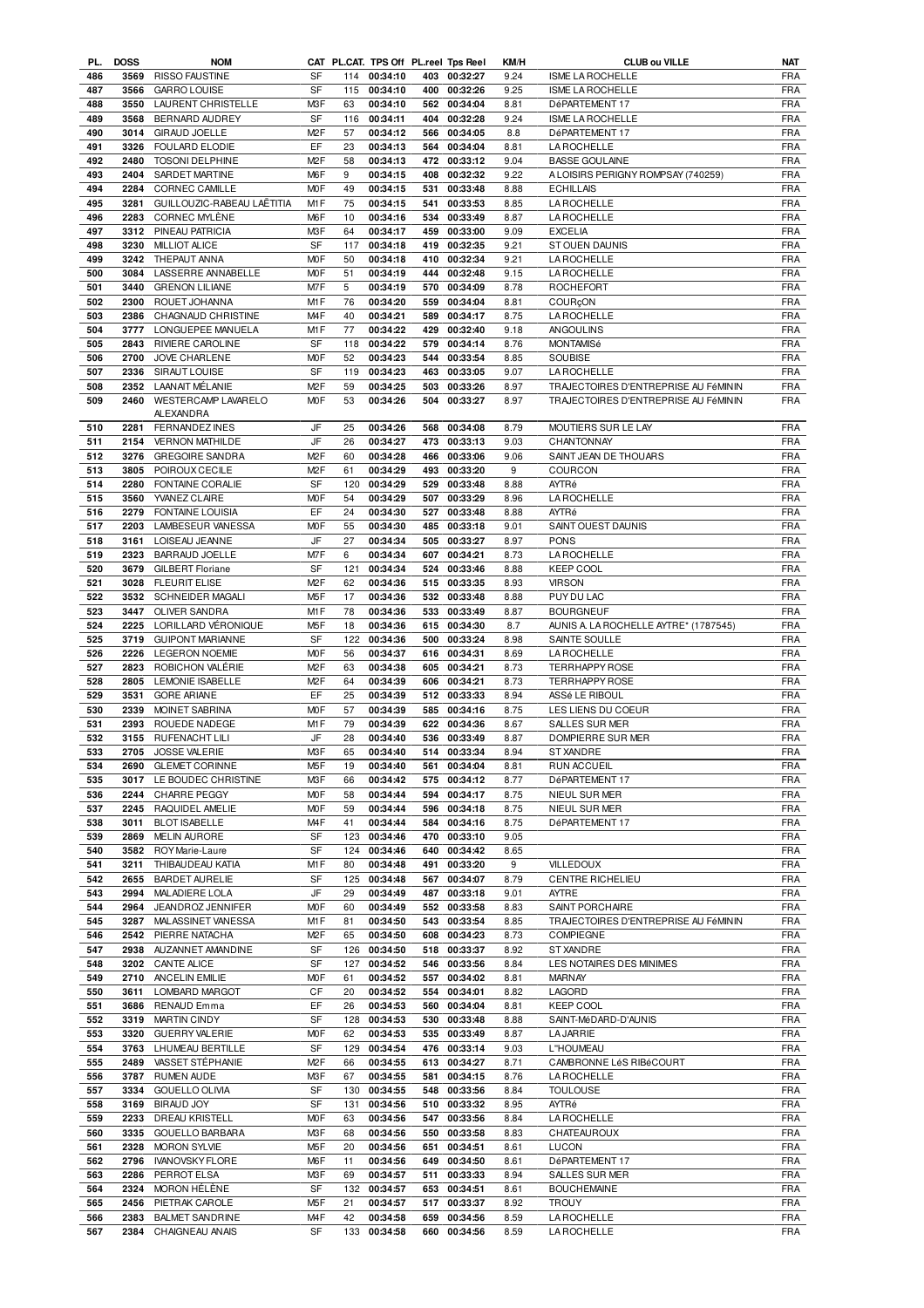| PL. | <b>DOSS</b> | <b>NOM</b>                 |                  |     | CAT PL.CAT. TPS Off PL.reel Tps Reel |     |              | KM/H | <b>CLUB ou VILLE</b>                  | NAT        |
|-----|-------------|----------------------------|------------------|-----|--------------------------------------|-----|--------------|------|---------------------------------------|------------|
| 486 | 3569        | <b>RISSO FAUSTINE</b>      | SF               | 114 | 00:34:10                             |     | 403 00:32:27 | 9.24 | ISME LA ROCHELLE                      | <b>FRA</b> |
| 487 | 3566        | <b>GARRO LOUISE</b>        | SF               | 115 | 00:34:10                             |     | 400 00:32:26 | 9.25 | ISME LA ROCHELLE                      | <b>FRA</b> |
| 488 | 3550        | LAURENT CHRISTELLE         | M3F              | 63  | 00:34:10                             |     | 562 00:34:04 | 8.81 | DéPARTEMENT 17                        | <b>FRA</b> |
|     |             |                            |                  |     |                                      |     |              |      |                                       |            |
| 489 | 3568        | BERNARD AUDREY             | SF               | 116 | 00:34:11                             | 404 | 00:32:28     | 9.24 | <b>ISME LA ROCHELLE</b>               | <b>FRA</b> |
| 490 | 3014        | GIRAUD JOELLE              | M <sub>2</sub> F | 57  | 00:34:12                             |     | 566 00:34:05 | 8.8  | DéPARTEMENT 17                        | FRA        |
| 491 | 3326        | FOULARD ELODIE             | EF               | 23  | 00:34:13                             | 564 | 00:34:04     | 8.81 | LA ROCHELLE                           | <b>FRA</b> |
| 492 | 2480        | TOSONI DELPHINE            | M <sub>2</sub> F | 58  | 00:34:13                             |     | 472 00:33:12 | 9.04 | <b>BASSE GOULAINE</b>                 | <b>FRA</b> |
|     |             |                            |                  |     |                                      |     |              |      |                                       |            |
| 493 | 2404        | SARDET MARTINE             | M6F              | 9   | 00:34:15                             | 408 | 00:32:32     | 9.22 | A LOISIRS PERIGNY ROMPSAY (740259)    | <b>FRA</b> |
| 494 | 2284        | CORNEC CAMILLE             | M <sub>O</sub> F | 49  | 00:34:15                             | 531 | 00:33:48     | 8.88 | <b>ECHILLAIS</b>                      | <b>FRA</b> |
| 495 | 3281        | GUILLOUZIC-RABEAU LAËTITIA | M1F              | 75  | 00:34:15                             | 541 | 00:33:53     | 8.85 | LA ROCHELLE                           | <b>FRA</b> |
| 496 | 2283        | CORNEC MYLÈNE              | M6F              | 10  | 00:34:16                             |     | 534 00:33:49 | 8.87 | LA ROCHELLE                           | <b>FRA</b> |
|     |             |                            |                  |     |                                      |     |              |      |                                       |            |
| 497 | 3312        | PINEAU PATRICIA            | M3F              | 64  | 00:34:17                             |     | 459 00:33:00 | 9.09 | <b>EXCELIA</b>                        | <b>FRA</b> |
| 498 | 3230        | <b>MILLIOT ALICE</b>       | SF               | 117 | 00:34:18                             |     | 419 00:32:35 | 9.21 | STOUEN DAUNIS                         | FRA        |
| 499 | 3242        | THEPAUT ANNA               | <b>MOF</b>       | 50  | 00:34:18                             |     | 410 00:32:34 | 9.21 | <b>LA ROCHELLE</b>                    | <b>FRA</b> |
|     |             |                            |                  |     |                                      |     |              |      |                                       |            |
| 500 | 3084        | LASSERRE ANNABELLE         | <b>MOF</b>       | 51  | 00:34:19                             |     | 444 00:32:48 | 9.15 | LA ROCHELLE                           | <b>FRA</b> |
| 501 | 3440        | <b>GRENON LILIANE</b>      | M7F              | 5   | 00:34:19                             |     | 570 00:34:09 | 8.78 | ROCHEFORT                             | <b>FRA</b> |
| 502 | 2300        | ROUET JOHANNA              | M1F              | 76  | 00:34:20                             |     | 559 00:34:04 | 8.81 | COURÇON                               | <b>FRA</b> |
| 503 | 2386        | CHAGNAUD CHRISTINE         | M <sub>4F</sub>  | 40  | 00:34:21                             |     | 589 00:34:17 | 8.75 | <b>LA ROCHELLE</b>                    | <b>FRA</b> |
|     |             |                            |                  |     |                                      |     |              |      |                                       |            |
| 504 | 3777        | LONGUEPEE MANUELA          | M1F              | 77  | 00:34:22                             |     | 429 00:32:40 | 9.18 | <b>ANGOULINS</b>                      | FRA        |
| 505 | 2843        | RIVIERE CAROLINE           | SF               | 118 | 00:34:22                             |     | 579 00:34:14 | 8.76 | <b>MONTAMISé</b>                      | <b>FRA</b> |
| 506 | 2700        | <b>JOVE CHARLENE</b>       | <b>MOF</b>       | 52  | 00:34:23                             |     | 544 00:33:54 | 8.85 | SOUBISE                               | <b>FRA</b> |
| 507 | 2336        | SIRAUT LOUISE              | SF               | 119 | 00:34:23                             |     | 463 00:33:05 | 9.07 | <b>LA ROCHELLE</b>                    | <b>FRA</b> |
|     |             |                            |                  |     |                                      |     |              |      |                                       |            |
| 508 | 2352        | LAANAIT MÉLANIE            | M <sub>2</sub> F | 59  | 00:34:25                             |     | 503 00:33:26 | 8.97 | TRAJECTOIRES D'ENTREPRISE AU FéMININ  | <b>FRA</b> |
| 509 | 2460        | <b>WESTERCAMP LAVARELO</b> | <b>MOF</b>       | 53  | 00:34:26                             |     | 504 00:33:27 | 8.97 | TRAJECTOIRES D'ENTREPRISE AU FéMININ  | FRA        |
|     |             | <b>ALEXANDRA</b>           |                  |     |                                      |     |              |      |                                       |            |
|     | 2281        |                            | JF               | 25  | 00:34:26                             |     | 568 00:34:08 |      |                                       | <b>FRA</b> |
| 510 |             | FERNANDEZ INES             |                  |     |                                      |     |              | 8.79 | MOUTIERS SUR LE LAY                   |            |
| 511 | 2154        | <b>VERNON MATHILDE</b>     | JF               | 26  | 00:34:27                             |     | 473 00:33:13 | 9.03 | CHANTONNAY                            | <b>FRA</b> |
| 512 | 3276        | <b>GREGOIRE SANDRA</b>     | M <sub>2</sub> F | 60  | 00:34:28                             |     | 466 00:33:06 | 9.06 | SAINT JEAN DE THOUARS                 | FRA        |
| 513 | 3805        | <b>POIROUX CECILE</b>      | M <sub>2</sub> F | 61  | 00:34:29                             |     | 493 00:33:20 | 9    | COURCON                               | FRA        |
|     |             |                            |                  |     |                                      |     |              |      |                                       |            |
| 514 | 2280        | <b>FONTAINE CORALIE</b>    | SF               | 120 | 00:34:29                             |     | 529 00:33:48 | 8.88 | AYTRé                                 | <b>FRA</b> |
| 515 | 3560        | YVANEZ CLAIRE              | M <sub>O</sub> F | 54  | 00:34:29                             |     | 507 00:33:29 | 8.96 | <b>LA ROCHELLE</b>                    | <b>FRA</b> |
| 516 | 2279        | <b>FONTAINE LOUISIA</b>    | EF               | 24  | 00:34:30                             |     | 527 00:33:48 | 8.88 | AYTRé                                 | <b>FRA</b> |
| 517 | 2203        |                            | M <sub>O</sub> F | 55  |                                      |     | 485 00:33:18 |      | SAINT OUEST DAUNIS                    | <b>FRA</b> |
|     |             | LAMBESEUR VANESSA          |                  |     | 00:34:30                             |     |              | 9.01 |                                       |            |
| 518 | 3161        | LOISEAU JEANNE             | JF               | 27  | 00:34:34                             |     | 505 00:33:27 | 8.97 | <b>PONS</b>                           | <b>FRA</b> |
| 519 | 2323        | BARRAUD JOELLE             | M7F              | 6   | 00:34:34                             |     | 607 00:34:21 | 8.73 | <b>LA ROCHELLE</b>                    | <b>FRA</b> |
| 520 | 3679        | <b>GILBERT Floriane</b>    | SF               | 121 | 00:34:34                             |     | 524 00:33:46 | 8.88 | <b>KEEP COOL</b>                      | <b>FRA</b> |
|     |             |                            |                  |     |                                      |     |              |      |                                       |            |
| 521 | 3028        | <b>FLEURIT ELISE</b>       | M <sub>2</sub> F | 62  | 00:34:36                             |     | 515 00:33:35 | 8.93 | <b>VIRSON</b>                         | <b>FRA</b> |
| 522 | 3532        | SCHNEIDER MAGALI           | M <sub>5</sub> F | 17  | 00:34:36                             |     | 532 00:33:48 | 8.88 | PUY DU LAC                            | <b>FRA</b> |
| 523 | 3447        | OLIVER SANDRA              | M1F              | 78  | 00:34:36                             |     | 533 00:33:49 | 8.87 | <b>BOURGNEUF</b>                      | <b>FRA</b> |
| 524 | 2225        | LORILLARD VÉRONIQUE        | M <sub>5</sub> F | 18  | 00:34:36                             |     | 615 00:34:30 | 8.7  | AUNIS A. LA ROCHELLE AYTRE* (1787545) | <b>FRA</b> |
|     |             |                            |                  |     |                                      |     |              |      |                                       |            |
| 525 | 3719        | <b>GUIPONT MARIANNE</b>    | <b>SF</b>        | 122 | 00:34:36                             |     | 500 00:33:24 | 8.98 | SAINTE SOULLE                         | <b>FRA</b> |
| 526 | 2226        | <b>LEGERON NOEMIE</b>      | M <sub>O</sub> F | 56  | 00:34:37                             |     | 616 00:34:31 | 8.69 | <b>LA ROCHELLE</b>                    | <b>FRA</b> |
| 527 | 2823        | ROBICHON VALÉRIE           | M <sub>2</sub> F | 63  | 00:34:38                             |     | 605 00:34:21 | 8.73 | <b>TERRHAPPY ROSE</b>                 | <b>FRA</b> |
|     |             |                            |                  |     |                                      |     |              |      |                                       |            |
| 528 | 2805        | <b>LEMONIE ISABELLE</b>    | M <sub>2</sub> F | 64  | 00:34:39                             |     | 606 00:34:21 | 8.73 | <b>TERRHAPPY ROSE</b>                 | <b>FRA</b> |
| 529 | 3531        | <b>GORE ARIANE</b>         | EF               | 25  | 00:34:39                             |     | 512 00:33:33 | 8.94 | ASSé LE RIBOUL                        | <b>FRA</b> |
| 530 | 2339        | MOINET SABRINA             | M <sub>O</sub> F | 57  | 00:34:39                             |     | 585 00:34:16 | 8.75 | LES LIENS DU COEUR                    | <b>FRA</b> |
| 531 | 2393        | ROUEDE NADEGE              | M1F              | 79  | 00:34:39                             |     | 622 00:34:36 | 8.67 | <b>SALLES SUR MER</b>                 | <b>FRA</b> |
|     |             |                            |                  |     |                                      |     |              |      |                                       |            |
| 532 | 3155        | RUFENACHT LILI             | JF               | 28  | 00:34:40                             |     | 536 00:33:49 | 8.87 | DOMPIERRE SUR MER                     | <b>FRA</b> |
| 533 | 2705        | <b>JOSSE VALERIE</b>       | M <sub>3</sub> F | 65  | 00:34:40                             | 514 | 00:33:34     | 8.94 | ST XANDRE                             | <b>FRA</b> |
| 534 |             | 2690 GLEMET CORINNE        | M <sub>5</sub> F | 19  | 00:34:40                             |     | 561 00:34:04 | 8.81 | <b>RUN ACCUEIL</b>                    | <b>FRA</b> |
|     |             |                            |                  |     |                                      |     |              |      |                                       |            |
| 535 | 3017        | LE BOUDEC CHRISTINE        | M3F              | 66  | 00:34:42                             |     | 575 00:34:12 | 8.77 | DéPARTEMENT 17                        | <b>FRA</b> |
| 536 | 2244        | <b>CHARRE PEGGY</b>        | M <sub>O</sub> F | 58  | 00:34:44                             |     | 594 00:34:17 | 8.75 | NIEUL SUR MER                         | <b>FRA</b> |
| 537 | 2245        | RAQUIDEL AMELIE            | M <sub>O</sub> F | 59  | 00:34:44                             |     | 596 00:34:18 | 8.75 | NIEUL SUR MER                         | <b>FRA</b> |
| 538 | 3011        | <b>BLOT ISABELLE</b>       | M <sub>4</sub> F | 41  | 00:34:44                             |     | 584 00:34:16 | 8.75 | DéPARTEMENT 17                        | <b>FRA</b> |
|     |             |                            |                  |     |                                      |     |              |      |                                       |            |
| 539 | 2869        | <b>MELIN AURORE</b>        | SF               | 123 | 00:34:46                             |     | 470 00:33:10 | 9.05 |                                       | <b>FRA</b> |
| 540 | 3582        | ROY Marie-Laure            | SF               | 124 | 00:34:46                             |     | 640 00:34:42 | 8.65 |                                       | <b>FRA</b> |
| 541 | 3211        | THIBAUDEAU KATIA           | M1F              | 80  | 00:34:48                             |     | 491 00:33:20 | 9    | <b>VILLEDOUX</b>                      | <b>FRA</b> |
| 542 | 2655        | <b>BARDET AURELIE</b>      | SF               | 125 | 00:34:48                             |     | 567 00:34:07 | 8.79 | CENTRE RICHELIEU                      | FRA        |
|     |             |                            |                  |     |                                      |     |              |      |                                       |            |
| 543 | 2994        | MALADIERE LOLA             | JF               | 29  | 00:34:49                             |     | 487 00:33:18 | 9.01 | <b>AYTRE</b>                          | <b>FRA</b> |
| 544 | 2964        | JEANDROZ JENNIFER          | <b>MOF</b>       | 60  | 00:34:49                             |     | 552 00:33:58 | 8.83 | SAINT PORCHAIRE                       | <b>FRA</b> |
| 545 | 3287        | MALASSINET VANESSA         | M1F              | 81  | 00:34:50                             |     | 543 00:33:54 | 8.85 | TRAJECTOIRES D'ENTREPRISE AU FéMININ  | <b>FRA</b> |
| 546 | 2542        | PIERRE NATACHA             | M <sub>2</sub> F | 65  | 00:34:50                             |     | 608 00:34:23 | 8.73 | COMPIEGNE                             | <b>FRA</b> |
|     |             |                            |                  |     |                                      |     |              |      |                                       |            |
| 547 | 2938        | AUZANNET AMANDINE          | SF               | 126 | 00:34:50                             |     | 518 00:33:37 | 8.92 | ST XANDRE                             | <b>FRA</b> |
| 548 | 3202        | CANTE ALICE                | SF               | 127 | 00:34:52                             |     | 546 00:33:56 | 8.84 | LES NOTAIRES DES MINIMES              | FRA        |
| 549 | 2710        | ANCELIN EMILIE             | <b>MOF</b>       | 61  | 00:34:52                             |     | 557 00:34:02 | 8.81 | <b>MARNAY</b>                         | FRA        |
| 550 | 3611        | LOMBARD MARGOT             | CF               | 20  | 00:34:52                             |     | 554 00:34:01 | 8.82 | LAGORD                                | FRA        |
|     |             |                            |                  |     |                                      |     |              |      |                                       |            |
| 551 | 3686        | RENAUD Emma                | EF               | 26  | 00:34:53                             |     | 560 00:34:04 | 8.81 | <b>KEEP COOL</b>                      | <b>FRA</b> |
| 552 | 3319        | MARTIN CINDY               | SF               | 128 | 00:34:53                             |     | 530 00:33:48 | 8.88 | SAINT-MéDARD-D'AUNIS                  | FRA        |
| 553 | 3320        | <b>GUERRY VALERIE</b>      | <b>MOF</b>       | 62  | 00:34:53                             |     | 535 00:33:49 | 8.87 | <b>LA JARRIE</b>                      | <b>FRA</b> |
|     |             |                            |                  |     |                                      |     |              |      |                                       |            |
| 554 | 3763        | LHUMEAU BERTILLE           | SF               | 129 | 00:34:54                             |     | 476 00:33:14 | 9.03 | L"HOUMEAU                             | FRA        |
| 555 | 2489        | VASSET STÉPHANIE           | M <sub>2</sub> F | 66  | 00:34:55                             |     | 613 00:34:27 | 8.71 | CAMBRONNE LéS RIBéCOURT               | <b>FRA</b> |
| 556 | 3787        | <b>RUMEN AUDE</b>          | M3F              | 67  | 00:34:55                             |     | 581 00:34:15 | 8.76 | <b>LA ROCHELLE</b>                    | <b>FRA</b> |
| 557 | 3334        | <b>GOUELLO OLIVIA</b>      | <b>SF</b>        | 130 | 00:34:55                             |     | 548 00:33:56 | 8.84 | <b>TOULOUSE</b>                       | <b>FRA</b> |
|     |             |                            |                  |     |                                      |     |              |      |                                       |            |
| 558 | 3169        | BIRAUD JOY                 | SF               | 131 | 00:34:56                             |     | 510 00:33:32 | 8.95 | AYTRé                                 | <b>FRA</b> |
| 559 | 2233        | <b>DREAU KRISTELL</b>      | <b>MOF</b>       | 63  | 00:34:56                             |     | 547 00:33:56 | 8.84 | <b>LA ROCHELLE</b>                    | <b>FRA</b> |
| 560 | 3335        | <b>GOUELLO BARBARA</b>     | M3F              | 68  | 00:34:56                             | 550 | 00:33:58     | 8.83 | CHATEAUROUX                           | <b>FRA</b> |
|     |             |                            |                  |     |                                      |     |              |      |                                       |            |
| 561 | 2328        | <b>MORON SYLVIE</b>        | M <sub>5</sub> F | 20  | 00:34:56                             |     | 651 00:34:51 | 8.61 | <b>LUCON</b>                          | <b>FRA</b> |
| 562 | 2796        | <b>IVANOVSKY FLORE</b>     | M6F              | 11  | 00:34:56                             |     | 649 00:34:50 | 8.61 | DéPARTEMENT 17                        | <b>FRA</b> |
| 563 | 2286        | PERROT ELSA                | M3F              | 69  | 00:34:57                             | 511 | 00:33:33     | 8.94 | SALLES SUR MER                        | <b>FRA</b> |
| 564 | 2324        | MORON HÉLÈNE               | SF               | 132 | 00:34:57                             |     | 653 00:34:51 | 8.61 | <b>BOUCHEMAINE</b>                    | <b>FRA</b> |
|     |             |                            |                  |     |                                      |     |              |      |                                       |            |
| 565 | 2456        | PIETRAK CAROLE             | M <sub>5</sub> F | 21  | 00:34:57                             |     | 517 00:33:37 | 8.92 | <b>TROUY</b>                          | <b>FRA</b> |
| 566 | 2383        | <b>BALMET SANDRINE</b>     | M <sub>4</sub> F | 42  | 00:34:58                             |     | 659 00:34:56 | 8.59 | <b>LA ROCHELLE</b>                    | <b>FRA</b> |
|     | 2384        | CHAIGNEAU ANAIS            | SF               |     | 133 00:34:58                         |     | 660 00:34:56 | 8.59 | LA ROCHELLE                           | <b>FRA</b> |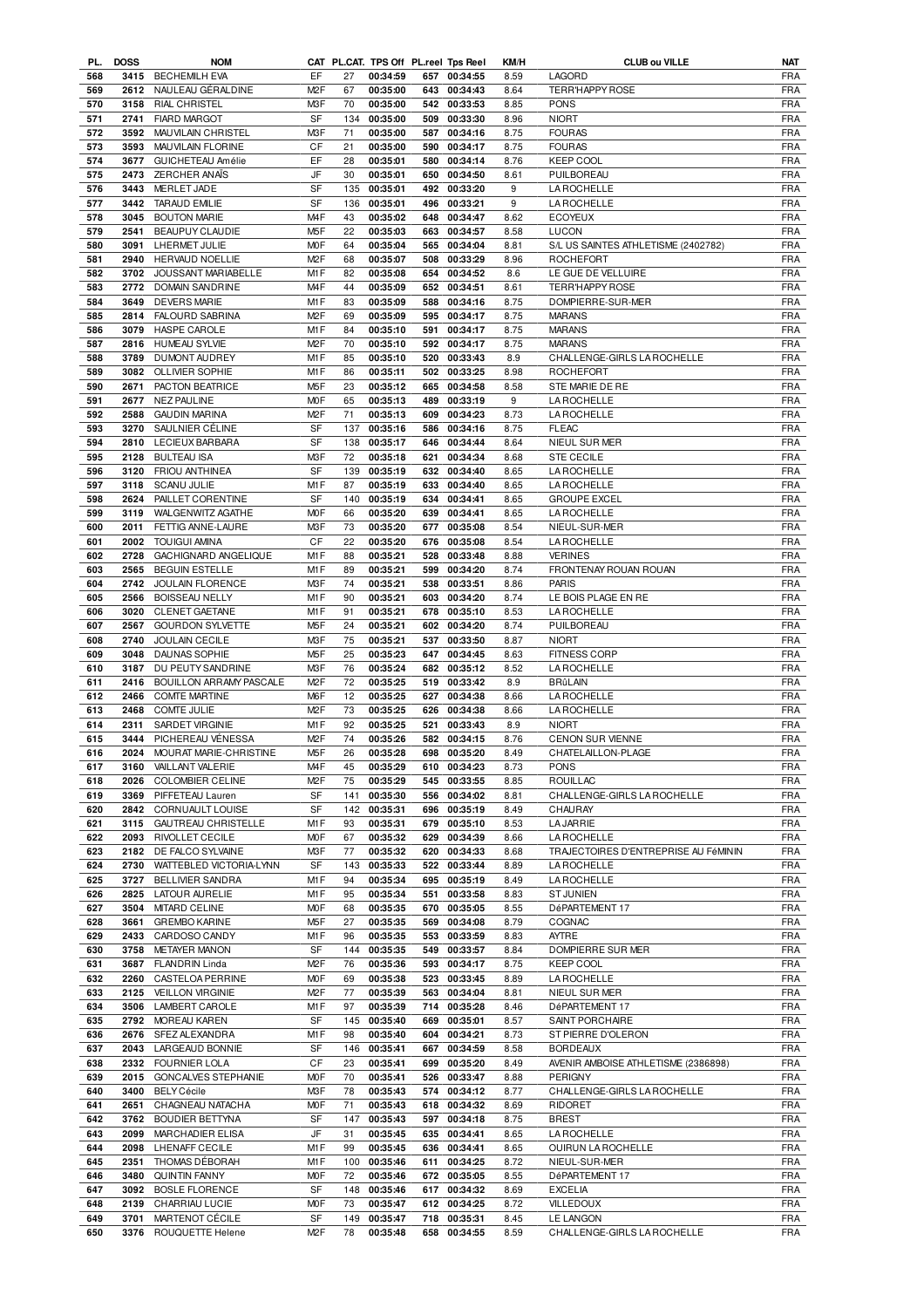| PL.        | <b>DOSS</b> | <b>NOM</b>                  |                  |     |          |     | CAT PL.CAT. TPS Off PL.reel Tps Reel | KM/H | <b>CLUB ou VILLE</b>                 | NAT        |
|------------|-------------|-----------------------------|------------------|-----|----------|-----|--------------------------------------|------|--------------------------------------|------------|
| 568        |             | 3415 BECHEMILH EVA          | EF               | 27  | 00:34:59 |     | 657 00:34:55                         | 8.59 | LAGORD                               | FRA        |
| 569        | 2612        | NAULEAU GÉRALDINE           | M <sub>2</sub> F | 67  | 00:35:00 |     | 643 00:34:43                         | 8.64 | <b>TERR'HAPPY ROSE</b>               | <b>FRA</b> |
| 570        | 3158        | <b>RIAL CHRISTEL</b>        | M3F              | 70  | 00:35:00 |     | 542 00:33:53                         | 8.85 | <b>PONS</b>                          | <b>FRA</b> |
|            |             |                             |                  |     |          |     |                                      |      |                                      |            |
| 571        | 2741        | <b>FIARD MARGOT</b>         | <b>SF</b>        | 134 | 00:35:00 | 509 | 00:33:30                             | 8.96 | <b>NIORT</b>                         | <b>FRA</b> |
| 572        | 3592        | MAUVILAIN CHRISTEL          | M <sub>3</sub> F | 71  | 00:35:00 | 587 | 00:34:16                             | 8.75 | <b>FOURAS</b>                        | <b>FRA</b> |
| 573        | 3593        | MAUVILAIN FLORINE           | CF               | 21  | 00:35:00 | 590 | 00:34:17                             | 8.75 | <b>FOURAS</b>                        | <b>FRA</b> |
| 574        | 3677        | <b>GUICHETEAU Amélie</b>    | EF               | 28  | 00:35:01 |     | 580 00:34:14                         | 8.76 | <b>KEEP COOL</b>                     | <b>FRA</b> |
|            |             |                             |                  |     |          |     |                                      |      |                                      |            |
| 575        | 2473        | ZERCHER ANAIS               | JF               | 30  | 00:35:01 | 650 | 00:34:50                             | 8.61 | PUILBOREAU                           | <b>FRA</b> |
| 576        | 3443        | MERLET JADE                 | SF               | 135 | 00:35:01 |     | 492 00:33:20                         | 9    | <b>LA ROCHELLE</b>                   | <b>FRA</b> |
| 577        | 3442        | <b>TARAUD EMILIE</b>        | SF               | 136 | 00:35:01 | 496 | 00:33:21                             | 9    | LA ROCHELLE                          | <b>FRA</b> |
| 578        | 3045        | <b>BOUTON MARIE</b>         | M <sub>4</sub> F | 43  | 00:35:02 |     | 648 00:34:47                         | 8.62 | <b>ECOYEUX</b>                       | <b>FRA</b> |
| 579        | 2541        |                             | M <sub>5</sub> F | 22  | 00:35:03 |     |                                      |      | <b>LUCON</b>                         | <b>FRA</b> |
|            |             | BEAUPUY CLAUDIE             |                  |     |          | 663 | 00:34:57                             | 8.58 |                                      |            |
| 580        | 3091        | LHERMET JULIE               | <b>MOF</b>       | 64  | 00:35:04 |     | 565 00:34:04                         | 8.81 | S/L US SAINTES ATHLETISME (2402782)  | <b>FRA</b> |
| 581        | 2940        | <b>HERVAUD NOELLIE</b>      | M <sub>2</sub> F | 68  | 00:35:07 |     | 508 00:33:29                         | 8.96 | <b>ROCHEFORT</b>                     | <b>FRA</b> |
| 582        | 3702        | JOUSSANT MARIABELLE         | M1F              | 82  | 00:35:08 |     | 654 00:34:52                         | 8.6  | LE GUE DE VELLUIRE                   | <b>FRA</b> |
| 583        | 2772        | <b>DOMAIN SANDRINE</b>      | M <sub>4</sub> F | 44  | 00:35:09 |     | 652 00:34:51                         | 8.61 | <b>TERR'HAPPY ROSE</b>               | <b>FRA</b> |
|            |             |                             | M1F              |     |          |     |                                      |      |                                      |            |
| 584        | 3649        | <b>DEVERS MARIE</b>         |                  | 83  | 00:35:09 |     | 588 00:34:16                         | 8.75 | DOMPIERRE-SUR-MER                    | <b>FRA</b> |
| 585        | 2814        | <b>FALOURD SABRINA</b>      | M <sub>2</sub> F | 69  | 00:35:09 |     | 595 00:34:17                         | 8.75 | <b>MARANS</b>                        | <b>FRA</b> |
| 586        | 3079        | <b>HASPE CAROLE</b>         | M1F              | 84  | 00:35:10 | 591 | 00:34:17                             | 8.75 | <b>MARANS</b>                        | <b>FRA</b> |
| 587        | 2816        | <b>HUMEAU SYLVIE</b>        | M <sub>2</sub> F | 70  | 00:35:10 |     | 592 00:34:17                         | 8.75 | <b>MARANS</b>                        | <b>FRA</b> |
| 588        | 3789        | DUMONT AUDREY               | M1F              | 85  | 00:35:10 |     | 520 00:33:43                         | 8.9  | CHALLENGE-GIRLS LA ROCHELLE          | <b>FRA</b> |
|            |             |                             |                  |     |          |     |                                      |      |                                      |            |
| 589        | 3082        | <b>OLLIVIER SOPHIE</b>      | M1F              | 86  | 00:35:11 |     | 502 00:33:25                         | 8.98 | <b>ROCHEFORT</b>                     | <b>FRA</b> |
| 590        | 2671        | PACTON BEATRICE             | M <sub>5</sub> F | 23  | 00:35:12 | 665 | 00:34:58                             | 8.58 | STE MARIE DE RE                      | <b>FRA</b> |
| 591        | 2677        | <b>NEZ PAULINE</b>          | M <sub>O</sub> F | 65  | 00:35:13 | 489 | 00:33:19                             | 9    | LA ROCHELLE                          | <b>FRA</b> |
| 592        | 2588        | <b>GAUDIN MARINA</b>        | M <sub>2</sub> F | 71  | 00:35:13 | 609 | 00:34:23                             | 8.73 | <b>LA ROCHELLE</b>                   | <b>FRA</b> |
|            |             |                             |                  |     |          |     |                                      |      |                                      |            |
| 593        | 3270        | SAULNIER CÉLINE             | SF               | 137 | 00:35:16 | 586 | 00:34:16                             | 8.75 | <b>FLEAC</b>                         | <b>FRA</b> |
| 594        | 2810        | LECIEUX BARBARA             | SF               | 138 | 00:35:17 | 646 | 00:34:44                             | 8.64 | NIEUL SUR MER                        | <b>FRA</b> |
| 595        | 2128        | <b>BULTEAU ISA</b>          | M3F              | 72  | 00:35:18 | 621 | 00:34:34                             | 8.68 | <b>STE CECILE</b>                    | <b>FRA</b> |
| 596        | 3120        | <b>FRIOU ANTHINEA</b>       | SF               | 139 | 00:35:19 | 632 | 00:34:40                             | 8.65 | <b>LA ROCHELLE</b>                   | <b>FRA</b> |
| 597        | 3118        | <b>SCANU JULIE</b>          | M <sub>1</sub> F | 87  | 00:35:19 | 633 | 00:34:40                             | 8.65 | <b>LA ROCHELLE</b>                   | <b>FRA</b> |
|            |             |                             |                  |     |          |     |                                      |      |                                      |            |
| 598        | 2624        | PAILLET CORENTINE           | SF               | 140 | 00:35:19 | 634 | 00:34:41                             | 8.65 | <b>GROUPE EXCEL</b>                  | <b>FRA</b> |
| 599        | 3119        | <b>WALGENWITZ AGATHE</b>    | M <sub>O</sub> F | 66  | 00:35:20 | 639 | 00:34:41                             | 8.65 | <b>LA ROCHELLE</b>                   | <b>FRA</b> |
| 600        | 2011        | FETTIG ANNE-LAURE           | M3F              | 73  | 00:35:20 | 677 | 00:35:08                             | 8.54 | NIEUL-SUR-MER                        | <b>FRA</b> |
| 601        | 2002        | <b>TOUIGUI AMINA</b>        | CF               | 22  | 00:35:20 | 676 | 00:35:08                             | 8.54 | LA ROCHELLE                          | <b>FRA</b> |
| 602        | 2728        |                             | M <sub>1</sub> F |     | 00:35:21 |     | 528 00:33:48                         |      | <b>VERINES</b>                       | <b>FRA</b> |
|            |             | GACHIGNARD ANGELIQUE        |                  | 88  |          |     |                                      | 8.88 |                                      |            |
| 603        | 2565        | <b>BEGUIN ESTELLE</b>       | M <sub>1</sub> F | 89  | 00:35:21 |     | 599 00:34:20                         | 8.74 | FRONTENAY ROUAN ROUAN                | <b>FRA</b> |
| 604        | 2742        | JOULAIN FLORENCE            | M3F              | 74  | 00:35:21 | 538 | 00:33:51                             | 8.86 | <b>PARIS</b>                         | <b>FRA</b> |
| 605        | 2566        | <b>BOISSEAU NELLY</b>       | M1F              | 90  | 00:35:21 |     | 603 00:34:20                         | 8.74 | LE BOIS PLAGE EN RE                  | <b>FRA</b> |
| 606        | 3020        | CLENET GAETANE              | M1F              | 91  | 00:35:21 | 678 | 00:35:10                             | 8.53 | <b>LA ROCHELLE</b>                   | <b>FRA</b> |
|            |             |                             |                  |     |          |     |                                      |      |                                      |            |
| 607        | 2567        | <b>GOURDON SYLVETTE</b>     | M <sub>5</sub> F | 24  | 00:35:21 |     | 602 00:34:20                         | 8.74 | PUILBOREAU                           | <b>FRA</b> |
| 608        | 2740        | <b>JOULAIN CECILE</b>       | M3F              | 75  | 00:35:21 | 537 | 00:33:50                             | 8.87 | <b>NIORT</b>                         | <b>FRA</b> |
| 609        | 3048        | <b>DAUNAS SOPHIE</b>        | M <sub>5</sub> F | 25  | 00:35:23 |     | 647 00:34:45                         | 8.63 | <b>FITNESS CORP</b>                  | <b>FRA</b> |
| 610        | 3187        | DU PEUTY SANDRINE           | M3F              | 76  | 00:35:24 |     | 682 00:35:12                         | 8.52 | <b>LA ROCHELLE</b>                   | <b>FRA</b> |
| 611        | 2416        | BOUILLON ARRAMY PASCALE     | M <sub>2</sub> F | 72  | 00:35:25 |     | 519 00:33:42                         | 8.9  | BRûLAIN                              | <b>FRA</b> |
|            |             |                             |                  |     |          |     |                                      |      |                                      |            |
| 612        | 2466        | <b>COMTE MARTINE</b>        | M <sub>6</sub> F | 12  | 00:35:25 | 627 | 00:34:38                             | 8.66 | LA ROCHELLE                          | <b>FRA</b> |
| 613        | 2468        | <b>COMTE JULIE</b>          | M <sub>2</sub> F | 73  | 00:35:25 |     | 626 00:34:38                         | 8.66 | LA ROCHELLE                          | <b>FRA</b> |
| 614        | 2311        | <b>SARDET VIRGINIE</b>      | M1F              | 92  | 00:35:25 | 521 | 00:33:43                             | 8.9  | <b>NIORT</b>                         | <b>FRA</b> |
| 615        | 3444        | PICHEREAU VÉNESSA           | M <sub>2</sub> F | 74  | 00:35:26 |     | 582 00:34:15                         | 8.76 | <b>CENON SUR VIENNE</b>              | <b>FRA</b> |
| 616        |             | 2024 MOURAT MARIE-CHRISTINE | M <sub>5F</sub>  | 26  | 00:35:28 |     | 698 00:35:20                         | 8.49 | CHATELAILLON-PLAGE                   | <b>FRA</b> |
|            |             |                             |                  |     |          |     |                                      |      |                                      |            |
| 617        | 3160        | VAILLANT VALERIE            | M <sub>4</sub> F | 45  | 00:35:29 |     | 610 00:34:23                         | 8.73 | <b>PONS</b>                          | <b>FRA</b> |
| 618        | 2026        | <b>COLOMBIER CELINE</b>     | M <sub>2</sub> F | 75  | 00:35:29 |     | 545 00:33:55                         | 8.85 | <b>ROUILLAC</b>                      | <b>FRA</b> |
| 619        | 3369        | PIFFETEAU Lauren            | SF               | 141 | 00:35:30 |     | 556 00:34:02                         | 8.81 | CHALLENGE-GIRLS LA ROCHELLE          | <b>FRA</b> |
| 620        | 2842        | CORNUAULT LOUISE            | SF               | 142 | 00:35:31 |     | 696 00:35:19                         | 8.49 | CHAURAY                              | <b>FRA</b> |
| 621        | 3115        | <b>GAUTREAU CHRISTELLE</b>  | M1F              | 93  | 00:35:31 |     | 679 00:35:10                         | 8.53 | <b>LA JARRIE</b>                     | <b>FRA</b> |
|            |             |                             |                  |     |          |     |                                      |      |                                      |            |
| 622        | 2093        | RIVOLLET CECILE             | M <sub>O</sub> F | 67  | 00:35:32 |     | 629 00:34:39                         | 8.66 | <b>LA ROCHELLE</b>                   | <b>FRA</b> |
| 623        | 2182        | DE FALCO SYLVAINE           | M3F              | 77  | 00:35:32 |     | 620 00:34:33                         | 8.68 | TRAJECTOIRES D'ENTREPRISE AU FéMININ | <b>FRA</b> |
| 624        | 2730        | WATTEBLED VICTORIA-LYNN     | SF               | 143 | 00:35:33 |     | 522 00:33:44                         | 8.89 | <b>LA ROCHELLE</b>                   | <b>FRA</b> |
| 625        | 3727        | BELLIVIER SANDRA            | M1F              | 94  | 00:35:34 |     | 695 00:35:19                         | 8.49 | <b>LA ROCHELLE</b>                   | <b>FRA</b> |
| 626        | 2825        | LATOUR AURELIE              | M1F              | 95  | 00:35:34 |     | 551 00:33:58                         | 8.83 | <b>ST JUNIEN</b>                     | <b>FRA</b> |
|            | 3504        | MITARD CELINE               |                  |     |          |     |                                      |      | DéPARTEMENT 17                       |            |
| 627        |             |                             | <b>MOF</b>       | 68  | 00:35:35 |     | 670 00:35:05                         | 8.55 |                                      | <b>FRA</b> |
| 628        | 3661        | <b>GREMBO KARINE</b>        | M <sub>5</sub> F | 27  | 00:35:35 |     | 569 00:34:08                         | 8.79 | COGNAC                               | <b>FRA</b> |
| 629        | 2433        | CARDOSO CANDY               | M1F              | 96  | 00:35:35 |     | 553 00:33:59                         | 8.83 | <b>AYTRE</b>                         | <b>FRA</b> |
| 630        | 3758        | <b>METAYER MANON</b>        | SF               | 144 | 00:35:35 |     | 549 00:33:57                         | 8.84 | DOMPIERRE SUR MER                    | <b>FRA</b> |
| 631        | 3687        | <b>FLANDRIN Linda</b>       | M <sub>2</sub> F | 76  | 00:35:36 |     | 593 00:34:17                         | 8.75 | <b>KEEP COOL</b>                     | <b>FRA</b> |
|            |             |                             |                  |     |          |     |                                      |      |                                      |            |
| 632        | 2260        | <b>CASTELOA PERRINE</b>     | M <sub>O</sub> F | 69  | 00:35:38 |     | 523 00:33:45                         | 8.89 | LA ROCHELLE                          | <b>FRA</b> |
| 633        | 2125        | <b>VEILLON VIRGINIE</b>     | M <sub>2</sub> F | 77  | 00:35:39 |     | 563 00:34:04                         | 8.81 | NIEUL SUR MER                        | <b>FRA</b> |
| 634        | 3506        | LAMBERT CAROLE              | M1F              | 97  | 00:35:39 |     | 714 00:35:28                         | 8.46 | DéPARTEMENT 17                       | <b>FRA</b> |
| 635        | 2792        | MOREAU KAREN                | SF               | 145 | 00:35:40 | 669 | 00:35:01                             | 8.57 | SAINT PORCHAIRE                      | <b>FRA</b> |
|            |             |                             |                  |     |          |     |                                      |      |                                      |            |
| 636        | 2676        | SFEZ ALEXANDRA              | M1F              | 98  | 00:35:40 |     | 604 00:34:21                         | 8.73 | ST PIERRE D'OLERON                   | <b>FRA</b> |
| 637        | 2043        | LARGEAUD BONNIE             | SF               | 146 | 00:35:41 | 667 | 00:34:59                             | 8.58 | <b>BORDEAUX</b>                      | <b>FRA</b> |
| 638        | 2332        | <b>FOURNIER LOLA</b>        | СF               | 23  | 00:35:41 |     | 699 00:35:20                         | 8.49 | AVENIR AMBOISE ATHLETISME (2386898)  | <b>FRA</b> |
| 639        | 2015        | <b>GONCALVES STEPHANIE</b>  | <b>MOF</b>       | 70  | 00:35:41 | 526 | 00:33:47                             | 8.88 | <b>PERIGNY</b>                       | <b>FRA</b> |
| 640        | 3400        | <b>BELY Cécile</b>          | M3F              | 78  | 00:35:43 |     | 574 00:34:12                         | 8.77 | CHALLENGE-GIRLS LA ROCHELLE          | <b>FRA</b> |
|            |             |                             |                  |     |          |     |                                      |      |                                      |            |
| 641        | 2651        | CHAGNEAU NATACHA            | <b>MOF</b>       | 71  | 00:35:43 |     | 618 00:34:32                         | 8.69 | <b>RIDORET</b>                       | <b>FRA</b> |
| 642        | 3762        | <b>BOUDIER BETTYNA</b>      | SF               | 147 | 00:35:43 |     | 597 00:34:18                         | 8.75 | <b>BREST</b>                         | <b>FRA</b> |
| 643        | 2099        | MARCHADIER ELISA            | JF               | 31  | 00:35:45 |     | 635 00:34:41                         | 8.65 | <b>LA ROCHELLE</b>                   | <b>FRA</b> |
| 644        | 2098        | LHENAFF CECILE              | M1F              | 99  | 00:35:45 |     | 636 00:34:41                         | 8.65 | OUIRUN LA ROCHELLE                   | <b>FRA</b> |
|            |             |                             |                  |     |          |     |                                      |      |                                      |            |
| 645        | 2351        | THOMAS DÉBORAH              | M1F              | 100 | 00:35:46 | 611 | 00:34:25                             | 8.72 | NIEUL-SUR-MER                        | <b>FRA</b> |
| 646        | 3480        | <b>QUINTIN FANNY</b>        | M <sub>O</sub> F | 72  | 00:35:46 |     | 672 00:35:05                         | 8.55 | DéPARTEMENT 17                       | <b>FRA</b> |
| 647        | 3092        | <b>BOSLE FLORENCE</b>       | SF               | 148 | 00:35:46 |     | 617 00:34:32                         | 8.69 | <b>EXCELIA</b>                       | <b>FRA</b> |
| 648        | 2139        | CHARRIAU LUCIE              | <b>MOF</b>       | 73  | 00:35:47 |     | 612 00:34:25                         | 8.72 | <b>VILLEDOUX</b>                     | <b>FRA</b> |
|            | 3701        | MARTENOT CÉCILE             | SF               | 149 | 00:35:47 |     | 718 00:35:31                         |      | <b>LE LANGON</b>                     | <b>FRA</b> |
|            |             |                             |                  |     |          |     |                                      | 8.45 | CHALLENGE-GIRLS LA ROCHELLE          | <b>FRA</b> |
| 649<br>650 |             | 3376 ROUQUETTE Helene       | M <sub>2</sub> F | 78  | 00:35:48 |     | 658 00:34:55                         | 8.59 |                                      |            |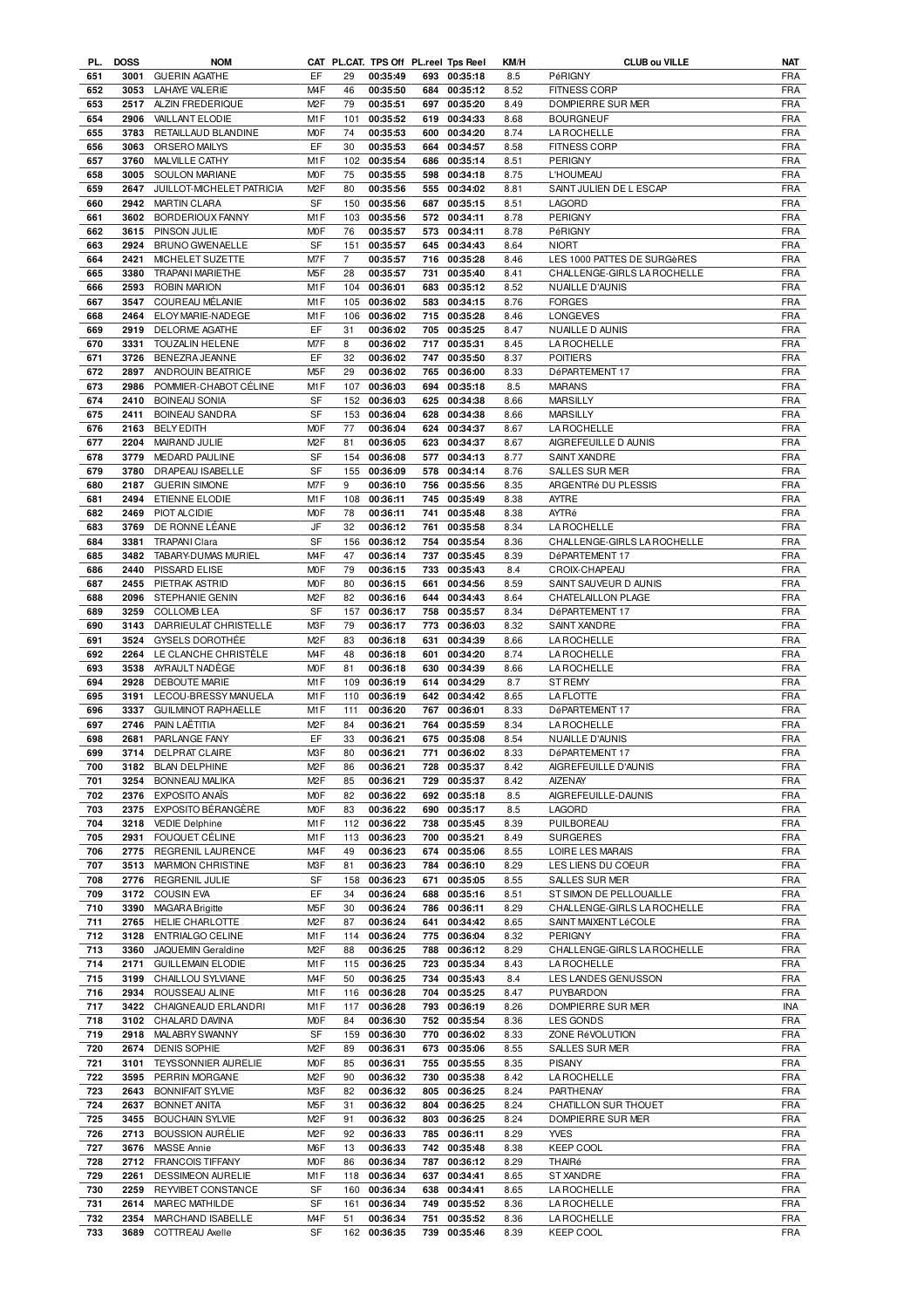| PL. | <b>DOSS</b> | <b>NOM</b>                 |                  |                |              |     | CAT PL.CAT. TPS Off PL.reel Tps Reel | KM/H | <b>CLUB ou VILLE</b>        | <b>NAT</b> |
|-----|-------------|----------------------------|------------------|----------------|--------------|-----|--------------------------------------|------|-----------------------------|------------|
| 651 | 3001        | <b>GUERIN AGATHE</b>       | EF               | 29             | 00:35:49     |     | 693 00:35:18                         | 8.5  | PéRIGNY                     | <b>FRA</b> |
| 652 | 3053        | <b>LAHAYE VALERIE</b>      | M <sub>4</sub> F | 46             | 00:35:50     |     | 684 00:35:12                         | 8.52 | <b>FITNESS CORP</b>         | <b>FRA</b> |
| 653 | 2517        | ALZIN FREDERIQUE           | M <sub>2</sub> F | 79             | 00:35:51     | 697 | 00:35:20                             | 8.49 | DOMPIERRE SUR MER           | <b>FRA</b> |
|     |             |                            |                  |                |              |     |                                      |      |                             |            |
| 654 | 2906        | VAILLANT ELODIE            | M1F              | 101            | 00:35:52     |     | 619 00:34:33                         | 8.68 | <b>BOURGNEUF</b>            | <b>FRA</b> |
| 655 | 3783        | RETAILLAUD BLANDINE        | M <sub>O</sub> F | 74             | 00:35:53     |     | 600 00:34:20                         | 8.74 | LA ROCHELLE                 | <b>FRA</b> |
| 656 | 3063        | ORSERO MAILYS              | EF               | 30             | 00:35:53     |     | 664 00:34:57                         | 8.58 | <b>FITNESS CORP</b>         | <b>FRA</b> |
| 657 | 3760        | MALVILLE CATHY             | M <sub>1</sub> F | 102            | 00:35:54     |     | 686 00:35:14                         | 8.51 | <b>PERIGNY</b>              | <b>FRA</b> |
| 658 | 3005        | SOULON MARIANE             | M <sub>O</sub> F | 75             | 00:35:55     |     | 598 00:34:18                         | 8.75 | L'HOUMEAU                   | <b>FRA</b> |
| 659 | 2647        | JUILLOT-MICHELET PATRICIA  | M <sub>2</sub> F | 80             | 00:35:56     |     | 555 00:34:02                         | 8.81 | SAINT JULIEN DE L ESCAP     | <b>FRA</b> |
| 660 | 2942        | <b>MARTIN CLARA</b>        | SF               | 150            | 00:35:56     |     | 687 00:35:15                         | 8.51 | <b>LAGORD</b>               | <b>FRA</b> |
| 661 | 3602        | BORDERIOUX FANNY           | M1F              | 103            | 00:35:56     |     | 572 00:34:11                         | 8.78 | PERIGNY                     | <b>FRA</b> |
|     | 3615        |                            | M <sub>O</sub> F | 76             |              |     |                                      | 8.78 | PéRIGNY                     | <b>FRA</b> |
| 662 |             | PINSON JULIE               |                  |                | 00:35:57     | 573 | 00:34:11                             |      |                             |            |
| 663 | 2924        | BRUNO GWENAELLE            | SF               | 151            | 00:35:57     |     | 645 00:34:43                         | 8.64 | <b>NIORT</b>                | <b>FRA</b> |
| 664 | 2421        | MICHELET SUZETTE           | M7F              | $\overline{7}$ | 00:35:57     | 716 | 00:35:28                             | 8.46 | LES 1000 PATTES DE SURGèRES | <b>FRA</b> |
| 665 | 3380        | <b>TRAPANI MARIETHE</b>    | M <sub>5</sub> F | 28             | 00:35:57     | 731 | 00:35:40                             | 8.41 | CHALLENGE-GIRLS LA ROCHELLE | <b>FRA</b> |
| 666 | 2593        | <b>ROBIN MARION</b>        | M1F              | 104            | 00:36:01     |     | 683 00:35:12                         | 8.52 | <b>NUAILLE D'AUNIS</b>      | <b>FRA</b> |
| 667 | 3547        | COUREAU MÉLANIE            | M1F              | 105            | 00:36:02     |     | 583 00:34:15                         | 8.76 | <b>FORGES</b>               | <b>FRA</b> |
| 668 | 2464        | ELOY MARIE-NADEGE          | M <sub>1</sub> F | 106            | 00:36:02     |     | 715 00:35:28                         | 8.46 | <b>LONGEVES</b>             | <b>FRA</b> |
| 669 | 2919        | <b>DELORME AGATHE</b>      | EF               | 31             | 00:36:02     |     | 705 00:35:25                         | 8.47 | NUAILLE D AUNIS             | <b>FRA</b> |
|     |             |                            | M7F              |                | 00:36:02     |     |                                      |      |                             | <b>FRA</b> |
| 670 | 3331        | <b>TOUZALIN HELENE</b>     |                  | 8              |              |     | 717 00:35:31                         | 8.45 | <b>LA ROCHELLE</b>          |            |
| 671 | 3726        | BENEZRA JEANNE             | EF               | 32             | 00:36:02     | 747 | 00:35:50                             | 8.37 | <b>POITIERS</b>             | <b>FRA</b> |
| 672 | 2897        | ANDROUIN BEATRICE          | M <sub>5</sub> F | 29             | 00:36:02     | 765 | 00:36:00                             | 8.33 | DéPARTEMENT 17              | <b>FRA</b> |
| 673 | 2986        | POMMIER-CHABOT CÉLINE      | M1F              | 107            | 00:36:03     | 694 | 00:35:18                             | 8.5  | <b>MARANS</b>               | <b>FRA</b> |
| 674 | 2410        | <b>BOINEAU SONIA</b>       | SF               | 152            | 00:36:03     | 625 | 00:34:38                             | 8.66 | <b>MARSILLY</b>             | <b>FRA</b> |
| 675 | 2411        | <b>BOINEAU SANDRA</b>      | SF               | 153            | 00:36:04     | 628 | 00:34:38                             | 8.66 | <b>MARSILLY</b>             | <b>FRA</b> |
| 676 | 2163        | <b>BELY EDITH</b>          | M <sub>O</sub> F | 77             | 00:36:04     |     | 624 00:34:37                         | 8.67 | <b>LA ROCHELLE</b>          | <b>FRA</b> |
| 677 | 2204        | MAIRAND JULIE              | M <sub>2</sub> F | 81             | 00:36:05     | 623 | 00:34:37                             | 8.67 | AIGREFEUILLE D AUNIS        | <b>FRA</b> |
| 678 | 3779        | MEDARD PAULINE             | SF               | 154            | 00:36:08     | 577 | 00:34:13                             | 8.77 | SAINT XANDRE                | <b>FRA</b> |
|     |             |                            | SF               |                |              |     |                                      |      |                             |            |
| 679 | 3780        | DRAPEAU ISABELLE           |                  | 155            | 00:36:09     | 578 | 00:34:14                             | 8.76 | SALLES SUR MER              | <b>FRA</b> |
| 680 | 2187        | <b>GUERIN SIMONE</b>       | M7F              | 9              | 00:36:10     |     | 756 00:35:56                         | 8.35 | ARGENTRé DU PLESSIS         | <b>FRA</b> |
| 681 | 2494        | ETIENNE ELODIE             | M1F              | 108            | 00:36:11     |     | 745 00:35:49                         | 8.38 | <b>AYTRE</b>                | <b>FRA</b> |
| 682 | 2469        | PIOT ALCIDIE               | M <sub>O</sub> F | 78             | 00:36:11     |     | 741 00:35:48                         | 8.38 | AYTRé                       | <b>FRA</b> |
| 683 | 3769        | DE RONNE LÉANE             | JF               | 32             | 00:36:12     | 761 | 00:35:58                             | 8.34 | LA ROCHELLE                 | <b>FRA</b> |
| 684 | 3381        | <b>TRAPANI Clara</b>       | SF               | 156            | 00:36:12     |     | 754 00:35:54                         | 8.36 | CHALLENGE-GIRLS LA ROCHELLE | <b>FRA</b> |
| 685 | 3482        | TABARY-DUMAS MURIEL        | M <sub>4</sub> F | 47             | 00:36:14     | 737 | 00:35:45                             | 8.39 | DéPARTEMENT 17              | <b>FRA</b> |
| 686 | 2440        | PISSARD ELISE              | M <sub>O</sub> F | 79             | 00:36:15     |     | 733 00:35:43                         | 8.4  | CROIX-CHAPEAU               | <b>FRA</b> |
| 687 | 2455        | PIETRAK ASTRID             | M <sub>O</sub> F | 80             | 00:36:15     | 661 | 00:34:56                             | 8.59 | SAINT SAUVEUR D AUNIS       | <b>FRA</b> |
| 688 | 2096        | STEPHANIE GENIN            | M <sub>2</sub> F | 82             | 00:36:16     | 644 | 00:34:43                             | 8.64 | CHATELAILLON PLAGE          | <b>FRA</b> |
| 689 | 3259        | <b>COLLOMB LEA</b>         | <b>SF</b>        | 157            | 00:36:17     | 758 | 00:35:57                             | 8.34 | DéPARTEMENT 17              | <b>FRA</b> |
| 690 | 3143        | DARRIEULAT CHRISTELLE      | M3F              | 79             | 00:36:17     | 773 | 00:36:03                             | 8.32 |                             | <b>FRA</b> |
|     |             |                            | M <sub>2</sub> F |                |              |     |                                      |      | SAINT XANDRE                | <b>FRA</b> |
| 691 | 3524        | <b>GYSELS DOROTHEE</b>     |                  | 83             | 00:36:18     | 631 | 00:34:39                             | 8.66 | <b>LA ROCHELLE</b>          |            |
| 692 | 2264        | LE CLANCHE CHRISTÉLE       | M <sub>4</sub> F | 48             | 00:36:18     | 601 | 00:34:20                             | 8.74 | LA ROCHELLE                 | <b>FRA</b> |
| 693 | 3538        | AYRAULT NADEGE             | M <sub>O</sub> F | 81             | 00:36:18     |     | 630 00:34:39                         | 8.66 | <b>LA ROCHELLE</b>          | <b>FRA</b> |
| 694 | 2928        | <b>DEBOUTE MARIE</b>       | M1F              | 109            | 00:36:19     |     | 614 00:34:29                         | 8.7  | <b>ST REMY</b>              | <b>FRA</b> |
| 695 | 3191        | LECOU-BRESSY MANUELA       | M1F              | 110            | 00:36:19     |     | 642 00:34:42                         | 8.65 | <b>LAFLOTTE</b>             | <b>FRA</b> |
| 696 | 3337        | <b>GUILMINOT RAPHAELLE</b> | M1F              | 111            | 00:36:20     |     | 767 00:36:01                         | 8.33 | DéPARTEMENT 17              | <b>FRA</b> |
| 697 | 2746        | PAIN LAËTITIA              | M <sub>2</sub> F | 84             | 00:36:21     |     | 764 00:35:59                         | 8.34 | LA ROCHELLE                 | <b>FRA</b> |
| 698 | 2681        | PARLANGE FANY              | EF               | 33             | 00:36:21     |     | 675 00:35:08                         | 8.54 | NUAILLE D'AUNIS             | <b>FRA</b> |
| 699 |             | 3714 DELPRAT CLAIRE        | M3F              | 80             | 00:36:21     |     | 771 00:36:02                         | 8.33 | DéPARTEMENT 17              | <b>FRA</b> |
| 700 |             | 3182 BLAN DELPHINE         | M <sub>2</sub> F | 86             | 00:36:21     |     | 728 00:35:37                         | 8.42 | AIGREFEUILLE D'AUNIS        | <b>FRA</b> |
| 701 | 3254        | BONNEAU MALIKA             | M <sub>2</sub> F | 85             | 00:36:21     |     | 729 00:35:37                         | 8.42 | <b>AIZENAY</b>              | <b>FRA</b> |
| 702 | 2376        | <b>EXPOSITO ANAIS</b>      | <b>MOF</b>       | 82             | 00:36:22     |     | 692 00:35:18                         | 8.5  | AIGREFEUILLE-DAUNIS         | <b>FRA</b> |
| 703 | 2375        | EXPOSITO BÉRANGÈRE         | <b>MOF</b>       | 83             | 00:36:22     |     | 690 00:35:17                         | 8.5  | LAGORD                      | <b>FRA</b> |
| 704 | 3218        | <b>VEDIE Delphine</b>      | M1F              | 112            | 00:36:22     |     | 738 00:35:45                         | 8.39 | PUILBOREAU                  | <b>FRA</b> |
| 705 | 2931        | FOUQUET CÉLINE             | M1F              | 113            | 00:36:23     |     | 700 00:35:21                         | 8.49 | <b>SURGERES</b>             | <b>FRA</b> |
|     |             |                            |                  |                |              |     |                                      |      |                             |            |
| 706 | 2775        | REGRENIL LAURENCE          | M4F              | 49             | 00:36:23     | 674 | 00:35:06                             | 8.55 | LOIRE LES MARAIS            | <b>FRA</b> |
| 707 | 3513        | <b>MARMION CHRISTINE</b>   | M3F              | 81             | 00:36:23     |     | 784 00:36:10                         | 8.29 | LES LIENS DU COEUR          | <b>FRA</b> |
| 708 | 2776        | REGRENIL JULIE             | SF               | 158            | 00:36:23     | 671 | 00:35:05                             | 8.55 | SALLES SUR MER              | <b>FRA</b> |
| 709 | 3172        | <b>COUSIN EVA</b>          | EF               | 34             | 00:36:24     | 688 | 00:35:16                             | 8.51 | ST SIMON DE PELLOUAILLE     | <b>FRA</b> |
| 710 | 3390        | MAGARA Brigitte            | M5F              | 30             | 00:36:24     | 786 | 00:36:11                             | 8.29 | CHALLENGE-GIRLS LA ROCHELLE | <b>FRA</b> |
| 711 | 2765        | HELIE CHARLOTTE            | M <sub>2</sub> F | 87             | 00:36:24     | 641 | 00:34:42                             | 8.65 | SAINT MAIXENT LéCOLE        | <b>FRA</b> |
| 712 | 3128        | ENTRIALGO CELINE           | M1F              | 114            | 00:36:24     | 775 | 00:36:04                             | 8.32 | <b>PERIGNY</b>              | <b>FRA</b> |
| 713 | 3360        | JAQUEMIN Geraldine         | M <sub>2</sub> F | 88             | 00:36:25     |     | 788 00:36:12                         | 8.29 | CHALLENGE-GIRLS LA ROCHELLE | <b>FRA</b> |
|     | 2171        |                            |                  |                |              |     |                                      |      | <b>LA ROCHELLE</b>          | <b>FRA</b> |
| 714 |             | <b>GUILLEMAIN ELODIE</b>   | M1F              | 115            | 00:36:25     |     | 723 00:35:34                         | 8.43 |                             |            |
| 715 | 3199        | CHAILLOU SYLVIANE          | M <sub>4</sub> F | 50             | 00:36:25     |     | 734 00:35:43                         | 8.4  | LES LANDES GENUSSON         | <b>FRA</b> |
| 716 | 2934        | ROUSSEAU ALINE             | M1F              | 116            | 00:36:28     |     | 704 00:35:25                         | 8.47 | PUYBARDON                   | <b>FRA</b> |
| 717 | 3422        | CHAIGNEAUD ERLANDRI        | M1F              | 117            | 00:36:28     |     | 793 00:36:19                         | 8.26 | DOMPIERRE SUR MER           | INA        |
| 718 | 3102        | CHALARD DAVINA             | M0F              | 84             | 00:36:30     |     | 752 00:35:54                         | 8.36 | LES GONDS                   | <b>FRA</b> |
| 719 | 2918        | MALABRY SWANNY             | SF               | 159            | 00:36:30     |     | 770 00:36:02                         | 8.33 | ZONE RéVOLUTION             | <b>FRA</b> |
| 720 | 2674        | <b>DENIS SOPHIE</b>        | M <sub>2</sub> F | 89             | 00:36:31     |     | 673 00:35:06                         | 8.55 | SALLES SUR MER              | <b>FRA</b> |
| 721 | 3101        | <b>TEYSSONNIER AURELIE</b> | <b>MOF</b>       | 85             | 00:36:31     |     | 755 00:35:55                         | 8.35 | PISANY                      | <b>FRA</b> |
| 722 | 3595        | PERRIN MORGANE             | M <sub>2</sub> F | 90             | 00:36:32     |     | 730 00:35:38                         | 8.42 | <b>LA ROCHELLE</b>          | <b>FRA</b> |
| 723 | 2643        | <b>BONNIFAIT SYLVIE</b>    | M3F              | 82             | 00:36:32     |     | 805 00:36:25                         | 8.24 | PARTHENAY                   | <b>FRA</b> |
| 724 | 2637        | <b>BONNET ANITA</b>        | M <sub>5</sub> F | 31             | 00:36:32     |     | 804 00:36:25                         | 8.24 | CHATILLON SUR THOUET        | <b>FRA</b> |
| 725 | 3455        |                            | M <sub>2</sub> F | 91             |              |     |                                      | 8.24 |                             | <b>FRA</b> |
|     |             | <b>BOUCHAIN SYLVIE</b>     |                  |                | 00:36:32     |     | 803 00:36:25                         |      | DOMPIERRE SUR MER           |            |
| 726 | 2713        | <b>BOUSSION AURÉLIE</b>    | M <sub>2</sub> F | 92             | 00:36:33     |     | 785 00:36:11                         | 8.29 | <b>YVES</b>                 | <b>FRA</b> |
| 727 | 3676        | <b>MASSE</b> Annie         | M6F              | 13             | 00:36:33     |     | 742 00:35:48                         | 8.38 | <b>KEEP COOL</b>            | <b>FRA</b> |
| 728 |             | 2712 FRANCOIS TIFFANY      | <b>MOF</b>       | 86             | 00:36:34     |     | 787 00:36:12                         | 8.29 | THAIRé                      | <b>FRA</b> |
| 729 | 2261        | DESSIMEON AURELIE          | M1F              | 118            | 00:36:34     | 637 | 00:34:41                             | 8.65 | ST XANDRE                   | <b>FRA</b> |
| 730 | 2259        | REYVIBET CONSTANCE         | SF               | 160            | 00:36:34     |     | 638 00:34:41                         | 8.65 | LA ROCHELLE                 | <b>FRA</b> |
| 731 | 2614        | MAREC MATHILDE             | SF               | 161            | 00:36:34     |     | 749 00:35:52                         | 8.36 | <b>LA ROCHELLE</b>          | <b>FRA</b> |
| 732 | 2354        | MARCHAND ISABELLE          | M <sub>4</sub> F | 51             | 00:36:34     |     | 751 00:35:52                         | 8.36 | LA ROCHELLE                 | FRA        |
| 733 |             | 3689 COTTREAU Axelle       | SF               |                | 162 00:36:35 |     | 739 00:35:46                         | 8.39 | <b>KEEP COOL</b>            | FRA        |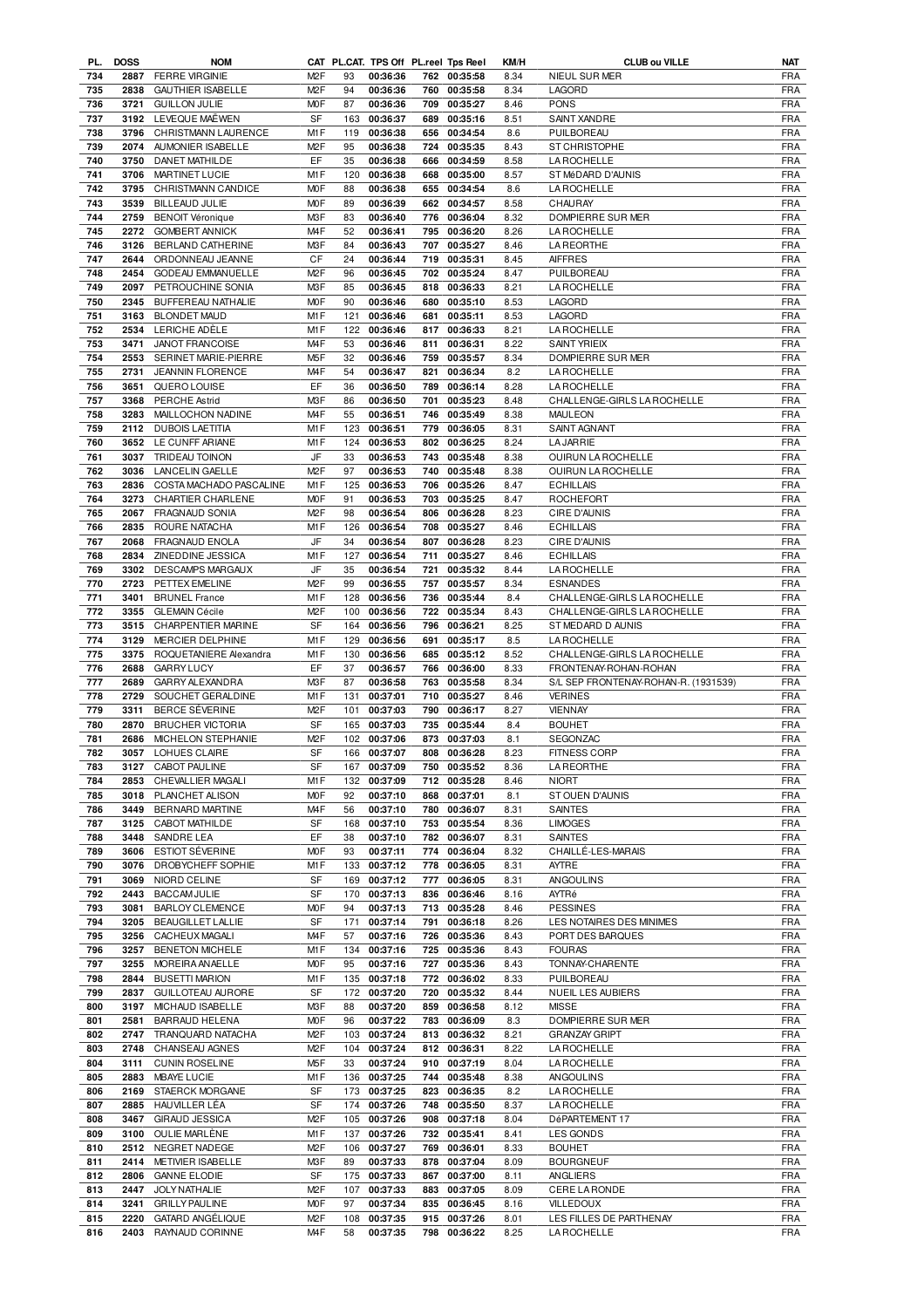| PL.        | <b>DOSS</b> | <b>NOM</b>                               |                  |           |                      |     | CAT PL.CAT. TPS Off PL.reel Tps Reel | KM/H         | <b>CLUB ou VILLE</b>                         | NAT                      |
|------------|-------------|------------------------------------------|------------------|-----------|----------------------|-----|--------------------------------------|--------------|----------------------------------------------|--------------------------|
| 734        | 2887        | <b>FERRE VIRGINIE</b>                    | M <sub>2</sub> F | 93        | 00:36:36             |     | 762 00:35:58                         | 8.34         | NIEUL SUR MER                                | FRA                      |
| 735        | 2838        | <b>GAUTHIER ISABELLE</b>                 | M <sub>2</sub> F | 94        | 00:36:36             |     | 760 00:35:58                         | 8.34         | LAGORD                                       | <b>FRA</b>               |
| 736        | 3721        | <b>GUILLON JULIE</b>                     | <b>MOF</b>       | 87        | 00:36:36             |     | 709 00:35:27                         | 8.46         | <b>PONS</b>                                  | <b>FRA</b>               |
| 737        | 3192        | LEVEQUE MAËWEN                           | SF               | 163       | 00:36:37             |     | 689 00:35:16                         | 8.51         | SAINT XANDRE                                 | <b>FRA</b>               |
| 738        | 3796        | CHRISTMANN LAURENCE                      | M1F              | 119       | 00:36:38             |     | 656 00:34:54                         | 8.6          | PUILBOREAU                                   | <b>FRA</b>               |
|            | 2074        | AUMONIER ISABELLE                        | M <sub>2</sub> F |           |                      |     |                                      | 8.43         |                                              | <b>FRA</b>               |
| 739        |             |                                          |                  | 95        | 00:36:38             |     | 724 00:35:35                         |              | ST CHRISTOPHE                                |                          |
| 740        | 3750        | <b>DANET MATHILDE</b>                    | EF               | 35        | 00:36:38             |     | 666 00:34:59                         | 8.58         | <b>LA ROCHELLE</b>                           | <b>FRA</b>               |
| 741        | 3706        | MARTINET LUCIE                           | M1F              | 120       | 00:36:38             | 668 | 00:35:00                             | 8.57         | ST MéDARD D'AUNIS                            | <b>FRA</b>               |
| 742        | 3795        | CHRISTMANN CANDICE                       | <b>MOF</b>       | 88        | 00:36:38             |     | 655 00:34:54                         | 8.6          | <b>LA ROCHELLE</b>                           | <b>FRA</b>               |
| 743        | 3539        | <b>BILLEAUD JULIE</b>                    | <b>MOF</b>       | 89        | 00:36:39             | 662 | 00:34:57                             | 8.58         | CHAURAY                                      | <b>FRA</b>               |
| 744        | 2759        | <b>BENOIT Véronique</b>                  | M3F              | 83        | 00:36:40             |     | 776 00:36:04                         | 8.32         | DOMPIERRE SUR MER                            | <b>FRA</b>               |
| 745        | 2272        | <b>GOMBERT ANNICK</b>                    | M <sub>4F</sub>  | 52        | 00:36:41             | 795 | 00:36:20                             | 8.26         | <b>LA ROCHELLE</b>                           | <b>FRA</b>               |
|            |             |                                          |                  |           |                      |     |                                      |              |                                              |                          |
| 746        | 3126        | BERLAND CATHERINE                        | M3F              | 84        | 00:36:43             | 707 | 00:35:27                             | 8.46         | <b>LA REORTHE</b>                            | <b>FRA</b>               |
| 747        | 2644        | ORDONNEAU JEANNE                         | CF               | 24        | 00:36:44             |     | 719 00:35:31                         | 8.45         | <b>AIFFRES</b>                               | <b>FRA</b>               |
| 748        | 2454        | <b>GODEAU EMMANUELLE</b>                 | M <sub>2</sub> F | 96        | 00:36:45             |     | 702 00:35:24                         | 8.47         | PUILBOREAU                                   | <b>FRA</b>               |
| 749        | 2097        | PETROUCHINE SONIA                        | M3F              | 85        | 00:36:45             |     | 818 00:36:33                         | 8.21         | <b>LA ROCHELLE</b>                           | <b>FRA</b>               |
| 750        | 2345        | BUFFEREAU NATHALIE                       | M <sub>O</sub> F | 90        | 00:36:46             |     | 680 00:35:10                         | 8.53         | LAGORD                                       | <b>FRA</b>               |
| 751        | 3163        | <b>BLONDET MAUD</b>                      | M1F              | 121       | 00:36:46             | 681 | 00:35:11                             | 8.53         | LAGORD                                       | <b>FRA</b>               |
|            |             |                                          |                  |           |                      |     |                                      |              |                                              |                          |
| 752        | 2534        | LERICHE ADÈLE                            | M1F              | 122       | 00:36:46             |     | 817 00:36:33                         | 8.21         | <b>LA ROCHELLE</b>                           | <b>FRA</b>               |
| 753        | 3471        | JANOT FRANCOISE                          | M <sub>4</sub> F | 53        | 00:36:46             | 811 | 00:36:31                             | 8.22         | <b>SAINT YRIEIX</b>                          | <b>FRA</b>               |
| 754        | 2553        | SERINET MARIE-PIERRE                     | M <sub>5</sub> F | 32        | 00:36:46             | 759 | 00:35:57                             | 8.34         | DOMPIERRE SUR MER                            | <b>FRA</b>               |
| 755        | 2731        | JEANNIN FLORENCE                         | M <sub>4</sub> F | 54        | 00:36:47             | 821 | 00:36:34                             | 8.2          | <b>LA ROCHELLE</b>                           | <b>FRA</b>               |
| 756        | 3651        | QUERO LOUISE                             | EF               | 36        | 00:36:50             | 789 | 00:36:14                             | 8.28         | <b>LA ROCHELLE</b>                           | <b>FRA</b>               |
| 757        | 3368        | PERCHE Astrid                            | M3F              | 86        | 00:36:50             | 701 | 00:35:23                             | 8.48         | CHALLENGE-GIRLS LA ROCHELLE                  | <b>FRA</b>               |
| 758        | 3283        | MAILLOCHON NADINE                        | M <sub>4</sub> F | 55        | 00:36:51             | 746 | 00:35:49                             | 8.38         | <b>MAULEON</b>                               | <b>FRA</b>               |
|            |             |                                          |                  |           |                      |     |                                      |              |                                              |                          |
| 759        | 2112        | <b>DUBOIS LAETITIA</b>                   | M <sub>1</sub> F | 123       | 00:36:51             | 779 | 00:36:05                             | 8.31         | SAINT AGNANT                                 | <b>FRA</b>               |
| 760        | 3652        | LE CUNFF ARIANE                          | M1F              | 124       | 00:36:53             |     | 802 00:36:25                         | 8.24         | <b>LA JARRIE</b>                             | <b>FRA</b>               |
| 761        | 3037        | <b>TRIDEAU TOINON</b>                    | JF               | 33        | 00:36:53             |     | 743 00:35:48                         | 8.38         | <b>OUIRUN LA ROCHELLE</b>                    | <b>FRA</b>               |
| 762        | 3036        | <b>LANCELIN GAELLE</b>                   | M <sub>2</sub> F | 97        | 00:36:53             |     | 740 00:35:48                         | 8.38         | <b>OUIRUN LA ROCHELLE</b>                    | <b>FRA</b>               |
| 763        | 2836        | COSTA MACHADO PASCALINE                  | M1F              | 125       | 00:36:53             |     | 706 00:35:26                         | 8.47         | <b>ECHILLAIS</b>                             | <b>FRA</b>               |
| 764        | 3273        | CHARTIER CHARLENE                        | <b>MOF</b>       | 91        | 00:36:53             | 703 | 00:35:25                             | 8.47         | <b>ROCHEFORT</b>                             | <b>FRA</b>               |
|            |             |                                          |                  |           |                      |     |                                      |              |                                              |                          |
| 765        | 2067        | FRAGNAUD SONIA                           | M <sub>2</sub> F | 98        | 00:36:54             | 806 | 00:36:28                             | 8.23         | CIRE D'AUNIS                                 | <b>FRA</b>               |
| 766        | 2835        | ROURE NATACHA                            | M1F              | 126       | 00:36:54             | 708 | 00:35:27                             | 8.46         | <b>ECHILLAIS</b>                             | <b>FRA</b>               |
| 767        | 2068        | <b>FRAGNAUD ENOLA</b>                    | JF               | 34        | 00:36:54             | 807 | 00:36:28                             | 8.23         | CIRE D'AUNIS                                 | <b>FRA</b>               |
| 768        | 2834        | ZINEDDINE JESSICA                        | M1F              | 127       | 00:36:54             | 711 | 00:35:27                             | 8.46         | <b>ECHILLAIS</b>                             | <b>FRA</b>               |
| 769        | 3302        | <b>DESCAMPS MARGAUX</b>                  | JF               | 35        | 00:36:54             | 721 | 00:35:32                             | 8.44         | <b>LA ROCHELLE</b>                           | <b>FRA</b>               |
| 770        | 2723        | PETTEX EMELINE                           | M <sub>2</sub> F | 99        | 00:36:55             | 757 | 00:35:57                             | 8.34         | <b>ESNANDES</b>                              | <b>FRA</b>               |
|            |             |                                          |                  |           |                      |     |                                      |              |                                              |                          |
| 771        | 3401        | <b>BRUNEL France</b>                     | M1F              | 128       | 00:36:56             | 736 | 00:35:44                             | 8.4          | CHALLENGE-GIRLS LA ROCHELLE                  | <b>FRA</b>               |
| 772        | 3355        | <b>GLEMAIN Cécile</b>                    | M <sub>2</sub> F | 100       | 00:36:56             | 722 | 00:35:34                             | 8.43         | CHALLENGE-GIRLS LA ROCHELLE                  | <b>FRA</b>               |
| 773        | 3515        | CHARPENTIER MARINE                       | SF               | 164       | 00:36:56             |     | 796 00:36:21                         | 8.25         | ST MEDARD D AUNIS                            | <b>FRA</b>               |
| 774        | 3129        | MERCIER DELPHINE                         | M1F              | 129       | 00:36:56             | 691 | 00:35:17                             | 8.5          | <b>LA ROCHELLE</b>                           | <b>FRA</b>               |
| 775        | 3375        | ROQUETANIERE Alexandra                   | M1F              |           | 130 00:36:56         |     | 685 00:35:12                         | 8.52         | CHALLENGE-GIRLS LA ROCHELLE                  | <b>FRA</b>               |
| 776        | 2688        | <b>GARRY LUCY</b>                        | EF               | 37        | 00:36:57             |     | 766 00:36:00                         | 8.33         | FRONTENAY-ROHAN-ROHAN                        | <b>FRA</b>               |
| 777        | 2689        | GARRY ALEXANDRA                          | M3F              | 87        | 00:36:58             |     | 763 00:35:58                         | 8.34         | S/L SEP FRONTENAY-ROHAN-R. (1931539)         | <b>FRA</b>               |
|            |             |                                          |                  |           |                      |     |                                      |              |                                              |                          |
| 778        | 2729        | SOUCHET GERALDINE                        | M1F              | 131       | 00:37:01             | 710 | 00:35:27                             | 8.46         | <b>VERINES</b>                               | <b>FRA</b>               |
| 779        | 3311        | BERCE SÉVERINE                           | M <sub>2</sub> F | 101       | 00:37:03             |     | 790 00:36:17                         | 8.27         | <b>VIENNAY</b>                               | <b>FRA</b>               |
| 780        | 2870        | <b>BRUCHER VICTORIA</b>                  | SF               | 165       | 00:37:03             |     | 735 00:35:44                         | 8.4          | <b>BOUHET</b>                                | <b>FRA</b>               |
| 781        | 2686        | <b>MICHELON STEPHANIE</b>                | M <sub>2</sub> F |           | 102 00:37:06         |     | 873 00:37:03                         | 8.1          | <b>SEGONZAC</b>                              | <b>FRA</b>               |
| 782        |             | 3057 LOHUES CLAIRE                       | <b>SF</b>        |           | 166 00:37:07         |     | 808 00:36:28                         | 8.23         | FITNESS CORP                                 | <b>FRA</b>               |
| 783        |             | 3127 CABOT PAULINE                       | SF               |           | 167 00:37:09         |     | 750 00:35:52                         | 8.36         | <b>LA REORTHE</b>                            | <b>FRA</b>               |
|            |             |                                          |                  |           |                      |     |                                      |              |                                              |                          |
| 784        | 2853        | CHEVALLIER MAGALI                        | M1F              | 132       | 00:37:09             | 712 | 00:35:28                             | 8.46         | <b>NIORT</b>                                 | <b>FRA</b>               |
| 785        | 3018        | PLANCHET ALISON                          | <b>MOF</b>       | 92        | 00:37:10             |     | 868 00:37:01                         | 8.1          | ST OUEN D'AUNIS                              | <b>FRA</b>               |
| 786        | 3449        | BERNARD MARTINE                          | M4F              | 56        | 00:37:10             |     | 780 00:36:07                         | 8.31         | SAINTES                                      | <b>FRA</b>               |
| 787        | 3125        | CABOT MATHILDE                           | SF               | 168       | 00:37:10             |     | 753 00:35:54                         | 8.36         | <b>LIMOGES</b>                               | FRA                      |
| 788        | 3448        | SANDRE LEA                               | EF               | 38        | 00:37:10             |     | 782 00:36:07                         | 8.31         | <b>SAINTES</b>                               | <b>FRA</b>               |
| 789        | 3606        | <b>ESTIOT SÉVERINE</b>                   | <b>MOF</b>       | 93        | 00:37:11             |     | 774 00:36:04                         | 8.32         | CHAILLÉ-LES-MARAIS                           | <b>FRA</b>               |
| 790        | 3076        | DROBYCHEFF SOPHIE                        | M1F              | 133       | 00:37:12             |     | 778 00:36:05                         | 8.31         | AYTRE                                        | <b>FRA</b>               |
|            |             |                                          |                  |           |                      |     |                                      |              |                                              |                          |
| 791        | 3069        | NIORD CELINE                             | SF               | 169       | 00:37:12             |     | 777 00:36:05                         | 8.31         | <b>ANGOULINS</b>                             | <b>FRA</b>               |
| 792        | 2443        | <b>BACCAM JULIE</b>                      | <b>SF</b>        | 170       | 00:37:13             |     | 836 00:36:46                         | 8.16         | AYTRé                                        | <b>FRA</b>               |
| 793        | 3081        | <b>BARLOY CLEMENCE</b>                   | <b>MOF</b>       | 94        | 00:37:13             |     | 713 00:35:28                         | 8.46         | <b>PESSINES</b>                              | <b>FRA</b>               |
| 794        | 3205        | <b>BEAUGILLET LALLIE</b>                 | SF               | 171       | 00:37:14             |     | 791 00:36:18                         | 8.26         | LES NOTAIRES DES MINIMES                     | <b>FRA</b>               |
| 795        | 3256        | CACHEUX MAGALI                           | M4F              | 57        | 00:37:16             |     | 726 00:35:36                         | 8.43         | PORT DES BARQUES                             | <b>FRA</b>               |
| 796        | 3257        | <b>BENETON MICHELE</b>                   | M1F              | 134       | 00:37:16             |     | 725 00:35:36                         | 8.43         | <b>FOURAS</b>                                | <b>FRA</b>               |
| 797        | 3255        |                                          |                  |           |                      |     |                                      |              |                                              |                          |
|            |             | MOREIRA ANAELLE                          | <b>MOF</b>       | 95        | 00:37:16             |     | 727 00:35:36                         | 8.43         | TONNAY-CHARENTE                              | <b>FRA</b>               |
| 798        | 2844        | <b>BUSETTI MARION</b>                    | M1F              | 135       | 00:37:18             |     | 772 00:36:02                         | 8.33         | PUILBOREAU                                   | <b>FRA</b>               |
| 799        | 2837        | <b>GUILLOTEAU AURORE</b>                 | SF               | 172       | 00:37:20             |     | 720 00:35:32                         | 8.44         | NUEIL LES AUBIERS                            | <b>FRA</b>               |
| 800        | 3197        | MICHAUD ISABELLE                         | M3F              | 88        | 00:37:20             |     | 859 00:36:58                         | 8.12         | <b>MISSE</b>                                 | <b>FRA</b>               |
| 801        | 2581        | BARRAUD HELENA                           | <b>MOF</b>       | 96        | 00:37:22             |     | 783 00:36:09                         | 8.3          | DOMPIERRE SUR MER                            | <b>FRA</b>               |
| 802        | 2747        | TRANQUARD NATACHA                        | M <sub>2</sub> F | 103       | 00:37:24             |     | 813 00:36:32                         | 8.21         | <b>GRANZAY GRIPT</b>                         | <b>FRA</b>               |
| 803        | 2748        | CHANSEAU AGNES                           | M <sub>2</sub> F | 104       | 00:37:24             |     | 812 00:36:31                         | 8.22         | <b>LA ROCHELLE</b>                           | <b>FRA</b>               |
|            |             |                                          |                  |           |                      |     |                                      |              |                                              |                          |
| 804        | 3111        | <b>CUNIN ROSELINE</b>                    | M5F              | 33        | 00:37:24             |     | 910 00:37:19                         | 8.04         | <b>LA ROCHELLE</b>                           | <b>FRA</b>               |
| 805        | 2883        | <b>MBAYE LUCIE</b>                       | M1F              | 136       | 00:37:25             | 744 | 00:35:48                             | 8.38         | ANGOULINS                                    | <b>FRA</b>               |
| 806        | 2169        | STAERCK MORGANE                          | SF               | 173       | 00:37:25             |     | 823 00:36:35                         | 8.2          | <b>LAROCHELLE</b>                            | <b>FRA</b>               |
| 807        | 2885        | HAUVILLER LÉA                            | SF               | 174       | 00:37:26             |     | 748 00:35:50                         | 8.37         | <b>LAROCHELLE</b>                            | <b>FRA</b>               |
| 808        | 3467        | <b>GIRAUD JESSICA</b>                    | M <sub>2</sub> F | 105       | 00:37:26             |     | 908 00:37:18                         | 8.04         | DéPARTEMENT 17                               | <b>FRA</b>               |
|            |             |                                          |                  |           |                      |     |                                      |              |                                              |                          |
| 809        | 3100        | OULIE MARLÈNE                            | M1 F             | 137       | 00:37:26             | 732 | 00:35:41                             | 8.41         | <b>LES GONDS</b>                             | <b>FRA</b>               |
| 810        | 2512        | NEGRET NADEGE                            | M2F              | 106       | 00:37:27             | 769 | 00:36:01                             | 8.33         | <b>BOUHET</b>                                | <b>FRA</b>               |
| 811        | 2414        | METIVIER ISABELLE                        | M3F              | 89        | 00:37:33             |     | 878 00:37:04                         | 8.09         | <b>BOURGNEUF</b>                             | <b>FRA</b>               |
| 812        | 2806        | <b>GANNE ELODIE</b>                      | SF               |           | 175 00:37:33         |     | 867 00:37:00                         | 8.11         | ANGLIERS                                     | <b>FRA</b>               |
| 813        | 2447        | <b>JOLY NATHALIE</b>                     | M2F              | 107       | 00:37:33             | 883 | 00:37:05                             | 8.09         | <b>CERE LA RONDE</b>                         | <b>FRA</b>               |
|            |             |                                          |                  |           |                      |     |                                      |              |                                              |                          |
|            |             |                                          |                  |           |                      |     |                                      |              |                                              |                          |
| 814        | 3241        | <b>GRILLY PAULINE</b>                    | <b>MOF</b>       | 97        | 00:37:34             |     | 835 00:36:45                         | 8.16         | <b>VILLEDOUX</b>                             | <b>FRA</b>               |
| 815<br>816 | 2220        | GATARD ANGÉLIQUE<br>2403 RAYNAUD CORINNE | M2F<br>M4F       | 108<br>58 | 00:37:35<br>00:37:35 |     | 915 00:37:26<br>798 00:36:22         | 8.01<br>8.25 | LES FILLES DE PARTHENAY<br><b>LAROCHELLE</b> | <b>FRA</b><br><b>FRA</b> |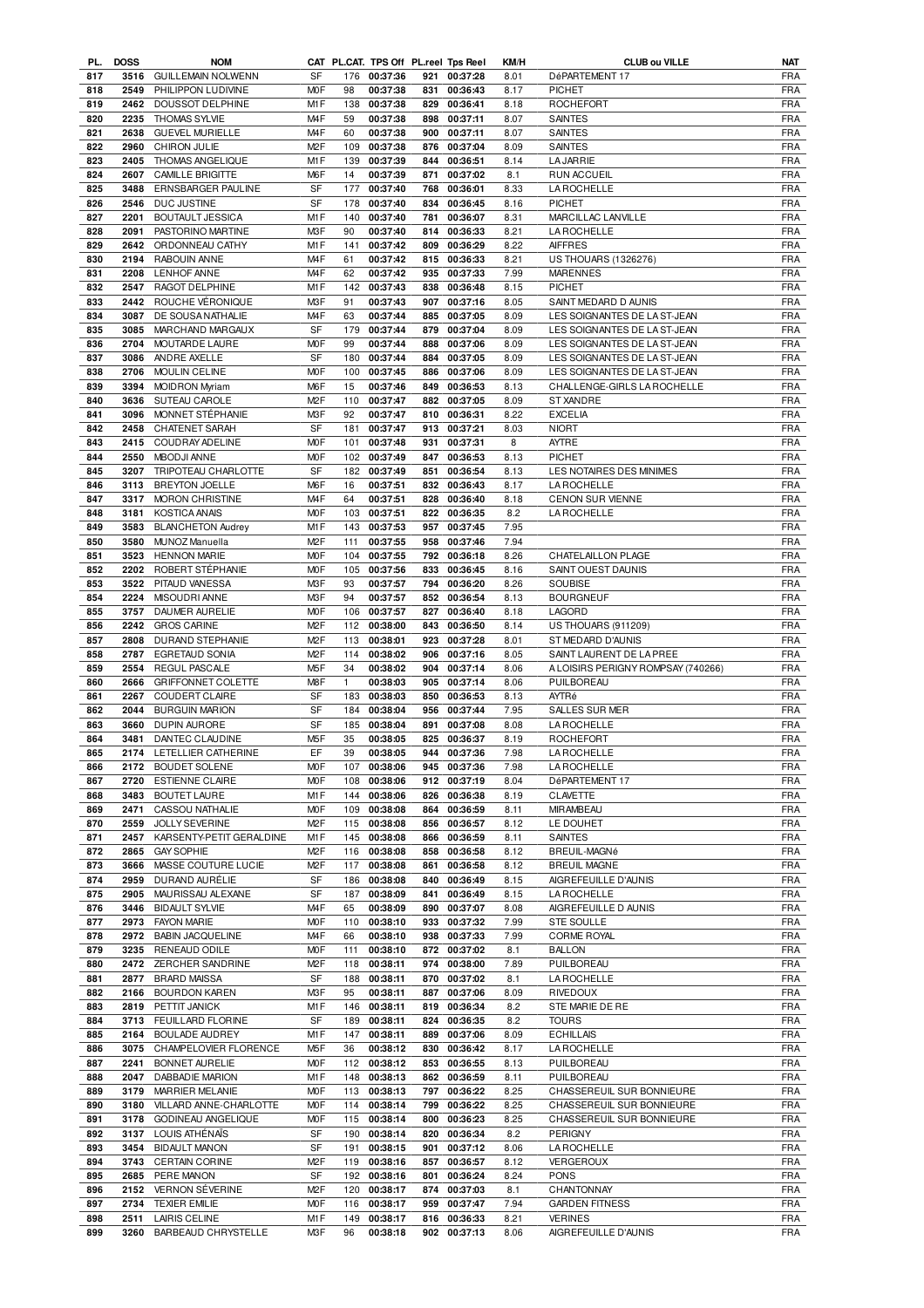| PL.        | <b>DOSS</b>  | <b>NOM</b>                                  |                  |           | CAT PL.CAT. TPS Off PL.reel Tps Reel |     |                              | KM/H         | CLUB ou VILLE                          | NAT               |
|------------|--------------|---------------------------------------------|------------------|-----------|--------------------------------------|-----|------------------------------|--------------|----------------------------------------|-------------------|
| 817        | 3516         | <b>GUILLEMAIN NOLWENN</b>                   | SF               | 176       | 00:37:36                             |     | 921 00:37:28                 | 8.01         | DéPARTEMENT 17                         | <b>FRA</b>        |
| 818        | 2549         | PHILIPPON LUDIVINE                          | M <sub>O</sub> F | 98        | 00:37:38                             | 831 | 00:36:43                     | 8.17         | <b>PICHET</b>                          | <b>FRA</b>        |
| 819        | 2462         | DOUSSOT DELPHINE                            | M1F              | 138       | 00:37:38                             | 829 | 00:36:41                     | 8.18         | ROCHEFORT                              | <b>FRA</b>        |
| 820        | 2235         | <b>THOMAS SYLVIE</b>                        | M <sub>4</sub> F | 59        | 00:37:38                             | 898 | 00:37:11                     | 8.07         | <b>SAINTES</b>                         | <b>FRA</b>        |
| 821        | 2638         | <b>GUEVEL MURIELLE</b>                      | M <sub>4</sub> F | 60        | 00:37:38                             | 900 | 00:37:11                     | 8.07         | <b>SAINTES</b>                         | <b>FRA</b>        |
| 822        | 2960         | <b>CHIRON JULIE</b>                         | M <sub>2</sub> F | 109       | 00:37:38                             | 876 | 00:37:04                     | 8.09         | <b>SAINTES</b>                         | <b>FRA</b>        |
|            |              |                                             |                  |           |                                      |     |                              |              |                                        |                   |
| 823        | 2405         | THOMAS ANGELIQUE                            | M1F              | 139       | 00:37:39                             | 844 | 00:36:51                     | 8.14         | <b>LA JARRIE</b>                       | <b>FRA</b>        |
| 824        | 2607         | <b>CAMILLE BRIGITTE</b>                     | M6F              | 14        | 00:37:39                             | 871 | 00:37:02                     | 8.1          | <b>RUN ACCUEIL</b>                     | <b>FRA</b>        |
| 825        | 3488         | ERNSBARGER PAULINE                          | SF               | 177       | 00:37:40                             | 768 | 00:36:01                     | 8.33         | <b>LA ROCHELLE</b>                     | <b>FRA</b>        |
| 826        | 2546         | DUC JUSTINE                                 | SF               | 178       | 00:37:40                             | 834 | 00:36:45                     | 8.16         | <b>PICHET</b>                          | <b>FRA</b>        |
| 827        | 2201         | <b>BOUTAULT JESSICA</b>                     | M1F              | 140       | 00:37:40                             | 781 | 00:36:07                     | 8.31         | MARCILLAC LANVILLE                     | <b>FRA</b>        |
| 828        | 2091         | PASTORINO MARTINE                           | M3F              | 90        | 00:37:40                             | 814 | 00:36:33                     | 8.21         | <b>LA ROCHELLE</b>                     | <b>FRA</b>        |
| 829        | 2642         | ORDONNEAU CATHY                             | M1F              | 141       | 00:37:42                             | 809 | 00:36:29                     | 8.22         | <b>AIFFRES</b>                         | <b>FRA</b>        |
|            |              |                                             |                  |           |                                      |     |                              |              |                                        |                   |
| 830        | 2194         | RABOUIN ANNE                                | M <sub>4</sub> F | 61        | 00:37:42                             | 815 | 00:36:33                     | 8.21         | <b>US THOUARS (1326276)</b>            | <b>FRA</b>        |
| 831        | 2208         | <b>LENHOF ANNE</b>                          | M <sub>4</sub> F | 62        | 00:37:42                             |     | 935 00:37:33                 | 7.99         | <b>MARENNES</b>                        | <b>FRA</b>        |
| 832        | 2547         | RAGOT DELPHINE                              | M1F              | 142       | 00:37:43                             | 838 | 00:36:48                     | 8.15         | <b>PICHET</b>                          | <b>FRA</b>        |
| 833        | 2442         | ROUCHE VÉRONIQUE                            | M3F              | 91        | 00:37:43                             |     | 907 00:37:16                 | 8.05         | SAINT MEDARD D AUNIS                   | <b>FRA</b>        |
| 834        | 3087         | DE SOUSA NATHALIE                           | M <sub>4</sub> F | 63        | 00:37:44                             | 885 | 00:37:05                     | 8.09         | LES SOIGNANTES DE LA ST-JEAN           | <b>FRA</b>        |
| 835        | 3085         | MARCHAND MARGAUX                            | SF               | 179       | 00:37:44                             |     | 879 00:37:04                 | 8.09         | LES SOIGNANTES DE LA ST-JEAN           | <b>FRA</b>        |
| 836        | 2704         | MOUTARDE LAURE                              | M <sub>O</sub> F | 99        | 00:37:44                             | 888 | 00:37:06                     | 8.09         | LES SOIGNANTES DE LA ST-JEAN           | <b>FRA</b>        |
| 837        | 3086         | ANDRE AXELLE                                | <b>SF</b>        | 180       | 00:37:44                             | 884 | 00:37:05                     | 8.09         | LES SOIGNANTES DE LA ST-JEAN           | <b>FRA</b>        |
| 838        | 2706         | <b>MOULIN CELINE</b>                        | M <sub>O</sub> F | 100       | 00:37:45                             | 886 | 00:37:06                     | 8.09         | LES SOIGNANTES DE LA ST-JEAN           | <b>FRA</b>        |
|            |              |                                             |                  |           |                                      |     |                              |              |                                        |                   |
| 839        | 3394         | <b>MOIDRON Myriam</b>                       | M <sub>6</sub> F | 15        | 00:37:46                             |     | 849 00:36:53                 | 8.13         | CHALLENGE-GIRLS LA ROCHELLE            | <b>FRA</b>        |
| 840        | 3636         | SUTEAU CAROLE                               | M <sub>2</sub> F | 110       | 00:37:47                             |     | 882 00:37:05                 | 8.09         | <b>ST XANDRE</b>                       | <b>FRA</b>        |
| 841        | 3096         | MONNET STEPHANIE                            | M3F              | 92        | 00:37:47                             |     | 810 00:36:31                 | 8.22         | <b>EXCELIA</b>                         | <b>FRA</b>        |
| 842        | 2458         | CHATENET SARAH                              | <b>SF</b>        | 181       | 00:37:47                             |     | 913 00:37:21                 | 8.03         | <b>NIORT</b>                           | <b>FRA</b>        |
| 843        | 2415         | COUDRAY ADELINE                             | <b>MOF</b>       | 101       | 00:37:48                             | 931 | 00:37:31                     | 8            | AYTRE                                  | <b>FRA</b>        |
| 844        | 2550         | <b>MBODJI ANNE</b>                          | <b>MOF</b>       | 102       | 00:37:49                             |     | 847 00:36:53                 | 8.13         | <b>PICHET</b>                          | FRA               |
| 845        | 3207         | TRIPOTEAU CHARLOTTE                         | SF               | 182       | 00:37:49                             | 851 | 00:36:54                     | 8.13         | LES NOTAIRES DES MINIMES               | <b>FRA</b>        |
| 846        | 3113         | <b>BREYTON JOELLE</b>                       | M <sub>6</sub> F | 16        | 00:37:51                             |     | 832 00:36:43                 | 8.17         | <b>LA ROCHELLE</b>                     | <b>FRA</b>        |
| 847        | 3317         | <b>MORON CHRISTINE</b>                      | M <sub>4</sub> F | 64        | 00:37:51                             | 828 | 00:36:40                     | 8.18         | <b>CENON SUR VIENNE</b>                | <b>FRA</b>        |
| 848        | 3181         | <b>KOSTICA ANAIS</b>                        | <b>MOF</b>       | 103       | 00:37:51                             | 822 | 00:36:35                     | 8.2          | <b>LA ROCHELLE</b>                     | <b>FRA</b>        |
|            |              |                                             |                  |           |                                      |     |                              |              |                                        |                   |
| 849        | 3583         | <b>BLANCHETON Audrey</b>                    | M1F              | 143       | 00:37:53                             |     | 957 00:37:45                 | 7.95         |                                        | <b>FRA</b>        |
| 850        | 3580         | MUNOZ Manuella                              | M <sub>2</sub> F | 111       | 00:37:55                             | 958 | 00:37:46                     | 7.94         |                                        | <b>FRA</b>        |
| 851        | 3523         | <b>HENNON MARIE</b>                         | <b>MOF</b>       | 104       | 00:37:55                             | 792 | 00:36:18                     | 8.26         | CHATELAILLON PLAGE                     | <b>FRA</b>        |
| 852        | 2202         | ROBERT STÉPHANIE                            | M <sub>O</sub> F | 105       | 00:37:56                             |     | 833 00:36:45                 | 8.16         | SAINT OUEST DAUNIS                     | <b>FRA</b>        |
| 853        | 3522         | PITAUD VANESSA                              | M3F              | 93        | 00:37:57                             |     | 794 00:36:20                 | 8.26         | SOUBISE                                | <b>FRA</b>        |
| 854        | 2224         | MISOUDRI ANNE                               | M3F              | 94        | 00:37:57                             |     | 852 00:36:54                 | 8.13         | <b>BOURGNEUF</b>                       | <b>FRA</b>        |
| 855        | 3757         | DAUMER AURELIE                              | M <sub>O</sub> F | 106       | 00:37:57                             | 827 | 00:36:40                     | 8.18         | <b>LAGORD</b>                          | <b>FRA</b>        |
| 856        | 2242         | <b>GROS CARINE</b>                          | M <sub>2</sub> F | 112       | 00:38:00                             | 843 | 00:36:50                     | 8.14         | <b>US THOUARS (911209)</b>             | <b>FRA</b>        |
| 857        | 2808         | DURAND STEPHANIE                            | M <sub>2</sub> F | 113       | 00:38:01                             | 923 | 00:37:28                     | 8.01         | ST MEDARD D'AUNIS                      | <b>FRA</b>        |
|            | 2787         | EGRETAUD SONIA                              | M <sub>2</sub> F |           |                                      |     |                              |              |                                        |                   |
| 858        |              |                                             |                  | 114       | 00:38:02                             | 906 | 00:37:16                     | 8.05         | SAINT LAURENT DE LA PREE               | FRA               |
| 859        | 2554         | <b>REGUL PASCALE</b>                        | M <sub>5</sub> F | 34        | 00:38:02                             | 904 | 00:37:14                     | 8.06         | A LOISIRS PERIGNY ROMPSAY (740266)     | <b>FRA</b>        |
| 860        | 2666         | <b>GRIFFONNET COLETTE</b>                   | M8F              | 1         | 00:38:03                             | 905 | 00:37:14                     | 8.06         | PUILBOREAU                             | <b>FRA</b>        |
| 861        | 2267         | <b>COUDERT CLAIRE</b>                       | SF               | 183       | 00:38:03                             | 850 | 00:36:53                     | 8.13         | AYTRé                                  | <b>FRA</b>        |
| 862        | 2044         | <b>BURGUIN MARION</b>                       | <b>SF</b>        | 184       | 00:38:04                             |     | 956 00:37:44                 | 7.95         | SALLES SUR MER                         | <b>FRA</b>        |
| 863        | 3660         |                                             | <b>SF</b>        | 185       |                                      | 891 |                              |              |                                        |                   |
|            |              | DUPIN AURORE                                |                  |           | 00:38:04                             |     | 00:37:08                     | 8.08         | <b>LA ROCHELLE</b>                     | <b>FRA</b>        |
| 864        | 3481         | DANTEC CLAUDINE                             | M <sub>5</sub> F | 35        | 00:38:05                             |     | 825 00:36:37                 | 8.19         | <b>ROCHEFORT</b>                       | <b>FRA</b>        |
| 865        | 2174         | LETELLIER CATHERINE                         | EF               | 39        | 00:38:05                             |     | 944 00:37:36                 | 7.98         | <b>LA ROCHELLE</b>                     | <b>FRA</b>        |
| 866        |              | 2172 BOUDET SOLENE                          | <b>MOF</b>       |           | 107 00:38:06                         |     | 945 00:37:36                 | 7.98         | <b>LA ROCHELLE</b>                     | <b>FRA</b>        |
| 867        | 2720         | <b>ESTIENNE CLAIRE</b>                      | <b>MOF</b>       | 108       | 00:38:06                             |     | 912 00:37:19                 | 8.04         | DéPARTEMENT 17                         | FRA               |
| 868        | 3483         | <b>BOUTET LAURE</b>                         | M1F              |           | 144 00:38:06                         |     | 826 00:36:38                 | 8.19         | CLAVETTE                               | <b>FRA</b>        |
| 869        | 2471         | CASSOU NATHALIE                             | <b>MOF</b>       | 109       | 00:38:08                             |     | 864 00:36:59                 | 8.11         | <b>MIRAMBEAU</b>                       | <b>FRA</b>        |
| 870        | 2559         | <b>JOLLY SEVERINE</b>                       | M <sub>2</sub> F |           | 115 00:38:08                         |     | 856 00:36:57                 | 8.12         | LE DOUHET                              | <b>FRA</b>        |
| 871        | 2457         | KARSENTY-PETIT GERALDINE                    | M1F              | 145       | 00:38:08                             | 866 | 00:36:59                     | 8.11         | <b>SAINTES</b>                         | <b>FRA</b>        |
| 872        | 2865         | <b>GAY SOPHIE</b>                           | M <sub>2</sub> F | 116       | 00:38:08                             | 858 | 00:36:58                     | 8.12         | BREUIL-MAGNé                           | <b>FRA</b>        |
| 873        | 3666         | MASSE COUTURE LUCIE                         | M <sub>2</sub> F | 117       | 00:38:08                             | 861 | 00:36:58                     | 8.12         | <b>BREUIL MAGNE</b>                    | <b>FRA</b>        |
| 874        | 2959         | DURAND AURÉLIE                              | SF               | 186       | 00:38:08                             | 840 | 00:36:49                     | 8.15         | AIGREFEUILLE D'AUNIS                   | <b>FRA</b>        |
| 875        | 2905         | MAURISSAU ALEXANE                           | SF               | 187       | 00:38:09                             | 841 | 00:36:49                     | 8.15         | <b>LA ROCHELLE</b>                     | <b>FRA</b>        |
| 876        | 3446         | <b>BIDAULT SYLVIE</b>                       | M4F              | 65        | 00:38:09                             | 890 | 00:37:07                     | 8.08         | AIGREFEUILLE D AUNIS                   | <b>FRA</b>        |
|            |              |                                             |                  |           |                                      |     |                              |              |                                        |                   |
| 877        | 2973         | <b>FAYON MARIE</b>                          | <b>MOF</b>       | 110       | 00:38:10                             |     | 933 00:37:32                 | 7.99         | <b>STE SOULLE</b>                      | <b>FRA</b>        |
| 878        | 2972         | <b>BABIN JACQUELINE</b>                     | M4F              | 66        | 00:38:10                             |     | 938 00:37:33                 | 7.99         | <b>CORME ROYAL</b>                     | <b>FRA</b>        |
| 879        | 3235         | RENEAUD ODILE                               | <b>MOF</b>       | 111       | 00:38:10                             |     | 872 00:37:02                 | 8.1          | <b>BALLON</b>                          | <b>FRA</b>        |
| 880        | 2472         | <b>ZERCHER SANDRINE</b>                     | M <sub>2</sub> F | 118       | 00:38:11                             |     | 974 00:38:00                 | 7.89         | PUILBOREAU                             | <b>FRA</b>        |
| 881        | 2877         | <b>BRARD MAISSA</b>                         | SF               | 188       | 00:38:11                             |     | 870 00:37:02                 | 8.1          | <b>LAROCHELLE</b>                      | <b>FRA</b>        |
| 882        | 2166         | <b>BOURDON KAREN</b>                        | M3F              | 95        | 00:38:11                             |     | 887 00:37:06                 | 8.09         | <b>RIVEDOUX</b>                        | <b>FRA</b>        |
| 883        | 2819         | PETTIT JANICK                               | M1F              | 146       | 00:38:11                             |     | 819 00:36:34                 | 8.2          | STE MARIE DE RE                        | <b>FRA</b>        |
| 884        | 3713         | FEUILLARD FLORINE                           | SF               | 189       | 00:38:11                             | 824 | 00:36:35                     | 8.2          | <b>TOURS</b>                           | <b>FRA</b>        |
| 885        | 2164         | BOULADE AUDREY                              | M1F              | 147       | 00:38:11                             |     | 889 00:37:06                 | 8.09         | <b>ECHILLAIS</b>                       | <b>FRA</b>        |
| 886        | 3075         | CHAMPELOVIER FLORENCE                       | M <sub>5</sub> F | 36        | 00:38:12                             | 830 | 00:36:42                     | 8.17         | <b>LA ROCHELLE</b>                     | <b>FRA</b>        |
| 887        | 2241         | BONNET AURELIE                              | <b>MOF</b>       | 112       | 00:38:12                             |     | 853 00:36:55                 | 8.13         | PUILBOREAU                             | FRA               |
| 888        | 2047         |                                             |                  |           |                                      | 862 |                              |              |                                        |                   |
|            |              | DABBADIE MARION                             | M1F              | 148       | 00:38:13                             |     | 00:36:59                     | 8.11         | PUILBOREAU                             | <b>FRA</b>        |
| 889        | 3179         | MARRIER MELANIE                             | <b>MOF</b>       | 113       | 00:38:13                             |     | 797 00:36:22                 | 8.25         | CHASSEREUIL SUR BONNIEURE              | <b>FRA</b>        |
| 890        | 3180         | VILLARD ANNE-CHARLOTTE                      | <b>MOF</b>       | 114       | 00:38:14                             | 799 | 00:36:22                     | 8.25         | CHASSEREUIL SUR BONNIEURE              | <b>FRA</b>        |
| 891        | 3178         | GODINEAU ANGELIQUE                          | <b>MOF</b>       | 115       | 00:38:14                             | 800 | 00:36:23                     | 8.25         | CHASSEREUIL SUR BONNIEURE              | <b>FRA</b>        |
| 892        | 3137         | LOUIS ATHÉNAÏS                              | SF               | 190       | 00:38:14                             | 820 | 00:36:34                     | 8.2          | PERIGNY                                | <b>FRA</b>        |
| 893        | 3454         | <b>BIDAULT MANON</b>                        | SF               | 191       | 00:38:15                             |     | 901 00:37:12                 | 8.06         | LA ROCHELLE                            | <b>FRA</b>        |
| 894        | 3743         | <b>CERTAIN CORINE</b>                       | M <sub>2</sub> F | 119       | 00:38:16                             | 857 | 00:36:57                     | 8.12         | VERGEROUX                              | <b>FRA</b>        |
| 895        | 2685         | PERE MANON                                  | SF               | 192       | 00:38:16                             | 801 | 00:36:24                     | 8.24         | <b>PONS</b>                            | <b>FRA</b>        |
| 896        | 2152         | VERNON SÉVERINE                             | M <sub>2</sub> F | 120       | 00:38:17                             | 874 | 00:37:03                     | 8.1          | CHANTONNAY                             | <b>FRA</b>        |
| 897        | 2734         | <b>TEXIER EMILIE</b>                        | <b>MOF</b>       | 116       | 00:38:17                             | 959 | 00:37:47                     | 7.94         | <b>GARDEN FITNESS</b>                  | <b>FRA</b>        |
| 898<br>899 | 2511<br>3260 | <b>LAIRIS CELINE</b><br>BARBEAUD CHRYSTELLE | M1F<br>M3F       | 149<br>96 | 00:38:17<br>00:38:18                 |     | 816 00:36:33<br>902 00:37:13 | 8.21<br>8.06 | <b>VERINES</b><br>AIGREFEUILLE D'AUNIS | FRA<br><b>FRA</b> |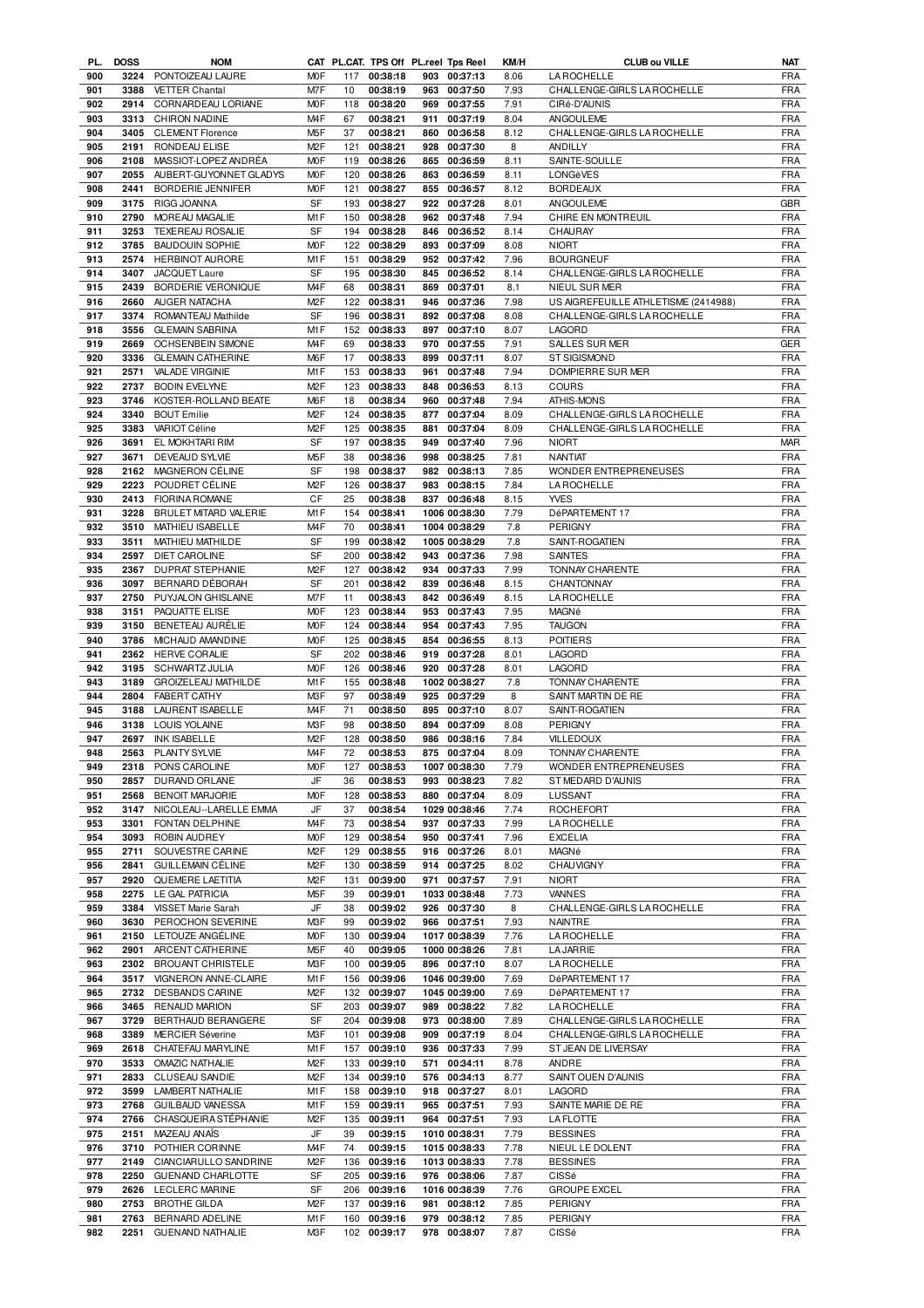| <b>DOSS</b><br>PL. | <b>NOM</b>                                                                                                                                                                                                                                           |                                                                                                                                                                                                                                                                                                                                                                                                                                                                                                                                                                                                                                                                                                                                                                 |                                                                                                                                                                                                                                                                                                                                                                                              | CAT PL.CAT. TPS Off PL.reel Tps Reel                                                                                                                                                           |                                                                                                                                                                                                                                                                                                                                                                                                                                                                |                                                                           | KM/H                                                                                                                                                                                                                                                                                                                                                                                                                                                                                                                                                                                                                                                                                                                                                                                       | <b>CLUB ou VILLE</b>                                                                                                                                                                                                    | <b>NAT</b>                                                                                                                                                                                                                                                                                                                                                                                                                                                                                                                                                                                             |
|--------------------|------------------------------------------------------------------------------------------------------------------------------------------------------------------------------------------------------------------------------------------------------|-----------------------------------------------------------------------------------------------------------------------------------------------------------------------------------------------------------------------------------------------------------------------------------------------------------------------------------------------------------------------------------------------------------------------------------------------------------------------------------------------------------------------------------------------------------------------------------------------------------------------------------------------------------------------------------------------------------------------------------------------------------------|----------------------------------------------------------------------------------------------------------------------------------------------------------------------------------------------------------------------------------------------------------------------------------------------------------------------------------------------------------------------------------------------|------------------------------------------------------------------------------------------------------------------------------------------------------------------------------------------------|----------------------------------------------------------------------------------------------------------------------------------------------------------------------------------------------------------------------------------------------------------------------------------------------------------------------------------------------------------------------------------------------------------------------------------------------------------------|---------------------------------------------------------------------------|--------------------------------------------------------------------------------------------------------------------------------------------------------------------------------------------------------------------------------------------------------------------------------------------------------------------------------------------------------------------------------------------------------------------------------------------------------------------------------------------------------------------------------------------------------------------------------------------------------------------------------------------------------------------------------------------------------------------------------------------------------------------------------------------|-------------------------------------------------------------------------------------------------------------------------------------------------------------------------------------------------------------------------|--------------------------------------------------------------------------------------------------------------------------------------------------------------------------------------------------------------------------------------------------------------------------------------------------------------------------------------------------------------------------------------------------------------------------------------------------------------------------------------------------------------------------------------------------------------------------------------------------------|
| 3224               | PONTOIZEAU LAURE                                                                                                                                                                                                                                     | <b>MOF</b>                                                                                                                                                                                                                                                                                                                                                                                                                                                                                                                                                                                                                                                                                                                                                      |                                                                                                                                                                                                                                                                                                                                                                                              | 117 00:38:18                                                                                                                                                                                   |                                                                                                                                                                                                                                                                                                                                                                                                                                                                | 903 00:37:13                                                              | 8.06                                                                                                                                                                                                                                                                                                                                                                                                                                                                                                                                                                                                                                                                                                                                                                                       | <b>LA ROCHELLE</b>                                                                                                                                                                                                      | <b>FRA</b>                                                                                                                                                                                                                                                                                                                                                                                                                                                                                                                                                                                             |
| 3388               | <b>VETTER Chantal</b>                                                                                                                                                                                                                                |                                                                                                                                                                                                                                                                                                                                                                                                                                                                                                                                                                                                                                                                                                                                                                 | 10                                                                                                                                                                                                                                                                                                                                                                                           | 00:38:19                                                                                                                                                                                       |                                                                                                                                                                                                                                                                                                                                                                                                                                                                |                                                                           | 7.93                                                                                                                                                                                                                                                                                                                                                                                                                                                                                                                                                                                                                                                                                                                                                                                       |                                                                                                                                                                                                                         | <b>FRA</b>                                                                                                                                                                                                                                                                                                                                                                                                                                                                                                                                                                                             |
| 2914               | CORNARDEAU LORIANE                                                                                                                                                                                                                                   | <b>MOF</b>                                                                                                                                                                                                                                                                                                                                                                                                                                                                                                                                                                                                                                                                                                                                                      | 118                                                                                                                                                                                                                                                                                                                                                                                          |                                                                                                                                                                                                |                                                                                                                                                                                                                                                                                                                                                                                                                                                                |                                                                           | 7.91                                                                                                                                                                                                                                                                                                                                                                                                                                                                                                                                                                                                                                                                                                                                                                                       | CIRé-D'AUNIS                                                                                                                                                                                                            | <b>FRA</b>                                                                                                                                                                                                                                                                                                                                                                                                                                                                                                                                                                                             |
| 3313               | CHIRON NADINE                                                                                                                                                                                                                                        | M <sub>4</sub> F                                                                                                                                                                                                                                                                                                                                                                                                                                                                                                                                                                                                                                                                                                                                                | 67                                                                                                                                                                                                                                                                                                                                                                                           | 00:38:21                                                                                                                                                                                       | 911                                                                                                                                                                                                                                                                                                                                                                                                                                                            |                                                                           | 8.04                                                                                                                                                                                                                                                                                                                                                                                                                                                                                                                                                                                                                                                                                                                                                                                       | ANGOULEME                                                                                                                                                                                                               | <b>FRA</b>                                                                                                                                                                                                                                                                                                                                                                                                                                                                                                                                                                                             |
| 3405               | <b>CLEMENT Florence</b>                                                                                                                                                                                                                              | M <sub>5</sub> F                                                                                                                                                                                                                                                                                                                                                                                                                                                                                                                                                                                                                                                                                                                                                | 37                                                                                                                                                                                                                                                                                                                                                                                           | 00:38:21                                                                                                                                                                                       |                                                                                                                                                                                                                                                                                                                                                                                                                                                                |                                                                           | 8.12                                                                                                                                                                                                                                                                                                                                                                                                                                                                                                                                                                                                                                                                                                                                                                                       | CHALLENGE-GIRLS LA ROCHELLE                                                                                                                                                                                             | <b>FRA</b>                                                                                                                                                                                                                                                                                                                                                                                                                                                                                                                                                                                             |
| 2191               | RONDEAU ELISE                                                                                                                                                                                                                                        | M <sub>2</sub> F                                                                                                                                                                                                                                                                                                                                                                                                                                                                                                                                                                                                                                                                                                                                                | 121                                                                                                                                                                                                                                                                                                                                                                                          | 00:38:21                                                                                                                                                                                       | 928                                                                                                                                                                                                                                                                                                                                                                                                                                                            |                                                                           | 8                                                                                                                                                                                                                                                                                                                                                                                                                                                                                                                                                                                                                                                                                                                                                                                          | ANDILLY                                                                                                                                                                                                                 | <b>FRA</b>                                                                                                                                                                                                                                                                                                                                                                                                                                                                                                                                                                                             |
| 2108               | MASSIOT-LOPEZ ANDRÉA                                                                                                                                                                                                                                 | <b>MOF</b>                                                                                                                                                                                                                                                                                                                                                                                                                                                                                                                                                                                                                                                                                                                                                      | 119                                                                                                                                                                                                                                                                                                                                                                                          | 00:38:26                                                                                                                                                                                       | 865                                                                                                                                                                                                                                                                                                                                                                                                                                                            |                                                                           | 8.11                                                                                                                                                                                                                                                                                                                                                                                                                                                                                                                                                                                                                                                                                                                                                                                       | SAINTE-SOULLE                                                                                                                                                                                                           | <b>FRA</b>                                                                                                                                                                                                                                                                                                                                                                                                                                                                                                                                                                                             |
|                    |                                                                                                                                                                                                                                                      |                                                                                                                                                                                                                                                                                                                                                                                                                                                                                                                                                                                                                                                                                                                                                                 |                                                                                                                                                                                                                                                                                                                                                                                              |                                                                                                                                                                                                |                                                                                                                                                                                                                                                                                                                                                                                                                                                                |                                                                           |                                                                                                                                                                                                                                                                                                                                                                                                                                                                                                                                                                                                                                                                                                                                                                                            |                                                                                                                                                                                                                         | <b>FRA</b>                                                                                                                                                                                                                                                                                                                                                                                                                                                                                                                                                                                             |
|                    |                                                                                                                                                                                                                                                      |                                                                                                                                                                                                                                                                                                                                                                                                                                                                                                                                                                                                                                                                                                                                                                 |                                                                                                                                                                                                                                                                                                                                                                                              |                                                                                                                                                                                                |                                                                                                                                                                                                                                                                                                                                                                                                                                                                |                                                                           |                                                                                                                                                                                                                                                                                                                                                                                                                                                                                                                                                                                                                                                                                                                                                                                            |                                                                                                                                                                                                                         | <b>FRA</b>                                                                                                                                                                                                                                                                                                                                                                                                                                                                                                                                                                                             |
|                    |                                                                                                                                                                                                                                                      |                                                                                                                                                                                                                                                                                                                                                                                                                                                                                                                                                                                                                                                                                                                                                                 |                                                                                                                                                                                                                                                                                                                                                                                              |                                                                                                                                                                                                |                                                                                                                                                                                                                                                                                                                                                                                                                                                                |                                                                           |                                                                                                                                                                                                                                                                                                                                                                                                                                                                                                                                                                                                                                                                                                                                                                                            |                                                                                                                                                                                                                         | <b>GBR</b>                                                                                                                                                                                                                                                                                                                                                                                                                                                                                                                                                                                             |
|                    |                                                                                                                                                                                                                                                      |                                                                                                                                                                                                                                                                                                                                                                                                                                                                                                                                                                                                                                                                                                                                                                 |                                                                                                                                                                                                                                                                                                                                                                                              |                                                                                                                                                                                                |                                                                                                                                                                                                                                                                                                                                                                                                                                                                |                                                                           |                                                                                                                                                                                                                                                                                                                                                                                                                                                                                                                                                                                                                                                                                                                                                                                            |                                                                                                                                                                                                                         | <b>FRA</b>                                                                                                                                                                                                                                                                                                                                                                                                                                                                                                                                                                                             |
|                    |                                                                                                                                                                                                                                                      |                                                                                                                                                                                                                                                                                                                                                                                                                                                                                                                                                                                                                                                                                                                                                                 |                                                                                                                                                                                                                                                                                                                                                                                              |                                                                                                                                                                                                |                                                                                                                                                                                                                                                                                                                                                                                                                                                                |                                                                           |                                                                                                                                                                                                                                                                                                                                                                                                                                                                                                                                                                                                                                                                                                                                                                                            |                                                                                                                                                                                                                         | <b>FRA</b>                                                                                                                                                                                                                                                                                                                                                                                                                                                                                                                                                                                             |
|                    |                                                                                                                                                                                                                                                      |                                                                                                                                                                                                                                                                                                                                                                                                                                                                                                                                                                                                                                                                                                                                                                 |                                                                                                                                                                                                                                                                                                                                                                                              |                                                                                                                                                                                                |                                                                                                                                                                                                                                                                                                                                                                                                                                                                |                                                                           |                                                                                                                                                                                                                                                                                                                                                                                                                                                                                                                                                                                                                                                                                                                                                                                            |                                                                                                                                                                                                                         |                                                                                                                                                                                                                                                                                                                                                                                                                                                                                                                                                                                                        |
|                    |                                                                                                                                                                                                                                                      |                                                                                                                                                                                                                                                                                                                                                                                                                                                                                                                                                                                                                                                                                                                                                                 |                                                                                                                                                                                                                                                                                                                                                                                              |                                                                                                                                                                                                |                                                                                                                                                                                                                                                                                                                                                                                                                                                                |                                                                           |                                                                                                                                                                                                                                                                                                                                                                                                                                                                                                                                                                                                                                                                                                                                                                                            |                                                                                                                                                                                                                         | <b>FRA</b>                                                                                                                                                                                                                                                                                                                                                                                                                                                                                                                                                                                             |
|                    |                                                                                                                                                                                                                                                      |                                                                                                                                                                                                                                                                                                                                                                                                                                                                                                                                                                                                                                                                                                                                                                 |                                                                                                                                                                                                                                                                                                                                                                                              |                                                                                                                                                                                                |                                                                                                                                                                                                                                                                                                                                                                                                                                                                |                                                                           |                                                                                                                                                                                                                                                                                                                                                                                                                                                                                                                                                                                                                                                                                                                                                                                            |                                                                                                                                                                                                                         | <b>FRA</b>                                                                                                                                                                                                                                                                                                                                                                                                                                                                                                                                                                                             |
|                    |                                                                                                                                                                                                                                                      |                                                                                                                                                                                                                                                                                                                                                                                                                                                                                                                                                                                                                                                                                                                                                                 |                                                                                                                                                                                                                                                                                                                                                                                              |                                                                                                                                                                                                |                                                                                                                                                                                                                                                                                                                                                                                                                                                                |                                                                           |                                                                                                                                                                                                                                                                                                                                                                                                                                                                                                                                                                                                                                                                                                                                                                                            |                                                                                                                                                                                                                         | <b>FRA</b>                                                                                                                                                                                                                                                                                                                                                                                                                                                                                                                                                                                             |
|                    |                                                                                                                                                                                                                                                      |                                                                                                                                                                                                                                                                                                                                                                                                                                                                                                                                                                                                                                                                                                                                                                 |                                                                                                                                                                                                                                                                                                                                                                                              |                                                                                                                                                                                                |                                                                                                                                                                                                                                                                                                                                                                                                                                                                |                                                                           |                                                                                                                                                                                                                                                                                                                                                                                                                                                                                                                                                                                                                                                                                                                                                                                            |                                                                                                                                                                                                                         | <b>FRA</b>                                                                                                                                                                                                                                                                                                                                                                                                                                                                                                                                                                                             |
|                    |                                                                                                                                                                                                                                                      |                                                                                                                                                                                                                                                                                                                                                                                                                                                                                                                                                                                                                                                                                                                                                                 |                                                                                                                                                                                                                                                                                                                                                                                              |                                                                                                                                                                                                |                                                                                                                                                                                                                                                                                                                                                                                                                                                                |                                                                           | 7.98                                                                                                                                                                                                                                                                                                                                                                                                                                                                                                                                                                                                                                                                                                                                                                                       |                                                                                                                                                                                                                         | <b>FRA</b>                                                                                                                                                                                                                                                                                                                                                                                                                                                                                                                                                                                             |
| 3374               | ROMANTEAU Mathilde                                                                                                                                                                                                                                   | <b>SF</b>                                                                                                                                                                                                                                                                                                                                                                                                                                                                                                                                                                                                                                                                                                                                                       | 196                                                                                                                                                                                                                                                                                                                                                                                          |                                                                                                                                                                                                |                                                                                                                                                                                                                                                                                                                                                                                                                                                                |                                                                           | 8.08                                                                                                                                                                                                                                                                                                                                                                                                                                                                                                                                                                                                                                                                                                                                                                                       | CHALLENGE-GIRLS LA ROCHELLE                                                                                                                                                                                             | <b>FRA</b>                                                                                                                                                                                                                                                                                                                                                                                                                                                                                                                                                                                             |
| 3556               | <b>GLEMAIN SABRINA</b>                                                                                                                                                                                                                               | M <sub>1</sub> F                                                                                                                                                                                                                                                                                                                                                                                                                                                                                                                                                                                                                                                                                                                                                | 152                                                                                                                                                                                                                                                                                                                                                                                          | 00:38:33                                                                                                                                                                                       | 897                                                                                                                                                                                                                                                                                                                                                                                                                                                            |                                                                           | 8.07                                                                                                                                                                                                                                                                                                                                                                                                                                                                                                                                                                                                                                                                                                                                                                                       | <b>LAGORD</b>                                                                                                                                                                                                           | <b>FRA</b>                                                                                                                                                                                                                                                                                                                                                                                                                                                                                                                                                                                             |
| 2669               | <b>OCHSENBEIN SIMONE</b>                                                                                                                                                                                                                             | M <sub>4</sub> F                                                                                                                                                                                                                                                                                                                                                                                                                                                                                                                                                                                                                                                                                                                                                | 69                                                                                                                                                                                                                                                                                                                                                                                           | 00:38:33                                                                                                                                                                                       | 970                                                                                                                                                                                                                                                                                                                                                                                                                                                            |                                                                           | 7.91                                                                                                                                                                                                                                                                                                                                                                                                                                                                                                                                                                                                                                                                                                                                                                                       | <b>SALLES SUR MER</b>                                                                                                                                                                                                   | <b>GER</b>                                                                                                                                                                                                                                                                                                                                                                                                                                                                                                                                                                                             |
| 3336               | <b>GLEMAIN CATHERINE</b>                                                                                                                                                                                                                             | M6F                                                                                                                                                                                                                                                                                                                                                                                                                                                                                                                                                                                                                                                                                                                                                             | 17                                                                                                                                                                                                                                                                                                                                                                                           | 00:38:33                                                                                                                                                                                       | 899                                                                                                                                                                                                                                                                                                                                                                                                                                                            |                                                                           | 8.07                                                                                                                                                                                                                                                                                                                                                                                                                                                                                                                                                                                                                                                                                                                                                                                       | <b>ST SIGISMOND</b>                                                                                                                                                                                                     | <b>FRA</b>                                                                                                                                                                                                                                                                                                                                                                                                                                                                                                                                                                                             |
| 2571               |                                                                                                                                                                                                                                                      | M1F                                                                                                                                                                                                                                                                                                                                                                                                                                                                                                                                                                                                                                                                                                                                                             | 153                                                                                                                                                                                                                                                                                                                                                                                          |                                                                                                                                                                                                | 961                                                                                                                                                                                                                                                                                                                                                                                                                                                            |                                                                           | 7.94                                                                                                                                                                                                                                                                                                                                                                                                                                                                                                                                                                                                                                                                                                                                                                                       | DOMPIERRE SUR MER                                                                                                                                                                                                       | <b>FRA</b>                                                                                                                                                                                                                                                                                                                                                                                                                                                                                                                                                                                             |
|                    |                                                                                                                                                                                                                                                      |                                                                                                                                                                                                                                                                                                                                                                                                                                                                                                                                                                                                                                                                                                                                                                 |                                                                                                                                                                                                                                                                                                                                                                                              |                                                                                                                                                                                                |                                                                                                                                                                                                                                                                                                                                                                                                                                                                |                                                                           |                                                                                                                                                                                                                                                                                                                                                                                                                                                                                                                                                                                                                                                                                                                                                                                            |                                                                                                                                                                                                                         | <b>FRA</b>                                                                                                                                                                                                                                                                                                                                                                                                                                                                                                                                                                                             |
|                    |                                                                                                                                                                                                                                                      |                                                                                                                                                                                                                                                                                                                                                                                                                                                                                                                                                                                                                                                                                                                                                                 |                                                                                                                                                                                                                                                                                                                                                                                              |                                                                                                                                                                                                |                                                                                                                                                                                                                                                                                                                                                                                                                                                                |                                                                           |                                                                                                                                                                                                                                                                                                                                                                                                                                                                                                                                                                                                                                                                                                                                                                                            |                                                                                                                                                                                                                         | <b>FRA</b>                                                                                                                                                                                                                                                                                                                                                                                                                                                                                                                                                                                             |
|                    |                                                                                                                                                                                                                                                      |                                                                                                                                                                                                                                                                                                                                                                                                                                                                                                                                                                                                                                                                                                                                                                 |                                                                                                                                                                                                                                                                                                                                                                                              |                                                                                                                                                                                                |                                                                                                                                                                                                                                                                                                                                                                                                                                                                |                                                                           |                                                                                                                                                                                                                                                                                                                                                                                                                                                                                                                                                                                                                                                                                                                                                                                            |                                                                                                                                                                                                                         | <b>FRA</b>                                                                                                                                                                                                                                                                                                                                                                                                                                                                                                                                                                                             |
|                    |                                                                                                                                                                                                                                                      |                                                                                                                                                                                                                                                                                                                                                                                                                                                                                                                                                                                                                                                                                                                                                                 |                                                                                                                                                                                                                                                                                                                                                                                              |                                                                                                                                                                                                |                                                                                                                                                                                                                                                                                                                                                                                                                                                                |                                                                           |                                                                                                                                                                                                                                                                                                                                                                                                                                                                                                                                                                                                                                                                                                                                                                                            |                                                                                                                                                                                                                         | <b>FRA</b>                                                                                                                                                                                                                                                                                                                                                                                                                                                                                                                                                                                             |
|                    |                                                                                                                                                                                                                                                      |                                                                                                                                                                                                                                                                                                                                                                                                                                                                                                                                                                                                                                                                                                                                                                 |                                                                                                                                                                                                                                                                                                                                                                                              |                                                                                                                                                                                                |                                                                                                                                                                                                                                                                                                                                                                                                                                                                |                                                                           |                                                                                                                                                                                                                                                                                                                                                                                                                                                                                                                                                                                                                                                                                                                                                                                            |                                                                                                                                                                                                                         | <b>MAR</b>                                                                                                                                                                                                                                                                                                                                                                                                                                                                                                                                                                                             |
|                    |                                                                                                                                                                                                                                                      |                                                                                                                                                                                                                                                                                                                                                                                                                                                                                                                                                                                                                                                                                                                                                                 |                                                                                                                                                                                                                                                                                                                                                                                              |                                                                                                                                                                                                |                                                                                                                                                                                                                                                                                                                                                                                                                                                                |                                                                           |                                                                                                                                                                                                                                                                                                                                                                                                                                                                                                                                                                                                                                                                                                                                                                                            |                                                                                                                                                                                                                         |                                                                                                                                                                                                                                                                                                                                                                                                                                                                                                                                                                                                        |
|                    |                                                                                                                                                                                                                                                      |                                                                                                                                                                                                                                                                                                                                                                                                                                                                                                                                                                                                                                                                                                                                                                 |                                                                                                                                                                                                                                                                                                                                                                                              |                                                                                                                                                                                                |                                                                                                                                                                                                                                                                                                                                                                                                                                                                |                                                                           |                                                                                                                                                                                                                                                                                                                                                                                                                                                                                                                                                                                                                                                                                                                                                                                            |                                                                                                                                                                                                                         | <b>FRA</b>                                                                                                                                                                                                                                                                                                                                                                                                                                                                                                                                                                                             |
|                    |                                                                                                                                                                                                                                                      |                                                                                                                                                                                                                                                                                                                                                                                                                                                                                                                                                                                                                                                                                                                                                                 |                                                                                                                                                                                                                                                                                                                                                                                              |                                                                                                                                                                                                |                                                                                                                                                                                                                                                                                                                                                                                                                                                                |                                                                           |                                                                                                                                                                                                                                                                                                                                                                                                                                                                                                                                                                                                                                                                                                                                                                                            |                                                                                                                                                                                                                         | <b>FRA</b>                                                                                                                                                                                                                                                                                                                                                                                                                                                                                                                                                                                             |
|                    |                                                                                                                                                                                                                                                      |                                                                                                                                                                                                                                                                                                                                                                                                                                                                                                                                                                                                                                                                                                                                                                 |                                                                                                                                                                                                                                                                                                                                                                                              |                                                                                                                                                                                                |                                                                                                                                                                                                                                                                                                                                                                                                                                                                |                                                                           |                                                                                                                                                                                                                                                                                                                                                                                                                                                                                                                                                                                                                                                                                                                                                                                            |                                                                                                                                                                                                                         | <b>FRA</b>                                                                                                                                                                                                                                                                                                                                                                                                                                                                                                                                                                                             |
|                    |                                                                                                                                                                                                                                                      |                                                                                                                                                                                                                                                                                                                                                                                                                                                                                                                                                                                                                                                                                                                                                                 |                                                                                                                                                                                                                                                                                                                                                                                              |                                                                                                                                                                                                |                                                                                                                                                                                                                                                                                                                                                                                                                                                                |                                                                           |                                                                                                                                                                                                                                                                                                                                                                                                                                                                                                                                                                                                                                                                                                                                                                                            |                                                                                                                                                                                                                         | <b>FRA</b>                                                                                                                                                                                                                                                                                                                                                                                                                                                                                                                                                                                             |
| 3228               | BRULET MITARD VALERIE                                                                                                                                                                                                                                |                                                                                                                                                                                                                                                                                                                                                                                                                                                                                                                                                                                                                                                                                                                                                                 | 154                                                                                                                                                                                                                                                                                                                                                                                          | 00:38:41                                                                                                                                                                                       |                                                                                                                                                                                                                                                                                                                                                                                                                                                                |                                                                           | 7.79                                                                                                                                                                                                                                                                                                                                                                                                                                                                                                                                                                                                                                                                                                                                                                                       | DéPARTEMENT 17                                                                                                                                                                                                          | <b>FRA</b>                                                                                                                                                                                                                                                                                                                                                                                                                                                                                                                                                                                             |
| 3510               | MATHIEU ISABELLE                                                                                                                                                                                                                                     | M <sub>4</sub> F                                                                                                                                                                                                                                                                                                                                                                                                                                                                                                                                                                                                                                                                                                                                                | 70                                                                                                                                                                                                                                                                                                                                                                                           | 00:38:41                                                                                                                                                                                       |                                                                                                                                                                                                                                                                                                                                                                                                                                                                |                                                                           | 7.8                                                                                                                                                                                                                                                                                                                                                                                                                                                                                                                                                                                                                                                                                                                                                                                        | <b>PERIGNY</b>                                                                                                                                                                                                          | <b>FRA</b>                                                                                                                                                                                                                                                                                                                                                                                                                                                                                                                                                                                             |
| 3511               | MATHIEU MATHILDE                                                                                                                                                                                                                                     | SF                                                                                                                                                                                                                                                                                                                                                                                                                                                                                                                                                                                                                                                                                                                                                              | 199                                                                                                                                                                                                                                                                                                                                                                                          | 00:38:42                                                                                                                                                                                       |                                                                                                                                                                                                                                                                                                                                                                                                                                                                |                                                                           | 7.8                                                                                                                                                                                                                                                                                                                                                                                                                                                                                                                                                                                                                                                                                                                                                                                        | SAINT-ROGATIEN                                                                                                                                                                                                          | <b>FRA</b>                                                                                                                                                                                                                                                                                                                                                                                                                                                                                                                                                                                             |
| 2597               | DIET CAROLINE                                                                                                                                                                                                                                        | <b>SF</b>                                                                                                                                                                                                                                                                                                                                                                                                                                                                                                                                                                                                                                                                                                                                                       | 200                                                                                                                                                                                                                                                                                                                                                                                          | 00:38:42                                                                                                                                                                                       |                                                                                                                                                                                                                                                                                                                                                                                                                                                                |                                                                           | 7.98                                                                                                                                                                                                                                                                                                                                                                                                                                                                                                                                                                                                                                                                                                                                                                                       | <b>SAINTES</b>                                                                                                                                                                                                          | <b>FRA</b>                                                                                                                                                                                                                                                                                                                                                                                                                                                                                                                                                                                             |
| 2367               | DUPRAT STEPHANIE                                                                                                                                                                                                                                     | M <sub>2</sub> F                                                                                                                                                                                                                                                                                                                                                                                                                                                                                                                                                                                                                                                                                                                                                | 127                                                                                                                                                                                                                                                                                                                                                                                          | 00:38:42                                                                                                                                                                                       |                                                                                                                                                                                                                                                                                                                                                                                                                                                                |                                                                           | 7.99                                                                                                                                                                                                                                                                                                                                                                                                                                                                                                                                                                                                                                                                                                                                                                                       | <b>TONNAY CHARENTE</b>                                                                                                                                                                                                  | <b>FRA</b>                                                                                                                                                                                                                                                                                                                                                                                                                                                                                                                                                                                             |
| 3097               | BERNARD DÉBORAH                                                                                                                                                                                                                                      | <b>SF</b>                                                                                                                                                                                                                                                                                                                                                                                                                                                                                                                                                                                                                                                                                                                                                       | 201                                                                                                                                                                                                                                                                                                                                                                                          | 00:38:42                                                                                                                                                                                       |                                                                                                                                                                                                                                                                                                                                                                                                                                                                |                                                                           | 8.15                                                                                                                                                                                                                                                                                                                                                                                                                                                                                                                                                                                                                                                                                                                                                                                       | CHANTONNAY                                                                                                                                                                                                              | <b>FRA</b>                                                                                                                                                                                                                                                                                                                                                                                                                                                                                                                                                                                             |
|                    |                                                                                                                                                                                                                                                      |                                                                                                                                                                                                                                                                                                                                                                                                                                                                                                                                                                                                                                                                                                                                                                 |                                                                                                                                                                                                                                                                                                                                                                                              |                                                                                                                                                                                                |                                                                                                                                                                                                                                                                                                                                                                                                                                                                |                                                                           |                                                                                                                                                                                                                                                                                                                                                                                                                                                                                                                                                                                                                                                                                                                                                                                            |                                                                                                                                                                                                                         | <b>FRA</b>                                                                                                                                                                                                                                                                                                                                                                                                                                                                                                                                                                                             |
|                    |                                                                                                                                                                                                                                                      |                                                                                                                                                                                                                                                                                                                                                                                                                                                                                                                                                                                                                                                                                                                                                                 |                                                                                                                                                                                                                                                                                                                                                                                              |                                                                                                                                                                                                |                                                                                                                                                                                                                                                                                                                                                                                                                                                                |                                                                           |                                                                                                                                                                                                                                                                                                                                                                                                                                                                                                                                                                                                                                                                                                                                                                                            |                                                                                                                                                                                                                         | <b>FRA</b>                                                                                                                                                                                                                                                                                                                                                                                                                                                                                                                                                                                             |
|                    |                                                                                                                                                                                                                                                      |                                                                                                                                                                                                                                                                                                                                                                                                                                                                                                                                                                                                                                                                                                                                                                 |                                                                                                                                                                                                                                                                                                                                                                                              |                                                                                                                                                                                                |                                                                                                                                                                                                                                                                                                                                                                                                                                                                |                                                                           |                                                                                                                                                                                                                                                                                                                                                                                                                                                                                                                                                                                                                                                                                                                                                                                            |                                                                                                                                                                                                                         | <b>FRA</b>                                                                                                                                                                                                                                                                                                                                                                                                                                                                                                                                                                                             |
|                    |                                                                                                                                                                                                                                                      |                                                                                                                                                                                                                                                                                                                                                                                                                                                                                                                                                                                                                                                                                                                                                                 |                                                                                                                                                                                                                                                                                                                                                                                              |                                                                                                                                                                                                |                                                                                                                                                                                                                                                                                                                                                                                                                                                                |                                                                           |                                                                                                                                                                                                                                                                                                                                                                                                                                                                                                                                                                                                                                                                                                                                                                                            |                                                                                                                                                                                                                         | <b>FRA</b>                                                                                                                                                                                                                                                                                                                                                                                                                                                                                                                                                                                             |
|                    |                                                                                                                                                                                                                                                      |                                                                                                                                                                                                                                                                                                                                                                                                                                                                                                                                                                                                                                                                                                                                                                 |                                                                                                                                                                                                                                                                                                                                                                                              |                                                                                                                                                                                                |                                                                                                                                                                                                                                                                                                                                                                                                                                                                |                                                                           |                                                                                                                                                                                                                                                                                                                                                                                                                                                                                                                                                                                                                                                                                                                                                                                            |                                                                                                                                                                                                                         |                                                                                                                                                                                                                                                                                                                                                                                                                                                                                                                                                                                                        |
|                    |                                                                                                                                                                                                                                                      |                                                                                                                                                                                                                                                                                                                                                                                                                                                                                                                                                                                                                                                                                                                                                                 |                                                                                                                                                                                                                                                                                                                                                                                              |                                                                                                                                                                                                |                                                                                                                                                                                                                                                                                                                                                                                                                                                                |                                                                           |                                                                                                                                                                                                                                                                                                                                                                                                                                                                                                                                                                                                                                                                                                                                                                                            |                                                                                                                                                                                                                         | <b>FRA</b>                                                                                                                                                                                                                                                                                                                                                                                                                                                                                                                                                                                             |
|                    |                                                                                                                                                                                                                                                      |                                                                                                                                                                                                                                                                                                                                                                                                                                                                                                                                                                                                                                                                                                                                                                 |                                                                                                                                                                                                                                                                                                                                                                                              |                                                                                                                                                                                                |                                                                                                                                                                                                                                                                                                                                                                                                                                                                |                                                                           |                                                                                                                                                                                                                                                                                                                                                                                                                                                                                                                                                                                                                                                                                                                                                                                            |                                                                                                                                                                                                                         | <b>FRA</b>                                                                                                                                                                                                                                                                                                                                                                                                                                                                                                                                                                                             |
|                    |                                                                                                                                                                                                                                                      |                                                                                                                                                                                                                                                                                                                                                                                                                                                                                                                                                                                                                                                                                                                                                                 |                                                                                                                                                                                                                                                                                                                                                                                              |                                                                                                                                                                                                |                                                                                                                                                                                                                                                                                                                                                                                                                                                                |                                                                           |                                                                                                                                                                                                                                                                                                                                                                                                                                                                                                                                                                                                                                                                                                                                                                                            |                                                                                                                                                                                                                         | <b>FRA</b>                                                                                                                                                                                                                                                                                                                                                                                                                                                                                                                                                                                             |
|                    |                                                                                                                                                                                                                                                      |                                                                                                                                                                                                                                                                                                                                                                                                                                                                                                                                                                                                                                                                                                                                                                 |                                                                                                                                                                                                                                                                                                                                                                                              |                                                                                                                                                                                                |                                                                                                                                                                                                                                                                                                                                                                                                                                                                |                                                                           |                                                                                                                                                                                                                                                                                                                                                                                                                                                                                                                                                                                                                                                                                                                                                                                            |                                                                                                                                                                                                                         | <b>FRA</b>                                                                                                                                                                                                                                                                                                                                                                                                                                                                                                                                                                                             |
| 3188               | <b>LAURENT ISABELLE</b>                                                                                                                                                                                                                              |                                                                                                                                                                                                                                                                                                                                                                                                                                                                                                                                                                                                                                                                                                                                                                 |                                                                                                                                                                                                                                                                                                                                                                                              |                                                                                                                                                                                                |                                                                                                                                                                                                                                                                                                                                                                                                                                                                |                                                                           | 8.07                                                                                                                                                                                                                                                                                                                                                                                                                                                                                                                                                                                                                                                                                                                                                                                       | SAINT-ROGATIEN                                                                                                                                                                                                          | <b>FRA</b>                                                                                                                                                                                                                                                                                                                                                                                                                                                                                                                                                                                             |
| 3138               | LOUIS YOLAINE                                                                                                                                                                                                                                        | M3F                                                                                                                                                                                                                                                                                                                                                                                                                                                                                                                                                                                                                                                                                                                                                             | 98                                                                                                                                                                                                                                                                                                                                                                                           | 00:38:50                                                                                                                                                                                       |                                                                                                                                                                                                                                                                                                                                                                                                                                                                |                                                                           | 8.08                                                                                                                                                                                                                                                                                                                                                                                                                                                                                                                                                                                                                                                                                                                                                                                       | <b>PERIGNY</b>                                                                                                                                                                                                          | <b>FRA</b>                                                                                                                                                                                                                                                                                                                                                                                                                                                                                                                                                                                             |
|                    | <b>INK ISABELLE</b>                                                                                                                                                                                                                                  | M <sub>2</sub> F                                                                                                                                                                                                                                                                                                                                                                                                                                                                                                                                                                                                                                                                                                                                                | 128                                                                                                                                                                                                                                                                                                                                                                                          |                                                                                                                                                                                                |                                                                                                                                                                                                                                                                                                                                                                                                                                                                |                                                                           | 7.84                                                                                                                                                                                                                                                                                                                                                                                                                                                                                                                                                                                                                                                                                                                                                                                       | <b>VILLEDOUX</b>                                                                                                                                                                                                        | <b>FRA</b>                                                                                                                                                                                                                                                                                                                                                                                                                                                                                                                                                                                             |
|                    |                                                                                                                                                                                                                                                      | M <sub>4</sub> F                                                                                                                                                                                                                                                                                                                                                                                                                                                                                                                                                                                                                                                                                                                                                |                                                                                                                                                                                                                                                                                                                                                                                              | 00:38:53                                                                                                                                                                                       |                                                                                                                                                                                                                                                                                                                                                                                                                                                                |                                                                           | 8.09                                                                                                                                                                                                                                                                                                                                                                                                                                                                                                                                                                                                                                                                                                                                                                                       | TONNAY CHARENTE                                                                                                                                                                                                         | <b>FRA</b>                                                                                                                                                                                                                                                                                                                                                                                                                                                                                                                                                                                             |
|                    |                                                                                                                                                                                                                                                      | <b>MOF</b>                                                                                                                                                                                                                                                                                                                                                                                                                                                                                                                                                                                                                                                                                                                                                      |                                                                                                                                                                                                                                                                                                                                                                                              |                                                                                                                                                                                                |                                                                                                                                                                                                                                                                                                                                                                                                                                                                |                                                                           | 7.79                                                                                                                                                                                                                                                                                                                                                                                                                                                                                                                                                                                                                                                                                                                                                                                       | WONDER ENTREPRENEUSES                                                                                                                                                                                                   | <b>FRA</b>                                                                                                                                                                                                                                                                                                                                                                                                                                                                                                                                                                                             |
| 2857               | DURAND ORLANE                                                                                                                                                                                                                                        | JF                                                                                                                                                                                                                                                                                                                                                                                                                                                                                                                                                                                                                                                                                                                                                              | 36                                                                                                                                                                                                                                                                                                                                                                                           | 00:38:53                                                                                                                                                                                       |                                                                                                                                                                                                                                                                                                                                                                                                                                                                |                                                                           | 7.82                                                                                                                                                                                                                                                                                                                                                                                                                                                                                                                                                                                                                                                                                                                                                                                       | ST MEDARD D'AUNIS                                                                                                                                                                                                       | <b>FRA</b>                                                                                                                                                                                                                                                                                                                                                                                                                                                                                                                                                                                             |
|                    |                                                                                                                                                                                                                                                      |                                                                                                                                                                                                                                                                                                                                                                                                                                                                                                                                                                                                                                                                                                                                                                 |                                                                                                                                                                                                                                                                                                                                                                                              |                                                                                                                                                                                                |                                                                                                                                                                                                                                                                                                                                                                                                                                                                |                                                                           |                                                                                                                                                                                                                                                                                                                                                                                                                                                                                                                                                                                                                                                                                                                                                                                            |                                                                                                                                                                                                                         | <b>FRA</b>                                                                                                                                                                                                                                                                                                                                                                                                                                                                                                                                                                                             |
|                    |                                                                                                                                                                                                                                                      |                                                                                                                                                                                                                                                                                                                                                                                                                                                                                                                                                                                                                                                                                                                                                                 |                                                                                                                                                                                                                                                                                                                                                                                              |                                                                                                                                                                                                |                                                                                                                                                                                                                                                                                                                                                                                                                                                                |                                                                           |                                                                                                                                                                                                                                                                                                                                                                                                                                                                                                                                                                                                                                                                                                                                                                                            |                                                                                                                                                                                                                         | <b>FRA</b>                                                                                                                                                                                                                                                                                                                                                                                                                                                                                                                                                                                             |
|                    |                                                                                                                                                                                                                                                      |                                                                                                                                                                                                                                                                                                                                                                                                                                                                                                                                                                                                                                                                                                                                                                 |                                                                                                                                                                                                                                                                                                                                                                                              |                                                                                                                                                                                                | 937 00:37:33                                                                                                                                                                                                                                                                                                                                                                                                                                                   |                                                                           |                                                                                                                                                                                                                                                                                                                                                                                                                                                                                                                                                                                                                                                                                                                                                                                            |                                                                                                                                                                                                                         |                                                                                                                                                                                                                                                                                                                                                                                                                                                                                                                                                                                                        |
|                    | ROBIN AUDREY                                                                                                                                                                                                                                         | M0F                                                                                                                                                                                                                                                                                                                                                                                                                                                                                                                                                                                                                                                                                                                                                             |                                                                                                                                                                                                                                                                                                                                                                                              |                                                                                                                                                                                                |                                                                                                                                                                                                                                                                                                                                                                                                                                                                |                                                                           |                                                                                                                                                                                                                                                                                                                                                                                                                                                                                                                                                                                                                                                                                                                                                                                            |                                                                                                                                                                                                                         |                                                                                                                                                                                                                                                                                                                                                                                                                                                                                                                                                                                                        |
| 2711               |                                                                                                                                                                                                                                                      |                                                                                                                                                                                                                                                                                                                                                                                                                                                                                                                                                                                                                                                                                                                                                                 |                                                                                                                                                                                                                                                                                                                                                                                              |                                                                                                                                                                                                |                                                                                                                                                                                                                                                                                                                                                                                                                                                                |                                                                           | 7.99                                                                                                                                                                                                                                                                                                                                                                                                                                                                                                                                                                                                                                                                                                                                                                                       | <b>LAROCHELLE</b>                                                                                                                                                                                                       | <b>FRA</b>                                                                                                                                                                                                                                                                                                                                                                                                                                                                                                                                                                                             |
|                    |                                                                                                                                                                                                                                                      |                                                                                                                                                                                                                                                                                                                                                                                                                                                                                                                                                                                                                                                                                                                                                                 | 129                                                                                                                                                                                                                                                                                                                                                                                          | 00:38:54                                                                                                                                                                                       |                                                                                                                                                                                                                                                                                                                                                                                                                                                                | 950 00:37:41                                                              | 7.96                                                                                                                                                                                                                                                                                                                                                                                                                                                                                                                                                                                                                                                                                                                                                                                       | <b>EXCELIA</b>                                                                                                                                                                                                          | <b>FRA</b>                                                                                                                                                                                                                                                                                                                                                                                                                                                                                                                                                                                             |
|                    | SOUVESTRE CARINE                                                                                                                                                                                                                                     | M <sub>2</sub> F                                                                                                                                                                                                                                                                                                                                                                                                                                                                                                                                                                                                                                                                                                                                                | 129                                                                                                                                                                                                                                                                                                                                                                                          | 00:38:55                                                                                                                                                                                       |                                                                                                                                                                                                                                                                                                                                                                                                                                                                | 916 00:37:26                                                              | 8.01                                                                                                                                                                                                                                                                                                                                                                                                                                                                                                                                                                                                                                                                                                                                                                                       | MAGNé                                                                                                                                                                                                                   | <b>FRA</b>                                                                                                                                                                                                                                                                                                                                                                                                                                                                                                                                                                                             |
| 2841               | <b>GUILLEMAIN CÉLINE</b>                                                                                                                                                                                                                             | M <sub>2</sub> F                                                                                                                                                                                                                                                                                                                                                                                                                                                                                                                                                                                                                                                                                                                                                | 130                                                                                                                                                                                                                                                                                                                                                                                          | 00:38:59                                                                                                                                                                                       |                                                                                                                                                                                                                                                                                                                                                                                                                                                                | 914 00:37:25                                                              | 8.02                                                                                                                                                                                                                                                                                                                                                                                                                                                                                                                                                                                                                                                                                                                                                                                       | <b>CHAUVIGNY</b>                                                                                                                                                                                                        | <b>FRA</b>                                                                                                                                                                                                                                                                                                                                                                                                                                                                                                                                                                                             |
| 2920               | QUEMERE LAETITIA                                                                                                                                                                                                                                     | M <sub>2</sub> F                                                                                                                                                                                                                                                                                                                                                                                                                                                                                                                                                                                                                                                                                                                                                | 131                                                                                                                                                                                                                                                                                                                                                                                          | 00:39:00                                                                                                                                                                                       |                                                                                                                                                                                                                                                                                                                                                                                                                                                                | 971 00:37:57                                                              | 7.91                                                                                                                                                                                                                                                                                                                                                                                                                                                                                                                                                                                                                                                                                                                                                                                       | <b>NIORT</b>                                                                                                                                                                                                            | <b>FRA</b>                                                                                                                                                                                                                                                                                                                                                                                                                                                                                                                                                                                             |
| 2275               | LE GAL PATRICIA                                                                                                                                                                                                                                      | M5F                                                                                                                                                                                                                                                                                                                                                                                                                                                                                                                                                                                                                                                                                                                                                             | 39                                                                                                                                                                                                                                                                                                                                                                                           | 00:39:01                                                                                                                                                                                       |                                                                                                                                                                                                                                                                                                                                                                                                                                                                | 1033 00:38:48                                                             | 7.73                                                                                                                                                                                                                                                                                                                                                                                                                                                                                                                                                                                                                                                                                                                                                                                       | VANNES                                                                                                                                                                                                                  | <b>FRA</b>                                                                                                                                                                                                                                                                                                                                                                                                                                                                                                                                                                                             |
| 3384               | <b>VISSET Marie Sarah</b>                                                                                                                                                                                                                            | JF                                                                                                                                                                                                                                                                                                                                                                                                                                                                                                                                                                                                                                                                                                                                                              | 38                                                                                                                                                                                                                                                                                                                                                                                           | 00:39:02                                                                                                                                                                                       |                                                                                                                                                                                                                                                                                                                                                                                                                                                                | 926 00:37:30                                                              | 8                                                                                                                                                                                                                                                                                                                                                                                                                                                                                                                                                                                                                                                                                                                                                                                          | CHALLENGE-GIRLS LA ROCHELLE                                                                                                                                                                                             | <b>FRA</b>                                                                                                                                                                                                                                                                                                                                                                                                                                                                                                                                                                                             |
| 3630               | PEROCHON SEVERINE                                                                                                                                                                                                                                    | M3F                                                                                                                                                                                                                                                                                                                                                                                                                                                                                                                                                                                                                                                                                                                                                             | 99                                                                                                                                                                                                                                                                                                                                                                                           | 00:39:02                                                                                                                                                                                       |                                                                                                                                                                                                                                                                                                                                                                                                                                                                | 966 00:37:51                                                              | 7.93                                                                                                                                                                                                                                                                                                                                                                                                                                                                                                                                                                                                                                                                                                                                                                                       | <b>NAINTRE</b>                                                                                                                                                                                                          | <b>FRA</b>                                                                                                                                                                                                                                                                                                                                                                                                                                                                                                                                                                                             |
| 2150               | LETOUZE ANGÉLINE                                                                                                                                                                                                                                     | <b>MOF</b>                                                                                                                                                                                                                                                                                                                                                                                                                                                                                                                                                                                                                                                                                                                                                      | 130                                                                                                                                                                                                                                                                                                                                                                                          | 00:39:04                                                                                                                                                                                       |                                                                                                                                                                                                                                                                                                                                                                                                                                                                | 1017 00:38:39                                                             | 7.76                                                                                                                                                                                                                                                                                                                                                                                                                                                                                                                                                                                                                                                                                                                                                                                       | <b>LA ROCHELLE</b>                                                                                                                                                                                                      | <b>FRA</b>                                                                                                                                                                                                                                                                                                                                                                                                                                                                                                                                                                                             |
| 962<br>2901        | ARCENT CATHERINE                                                                                                                                                                                                                                     | M5F                                                                                                                                                                                                                                                                                                                                                                                                                                                                                                                                                                                                                                                                                                                                                             | 40                                                                                                                                                                                                                                                                                                                                                                                           | 00:39:05                                                                                                                                                                                       |                                                                                                                                                                                                                                                                                                                                                                                                                                                                | 1000 00:38:26                                                             | 7.81                                                                                                                                                                                                                                                                                                                                                                                                                                                                                                                                                                                                                                                                                                                                                                                       | <b>LA JARRIE</b>                                                                                                                                                                                                        | <b>FRA</b>                                                                                                                                                                                                                                                                                                                                                                                                                                                                                                                                                                                             |
| 2302               | <b>BROUANT CHRISTELE</b>                                                                                                                                                                                                                             | M3F                                                                                                                                                                                                                                                                                                                                                                                                                                                                                                                                                                                                                                                                                                                                                             | 100                                                                                                                                                                                                                                                                                                                                                                                          | 00:39:05                                                                                                                                                                                       |                                                                                                                                                                                                                                                                                                                                                                                                                                                                | 896 00:37:10                                                              | 8.07                                                                                                                                                                                                                                                                                                                                                                                                                                                                                                                                                                                                                                                                                                                                                                                       | <b>LAROCHELLE</b>                                                                                                                                                                                                       | <b>FRA</b>                                                                                                                                                                                                                                                                                                                                                                                                                                                                                                                                                                                             |
| 3517               | VIGNERON ANNE-CLAIRE                                                                                                                                                                                                                                 | M1F                                                                                                                                                                                                                                                                                                                                                                                                                                                                                                                                                                                                                                                                                                                                                             | 156                                                                                                                                                                                                                                                                                                                                                                                          | 00:39:06                                                                                                                                                                                       |                                                                                                                                                                                                                                                                                                                                                                                                                                                                | 1046 00:39:00                                                             | 7.69                                                                                                                                                                                                                                                                                                                                                                                                                                                                                                                                                                                                                                                                                                                                                                                       | DéPARTEMENT 17                                                                                                                                                                                                          | <b>FRA</b>                                                                                                                                                                                                                                                                                                                                                                                                                                                                                                                                                                                             |
| 965<br>2732        | DESBANDS CARINE                                                                                                                                                                                                                                      | M2F                                                                                                                                                                                                                                                                                                                                                                                                                                                                                                                                                                                                                                                                                                                                                             | 132                                                                                                                                                                                                                                                                                                                                                                                          | 00:39:07                                                                                                                                                                                       |                                                                                                                                                                                                                                                                                                                                                                                                                                                                | 1045 00:39:00                                                             | 7.69                                                                                                                                                                                                                                                                                                                                                                                                                                                                                                                                                                                                                                                                                                                                                                                       | DéPARTEMENT 17                                                                                                                                                                                                          | <b>FRA</b>                                                                                                                                                                                                                                                                                                                                                                                                                                                                                                                                                                                             |
| 966<br>3465        | <b>RENAUD MARION</b>                                                                                                                                                                                                                                 | SF                                                                                                                                                                                                                                                                                                                                                                                                                                                                                                                                                                                                                                                                                                                                                              | 203                                                                                                                                                                                                                                                                                                                                                                                          | 00:39:07                                                                                                                                                                                       |                                                                                                                                                                                                                                                                                                                                                                                                                                                                | 989 00:38:22                                                              | 7.82                                                                                                                                                                                                                                                                                                                                                                                                                                                                                                                                                                                                                                                                                                                                                                                       | <b>LA ROCHELLE</b>                                                                                                                                                                                                      | <b>FRA</b>                                                                                                                                                                                                                                                                                                                                                                                                                                                                                                                                                                                             |
| 3729               | BERTHAUD BERANGERE                                                                                                                                                                                                                                   | SF                                                                                                                                                                                                                                                                                                                                                                                                                                                                                                                                                                                                                                                                                                                                                              | 204                                                                                                                                                                                                                                                                                                                                                                                          | 00:39:08                                                                                                                                                                                       |                                                                                                                                                                                                                                                                                                                                                                                                                                                                | 973 00:38:00                                                              | 7.89                                                                                                                                                                                                                                                                                                                                                                                                                                                                                                                                                                                                                                                                                                                                                                                       | CHALLENGE-GIRLS LA ROCHELLE                                                                                                                                                                                             | <b>FRA</b>                                                                                                                                                                                                                                                                                                                                                                                                                                                                                                                                                                                             |
| 968<br>3389        | <b>MERCIER Séverine</b>                                                                                                                                                                                                                              | M3F                                                                                                                                                                                                                                                                                                                                                                                                                                                                                                                                                                                                                                                                                                                                                             | 101                                                                                                                                                                                                                                                                                                                                                                                          | 00:39:08                                                                                                                                                                                       |                                                                                                                                                                                                                                                                                                                                                                                                                                                                | 909 00:37:19                                                              | 8.04                                                                                                                                                                                                                                                                                                                                                                                                                                                                                                                                                                                                                                                                                                                                                                                       | CHALLENGE-GIRLS LA ROCHELLE                                                                                                                                                                                             | <b>FRA</b>                                                                                                                                                                                                                                                                                                                                                                                                                                                                                                                                                                                             |
| 2618               |                                                                                                                                                                                                                                                      | M1F                                                                                                                                                                                                                                                                                                                                                                                                                                                                                                                                                                                                                                                                                                                                                             | 157                                                                                                                                                                                                                                                                                                                                                                                          |                                                                                                                                                                                                |                                                                                                                                                                                                                                                                                                                                                                                                                                                                |                                                                           |                                                                                                                                                                                                                                                                                                                                                                                                                                                                                                                                                                                                                                                                                                                                                                                            |                                                                                                                                                                                                                         |                                                                                                                                                                                                                                                                                                                                                                                                                                                                                                                                                                                                        |
| 969                | CHATEFAU MARYLINE                                                                                                                                                                                                                                    |                                                                                                                                                                                                                                                                                                                                                                                                                                                                                                                                                                                                                                                                                                                                                                 |                                                                                                                                                                                                                                                                                                                                                                                              | 00:39:10                                                                                                                                                                                       |                                                                                                                                                                                                                                                                                                                                                                                                                                                                | 936 00:37:33                                                              | 7.99                                                                                                                                                                                                                                                                                                                                                                                                                                                                                                                                                                                                                                                                                                                                                                                       | ST JEAN DE LIVERSAY                                                                                                                                                                                                     | <b>FRA</b>                                                                                                                                                                                                                                                                                                                                                                                                                                                                                                                                                                                             |
| 970<br>3533        | <b>OMAZIC NATHALIE</b>                                                                                                                                                                                                                               | M <sub>2</sub> F                                                                                                                                                                                                                                                                                                                                                                                                                                                                                                                                                                                                                                                                                                                                                | 133                                                                                                                                                                                                                                                                                                                                                                                          | 00:39:10                                                                                                                                                                                       | 571                                                                                                                                                                                                                                                                                                                                                                                                                                                            | 00:34:11                                                                  | 8.78                                                                                                                                                                                                                                                                                                                                                                                                                                                                                                                                                                                                                                                                                                                                                                                       | ANDRE                                                                                                                                                                                                                   | <b>FRA</b>                                                                                                                                                                                                                                                                                                                                                                                                                                                                                                                                                                                             |
| 2833               | CLUSEAU SANDIE                                                                                                                                                                                                                                       | M <sub>2</sub> F                                                                                                                                                                                                                                                                                                                                                                                                                                                                                                                                                                                                                                                                                                                                                | 134                                                                                                                                                                                                                                                                                                                                                                                          | 00:39:10                                                                                                                                                                                       | 576                                                                                                                                                                                                                                                                                                                                                                                                                                                            | 00:34:13                                                                  | 8.77                                                                                                                                                                                                                                                                                                                                                                                                                                                                                                                                                                                                                                                                                                                                                                                       | SAINT OUEN D'AUNIS                                                                                                                                                                                                      | <b>FRA</b>                                                                                                                                                                                                                                                                                                                                                                                                                                                                                                                                                                                             |
| 972<br>3599        | LAMBERT NATHALIE                                                                                                                                                                                                                                     | M1F                                                                                                                                                                                                                                                                                                                                                                                                                                                                                                                                                                                                                                                                                                                                                             | 158                                                                                                                                                                                                                                                                                                                                                                                          | 00:39:10                                                                                                                                                                                       |                                                                                                                                                                                                                                                                                                                                                                                                                                                                | 918 00:37:27                                                              | 8.01                                                                                                                                                                                                                                                                                                                                                                                                                                                                                                                                                                                                                                                                                                                                                                                       | LAGORD                                                                                                                                                                                                                  | <b>FRA</b>                                                                                                                                                                                                                                                                                                                                                                                                                                                                                                                                                                                             |
| 973<br>2768        | <b>GUILBAUD VANESSA</b>                                                                                                                                                                                                                              | M1 F                                                                                                                                                                                                                                                                                                                                                                                                                                                                                                                                                                                                                                                                                                                                                            | 159                                                                                                                                                                                                                                                                                                                                                                                          | 00:39:11                                                                                                                                                                                       |                                                                                                                                                                                                                                                                                                                                                                                                                                                                | 965 00:37:51                                                              | 7.93                                                                                                                                                                                                                                                                                                                                                                                                                                                                                                                                                                                                                                                                                                                                                                                       | SAINTE MARIE DE RE                                                                                                                                                                                                      | <b>FRA</b>                                                                                                                                                                                                                                                                                                                                                                                                                                                                                                                                                                                             |
| 974<br>2766        | <b>CHASQUEIRA STÉPHANIE</b>                                                                                                                                                                                                                          | M <sub>2</sub> F                                                                                                                                                                                                                                                                                                                                                                                                                                                                                                                                                                                                                                                                                                                                                | 135                                                                                                                                                                                                                                                                                                                                                                                          | 00:39:11                                                                                                                                                                                       |                                                                                                                                                                                                                                                                                                                                                                                                                                                                | 964 00:37:51                                                              | 7.93                                                                                                                                                                                                                                                                                                                                                                                                                                                                                                                                                                                                                                                                                                                                                                                       | <b>LAFLOTTE</b>                                                                                                                                                                                                         | <b>FRA</b>                                                                                                                                                                                                                                                                                                                                                                                                                                                                                                                                                                                             |
| 2151<br>975        | MAZEAU ANAÏS                                                                                                                                                                                                                                         | JF                                                                                                                                                                                                                                                                                                                                                                                                                                                                                                                                                                                                                                                                                                                                                              | 39                                                                                                                                                                                                                                                                                                                                                                                           | 00:39:15                                                                                                                                                                                       |                                                                                                                                                                                                                                                                                                                                                                                                                                                                | 1010 00:38:31                                                             | 7.79                                                                                                                                                                                                                                                                                                                                                                                                                                                                                                                                                                                                                                                                                                                                                                                       | <b>BESSINES</b>                                                                                                                                                                                                         | <b>FRA</b>                                                                                                                                                                                                                                                                                                                                                                                                                                                                                                                                                                                             |
| 976<br>3710        | POTHIER CORINNE                                                                                                                                                                                                                                      | M4F                                                                                                                                                                                                                                                                                                                                                                                                                                                                                                                                                                                                                                                                                                                                                             | 74                                                                                                                                                                                                                                                                                                                                                                                           | 00:39:15                                                                                                                                                                                       |                                                                                                                                                                                                                                                                                                                                                                                                                                                                | 1015 00:38:33                                                             | 7.78                                                                                                                                                                                                                                                                                                                                                                                                                                                                                                                                                                                                                                                                                                                                                                                       | NIEUL LE DOLENT                                                                                                                                                                                                         | <b>FRA</b>                                                                                                                                                                                                                                                                                                                                                                                                                                                                                                                                                                                             |
| 977<br>2149        | CIANCIARULLO SANDRINE                                                                                                                                                                                                                                | M <sub>2</sub> F                                                                                                                                                                                                                                                                                                                                                                                                                                                                                                                                                                                                                                                                                                                                                | 136                                                                                                                                                                                                                                                                                                                                                                                          | 00:39:16                                                                                                                                                                                       |                                                                                                                                                                                                                                                                                                                                                                                                                                                                | 1013 00:38:33                                                             | 7.78                                                                                                                                                                                                                                                                                                                                                                                                                                                                                                                                                                                                                                                                                                                                                                                       | <b>BESSINES</b>                                                                                                                                                                                                         | <b>FRA</b>                                                                                                                                                                                                                                                                                                                                                                                                                                                                                                                                                                                             |
| 978<br>2250        | GUENAND CHARLOTTE                                                                                                                                                                                                                                    | SF                                                                                                                                                                                                                                                                                                                                                                                                                                                                                                                                                                                                                                                                                                                                                              | 205                                                                                                                                                                                                                                                                                                                                                                                          | 00:39:16                                                                                                                                                                                       |                                                                                                                                                                                                                                                                                                                                                                                                                                                                | 976 00:38:06                                                              | 7.87                                                                                                                                                                                                                                                                                                                                                                                                                                                                                                                                                                                                                                                                                                                                                                                       | CISSé                                                                                                                                                                                                                   | <b>FRA</b>                                                                                                                                                                                                                                                                                                                                                                                                                                                                                                                                                                                             |
| 979<br>2626        | <b>LECLERC MARINE</b>                                                                                                                                                                                                                                | SF                                                                                                                                                                                                                                                                                                                                                                                                                                                                                                                                                                                                                                                                                                                                                              | 206                                                                                                                                                                                                                                                                                                                                                                                          | 00:39:16                                                                                                                                                                                       |                                                                                                                                                                                                                                                                                                                                                                                                                                                                | 1016 00:38:39                                                             | 7.76                                                                                                                                                                                                                                                                                                                                                                                                                                                                                                                                                                                                                                                                                                                                                                                       | <b>GROUPE EXCEL</b>                                                                                                                                                                                                     | <b>FRA</b>                                                                                                                                                                                                                                                                                                                                                                                                                                                                                                                                                                                             |
| 980<br>2753        | <b>BROTHE GILDA</b>                                                                                                                                                                                                                                  | M <sub>2</sub> F                                                                                                                                                                                                                                                                                                                                                                                                                                                                                                                                                                                                                                                                                                                                                | 137                                                                                                                                                                                                                                                                                                                                                                                          | 00:39:16                                                                                                                                                                                       |                                                                                                                                                                                                                                                                                                                                                                                                                                                                | 981 00:38:12                                                              | 7.85                                                                                                                                                                                                                                                                                                                                                                                                                                                                                                                                                                                                                                                                                                                                                                                       | PERIGNY                                                                                                                                                                                                                 | <b>FRA</b>                                                                                                                                                                                                                                                                                                                                                                                                                                                                                                                                                                                             |
| 981<br>2763        | BERNARD ADELINE                                                                                                                                                                                                                                      | M1F                                                                                                                                                                                                                                                                                                                                                                                                                                                                                                                                                                                                                                                                                                                                                             |                                                                                                                                                                                                                                                                                                                                                                                              | 160 00:39:16                                                                                                                                                                                   |                                                                                                                                                                                                                                                                                                                                                                                                                                                                | 979 00:38:12                                                              | 7.85                                                                                                                                                                                                                                                                                                                                                                                                                                                                                                                                                                                                                                                                                                                                                                                       | PERIGNY                                                                                                                                                                                                                 | <b>FRA</b>                                                                                                                                                                                                                                                                                                                                                                                                                                                                                                                                                                                             |
|                    | 2055<br>2441<br>3175<br>2790<br>3253<br>3785<br>2574<br>3407<br>2439<br>2660<br>2737<br>3746<br>3340<br>3383<br>3691<br>3671<br>2162<br>2223<br>2413<br>2750<br>3151<br>3150<br>3786<br>2362<br>3195<br>3189<br>2804<br>2568<br>3147<br>3301<br>3093 | AUBERT-GUYONNET GLADYS<br>BORDERIE JENNIFER<br>RIGG JOANNA<br>MOREAU MAGALIE<br>TEXEREAU ROSALIE<br><b>BAUDOUIN SOPHIE</b><br><b>HERBINOT AURORE</b><br>JACQUET Laure<br>BORDERIE VERONIQUE<br>AUGER NATACHA<br><b>VALADE VIRGINIE</b><br><b>BODIN EVELYNE</b><br>KOSTER-ROLLAND BEATE<br><b>BOUT Emilie</b><br><b>VARIOT Céline</b><br>EL MOKHTARI RIM<br><b>DEVEAUD SYLVIE</b><br>MAGNERON CELINE<br>POUDRET CÉLINE<br><b>FIORINA ROMANE</b><br>PUYJALON GHISLAINE<br>PAQUATTE ELISE<br>BENETEAU AURÉLIE<br>MICHAUD AMANDINE<br><b>HERVE CORALIE</b><br><b>SCHWARTZ JULIA</b><br><b>GROIZELEAU MATHILDE</b><br><b>FABERT CATHY</b><br>2697<br>2563 PLANTY SYLVIE<br>2318 PONS CAROLINE<br><b>BENOIT MARJORIE</b><br>NICOLEAU--LARELLE EMMA<br>FONTAN DELPHINE | M7F<br><b>MOF</b><br><b>MOF</b><br>SF<br>M1F<br><b>SF</b><br><b>MOF</b><br>M1F<br><b>SF</b><br>M <sub>4</sub> F<br>M <sub>2</sub> F<br>M <sub>2</sub> F<br>M6F<br>M <sub>2</sub> F<br>M <sub>2</sub> F<br>SF<br>M <sub>5</sub> F<br>SF<br>M <sub>2</sub> F<br>CF<br>M1F<br>M7F<br><b>MOF</b><br><b>MOF</b><br><b>MOF</b><br>SF<br><b>MOF</b><br>M1F<br>M3F<br>M4F<br><b>MOF</b><br>JF<br>M4F | 120<br>121<br>193<br>150<br>194<br>122<br>151<br>68<br>122<br>123<br>18<br>124<br>125<br>197<br>38<br>198<br>126<br>25<br>11<br>123<br>124<br>125<br>202<br>126<br>97<br>71<br>128<br>37<br>73 | 00:38:20<br>00:38:26<br>00:38:27<br>00:38:27<br>00:38:28<br>00:38:28<br>00:38:29<br>00:38:29<br>195 00:38:30<br>00:38:31<br>00:38:31<br>00:38:31<br>00:38:33<br>00:38:33<br>00:38:34<br>00:38:35<br>00:38:35<br>00:38:35<br>00:38:36<br>00:38:37<br>00:38:37<br>00:38:38<br>00:38:43<br>00:38:44<br>00:38:44<br>00:38:45<br>00:38:46<br>00:38:46<br>155 00:38:48<br>00:38:49<br>00:38:50<br>00:38:50<br>72<br>127 00:38:53<br>00:38:53<br>00:38:54<br>00:38:54 | 863<br>848<br>960<br>877<br>881<br>949<br>998<br>982<br>837<br>854<br>920 | 963 00:37:50<br>969 00:37:55<br>00:37:19<br>860 00:36:58<br>00:37:30<br>00:36:59<br>00:36:59<br>855 00:36:57<br>922 00:37:28<br>962 00:37:48<br>846 00:36:52<br>893 00:37:09<br>952 00:37:42<br>845 00:36:52<br>869 00:37:01<br>946 00:37:36<br>892 00:37:08<br>00:37:10<br>00:37:55<br>00:37:11<br>00:37:48<br>00:36:53<br>00:37:48<br>00:37:04<br>00:37:04<br>00:37:40<br>00:38:25<br>00:38:13<br>983 00:38:15<br>00:36:48<br>1006 00:38:30<br>1004 00:38:29<br>1005 00:38:29<br>943 00:37:36<br>934 00:37:33<br>839 00:36:48<br>842 00:36:49<br>953 00:37:43<br>954 00:37:43<br>00:36:55<br>919 00:37:28<br>00:37:28<br>1002 00:38:27<br>925 00:37:29<br>895 00:37:10<br>894 00:37:09<br>986 00:38:16<br>875 00:37:04<br>1007 00:38:30<br>993 00:38:23<br>880 00:37:04<br>1029 00:38:46 | 8.11<br>8.12<br>8.01<br>7.94<br>8.14<br>8.08<br>7.96<br>8.14<br>8.1<br>8.13<br>7.94<br>8.09<br>8.09<br>7.96<br>7.81<br>7.85<br>7.84<br>8.15<br>8.15<br>7.95<br>7.95<br>8.13<br>8.01<br>8.01<br>7.8<br>8<br>8.09<br>7.74 | CHALLENGE-GIRLS LA ROCHELLE<br><b>LONGèVES</b><br><b>BORDEAUX</b><br>ANGOULEME<br>CHIRE EN MONTREUIL<br>CHAURAY<br><b>NIORT</b><br><b>BOURGNEUF</b><br>CHALLENGE-GIRLS LA ROCHELLE<br>NIEUL SUR MER<br>US AIGREFEUILLE ATHLETISME (2414988)<br>COURS<br><b>ATHIS-MONS</b><br>CHALLENGE-GIRLS LA ROCHELLE<br>CHALLENGE-GIRLS LA ROCHELLE<br><b>NIORT</b><br><b>NANTIAT</b><br>WONDER ENTREPRENEUSES<br><b>LA ROCHELLE</b><br><b>YVES</b><br><b>LA ROCHELLE</b><br>MAGNé<br><b>TAUGON</b><br><b>POITIERS</b><br>LAGORD<br>LAGORD<br><b>TONNAY CHARENTE</b><br>SAINT MARTIN DE RE<br>LUSSANT<br>ROCHEFORT |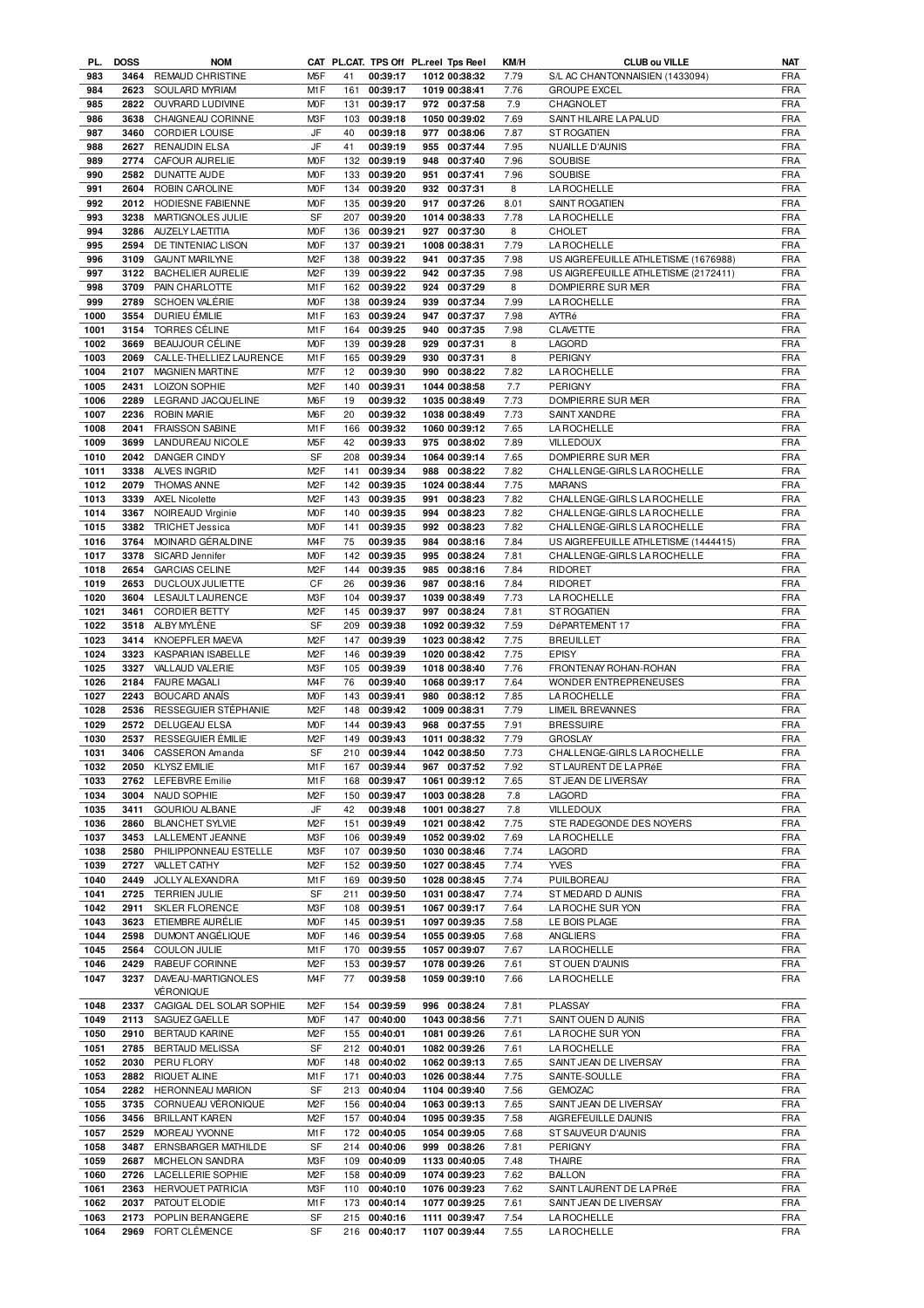| PL.  | <b>DOSS</b> | <b>NOM</b>               |                  |     |              | CAT PL.CAT. TPS Off PL.reel Tps Reel | KM/H | <b>CLUB ou VILLE</b>                 | NAT        |
|------|-------------|--------------------------|------------------|-----|--------------|--------------------------------------|------|--------------------------------------|------------|
| 983  | 3464        | REMAUD CHRISTINE         | M <sub>5</sub> F | 41  | 00:39:17     | 1012 00:38:32                        | 7.79 | S/L AC CHANTONNAISIEN (1433094)      | <b>FRA</b> |
| 984  | 2623        | SOULARD MYRIAM           | M1F              | 161 | 00:39:17     | 1019 00:38:41                        | 7.76 | <b>GROUPE EXCEL</b>                  | <b>FRA</b> |
| 985  | 2822        | OUVRARD LUDIVINE         | M <sub>O</sub> F | 131 | 00:39:17     | 972 00:37:58                         | 7.9  | CHAGNOLET                            | <b>FRA</b> |
| 986  | 3638        | CHAIGNEAU CORINNE        | M3F              | 103 | 00:39:18     | 1050 00:39:02                        | 7.69 | SAINT HILAIRE LA PALUD               | <b>FRA</b> |
| 987  | 3460        | <b>CORDIER LOUISE</b>    | JF               | 40  | 00:39:18     | 977 00:38:06                         | 7.87 | <b>ST ROGATIEN</b>                   | <b>FRA</b> |
| 988  | 2627        | <b>RENAUDIN ELSA</b>     | JF               | 41  | 00:39:19     | 955 00:37:44                         | 7.95 | NUAILLE D'AUNIS                      | <b>FRA</b> |
| 989  | 2774        | CAFOUR AURELIE           | <b>MOF</b>       | 132 | 00:39:19     | 948 00:37:40                         | 7.96 | SOUBISE                              | <b>FRA</b> |
|      |             |                          | M <sub>O</sub> F |     | 00:39:20     |                                      |      |                                      | <b>FRA</b> |
| 990  | 2582        | DUNATTE AUDE             |                  | 133 |              | 951 00:37:41                         | 7.96 | SOUBISE                              |            |
| 991  | 2604        | ROBIN CAROLINE           | <b>MOF</b>       | 134 | 00:39:20     | 932 00:37:31                         | 8    | <b>LA ROCHELLE</b>                   | <b>FRA</b> |
| 992  | 2012        | HODIESNE FABIENNE        | <b>MOF</b>       | 135 | 00:39:20     | 917 00:37:26                         | 8.01 | SAINT ROGATIEN                       | <b>FRA</b> |
| 993  | 3238        | MARTIGNOLES JULIE        | SF               | 207 | 00:39:20     | 1014 00:38:33                        | 7.78 | <b>LA ROCHELLE</b>                   | <b>FRA</b> |
| 994  | 3286        | <b>AUZELY LAETITIA</b>   | M <sub>O</sub> F | 136 | 00:39:21     | 927 00:37:30                         | 8    | <b>CHOLET</b>                        | <b>FRA</b> |
| 995  | 2594        | DE TINTENIAC LISON       | M <sub>O</sub> F | 137 | 00:39:21     | 1008 00:38:31                        | 7.79 | <b>LA ROCHELLE</b>                   | <b>FRA</b> |
| 996  | 3109        | <b>GAUNT MARILYNE</b>    | M <sub>2</sub> F | 138 | 00:39:22     | 941 00:37:35                         | 7.98 | US AIGREFEUILLE ATHLETISME (1676988) | <b>FRA</b> |
| 997  | 3122        | <b>BACHELIER AURELIE</b> | M <sub>2</sub> F |     | 139 00:39:22 | 942 00:37:35                         | 7.98 | US AIGREFEUILLE ATHLETISME (2172411) | FRA        |
| 998  | 3709        | PAIN CHARLOTTE           | M <sub>1</sub> F | 162 | 00:39:22     | 924 00:37:29                         | 8    | DOMPIERRE SUR MER                    | <b>FRA</b> |
| 999  | 2789        | <b>SCHOEN VALÉRIE</b>    | <b>MOF</b>       | 138 | 00:39:24     | 939 00:37:34                         | 7.99 | <b>LA ROCHELLE</b>                   | <b>FRA</b> |
|      |             |                          |                  |     |              |                                      |      |                                      |            |
| 1000 | 3554        | DURIEU ÉMILIE            | M1F              | 163 | 00:39:24     | 947 00:37:37                         | 7.98 | AYTRé                                | <b>FRA</b> |
| 1001 | 3154        | TORRES CÉLINE            | M1F              | 164 | 00:39:25     | 940 00:37:35                         | 7.98 | <b>CLAVETTE</b>                      | <b>FRA</b> |
| 1002 | 3669        | BEAUJOUR CÉLINE          | M <sub>O</sub> F | 139 | 00:39:28     | 929 00:37:31                         | 8    | LAGORD                               | <b>FRA</b> |
| 1003 | 2069        | CALLE-THELLIEZ LAURENCE  | M1F              | 165 | 00:39:29     | 930 00:37:31                         | 8    | PERIGNY                              | <b>FRA</b> |
| 1004 | 2107        | <b>MAGNIEN MARTINE</b>   | M7F              | 12  | 00:39:30     | 990 00:38:22                         | 7.82 | LA ROCHELLE                          | <b>FRA</b> |
| 1005 | 2431        | <b>LOIZON SOPHIE</b>     | M <sub>2</sub> F | 140 | 00:39:31     | 1044 00:38:58                        | 7.7  | <b>PERIGNY</b>                       | <b>FRA</b> |
| 1006 | 2289        | LEGRAND JACQUELINE       | M6F              | 19  | 00:39:32     | 1035 00:38:49                        | 7.73 | DOMPIERRE SUR MER                    | <b>FRA</b> |
| 1007 | 2236        | <b>ROBIN MARIE</b>       | M6F              | 20  | 00:39:32     | 1038 00:38:49                        | 7.73 | SAINT XANDRE                         | <b>FRA</b> |
| 1008 | 2041        | <b>FRAISSON SABINE</b>   | M1F              | 166 | 00:39:32     | 1060 00:39:12                        | 7.65 | <b>LA ROCHELLE</b>                   | <b>FRA</b> |
| 1009 | 3699        | LANDUREAU NICOLE         | M <sub>5</sub> F | 42  | 00:39:33     | 975 00:38:02                         | 7.89 | <b>VILLEDOUX</b>                     | <b>FRA</b> |
|      |             |                          |                  |     |              |                                      |      |                                      |            |
| 1010 | 2042        | DANGER CINDY             | SF               | 208 | 00:39:34     | 1064 00:39:14                        | 7.65 | DOMPIERRE SUR MER                    | <b>FRA</b> |
| 1011 | 3338        | ALVES INGRID             | M <sub>2</sub> F | 141 | 00:39:34     | 988 00:38:22                         | 7.82 | CHALLENGE-GIRLS LA ROCHELLE          | <b>FRA</b> |
| 1012 | 2079        | <b>THOMAS ANNE</b>       | M <sub>2</sub> F | 142 | 00:39:35     | 1024 00:38:44                        | 7.75 | <b>MARANS</b>                        | <b>FRA</b> |
| 1013 | 3339        | <b>AXEL Nicolette</b>    | M <sub>2</sub> F | 143 | 00:39:35     | 00:38:23<br>991                      | 7.82 | CHALLENGE-GIRLS LA ROCHELLE          | <b>FRA</b> |
| 1014 | 3367        | NOIREAUD Virginie        | <b>MOF</b>       | 140 | 00:39:35     | 994 00:38:23                         | 7.82 | CHALLENGE-GIRLS LA ROCHELLE          | <b>FRA</b> |
| 1015 | 3382        | <b>TRICHET Jessica</b>   | M <sub>O</sub> F | 141 | 00:39:35     | 992<br>00:38:23                      | 7.82 | CHALLENGE-GIRLS LA ROCHELLE          | <b>FRA</b> |
| 1016 | 3764        | MOINARD GÉRALDINE        | M <sub>4F</sub>  | 75  | 00:39:35     | 984 00:38:16                         | 7.84 | US AIGREFEUILLE ATHLETISME (1444415) | <b>FRA</b> |
| 1017 | 3378        | SICARD Jennifer          | <b>MOF</b>       | 142 | 00:39:35     | 995 00:38:24                         | 7.81 | CHALLENGE-GIRLS LA ROCHELLE          | <b>FRA</b> |
| 1018 | 2654        | <b>GARCIAS CELINE</b>    | M <sub>2</sub> F | 144 | 00:39:35     | 985 00:38:16                         | 7.84 | <b>RIDORET</b>                       | <b>FRA</b> |
|      |             |                          |                  |     |              |                                      |      |                                      |            |
| 1019 | 2653        | DUCLOUX JULIETTE         | CF               | 26  | 00:39:36     | 987 00:38:16                         | 7.84 | RIDORET                              | <b>FRA</b> |
| 1020 | 3604        | LESAULT LAURENCE         | M3F              | 104 | 00:39:37     | 1039 00:38:49                        | 7.73 | LA ROCHELLE                          | <b>FRA</b> |
| 1021 | 3461        | <b>CORDIER BETTY</b>     | M <sub>2</sub> F | 145 | 00:39:37     | 997 00:38:24                         | 7.81 | ST ROGATIEN                          | <b>FRA</b> |
| 1022 | 3518        | ALBY MYLÈNE              | <b>SF</b>        | 209 | 00:39:38     | 1092 00:39:32                        | 7.59 | DéPARTEMENT 17                       | <b>FRA</b> |
| 1023 | 3414        | KNOEPFLER MAEVA          | M <sub>2</sub> F | 147 | 00:39:39     | 1023 00:38:42                        | 7.75 | <b>BREUILLET</b>                     | <b>FRA</b> |
| 1024 | 3323        | KASPARIAN ISABELLE       | M <sub>2</sub> F | 146 | 00:39:39     | 1020 00:38:42                        | 7.75 | <b>EPISY</b>                         | <b>FRA</b> |
| 1025 | 3327        | VALLAUD VALERIE          | M3F              | 105 | 00:39:39     | 1018 00:38:40                        | 7.76 | FRONTENAY ROHAN-ROHAN                | <b>FRA</b> |
| 1026 | 2184        | <b>FAURE MAGALI</b>      | M <sub>4</sub> F | 76  | 00:39:40     | 1068 00:39:17                        | 7.64 | WONDER ENTREPRENEUSES                | <b>FRA</b> |
| 1027 | 2243        | <b>BOUCARD ANAIS</b>     | M <sub>O</sub> F | 143 | 00:39:41     | 980 00:38:12                         | 7.85 | <b>LA ROCHELLE</b>                   | <b>FRA</b> |
| 1028 | 2536        | RESSEGUIER STÉPHANIE     | M <sub>2</sub> F | 148 | 00:39:42     | 1009 00:38:31                        | 7.79 | <b>LIMEIL BREVANNES</b>              | <b>FRA</b> |
|      |             |                          |                  |     |              |                                      |      |                                      |            |
| 1029 | 2572        | <b>DELUGEAU ELSA</b>     | <b>MOF</b>       | 144 | 00:39:43     | 968 00:37:55                         | 7.91 | <b>BRESSUIRE</b>                     | <b>FRA</b> |
| 1030 | 2537        | RESSEGUIER ÉMILIE        | M <sub>2</sub> F |     | 149 00:39:43 | 1011 00:38:32                        | 7.79 | <b>GROSLAY</b>                       | <b>FRA</b> |
| 1031 |             | 3406 CASSERON Amanda     | SF               |     | 210 00:39:44 | 1042 00:38:50                        | 7.73 | CHALLENGE-GIRLS LA ROCHELLE          | <b>FRA</b> |
| 1032 |             | 2050 KLYSZ EMILIE        | M1F              |     | 167 00:39:44 | 967 00:37:52                         | 7.92 | ST LAURENT DE LA PRéE                | FRA        |
| 1033 | 2762        | LEFEBVRE Emilie          | M1F              | 168 | 00:39:47     | 1061 00:39:12                        | 7.65 | ST JEAN DE LIVERSAY                  | FRA        |
| 1034 | 3004        | NAUD SOPHIE              | M <sub>2</sub> F | 150 | 00:39:47     | 1003 00:38:28                        | 7.8  | LAGORD                               | FRA        |
| 1035 | 3411        | <b>GOURIOU ALBANE</b>    | JF               | 42  | 00:39:48     | 1001 00:38:27                        | 7.8  | <b>VILLEDOUX</b>                     | <b>FRA</b> |
| 1036 | 2860        | <b>BLANCHET SYLVIE</b>   | M <sub>2</sub> F | 151 | 00:39:49     | 1021 00:38:42                        | 7.75 | STE RADEGONDE DES NOYERS             | <b>FRA</b> |
| 1037 | 3453        | LALLEMENT JEANNE         | M3F              | 106 | 00:39:49     | 1052 00:39:02                        | 7.69 | <b>LA ROCHELLE</b>                   | <b>FRA</b> |
|      |             |                          |                  |     |              |                                      |      |                                      |            |
| 1038 | 2580        | PHILIPPONNEAU ESTELLE    | M3F              | 107 | 00:39:50     | 1030 00:38:46                        | 7.74 | LAGORD                               | <b>FRA</b> |
| 1039 | 2727        | <b>VALLET CATHY</b>      | M <sub>2</sub> F | 152 | 00:39:50     | 1027 00:38:45                        | 7.74 | <b>YVES</b>                          | <b>FRA</b> |
| 1040 | 2449        | JOLLY ALEXANDRA          | M1F              | 169 | 00:39:50     | 1028 00:38:45                        | 7.74 | PUILBOREAU                           | <b>FRA</b> |
| 1041 | 2725        | <b>TERRIEN JULIE</b>     | SF               | 211 | 00:39:50     | 1031 00:38:47                        | 7.74 | ST MEDARD D AUNIS                    | <b>FRA</b> |
| 1042 | 2911        | <b>SKLER FLORENCE</b>    | M3F              |     | 108 00:39:51 | 1067 00:39:17                        | 7.64 | LA ROCHE SUR YON                     | FRA        |
| 1043 | 3623        | ETIEMBRE AURÉLIE         | <b>MOF</b>       |     | 145 00:39:51 | 1097 00:39:35                        | 7.58 | LE BOIS PLAGE                        | <b>FRA</b> |
| 1044 | 2598        | DUMONT ANGÉLIQUE         | <b>MOF</b>       |     | 146 00:39:54 | 1055 00:39:05                        | 7.68 | ANGLIERS                             | <b>FRA</b> |
| 1045 | 2564        | <b>COULON JULIE</b>      | M1F              |     | 170 00:39:55 | 1057 00:39:07                        | 7.67 | LA ROCHELLE                          | <b>FRA</b> |
| 1046 | 2429        | RABEUF CORINNE           | M <sub>2</sub> F | 153 | 00:39:57     | 1078 00:39:26                        | 7.61 | ST OUEN D'AUNIS                      | FRA        |
| 1047 | 3237        | DAVEAU-MARTIGNOLES       | M <sub>4</sub> F | 77  | 00:39:58     | 1059 00:39:10                        | 7.66 | <b>LA ROCHELLE</b>                   | <b>FRA</b> |
|      |             | VÉRONIQUE                |                  |     |              |                                      |      |                                      |            |
|      |             |                          |                  |     |              |                                      |      |                                      |            |
| 1048 | 2337        | CAGIGAL DEL SOLAR SOPHIE | M <sub>2</sub> F | 154 | 00:39:59     | 996 00:38:24                         | 7.81 | PLASSAY                              | <b>FRA</b> |
| 1049 | 2113        | SAGUEZ GAELLE            | <b>MOF</b>       | 147 | 00:40:00     | 1043 00:38:56                        | 7.71 | SAINT OUEN D AUNIS                   | FRA        |
| 1050 | 2910        | BERTAUD KARINE           | M <sub>2</sub> F |     | 155 00:40:01 | 1081 00:39:26                        | 7.61 | LA ROCHE SUR YON                     | FRA        |
| 1051 | 2785        | BERTAUD MELISSA          | SF               |     | 212 00:40:01 | 1082 00:39:26                        | 7.61 | <b>LA ROCHELLE</b>                   | FRA        |
| 1052 | 2030        | PERU FLORY               | M <sub>O</sub> F | 148 | 00:40:02     | 1062 00:39:13                        | 7.65 | SAINT JEAN DE LIVERSAY               | <b>FRA</b> |
| 1053 | 2882        | RIQUET ALINE             | M1F              | 171 | 00:40:03     | 1026 00:38:44                        | 7.75 | SAINTE-SOULLE                        | FRA        |
| 1054 | 2282        | <b>HERONNEAU MARION</b>  | SF               | 213 | 00:40:04     | 1104 00:39:40                        | 7.56 | <b>GEMOZAC</b>                       | <b>FRA</b> |
| 1055 | 3735        | CORNUEAU VÉRONIQUE       | M <sub>2</sub> F | 156 | 00:40:04     | 1063 00:39:13                        | 7.65 | SAINT JEAN DE LIVERSAY               | <b>FRA</b> |
| 1056 | 3456        |                          | M <sub>2</sub> F | 157 | 00:40:04     |                                      | 7.58 |                                      | <b>FRA</b> |
|      |             | <b>BRILLANT KAREN</b>    |                  |     |              | 1095 00:39:35                        |      | AIGREFEUILLE DAUNIS                  |            |
| 1057 | 2529        | MOREAU YVONNE            | M1F              | 172 | 00:40:05     | 1054 00:39:05                        | 7.68 | ST SAUVEUR D'AUNIS                   | <b>FRA</b> |
| 1058 | 3487        | ERNSBARGER MATHILDE      | SF               |     | 214 00:40:06 | 999 00:38:26                         | 7.81 | PERIGNY                              | <b>FRA</b> |
| 1059 | 2687        | MICHELON SANDRA          | M3F              | 109 | 00:40:09     | 1133 00:40:05                        | 7.48 | THAIRE                               | FRA        |
| 1060 | 2726        | LACELLERIE SOPHIE        | M <sub>2</sub> F |     | 158 00:40:09 | 1074 00:39:23                        | 7.62 | <b>BALLON</b>                        | <b>FRA</b> |
| 1061 | 2363        | <b>HERVOUET PATRICIA</b> | M3F              | 110 | 00:40:10     | 1076 00:39:23                        | 7.62 | SAINT LAURENT DE LA PRéE             | FRA        |
| 1062 | 2037        | PATOUT ELODIE            | M1F              |     | 173 00:40:14 | 1077 00:39:25                        | 7.61 | SAINT JEAN DE LIVERSAY               | FRA        |
| 1063 | 2173        | POPLIN BERANGERE         | SF               |     | 215 00:40:16 | 1111 00:39:47                        | 7.54 | LA ROCHELLE                          | FRA        |
| 1064 |             | 2969 FORT CLÉMENCE       | SF               |     | 216 00:40:17 | 1107 00:39:44                        | 7.55 | LA ROCHELLE                          | <b>FRA</b> |
|      |             |                          |                  |     |              |                                      |      |                                      |            |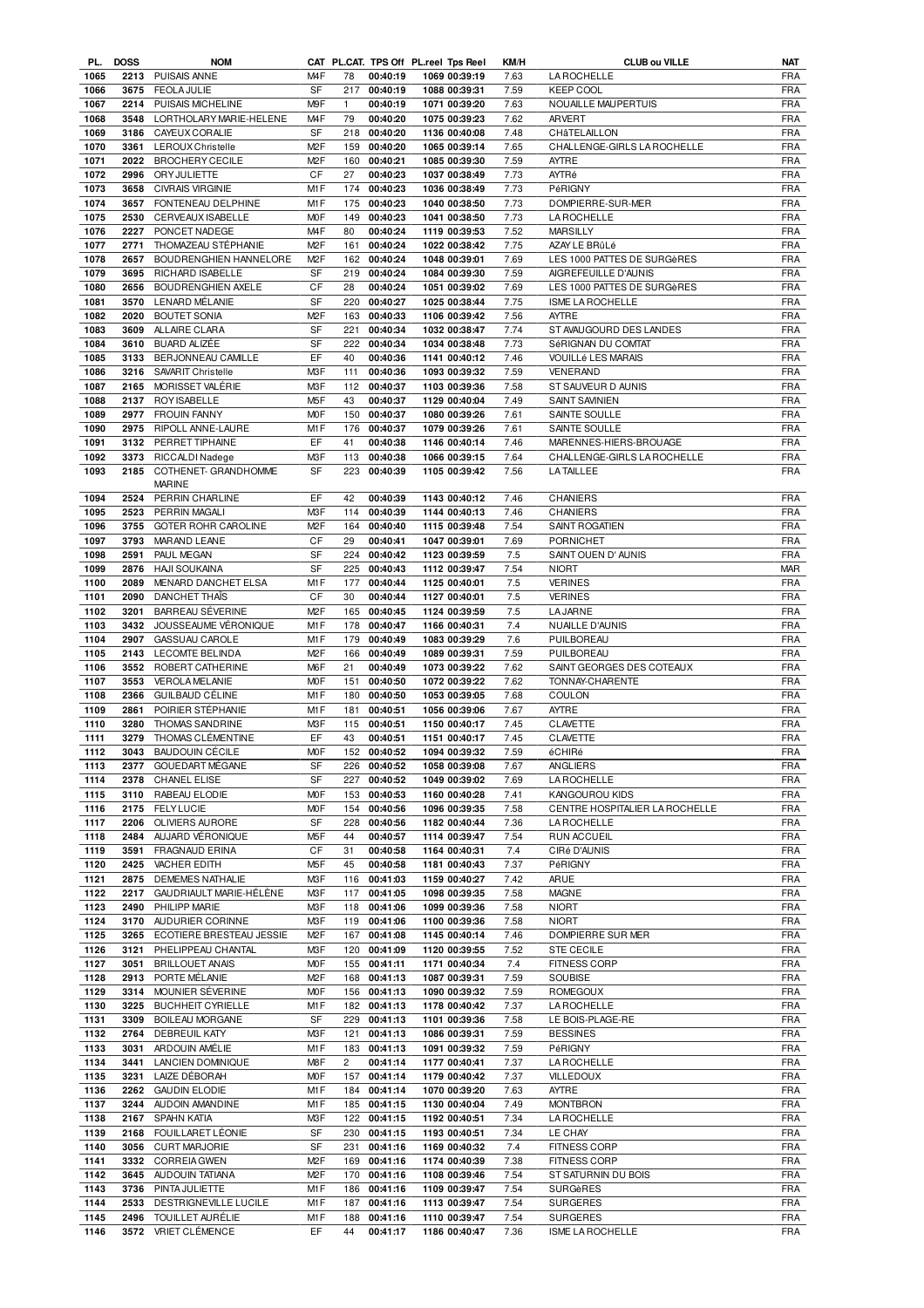| PL.  | <b>DOSS</b> | <b>NOM</b>                 |                  |                |              | CAT PL.CAT. TPS Off PL.reel Tps Reel | KM/H | <b>CLUB ou VILLE</b>           | NAT        |
|------|-------------|----------------------------|------------------|----------------|--------------|--------------------------------------|------|--------------------------------|------------|
| 1065 |             | 2213 PUISAIS ANNE          | M <sub>4</sub> F | 78             | 00:40:19     | 1069 00:39:19                        | 7.63 | <b>LA ROCHELLE</b>             | <b>FRA</b> |
| 1066 | 3675        | <b>FEOLA JULIE</b>         | <b>SF</b>        | 217            | 00:40:19     | 1088 00:39:31                        | 7.59 | <b>KEEP COOL</b>               | <b>FRA</b> |
| 1067 | 2214        | PUISAIS MICHELINE          | M9F              | $\mathbf{1}$   | 00:40:19     | 1071 00:39:20                        | 7.63 | NOUAILLE MAUPERTUIS            | <b>FRA</b> |
| 1068 | 3548        | LORTHOLARY MARIE-HELENE    | M <sub>4</sub> F | 79             | 00:40:20     | 1075 00:39:23                        | 7.62 | <b>ARVERT</b>                  | <b>FRA</b> |
| 1069 | 3186        | CAYEUX CORALIE             | SF               | 218            | 00:40:20     | 1136 00:40:08                        | 7.48 | CHÂTELAILLON                   | <b>FRA</b> |
| 1070 | 3361        | LEROUX Christelle          | M <sub>2</sub> F | 159            | 00:40:20     | 1065 00:39:14                        | 7.65 | CHALLENGE-GIRLS LA ROCHELLE    | <b>FRA</b> |
| 1071 | 2022        | <b>BROCHERY CECILE</b>     | M <sub>2</sub> F | 160            | 00:40:21     | 1085 00:39:30                        | 7.59 | <b>AYTRE</b>                   | <b>FRA</b> |
|      |             |                            |                  |                |              |                                      |      |                                |            |
| 1072 | 2996        | ORY JULIETTE               | CF               | 27             | 00:40:23     | 1037 00:38:49                        | 7.73 | AYTRé                          | <b>FRA</b> |
| 1073 | 3658        | <b>CIVRAIS VIRGINIE</b>    | M <sub>1</sub> F | 174            | 00:40:23     | 1036 00:38:49                        | 7.73 | PéRIGNY                        | <b>FRA</b> |
| 1074 | 3657        | FONTENEAU DELPHINE         | M1F              | 175            | 00:40:23     | 1040 00:38:50                        | 7.73 | DOMPIERRE-SUR-MER              | <b>FRA</b> |
| 1075 | 2530        | CERVEAUX ISABELLE          | M <sub>O</sub> F | 149            | 00:40:23     | 1041 00:38:50                        | 7.73 | <b>LA ROCHELLE</b>             | <b>FRA</b> |
| 1076 | 2227        | PONCET NADEGE              | M <sub>4</sub> F | 80             | 00:40:24     | 1119 00:39:53                        | 7.52 | <b>MARSILLY</b>                | <b>FRA</b> |
| 1077 | 2771        | THOMAZEAU STÉPHANIE        | M <sub>2</sub> F | 161            | 00:40:24     | 1022 00:38:42                        | 7.75 | AZAY LE BRûLé                  | <b>FRA</b> |
| 1078 | 2657        | BOUDRENGHIEN HANNELORE     | M <sub>2</sub> F | 162            | 00:40:24     | 1048 00:39:01                        | 7.69 | LES 1000 PATTES DE SURGèRES    | <b>FRA</b> |
| 1079 | 3695        | RICHARD ISABELLE           | SF               | 219            | 00:40:24     | 1084 00:39:30                        | 7.59 | AIGREFEUILLE D'AUNIS           | <b>FRA</b> |
| 1080 | 2656        |                            | CF               | 28             | 00:40:24     | 1051 00:39:02                        |      |                                | <b>FRA</b> |
|      |             | BOUDRENGHIEN AXELE         |                  |                |              |                                      | 7.69 | LES 1000 PATTES DE SURGèRES    |            |
| 1081 | 3570        | LENARD MÉLANIE             | SF               | 220            | 00:40:27     | 1025 00:38:44                        | 7.75 | ISME LA ROCHELLE               | <b>FRA</b> |
| 1082 | 2020        | <b>BOUTET SONIA</b>        | M <sub>2</sub> F | 163            | 00:40:33     | 1106 00:39:42                        | 7.56 | AYTRE                          | <b>FRA</b> |
| 1083 | 3609        | ALLAIRE CLARA              | <b>SF</b>        | 221            | 00:40:34     | 1032 00:38:47                        | 7.74 | ST AVAUGOURD DES LANDES        | <b>FRA</b> |
| 1084 | 3610        | BUARD ALIZÉE               | SF               | 222            | 00:40:34     | 1034 00:38:48                        | 7.73 | SéRIGNAN DU COMTAT             | <b>FRA</b> |
| 1085 | 3133        | BERJONNEAU CAMILLE         | EF               | 40             | 00:40:36     | 1141 00:40:12                        | 7.46 | VOUILLé LES MARAIS             | <b>FRA</b> |
| 1086 | 3216        | SAVARIT Christelle         | M <sub>3</sub> F | 111            | 00:40:36     | 1093 00:39:32                        | 7.59 | VENERAND                       | <b>FRA</b> |
| 1087 |             | 2165 MORISSET VALÉRIE      | M <sub>3</sub> F | 112            | 00:40:37     | 1103 00:39:36                        | 7.58 | ST SAUVEUR D AUNIS             | <b>FRA</b> |
| 1088 |             | 2137 ROYISABELLE           | M <sub>5</sub> F | 43             | 00:40:37     | 1129 00:40:04                        | 7.49 | <b>SAINT SAVINIEN</b>          | <b>FRA</b> |
|      |             |                            |                  |                |              |                                      |      |                                |            |
| 1089 | 2977        | <b>FROUIN FANNY</b>        | M <sub>O</sub> F | 150            | 00:40:37     | 1080 00:39:26                        | 7.61 | <b>SAINTE SOULLE</b>           | <b>FRA</b> |
| 1090 |             | 2975 RIPOLL ANNE-LAURE     | M <sub>1</sub> F | 176            | 00:40:37     | 1079 00:39:26                        | 7.61 | SAINTE SOULLE                  | <b>FRA</b> |
| 1091 |             | 3132 PERRET TIPHAINE       | EF               | 41             | 00:40:38     | 1146 00:40:14                        | 7.46 | MARENNES-HIERS-BROUAGE         | <b>FRA</b> |
| 1092 |             | 3373 RICCALDI Nadege       | M3F              | 113            | 00:40:38     | 1066 00:39:15                        | 7.64 | CHALLENGE-GIRLS LA ROCHELLE    | <b>FRA</b> |
| 1093 | 2185        | COTHENET- GRANDHOMME       | <b>SF</b>        | 223            | 00:40:39     | 1105 00:39:42                        | 7.56 | <b>LATAILLEE</b>               | <b>FRA</b> |
|      |             | <b>MARINE</b>              |                  |                |              |                                      |      |                                |            |
| 1094 |             | 2524 PERRIN CHARLINE       | EF               | 42             | 00:40:39     | 1143 00:40:12                        | 7.46 | CHANIERS                       | FRA        |
| 1095 |             | 2523 PERRIN MAGALI         | M3F              | 114            | 00:40:39     | 1144 00:40:13                        | 7.46 | <b>CHANIERS</b>                | <b>FRA</b> |
| 1096 |             | 3755 GOTER ROHR CAROLINE   | M <sub>2</sub> F | 164            | 00:40:40     | 1115 00:39:48                        | 7.54 | SAINT ROGATIEN                 | <b>FRA</b> |
|      |             |                            | CF               |                |              |                                      |      |                                | <b>FRA</b> |
| 1097 |             | 3793 MARAND LEANE          |                  | 29             | 00:40:41     | 1047 00:39:01                        | 7.69 | <b>PORNICHET</b>               |            |
| 1098 | 2591        | PAUL MEGAN                 | SF               | 224            | 00:40:42     | 1123 00:39:59                        | 7.5  | SAINT OUEN D' AUNIS            | <b>FRA</b> |
| 1099 | 2876        | HAJI SOUKAINA              | SF               | 225            | 00:40:43     | 1112 00:39:47                        | 7.54 | <b>NIORT</b>                   | <b>MAR</b> |
| 1100 | 2089        | MENARD DANCHET ELSA        | M1F              | 177            | 00:40:44     | 1125 00:40:01                        | 7.5  | <b>VERINES</b>                 | <b>FRA</b> |
| 1101 | 2090        | DANCHET THAIS              | CF               | 30             | 00:40:44     | 1127 00:40:01                        | 7.5  | <b>VERINES</b>                 | <b>FRA</b> |
| 1102 | 3201        | BARREAU SÉVERINE           | M <sub>2</sub> F | 165            | 00:40:45     | 1124 00:39:59                        | 7.5  | <b>LA JARNE</b>                | <b>FRA</b> |
| 1103 |             | 3432 JOUSSEAUME VÉRONIQUE  | M <sub>1</sub> F | 178            | 00:40:47     | 1166 00:40:31                        | 7.4  | NUAILLE D'AUNIS                | <b>FRA</b> |
| 1104 | 2907        | GASSUAU CAROLE             | M <sub>1</sub> F | 179            | 00:40:49     | 1083 00:39:29                        | 7.6  | PUILBOREAU                     | <b>FRA</b> |
| 1105 | 2143        | <b>LECOMTE BELINDA</b>     | M <sub>2</sub> F | 166            | 00:40:49     | 1089 00:39:31                        | 7.59 | PUILBOREAU                     | <b>FRA</b> |
| 1106 |             | 3552 ROBERT CATHERINE      | M <sub>6</sub> F | 21             | 00:40:49     | 1073 00:39:22                        | 7.62 | SAINT GEORGES DES COTEAUX      | <b>FRA</b> |
|      |             |                            |                  |                |              |                                      |      |                                |            |
| 1107 | 3553        | <b>VEROLA MELANIE</b>      | <b>MOF</b>       | 151            | 00:40:50     | 1072 00:39:22                        | 7.62 | TONNAY-CHARENTE                | <b>FRA</b> |
| 1108 | 2366        | GUILBAUD CÉLINE            | M <sub>1</sub> F | 180            | 00:40:50     | 1053 00:39:05                        | 7.68 | COULON                         | <b>FRA</b> |
| 1109 | 2861        | POIRIER STÉPHANIE          | M1F              | 181            | 00:40:51     | 1056 00:39:06                        | 7.67 | AYTRE                          | <b>FRA</b> |
| 1110 | 3280        | <b>THOMAS SANDRINE</b>     | M3F              | 115            | 00:40:51     | 1150 00:40:17                        | 7.45 | <b>CLAVETTE</b>                | <b>FRA</b> |
| 1111 | 3279        | THOMAS CLÉMENTINE          | EF               | 43             | 00:40:51     | 1151 00:40:17                        | 7.45 | <b>CLAVETTE</b>                | <b>FRA</b> |
| 1112 | 3043        | <b>BAUDOUIN CÉCILE</b>     | M <sub>O</sub> F | 152            | 00:40:52     | 1094 00:39:32                        | 7.59 | éCHIRé                         | <b>FRA</b> |
| 1113 | 2377        | GOUEDART MEGANE            | SF               |                | 226 00:40:52 | 1058 00:39:08                        | 7.67 | ANGLIERS                       | <b>FRA</b> |
| 1114 | 2378        | CHANEL ELISE               | SF               | 227            | 00:40:52     | 1049 00:39:02                        | 7.69 | <b>LA ROCHELLE</b>             | FRA        |
| 1115 | 3110        | RABEAU ELODIE              | <b>MOF</b>       | 153            | 00:40:53     | 1160 00:40:28                        | 7.41 | <b>KANGOUROU KIDS</b>          | <b>FRA</b> |
|      |             |                            |                  |                |              |                                      |      |                                |            |
| 1116 | 2175        | <b>FELY LUCIE</b>          | <b>MOF</b>       | 154            | 00:40:56     | 1096 00:39:35                        | 7.58 | CENTRE HOSPITALIER LA ROCHELLE | FRA        |
| 1117 | 2206        | OLIVIERS AURORE            | SF               | 228            | 00:40:56     | 1182 00:40:44                        | 7.36 | <b>LA ROCHELLE</b>             | FRA        |
| 1118 | 2484        | AUJARD VÉRONIQUE           | M <sub>5</sub> F | 44             | 00:40:57     | 1114 00:39:47                        | 7.54 | <b>RUN ACCUEIL</b>             | FRA        |
| 1119 | 3591        | FRAGNAUD ERINA             | СF               | 31             | 00:40:58     | 1164 00:40:31                        | 7.4  | CIRé D'AUNIS                   | FRA        |
| 1120 | 2425        | VACHER EDITH               | M <sub>5</sub> F | 45             | 00:40:58     | 1181 00:40:43                        | 7.37 | PéRIGNY                        | FRA        |
| 1121 |             | 2875 DEMEMES NATHALIE      | M3F              | 116            | 00:41:03     | 1159 00:40:27                        | 7.42 | ARUE                           | FRA        |
| 1122 | 2217        | GAUDRIAULT MARIE-HÉLÈNE    | M <sub>3</sub> F | 117            | 00:41:05     | 1098 00:39:35                        | 7.58 | <b>MAGNE</b>                   | FRA        |
| 1123 |             | 2490 PHILIPP MARIE         | M3F              | 118            | 00:41:06     | 1099 00:39:36                        | 7.58 | <b>NIORT</b>                   | FRA        |
| 1124 |             | 3170 AUDURIER CORINNE      | M3F              | 119            | 00:41:06     | 1100 00:39:36                        | 7.58 | <b>NIORT</b>                   | FRA        |
| 1125 | 3265        | ECOTIERE BRESTEAU JESSIE   | M <sub>2</sub> F | 167            | 00:41:08     |                                      |      |                                |            |
|      |             |                            |                  |                |              | 1145 00:40:14                        | 7.46 | DOMPIERRE SUR MER              | FRA        |
| 1126 | 3121        | PHELIPPEAU CHANTAL         | M3F              | 120            | 00:41:09     | 1120 00:39:55                        | 7.52 | <b>STE CECILE</b>              | FRA        |
| 1127 | 3051        | <b>BRILLOUET ANAIS</b>     | M <sub>O</sub> F | 155            | 00:41:11     | 1171 00:40:34                        | 7.4  | <b>FITNESS CORP</b>            | FRA        |
| 1128 | 2913        | PORTE MÉLANIE              | M <sub>2</sub> F | 168            | 00:41:13     | 1087 00:39:31                        | 7.59 | SOUBISE                        | FRA        |
| 1129 | 3314        | MOUNIER SÉVERINE           | M <sub>O</sub> F | 156            | 00:41:13     | 1090 00:39:32                        | 7.59 | <b>ROMEGOUX</b>                | FRA        |
| 1130 | 3225        | <b>BUCHHEIT CYRIELLE</b>   | M1F              | 182            | 00:41:13     | 1178 00:40:42                        | 7.37 | <b>LA ROCHELLE</b>             | FRA        |
| 1131 | 3309        | <b>BOILEAU MORGANE</b>     | SF               | 229            | 00:41:13     | 1101 00:39:36                        | 7.58 | LE BOIS-PLAGE-RE               | FRA        |
| 1132 | 2764        | <b>DEBREUIL KATY</b>       | M3F              | 121            | 00:41:13     | 1086 00:39:31                        | 7.59 | <b>BESSINES</b>                | FRA        |
| 1133 | 3031        | ARDOUIN AMELIE             | M1F              | 183            | 00:41:13     | 1091 00:39:32                        | 7.59 | PéRIGNY                        | FRA        |
|      |             |                            |                  |                |              |                                      |      |                                |            |
| 1134 | 3441        | LANCIEN DOMINIQUE          | M8F              | $\overline{c}$ | 00:41:14     | 1177 00:40:41                        | 7.37 | <b>LA ROCHELLE</b>             | FRA        |
| 1135 | 3231        | LAIZE DÉBORAH              | M <sub>O</sub> F | 157            | 00:41:14     | 1179 00:40:42                        | 7.37 | <b>VILLEDOUX</b>               | FRA        |
| 1136 | 2262        | <b>GAUDIN ELODIE</b>       | M1F              | 184            | 00:41:14     | 1070 00:39:20                        | 7.63 | AYTRE                          | FRA        |
| 1137 | 3244        | AUDOIN AMANDINE            | M1F              | 185            | 00:41:15     | 1130 00:40:04                        | 7.49 | <b>MONTBRON</b>                | FRA        |
| 1138 |             | 2167 SPAHN KATIA           | M <sub>3</sub> F | 122            | 00:41:15     | 1192 00:40:51                        | 7.34 | LA ROCHELLE                    | <b>FRA</b> |
| 1139 | 2168        | FOUILLARET LÉONIE          | SF               | 230            | 00:41:15     | 1193 00:40:51                        | 7.34 | LE CHAY                        | FRA        |
| 1140 |             | 3056 CURT MARJORIE         | <b>SF</b>        | 231            | 00:41:16     | 1169 00:40:32                        | 7.4  | FITNESS CORP                   | FRA        |
| 1141 | 3332        | <b>CORREIA GWEN</b>        | M <sub>2</sub> F | 169            | 00:41:16     | 1174 00:40:39                        | 7.38 | FITNESS CORP                   | FRA        |
| 1142 |             | 3645 AUDOUIN TATIANA       | M <sub>2</sub> F | 170            | 00:41:16     | 1108 00:39:46                        | 7.54 | ST SATURNIN DU BOIS            | <b>FRA</b> |
|      |             |                            |                  |                |              |                                      |      |                                |            |
| 1143 | 3736        | PINTA JULIETTE             | M1F              | 186            | 00:41:16     | 1109 00:39:47                        | 7.54 | <b>SURGèRES</b>                | FRA        |
|      |             | 2533 DESTRIGNEVILLE LUCILE | M1F              | 187            | 00:41:16     | 1113 00:39:47                        | 7.54 | <b>SURGERES</b>                | <b>FRA</b> |
| 1144 |             |                            |                  |                |              |                                      |      |                                |            |
| 1145 | 2496        | TOUILLET AURÉLIE           | M1F              | 188            | 00:41:16     | 1110 00:39:47                        | 7.54 | <b>SURGERES</b>                | FRA        |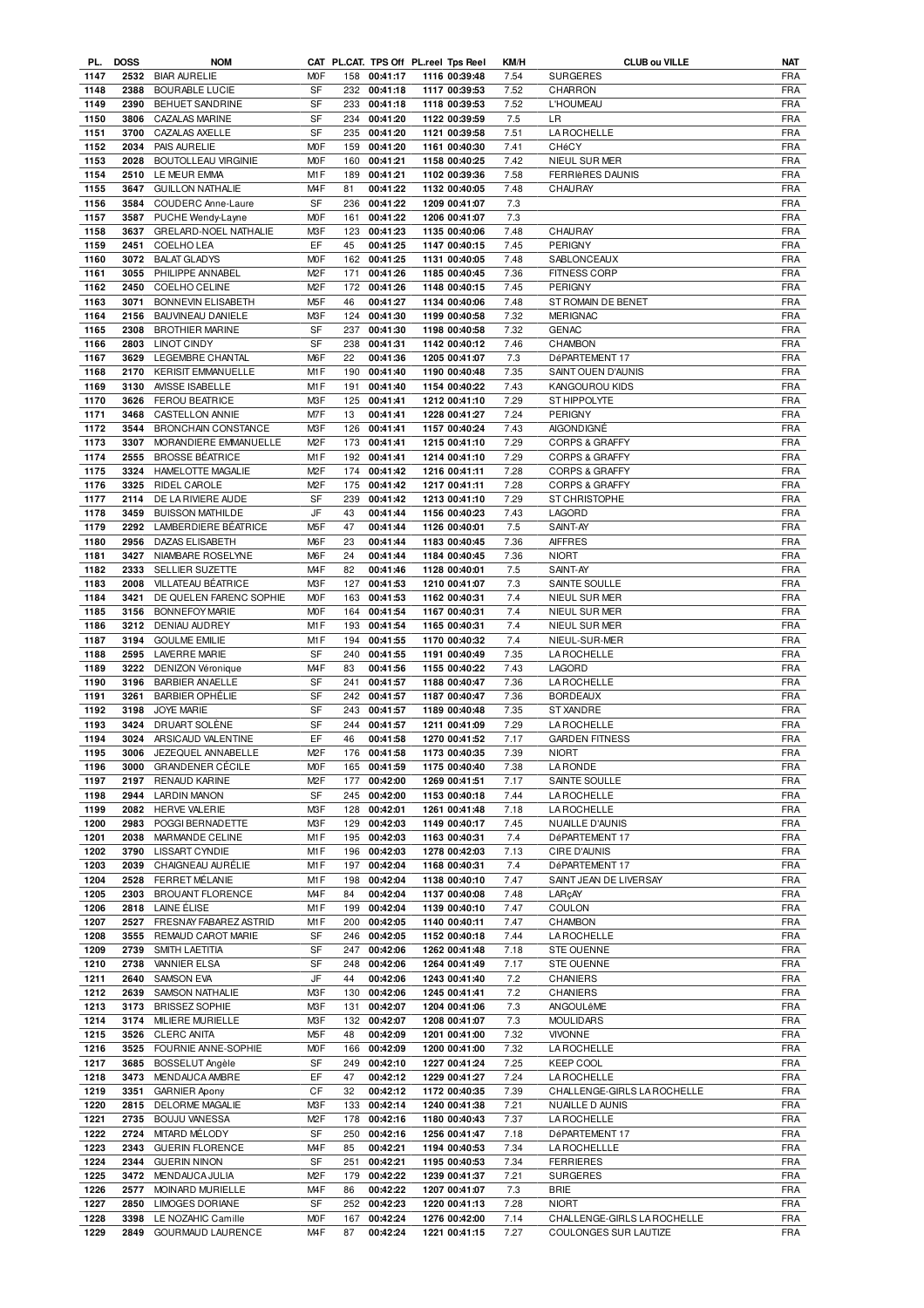|      | PL. DOSS | <b>NOM</b>                   |                  |     |              | CAT PL.CAT. TPS Off PL.reel Tps Reel | KM/H | <b>CLUB ou VILLE</b>        | NAT        |
|------|----------|------------------------------|------------------|-----|--------------|--------------------------------------|------|-----------------------------|------------|
| 1147 |          | 2532 BIAR AURELIE            | <b>MOF</b>       |     | 158 00:41:17 | 1116 00:39:48                        | 7.54 | <b>SURGERES</b>             | <b>FRA</b> |
| 1148 | 2388     | <b>BOURABLE LUCIE</b>        | SF               |     | 232 00:41:18 | 1117 00:39:53                        | 7.52 | CHARRON                     | <b>FRA</b> |
| 1149 | 2390     | <b>BEHUET SANDRINE</b>       | SF               |     | 233 00:41:18 | 1118 00:39:53                        | 7.52 | <b>L'HOUMEAU</b>            | <b>FRA</b> |
|      |          |                              |                  |     |              |                                      |      |                             |            |
| 1150 | 3806     | <b>CAZALAS MARINE</b>        | SF               |     | 234 00:41:20 | 1122 00:39:59                        | 7.5  | LR.                         | <b>FRA</b> |
| 1151 | 3700     | CAZALAS AXELLE               | SF               |     | 235 00:41:20 | 1121 00:39:58                        | 7.51 | LA ROCHELLE                 | <b>FRA</b> |
| 1152 | 2034     | PAIS AURELIE                 | <b>MOF</b>       | 159 | 00:41:20     | 1161 00:40:30                        | 7.41 | CHéCY                       | <b>FRA</b> |
| 1153 | 2028     | <b>BOUTOLLEAU VIRGINIE</b>   | <b>MOF</b>       | 160 | 00:41:21     | 1158 00:40:25                        | 7.42 | NIEUL SUR MER               | <b>FRA</b> |
| 1154 | 2510     | LE MEUR EMMA                 | M <sub>1</sub> F | 189 | 00:41:21     | 1102 00:39:36                        | 7.58 | <b>FERRIARES DAUNIS</b>     | <b>FRA</b> |
| 1155 | 3647     | <b>GUILLON NATHALIE</b>      | M <sub>4</sub> F | 81  | 00:41:22     | 1132 00:40:05                        | 7.48 | <b>CHAURAY</b>              | <b>FRA</b> |
|      |          |                              | <b>SF</b>        |     |              |                                      |      |                             |            |
| 1156 | 3584     | COUDERC Anne-Laure           |                  | 236 | 00:41:22     | 1209 00:41:07                        | 7.3  |                             | <b>FRA</b> |
| 1157 | 3587     | PUCHE Wendy-Layne            | <b>MOF</b>       | 161 | 00:41:22     | 1206 00:41:07                        | 7.3  |                             | <b>FRA</b> |
| 1158 | 3637     | <b>GRELARD-NOEL NATHALIE</b> | M3F              | 123 | 00:41:23     | 1135 00:40:06                        | 7.48 | CHAURAY                     | <b>FRA</b> |
| 1159 | 2451     | COELHO LEA                   | EF               | 45  | 00:41:25     | 1147 00:40:15                        | 7.45 | PERIGNY                     | <b>FRA</b> |
| 1160 | 3072     | <b>BALAT GLADYS</b>          | <b>MOF</b>       | 162 | 00:41:25     | 1131 00:40:05                        | 7.48 | SABLONCEAUX                 | <b>FRA</b> |
| 1161 | 3055     | PHILIPPE ANNABEL             | M <sub>2</sub> F | 171 | 00:41:26     | 1185 00:40:45                        | 7.36 | <b>FITNESS CORP</b>         | <b>FRA</b> |
| 1162 |          |                              | M <sub>2</sub> F |     |              |                                      |      |                             | <b>FRA</b> |
|      | 2450     | <b>COELHO CELINE</b>         |                  | 172 | 00:41:26     | 1148 00:40:15                        | 7.45 | PERIGNY                     |            |
| 1163 | 3071     | BONNEVIN ELISABETH           | M <sub>5</sub> F | 46  | 00:41:27     | 1134 00:40:06                        | 7.48 | ST ROMAIN DE BENET          | <b>FRA</b> |
| 1164 |          | 2156 BAUVINEAU DANIELE       | M3F              | 124 | 00:41:30     | 1199 00:40:58                        | 7.32 | <b>MERIGNAC</b>             | <b>FRA</b> |
| 1165 | 2308     | <b>BROTHIER MARINE</b>       | <b>SF</b>        | 237 | 00:41:30     | 1198 00:40:58                        | 7.32 | <b>GENAC</b>                | <b>FRA</b> |
| 1166 | 2803     | <b>LINOT CINDY</b>           | <b>SF</b>        | 238 | 00:41:31     | 1142 00:40:12                        | 7.46 | <b>CHAMBON</b>              | <b>FRA</b> |
| 1167 | 3629     | LEGEMBRE CHANTAL             | M <sub>6</sub> F | 22  | 00:41:36     | 1205 00:41:07                        | 7.3  | DéPARTEMENT 17              | <b>FRA</b> |
| 1168 | 2170     | <b>KERISIT EMMANUELLE</b>    | M <sub>1</sub> F | 190 | 00:41:40     | 1190 00:40:48                        | 7.35 | SAINT OUEN D'AUNIS          | <b>FRA</b> |
|      |          |                              |                  |     |              |                                      |      |                             |            |
| 1169 | 3130     | AVISSE ISABELLE              | M <sub>1</sub> F | 191 | 00:41:40     | 1154 00:40:22                        | 7.43 | KANGOUROU KIDS              | <b>FRA</b> |
| 1170 | 3626     | <b>FEROU BEATRICE</b>        | M3F              | 125 | 00:41:41     | 1212 00:41:10                        | 7.29 | <b>ST HIPPOLYTE</b>         | <b>FRA</b> |
| 1171 | 3468     | CASTELLON ANNIE              | M7F              | 13  | 00:41:41     | 1228 00:41:27                        | 7.24 | <b>PERIGNY</b>              | <b>FRA</b> |
| 1172 | 3544     | <b>BRONCHAIN CONSTANCE</b>   | M3F              | 126 | 00:41:41     | 1157 00:40:24                        | 7.43 | <b>AIGONDIGNE</b>           | <b>FRA</b> |
| 1173 | 3307     | MORANDIERE EMMANUELLE        | M <sub>2</sub> F | 173 | 00:41:41     | 1215 00:41:10                        | 7.29 | <b>CORPS &amp; GRAFFY</b>   | <b>FRA</b> |
| 1174 | 2555     | <b>BROSSE BÉATRICE</b>       | M1F              | 192 | 00:41:41     | 1214 00:41:10                        | 7.29 | <b>CORPS &amp; GRAFFY</b>   | <b>FRA</b> |
|      |          |                              |                  |     |              |                                      |      |                             |            |
| 1175 | 3324     | HAMELOTTE MAGALIE            | M <sub>2</sub> F | 174 | 00:41:42     | 1216 00:41:11                        | 7.28 | <b>CORPS &amp; GRAFFY</b>   | <b>FRA</b> |
| 1176 | 3325     | RIDEL CAROLE                 | M <sub>2</sub> F | 175 | 00:41:42     | 1217 00:41:11                        | 7.28 | <b>CORPS &amp; GRAFFY</b>   | <b>FRA</b> |
| 1177 | 2114     | DE LA RIVIERE AUDE           | SF               | 239 | 00:41:42     | 1213 00:41:10                        | 7.29 | ST CHRISTOPHE               | <b>FRA</b> |
| 1178 | 3459     | <b>BUISSON MATHILDE</b>      | JF               | 43  | 00:41:44     | 1156 00:40:23                        | 7.43 | LAGORD                      | <b>FRA</b> |
| 1179 | 2292     | LAMBERDIERE BÉATRICE         | M <sub>5</sub> F | 47  | 00:41:44     | 1126 00:40:01                        | 7.5  | SAINT-AY                    | <b>FRA</b> |
| 1180 | 2956     | DAZAS ELISABETH              | M6F              | 23  | 00:41:44     | 1183 00:40:45                        | 7.36 | <b>AIFFRES</b>              | <b>FRA</b> |
|      |          |                              |                  |     |              |                                      |      |                             |            |
| 1181 | 3427     | NIAMBARE ROSELYNE            | M <sub>6</sub> F | 24  | 00:41:44     | 1184 00:40:45                        | 7.36 | <b>NIORT</b>                | <b>FRA</b> |
| 1182 | 2333     | SELLIER SUZETTE              | M <sub>4F</sub>  | 82  | 00:41:46     | 1128 00:40:01                        | 7.5  | SAINT-AY                    | <b>FRA</b> |
| 1183 | 2008     | VILLATEAU BÉATRICE           | M3F              | 127 | 00:41:53     | 1210 00:41:07                        | 7.3  | SAINTE SOULLE               | <b>FRA</b> |
| 1184 | 3421     | DE QUELEN FARENC SOPHIE      | <b>MOF</b>       | 163 | 00:41:53     | 1162 00:40:31                        | 7.4  | NIEUL SUR MER               | <b>FRA</b> |
| 1185 | 3156     | <b>BONNEFOY MARIE</b>        | <b>MOF</b>       | 164 | 00:41:54     | 1167 00:40:31                        | 7.4  | NIEUL SUR MER               | <b>FRA</b> |
| 1186 | 3212     | DENIAU AUDREY                | M <sub>1</sub> F | 193 | 00:41:54     | 1165 00:40:31                        | 7.4  | NIEUL SUR MER               | FRA        |
|      |          |                              |                  |     |              |                                      |      |                             |            |
| 1187 | 3194     | <b>GOULME EMILIE</b>         | M <sub>1</sub> F | 194 | 00:41:55     | 1170 00:40:32                        | 7.4  | NIEUL-SUR-MER               | <b>FRA</b> |
| 1188 | 2595     | <b>LAVERRE MARIE</b>         | SF               | 240 | 00:41:55     | 1191 00:40:49                        | 7.35 | LA ROCHELLE                 | FRA        |
| 1189 | 3222     | DENIZON Véronique            | M <sub>4</sub> F | 83  | 00:41:56     | 1155 00:40:22                        | 7.43 | LAGORD                      | <b>FRA</b> |
| 1190 | 3196     | <b>BARBIER ANAELLE</b>       | SF               | 241 | 00:41:57     | 1188 00:40:47                        | 7.36 | LA ROCHELLE                 | FRA        |
| 1191 | 3261     | <b>BARBIER OPHÉLIE</b>       | SF               | 242 | 00:41:57     | 1187 00:40:47                        | 7.36 | <b>BORDEAUX</b>             | <b>FRA</b> |
| 1192 |          | 3198 JOYE MARIE              | SF               |     | 243 00:41:57 | 1189 00:40:48                        | 7.35 | <b>ST XANDRE</b>            | <b>FRA</b> |
|      |          |                              |                  |     |              |                                      |      |                             |            |
| 1193 | 3424     | DRUART SOLÈNE                | SF               | 244 | 00:41:57     | 1211 00:41:09                        | 7.29 | <b>LA ROCHELLE</b>          | <b>FRA</b> |
| 1194 |          | 3024 ARSICAUD VALENTINE      | EF               | 46  | 00:41:58     | 1270 00:41:52                        | 7.17 | <b>GARDEN FITNESS</b>       | <b>FRA</b> |
| 1195 |          | 3006 JEZEQUEL ANNABELLE      | M <sub>2</sub> F |     | 176 00:41:58 | 1173 00:40:35                        | 7.39 | <b>NIORT</b>                | <b>FRA</b> |
| 1196 |          | 3000 GRANDENER CÉCILE        | <b>MOF</b>       |     | 165 00:41:59 | 1175 00:40:40                        | 7.38 | <b>LA RONDE</b>             | <b>FRA</b> |
| 1197 | 2197     | RENAUD KARINE                | M <sub>2</sub> F | 177 | 00:42:00     | 1269 00:41:51                        | 7.17 | SAINTE SOULLE               | <b>FRA</b> |
| 1198 | 2944     | <b>LARDIN MANON</b>          | SF               | 245 | 00:42:00     | 1153 00:40:18                        | 7.44 | LA ROCHELLE                 | <b>FRA</b> |
|      | 2082     |                              | M3F              | 128 |              |                                      |      |                             |            |
| 1199 |          | <b>HERVE VALERIE</b>         |                  |     | 00:42:01     | 1261 00:41:48                        | 7.18 | LA ROCHELLE                 | <b>FRA</b> |
| 1200 | 2983     | POGGI BERNADETTE             | M3F              | 129 | 00:42:03     | 1149 00:40:17                        | 7.45 | NUAILLE D'AUNIS             | <b>FRA</b> |
| 1201 | 2038     | MARMANDE CELINE              | M <sub>1</sub> F | 195 | 00:42:03     | 1163 00:40:31                        | 7.4  | DéPARTEMENT 17              | <b>FRA</b> |
| 1202 | 3790     | LISSART CYNDIE               | M1F              | 196 | 00:42:03     | 1278 00:42:03                        | 7.13 | CIRE D'AUNIS                | <b>FRA</b> |
| 1203 | 2039     | CHAIGNEAU AURÉLIE            | M <sub>1</sub> F | 197 | 00:42:04     | 1168 00:40:31                        | 7.4  | DéPARTEMENT 17              | <b>FRA</b> |
| 1204 | 2528     | <b>FERRET MÉLANIE</b>        | M1F              | 198 | 00:42:04     | 1138 00:40:10                        | 7.47 | SAINT JEAN DE LIVERSAY      | <b>FRA</b> |
| 1205 | 2303     | BROUANT FLORENCE             | M <sub>4</sub> F | 84  | 00:42:04     | 1137 00:40:08                        | 7.48 | LARcAY                      | <b>FRA</b> |
| 1206 | 2818     | LAINE ÉLISE                  | M1F              | 199 | 00:42:04     | 1139 00:40:10                        | 7.47 | COULON                      | <b>FRA</b> |
|      |          |                              |                  |     |              |                                      |      |                             |            |
| 1207 | 2527     | FRESNAY FABAREZ ASTRID       | M1F              | 200 | 00:42:05     | 1140 00:40:11                        | 7.47 | CHAMBON                     | <b>FRA</b> |
| 1208 | 3555     | REMAUD CAROT MARIE           | SF               | 246 | 00:42:05     | 1152 00:40:18                        | 7.44 | <b>LA ROCHELLE</b>          | <b>FRA</b> |
| 1209 | 2739     | SMITH LAETITIA               | SF               | 247 | 00:42:06     | 1262 00:41:48                        | 7.18 | <b>STE OUENNE</b>           | <b>FRA</b> |
| 1210 | 2738     | <b>VANNIER ELSA</b>          | SF               | 248 | 00:42:06     | 1264 00:41:49                        | 7.17 | <b>STE OUENNE</b>           | <b>FRA</b> |
| 1211 | 2640     | <b>SAMSON EVA</b>            | JF               | 44  | 00:42:06     | 1243 00:41:40                        | 7.2  | <b>CHANIERS</b>             | <b>FRA</b> |
| 1212 | 2639     | SAMSON NATHALIE              | M3F              | 130 | 00:42:06     | 1245 00:41:41                        | 7.2  | <b>CHANIERS</b>             | <b>FRA</b> |
|      |          |                              |                  |     |              |                                      |      |                             |            |
| 1213 | 3173     | <b>BRISSEZ SOPHIE</b>        | M3F              | 131 | 00:42:07     | 1204 00:41:06                        | 7.3  | ANGOULêME                   | <b>FRA</b> |
| 1214 | 3174     | MILIERE MURIELLE             | M3F              | 132 | 00:42:07     | 1208 00:41:07                        | 7.3  | <b>MOULIDARS</b>            | <b>FRA</b> |
| 1215 | 3526     | <b>CLERC ANITA</b>           | M5F              | 48  | 00:42:09     | 1201 00:41:00                        | 7.32 | <b>VIVONNE</b>              | <b>FRA</b> |
| 1216 | 3525     | FOURNIE ANNE-SOPHIE          | M0F              | 166 | 00:42:09     | 1200 00:41:00                        | 7.32 | LA ROCHELLE                 | <b>FRA</b> |
| 1217 | 3685     | BOSSELUT Angèle              | SF               | 249 | 00:42:10     | 1227 00:41:24                        | 7.25 | <b>KEEP COOL</b>            | <b>FRA</b> |
| 1218 | 3473     | MENDAUCA AMBRE               | EF               | 47  | 00:42:12     | 1229 00:41:27                        | 7.24 | LA ROCHELLE                 | <b>FRA</b> |
|      |          |                              | СF               |     |              |                                      |      |                             |            |
| 1219 | 3351     | <b>GARNIER Apony</b>         |                  | 32  | 00:42:12     | 1172 00:40:35                        | 7.39 | CHALLENGE-GIRLS LA ROCHELLE | <b>FRA</b> |
| 1220 | 2815     | DELORME MAGALIE              | M3F              | 133 | 00:42:14     | 1240 00:41:38                        | 7.21 | NUAILLE D AUNIS             | <b>FRA</b> |
| 1221 | 2735     | <b>BOUJU VANESSA</b>         | M <sub>2</sub> F | 178 | 00:42:16     | 1180 00:40:43                        | 7.37 | LA ROCHELLE                 | <b>FRA</b> |
| 1222 | 2724     | MITARD MÉLODY                | SF               | 250 | 00:42:16     | 1256 00:41:47                        | 7.18 | DéPARTEMENT 17              | <b>FRA</b> |
| 1223 | 2343     | <b>GUERIN FLORENCE</b>       | M <sub>4</sub> F | 85  | 00:42:21     | 1194 00:40:53                        | 7.34 | <b>LA ROCHELLLE</b>         | <b>FRA</b> |
| 1224 | 2344     | <b>GUERIN NINON</b>          | SF               | 251 | 00:42:21     | 1195 00:40:53                        | 7.34 | <b>FERRIERES</b>            | <b>FRA</b> |
| 1225 | 3472     | <b>MENDAUCA JULIA</b>        | M <sub>2</sub> F | 179 | 00:42:22     | 1239 00:41:37                        | 7.21 | <b>SURGERES</b>             | <b>FRA</b> |
|      |          |                              |                  |     |              |                                      |      |                             |            |
| 1226 | 2577     | MOINARD MURIELLE             | M <sub>4</sub> F | 86  | 00:42:22     | 1207 00:41:07                        | 7.3  | <b>BRIE</b>                 | <b>FRA</b> |
| 1227 | 2850     | <b>LIMOGES DORIANE</b>       | SF               | 252 | 00:42:23     | 1220 00:41:13                        | 7.28 | <b>NIORT</b>                | <b>FRA</b> |
| 1228 | 3398     | LE NOZAHIC Camille           | M0F              | 167 | 00:42:24     | 1276 00:42:00                        | 7.14 | CHALLENGE-GIRLS LA ROCHELLE | FRA        |
| 1229 | 2849     | GOURMAUD LAURENCE            | M4F              | 87  | 00:42:24     | 1221 00:41:15                        | 7.27 | COULONGES SUR LAUTIZE       | FRA        |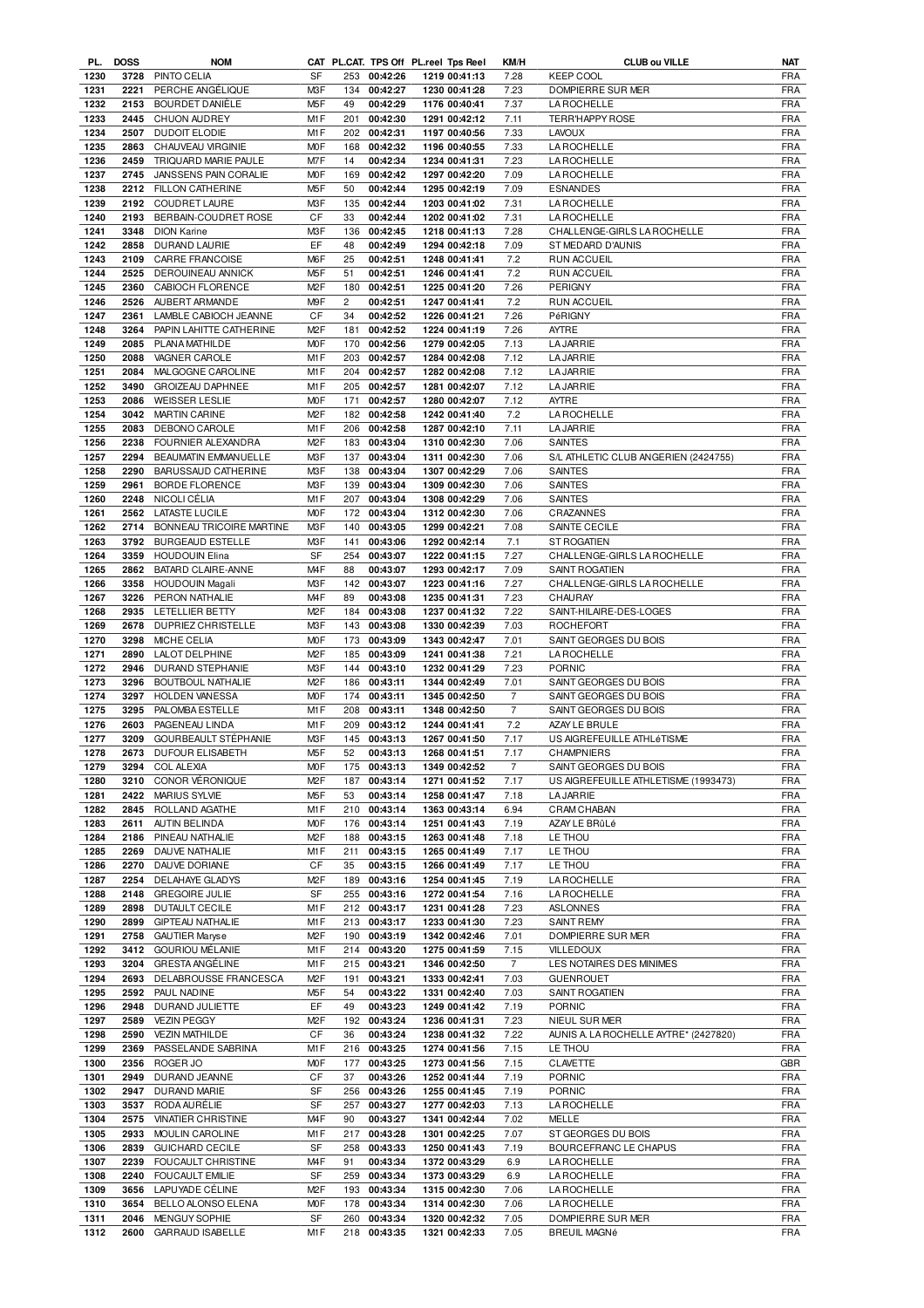|              | PL. DOSS     | <b>NOM</b>                     |                        |          |                      | CAT PL.CAT. TPS Off PL.reel Tps Reel | KM/H            | <b>CLUB ou VILLE</b>                  | <b>NAT</b>               |
|--------------|--------------|--------------------------------|------------------------|----------|----------------------|--------------------------------------|-----------------|---------------------------------------|--------------------------|
| 1230         |              | 3728 PINTO CELIA               | SF                     |          | 253 00:42:26         | 1219 00:41:13                        | 7.28            | KEEP COOL                             | <b>FRA</b>               |
| 1231         | 2221         | PERCHE ANGÉLIQUE               | M3F                    |          | 134 00:42:27         | 1230 00:41:28                        | 7.23            | DOMPIERRE SUR MER                     | <b>FRA</b>               |
| 1232         | 2153         | BOURDET DANIÈLE                | M <sub>5</sub> F       | 49       | 00:42:29             | 1176 00:40:41                        | 7.37            | <b>LA ROCHELLE</b>                    | <b>FRA</b>               |
| 1233         | 2445         | CHUON AUDREY                   | M <sub>1</sub> F       | 201      | 00:42:30             | 1291 00:42:12                        | 7.11            | TERR'HAPPY ROSE                       | <b>FRA</b>               |
| 1234         | 2507         | <b>DUDOIT ELODIE</b>           | M1F                    | 202      | 00:42:31             | 1197 00:40:56                        | 7.33            | <b>LAVOUX</b>                         | FRA                      |
| 1235         | 2863         | CHAUVEAU VIRGINIE              | <b>MOF</b>             | 168      | 00:42:32             | 1196 00:40:55                        | 7.33            | <b>LA ROCHELLE</b>                    | <b>FRA</b>               |
| 1236         | 2459         | TRIQUARD MARIE PAULE           | M7F                    | 14       | 00:42:34             | 1234 00:41:31                        | 7.23            | <b>LA ROCHELLE</b>                    | <b>FRA</b>               |
| 1237         | 2745         | JANSSENS PAIN CORALIE          | <b>MOF</b>             | 169      | 00:42:42             | 1297 00:42:20                        | 7.09            | <b>LA ROCHELLE</b>                    | <b>FRA</b>               |
| 1238         |              | 2212 FILLON CATHERINE          | M <sub>5</sub> F       | 50       | 00:42:44             | 1295 00:42:19                        | 7.09            | <b>ESNANDES</b>                       | <b>FRA</b>               |
| 1239         | 2192         | COUDRET LAURE                  | M3F                    | 135      | 00:42:44             | 1203 00:41:02                        | 7.31            | <b>LA ROCHELLE</b>                    | <b>FRA</b>               |
| 1240         | 2193         | BERBAIN-COUDRET ROSE           | СF                     | 33       | 00:42:44             | 1202 00:41:02                        | 7.31            | <b>LA ROCHELLE</b>                    | <b>FRA</b>               |
| 1241         | 3348         | <b>DION Karine</b>             | M3F                    | 136      | 00:42:45             | 1218 00:41:13                        | 7.28            | CHALLENGE-GIRLS LA ROCHELLE           | <b>FRA</b>               |
|              |              |                                | EF                     |          |                      |                                      |                 |                                       |                          |
| 1242         | 2858         | DURAND LAURIE                  |                        | 48       | 00:42:49             | 1294 00:42:18                        | 7.09            | ST MEDARD D'AUNIS                     | <b>FRA</b>               |
| 1243         | 2109         | CARRE FRANCOISE                | M6F                    | 25       | 00:42:51             | 1248 00:41:41                        | 7.2             | <b>RUN ACCUEIL</b>                    | <b>FRA</b>               |
| 1244         | 2525         | DEROUINEAU ANNICK              | M <sub>5</sub> F       | 51       | 00:42:51             | 1246 00:41:41                        | 7.2             | <b>RUN ACCUEIL</b>                    | <b>FRA</b>               |
| 1245         | 2360         | CABIOCH FLORENCE               | M <sub>2</sub> F       | 180      | 00:42:51             | 1225 00:41:20                        | 7.26            | PERIGNY                               | <b>FRA</b>               |
| 1246         | 2526         | AUBERT ARMANDE                 | M9F                    | 2        | 00:42:51             | 1247 00:41:41                        | 7.2             | <b>RUN ACCUEIL</b>                    | <b>FRA</b>               |
| 1247         | 2361         | LAMBLE CABIOCH JEANNE          | СF                     | 34       | 00:42:52             | 1226 00:41:21                        | 7.26            | PéRIGNY                               | <b>FRA</b>               |
| 1248         | 3264         | PAPIN LAHITTE CATHERINE        | M <sub>2</sub> F       | 181      | 00:42:52             | 1224 00:41:19                        | 7.26            | <b>AYTRE</b>                          | <b>FRA</b>               |
| 1249         | 2085         | PLANA MATHILDE                 | <b>MOF</b>             | 170      | 00:42:56             | 1279 00:42:05                        | 7.13            | <b>LA JARRIE</b>                      | <b>FRA</b>               |
| 1250         | 2088         | VAGNER CAROLE                  | M1F                    | 203      | 00:42:57             | 1284 00:42:08                        | 7.12            | <b>LA JARRIE</b>                      | <b>FRA</b>               |
| 1251         | 2084         | MALGOGNE CAROLINE              | M <sub>1</sub> F       | 204      | 00:42:57             | 1282 00:42:08                        | 7.12            | <b>LA JARRIE</b>                      | <b>FRA</b>               |
| 1252         | 3490         | <b>GROIZEAU DAPHNEE</b>        | M1F                    | 205      | 00:42:57             | 1281 00:42:07                        | 7.12            | <b>LA JARRIE</b>                      | <b>FRA</b>               |
| 1253         | 2086         | <b>WEISSER LESLIE</b>          | <b>MOF</b>             | 171      | 00:42:57             | 1280 00:42:07                        | 7.12            | <b>AYTRE</b>                          | <b>FRA</b>               |
| 1254         | 3042         | <b>MARTIN CARINE</b>           | M <sub>2</sub> F       | 182      | 00:42:58             | 1242 00:41:40                        | 7.2             | <b>LA ROCHELLE</b>                    | <b>FRA</b>               |
| 1255         | 2083         | <b>DEBONO CAROLE</b>           | M <sub>1</sub> F       | 206      | 00:42:58             | 1287 00:42:10                        | 7.11            | <b>LA JARRIE</b>                      | <b>FRA</b>               |
| 1256         | 2238         | FOURNIER ALEXANDRA             | M <sub>2</sub> F       | 183      | 00:43:04             | 1310 00:42:30                        | 7.06            | <b>SAINTES</b>                        | <b>FRA</b>               |
| 1257         | 2294         | <b>BEAUMATIN EMMANUELLE</b>    | M3F                    | 137      | 00:43:04             | 1311 00:42:30                        | 7.06            | S/L ATHLETIC CLUB ANGERIEN (2424755)  | <b>FRA</b>               |
| 1258         | 2290         | BARUSSAUD CATHERINE            | M3F                    | 138      | 00:43:04             | 1307 00:42:29                        | 7.06            | <b>SAINTES</b>                        | <b>FRA</b>               |
| 1259         | 2961         | <b>BORDE FLORENCE</b>          | M <sub>3</sub> F       | 139      | 00:43:04             | 1309 00:42:30                        | 7.06            | <b>SAINTES</b>                        | <b>FRA</b>               |
| 1260         | 2248         | NICOLI CÉLIA                   | M1F                    | 207      | 00:43:04             | 1308 00:42:29                        | 7.06            | <b>SAINTES</b>                        | <b>FRA</b>               |
| 1261         | 2562         | <b>LATASTE LUCILE</b>          | <b>MOF</b>             | 172      | 00:43:04             | 1312 00:42:30                        | 7.06            | CRAZANNES                             | <b>FRA</b>               |
| 1262         | 2714         | BONNEAU TRICOIRE MARTINE       | M3F                    | 140      | 00:43:05             | 1299 00:42:21                        | 7.08            | SAINTE CECILE                         | <b>FRA</b>               |
| 1263         | 3792         | <b>BURGEAUD ESTELLE</b>        | M3F                    | 141      | 00:43:06             | 1292 00:42:14                        | 7.1             | ST ROGATIEN                           | <b>FRA</b>               |
| 1264         | 3359         | <b>HOUDOUIN Elina</b>          | SF                     | 254      | 00:43:07             | 1222 00:41:15                        | 7.27            | CHALLENGE-GIRLS LA ROCHELLE           | <b>FRA</b>               |
| 1265         | 2862         | BATARD CLAIRE-ANNE             | M <sub>4</sub> F       | 88       | 00:43:07             | 1293 00:42:17                        | 7.09            | SAINT ROGATIEN                        | <b>FRA</b>               |
|              | 3358         |                                | M3F                    |          |                      |                                      |                 |                                       |                          |
| 1266         |              | <b>HOUDOUIN Magali</b>         |                        | 142      | 00:43:07             | 1223 00:41:16                        | 7.27            | CHALLENGE-GIRLS LA ROCHELLE           | <b>FRA</b>               |
| 1267         | 3226         | PERON NATHALIE                 | M <sub>4</sub> F       | 89       | 00:43:08             | 1235 00:41:31                        | 7.23            | CHAURAY                               | <b>FRA</b>               |
| 1268         | 2935         | LETELLIER BETTY                | M <sub>2</sub> F       | 184      | 00:43:08             | 1237 00:41:32                        | 7.22            | SAINT-HILAIRE-DES-LOGES               | <b>FRA</b>               |
| 1269         | 2678         | DUPRIEZ CHRISTELLE             | M3F                    | 143      | 00:43:08             | 1330 00:42:39                        | 7.03            | ROCHEFORT                             | <b>FRA</b>               |
| 1270         | 3298         | MICHE CELIA                    | <b>MOF</b>             | 173      | 00:43:09             | 1343 00:42:47                        | 7.01            | SAINT GEORGES DU BOIS                 | <b>FRA</b>               |
| 1271         | 2890         | <b>LALOT DELPHINE</b>          | M <sub>2</sub> F       |          | 185 00:43:09         | 1241 00:41:38                        | 7.21            | <b>LA ROCHELLE</b>                    | <b>FRA</b>               |
| 1272         | 2946         | DURAND STEPHANIE               | M3F                    | 144      | 00:43:10             | 1232 00:41:29                        | 7.23            | <b>PORNIC</b>                         | <b>FRA</b>               |
| 1273         | 3296         | BOUTBOUL NATHALIE              | M <sub>2</sub> F       | 186      | 00:43:11             | 1344 00:42:49                        | 7.01            | SAINT GEORGES DU BOIS                 | <b>FRA</b>               |
| 1274         | 3297         | HOLDEN VANESSA                 | <b>MOF</b>             | 174      | 00:43:11             | 1345 00:42:50                        | 7               | SAINT GEORGES DU BOIS                 | <b>FRA</b>               |
| 1275         | 3295         | PALOMBA ESTELLE                | M <sub>1</sub> F       | 208      | 00:43:11             | 1348 00:42:50                        | 7               | SAINT GEORGES DU BOIS                 | <b>FRA</b>               |
| 1276         | 2603         | PAGENEAU LINDA                 | M <sub>1</sub> F       | 209      | 00:43:12             | 1244 00:41:41                        | 7.2             | AZAY LE BRULE                         | <b>FRA</b>               |
| 1277         | 3209         | GOURBEAULT STÉPHANIE           | M3F                    |          | 145 00:43:13         | 1267 00:41:50                        | 7.17            | US AIGREFEUILLE ATHLéTISME            | <b>FRA</b>               |
| 1278         |              | 2673 DUFOUR ELISABETH          | M <sub>5</sub> F       |          | 52 00:43:13          | 1268 00:41:51                        | 7.17            | CHAMPNIERS                            | FRA                      |
| 1279         |              | 3294 COL ALEXIA                | <b>MOF</b>             |          | 175 00:43:13         | 1349 00:42:52                        | $7^{\circ}$     | SAINT GEORGES DU BOIS                 | <b>FRA</b>               |
| 1280         | 3210         | CONOR VÉRONIQUE                | M <sub>2</sub> F       | 187      | 00:43:14             | 1271 00:41:52                        | 7.17            | US AIGREFEUILLE ATHLETISME (1993473)  | <b>FRA</b>               |
| 1281         | 2422         | MARIUS SYLVIE                  | M <sub>5</sub> F       | 53       | 00:43:14             | 1258 00:41:47                        | 7.18            | <b>LA JARRIE</b>                      | <b>FRA</b>               |
| 1282         | 2845         | ROLLAND AGATHE                 | M1F                    | 210      | 00:43:14             | 1363 00:43:14                        | 6.94            | CRAM CHABAN                           | <b>FRA</b>               |
| 1283         | 2611         | AUTIN BELINDA                  | <b>MOF</b>             | 176      | 00:43:14             | 1251 00:41:43                        | 7.19            | AZAY LE BRûLé                         | <b>FRA</b>               |
| 1284         | 2186         | PINEAU NATHALIE                | M <sub>2</sub> F       | 188      | 00:43:15             | 1263 00:41:48                        | 7.18            | LE THOU                               | <b>FRA</b>               |
| 1285         | 2269         | DAUVE NATHALIE                 | M1F                    | 211      | 00:43:15             | 1265 00:41:49                        | 7.17            | LE THOU                               | <b>FRA</b>               |
| 1286         | 2270         | DAUVE DORIANE                  | СF                     | 35       | 00:43:15             | 1266 00:41:49                        | 7.17            | LE THOU                               | <b>FRA</b>               |
| 1287         | 2254         | DELAHAYE GLADYS                | M <sub>2</sub> F       | 189      | 00:43:16             | 1254 00:41:45                        | 7.19            | <b>LA ROCHELLE</b>                    | <b>FRA</b>               |
| 1288         | 2148         | <b>GREGOIRE JULIE</b>          | SF                     | 255      | 00:43:16             | 1272 00:41:54                        | 7.16            | <b>LA ROCHELLE</b>                    | <b>FRA</b>               |
| 1289         | 2898         | DUTAULT CECILE                 | M1F                    | 212      | 00:43:17             | 1231 00:41:28                        | 7.23            | <b>ASLONNES</b>                       | <b>FRA</b>               |
| 1290         | 2899         | <b>GIPTEAU NATHALIE</b>        | M1F                    | 213      | 00:43:17             | 1233 00:41:30                        | 7.23            | SAINT REMY                            | <b>FRA</b>               |
| 1291         | 2758         | <b>GAUTIER Maryse</b>          | M <sub>2</sub> F       | 190      | 00:43:19             | 1342 00:42:46                        | 7.01            | DOMPIERRE SUR MER                     | <b>FRA</b>               |
| 1292         | 3412         | <b>GOURIOU MÉLANIE</b>         | M1F                    | 214      | 00:43:20             | 1275 00:41:59                        | 7.15            | <b>VILLEDOUX</b>                      | <b>FRA</b>               |
| 1293         | 3204         | GRESTA ANGÉLINE                | M1F                    | 215      | 00:43:21             | 1346 00:42:50                        | $7\overline{ }$ | LES NOTAIRES DES MINIMES              | <b>FRA</b>               |
| 1294         | 2693         |                                | M <sub>2</sub> F       | 191      | 00:43:21             |                                      | 7.03            | <b>GUENROUET</b>                      | <b>FRA</b>               |
|              |              | DELABROUSSE FRANCESCA          |                        |          |                      | 1333 00:42:41                        |                 |                                       |                          |
| 1295<br>1296 | 2592<br>2948 | PAUL NADINE<br>DURAND JULIETTE | M <sub>5</sub> F<br>EF | 54<br>49 | 00:43:22<br>00:43:23 | 1331 00:42:40                        | 7.03<br>7.19    | SAINT ROGATIEN<br><b>PORNIC</b>       | <b>FRA</b><br><b>FRA</b> |
|              |              |                                |                        |          |                      | 1249 00:41:42                        |                 |                                       |                          |
| 1297         | 2589         | <b>VEZIN PEGGY</b>             | M <sub>2</sub> F       | 192      | 00:43:24             | 1236 00:41:31                        | 7.23            | NIEUL SUR MER                         | <b>FRA</b>               |
| 1298         | 2590         | <b>VEZIN MATHILDE</b>          | СF                     | 36       | 00:43:24             | 1238 00:41:32                        | 7.22            | AUNIS A. LA ROCHELLE AYTRE* (2427820) | <b>FRA</b>               |
| 1299         | 2369         | PASSELANDE SABRINA             | M1F                    | 216      | 00:43:25             | 1274 00:41:56                        | 7.15            | LE THOU                               | <b>FRA</b>               |
| 1300         | 2356         | ROGER JO                       | <b>MOF</b>             | 177      | 00:43:25             | 1273 00:41:56                        | 7.15            | CLAVETTE                              | <b>GBR</b>               |
| 1301         | 2949         | DURAND JEANNE                  | CF                     | 37       | 00:43:26             | 1252 00:41:44                        | 7.19            | <b>PORNIC</b>                         | <b>FRA</b>               |
| 1302         | 2947         | DURAND MARIE                   | SF                     | 256      | 00:43:26             | 1255 00:41:45                        | 7.19            | <b>PORNIC</b>                         | <b>FRA</b>               |
| 1303         | 3537         | RODA AURÉLIE                   | SF                     | 257      | 00:43:27             | 1277 00:42:03                        | 7.13            | <b>LA ROCHELLE</b>                    | <b>FRA</b>               |
| 1304         | 2575         | <b>VINATIER CHRISTINE</b>      | M <sub>4</sub> F       | 90       | 00:43:27             | 1341 00:42:44                        | 7.02            | MELLE                                 | <b>FRA</b>               |
| 1305         | 2933         | MOULIN CAROLINE                | M1F                    | 217      | 00:43:28             | 1301 00:42:25                        | 7.07            | ST GEORGES DU BOIS                    | <b>FRA</b>               |
| 1306         | 2839         | <b>GUICHARD CECILE</b>         | SF                     | 258      | 00:43:33             | 1250 00:41:43                        | 7.19            | BOURCEFRANC LE CHAPUS                 | <b>FRA</b>               |
| 1307         | 2239         | FOUCAULT CHRISTINE             | M <sub>4</sub> F       | 91       | 00:43:34             | 1372 00:43:29                        | 6.9             | <b>LA ROCHELLE</b>                    | <b>FRA</b>               |
| 1308         | 2240         | <b>FOUCAULT EMILIE</b>         | SF                     | 259      | 00:43:34             | 1373 00:43:29                        | 6.9             | <b>LA ROCHELLE</b>                    | <b>FRA</b>               |
| 1309         | 3656         | LAPUYADE CÉLINE                | M <sub>2</sub> F       | 193      | 00:43:34             | 1315 00:42:30                        | 7.06            | <b>LA ROCHELLE</b>                    | <b>FRA</b>               |
| 1310         | 3654         | BELLO ALONSO ELENA             | <b>MOF</b>             | 178      | 00:43:34             | 1314 00:42:30                        | 7.06            | <b>LA ROCHELLE</b>                    | <b>FRA</b>               |
| 1311         | 2046         | MENGUY SOPHIE                  | SF                     | 260      | 00:43:34             | 1320 00:42:32                        | 7.05            | DOMPIERRE SUR MER                     | <b>FRA</b>               |
| 1312         | 2600         | GARRAUD ISABELLE               | M1F                    |          | 218 00:43:35         | 1321 00:42:33                        | 7.05            | <b>BREUIL MAGNé</b>                   | FRA                      |
|              |              |                                |                        |          |                      |                                      |                 |                                       |                          |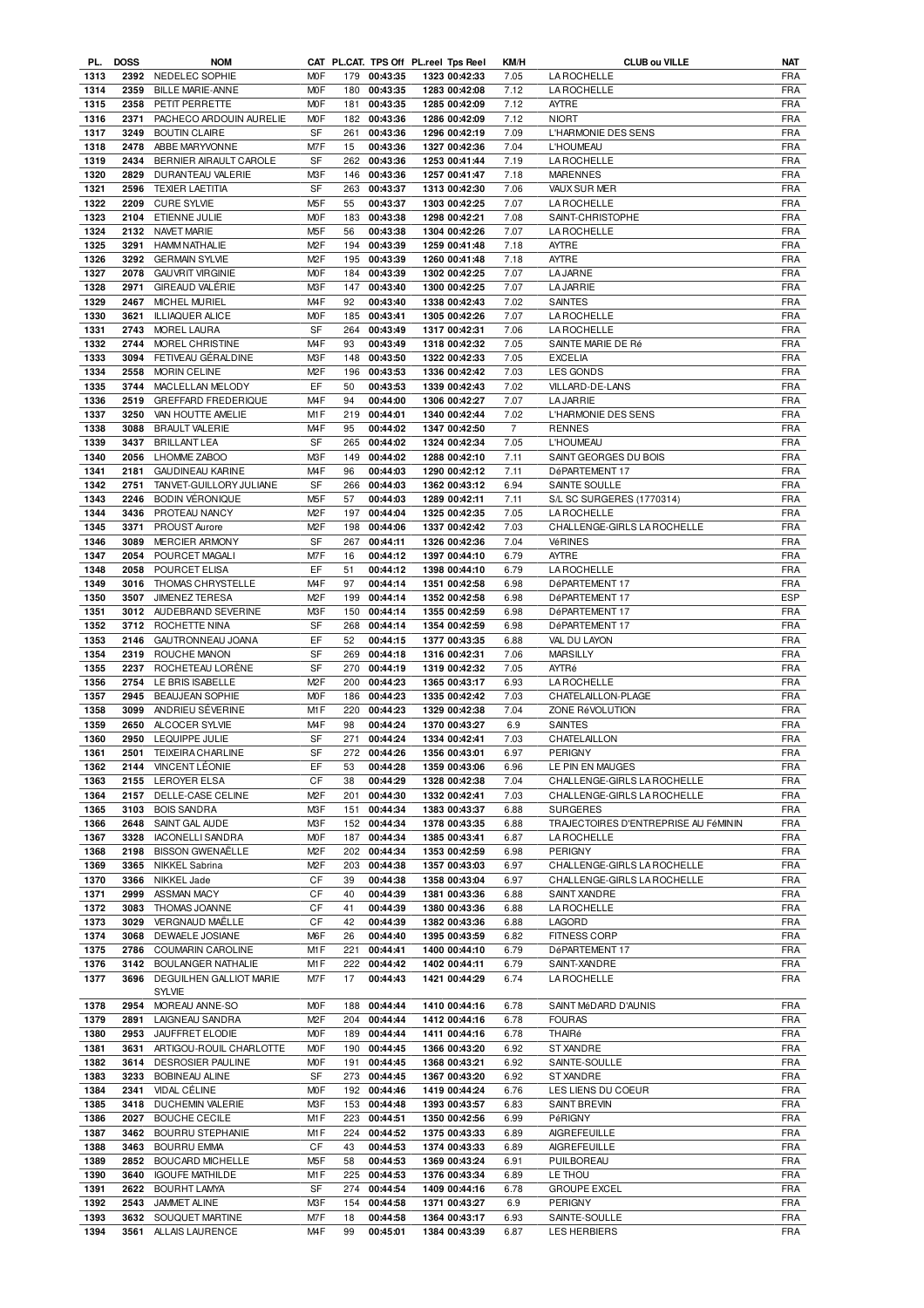| PL.          | <b>DOSS</b>  | <b>NOM</b>                         |                  |          |                      | CAT PL.CAT. TPS Off PL.reel Tps Reel | KM/H           | <b>CLUB ou VILLE</b>                 | NAT               |
|--------------|--------------|------------------------------------|------------------|----------|----------------------|--------------------------------------|----------------|--------------------------------------|-------------------|
| 1313         | 2392         | NEDELEC SOPHIE                     | <b>MOF</b>       |          | 179 00:43:35         | 1323 00:42:33                        | 7.05           | <b>LA ROCHELLE</b>                   | <b>FRA</b>        |
| 1314         | 2359         | <b>BILLE MARIE-ANNE</b>            | <b>MOF</b>       | 180      | 00:43:35             | 1283 00:42:08                        | 7.12           | <b>LA ROCHELLE</b>                   | FRA               |
| 1315         | 2358         | PETIT PERRETTE                     | <b>MOF</b>       | 181      | 00:43:35             | 1285 00:42:09                        | 7.12           | AYTRE                                | <b>FRA</b>        |
| 1316         | 2371         | PACHECO ARDOUIN AURELIE            | M <sub>O</sub> F | 182      | 00:43:36             | 1286 00:42:09                        | 7.12           | <b>NIORT</b>                         | <b>FRA</b>        |
| 1317         | 3249         | <b>BOUTIN CLAIRE</b>               | SF               | 261      | 00:43:36             | 1296 00:42:19                        | 7.09           | L'HARMONIE DES SENS                  | FRA               |
| 1318         | 2478         | ABBE MARYVONNE                     | M7F              | 15       | 00:43:36             | 1327 00:42:36                        | 7.04           | L'HOUMEAU                            | <b>FRA</b>        |
|              |              |                                    |                  |          |                      |                                      |                |                                      |                   |
| 1319         | 2434         | BERNIER AIRAULT CAROLE             | SF               | 262      | 00:43:36             | 1253 00:41:44                        | 7.19           | <b>LA ROCHELLE</b>                   | <b>FRA</b>        |
| 1320         | 2829         | DURANTEAU VALERIE                  | M3F              | 146      | 00:43:36             | 1257 00:41:47                        | 7.18           | <b>MARENNES</b>                      | <b>FRA</b>        |
| 1321         | 2596         | <b>TEXIER LAETITIA</b>             | SF               | 263      | 00:43:37             | 1313 00:42:30                        | 7.06           | VAUX SUR MER                         | <b>FRA</b>        |
| 1322         | 2209         | <b>CURE SYLVIE</b>                 | M <sub>5</sub> F | 55       | 00:43:37             | 1303 00:42:25                        | 7.07           | <b>LA ROCHELLE</b>                   | <b>FRA</b>        |
| 1323         | 2104         | ETIENNE JULIE                      | <b>MOF</b>       | 183      | 00:43:38             | 1298 00:42:21                        | 7.08           | SAINT-CHRISTOPHE                     | <b>FRA</b>        |
| 1324         | 2132         | <b>NAVET MARIE</b>                 | M <sub>5</sub> F | 56       | 00:43:38             | 1304 00:42:26                        | 7.07           | <b>LA ROCHELLE</b>                   | FRA               |
|              |              |                                    | M <sub>2</sub> F |          | 00:43:39             | 1259 00:41:48                        |                |                                      |                   |
| 1325         | 3291         | <b>HAMM NATHALIE</b>               |                  | 194      |                      |                                      | 7.18           | AYTRE                                | <b>FRA</b>        |
| 1326         | 3292         | <b>GERMAIN SYLVIE</b>              | M <sub>2</sub> F | 195      | 00:43:39             | 1260 00:41:48                        | 7.18           | AYTRE                                | <b>FRA</b>        |
| 1327         | 2078         | GAUVRIT VIRGINIE                   | <b>MOF</b>       |          | 184 00:43:39         | 1302 00:42:25                        | 7.07           | <b>LA JARNE</b>                      | <b>FRA</b>        |
| 1328         | 2971         | GIREAUD VALÉRIE                    | M3F              | 147      | 00:43:40             | 1300 00:42:25                        | 7.07           | <b>LA JARRIE</b>                     | <b>FRA</b>        |
| 1329         | 2467         | <b>MICHEL MURIEL</b>               | M4F              | 92       | 00:43:40             | 1338 00:42:43                        | 7.02           | <b>SAINTES</b>                       | <b>FRA</b>        |
| 1330         | 3621         | <b>ILLIAQUER ALICE</b>             | <b>MOF</b>       | 185      | 00:43:41             | 1305 00:42:26                        | 7.07           | <b>LA ROCHELLE</b>                   | <b>FRA</b>        |
| 1331         | 2743         | MOREL LAURA                        | <b>SF</b>        | 264      | 00:43:49             | 1317 00:42:31                        | 7.06           | <b>LA ROCHELLE</b>                   | <b>FRA</b>        |
| 1332         | 2744         |                                    | M <sub>4</sub> F | 93       | 00:43:49             |                                      |                | SAINTE MARIE DE Ré                   | <b>FRA</b>        |
|              |              | MOREL CHRISTINE                    |                  |          |                      | 1318 00:42:32                        | 7.05           |                                      |                   |
| 1333         | 3094         | FETIVEAU GERALDINE                 | M3F              | 148      | 00:43:50             | 1322 00:42:33                        | 7.05           | <b>EXCELIA</b>                       | <b>FRA</b>        |
| 1334         | 2558         | MORIN CELINE                       | M <sub>2</sub> F | 196      | 00:43:53             | 1336 00:42:42                        | 7.03           | <b>LES GONDS</b>                     | <b>FRA</b>        |
| 1335         | 3744         | MACLELLAN MELODY                   | EF               | 50       | 00:43:53             | 1339 00:42:43                        | 7.02           | VILLARD-DE-LANS                      | <b>FRA</b>        |
| 1336         | 2519         | <b>GREFFARD FREDERIQUE</b>         | M <sub>4</sub> F | 94       | 00:44:00             | 1306 00:42:27                        | 7.07           | <b>LA JARRIE</b>                     | <b>FRA</b>        |
| 1337         | 3250         | VAN HOUTTE AMELIE                  | M1F              | 219      | 00:44:01             | 1340 00:42:44                        | 7.02           | L'HARMONIE DES SENS                  | <b>FRA</b>        |
| 1338         | 3088         | <b>BRAULT VALERIE</b>              | M <sub>4F</sub>  | 95       | 00:44:02             | 1347 00:42:50                        | $\overline{7}$ | <b>RENNES</b>                        | <b>FRA</b>        |
|              |              |                                    |                  |          |                      |                                      |                |                                      |                   |
| 1339         | 3437         | <b>BRILLANT LEA</b>                | <b>SF</b>        | 265      | 00:44:02             | 1324 00:42:34                        | 7.05           | L'HOUMEAU                            | <b>FRA</b>        |
| 1340         | 2056         | LHOMME ZABOO                       | M3F              | 149      | 00:44:02             | 1288 00:42:10                        | 7.11           | SAINT GEORGES DU BOIS                | <b>FRA</b>        |
| 1341         | 2181         | <b>GAUDINEAU KARINE</b>            | M <sub>4</sub> F | 96       | 00:44:03             | 1290 00:42:12                        | 7.11           | DéPARTEMENT 17                       | <b>FRA</b>        |
| 1342         | 2751         | TANVET-GUILLORY JULIANE            | SF               | 266      | 00:44:03             | 1362 00:43:12                        | 6.94           | SAINTE SOULLE                        | <b>FRA</b>        |
| 1343         | 2246         | <b>BODIN VÉRONIQUE</b>             | M <sub>5</sub> F | 57       | 00:44:03             | 1289 00:42:11                        | 7.11           | S/L SC SURGERES (1770314)            | <b>FRA</b>        |
| 1344         | 3436         | PROTEAU NANCY                      | M <sub>2</sub> F | 197      | 00:44:04             | 1325 00:42:35                        | 7.05           | <b>LA ROCHELLE</b>                   | <b>FRA</b>        |
|              |              |                                    |                  |          |                      |                                      |                |                                      |                   |
| 1345         | 3371         | PROUST Aurore                      | M <sub>2</sub> F | 198      | 00:44:06             | 1337 00:42:42                        | 7.03           | CHALLENGE-GIRLS LA ROCHELLE          | <b>FRA</b>        |
| 1346         | 3089         | <b>MERCIER ARMONY</b>              | SF               | 267      | 00:44:11             | 1326 00:42:36                        | 7.04           | VéRINES                              | <b>FRA</b>        |
| 1347         | 2054         | POURCET MAGALI                     | M7F              | 16       | 00:44:12             | 1397 00:44:10                        | 6.79           | AYTRE                                | <b>FRA</b>        |
| 1348         | 2058         | POURCET ELISA                      | EF               | 51       | 00:44:12             | 1398 00:44:10                        | 6.79           | <b>LA ROCHELLE</b>                   | <b>FRA</b>        |
| 1349         | 3016         | THOMAS CHRYSTELLE                  | M <sub>4</sub> F | 97       | 00:44:14             | 1351 00:42:58                        | 6.98           | DéPARTEMENT 17                       | <b>FRA</b>        |
| 1350         | 3507         | <b>JIMENEZ TERESA</b>              | M <sub>2</sub> F | 199      | 00:44:14             | 1352 00:42:58                        | 6.98           | DéPARTEMENT 17                       | <b>ESP</b>        |
| 1351         | 3012         | AUDEBRAND SEVERINE                 | M3F              | 150      | 00:44:14             | 1355 00:42:59                        | 6.98           | DéPARTEMENT 17                       | <b>FRA</b>        |
|              |              |                                    |                  |          |                      |                                      |                |                                      |                   |
| 1352         | 3712         | ROCHETTE NINA                      | SF               | 268      | 00:44:14             | 1354 00:42:59                        | 6.98           | DéPARTEMENT 17                       | <b>FRA</b>        |
| 1353         | 2146         | GAUTRONNEAU JOANA                  | EF               | 52       | 00:44:15             | 1377 00:43:35                        | 6.88           | VAL DU LAYON                         | <b>FRA</b>        |
| 1354         | 2319         | ROUCHE MANON                       | SF               | 269      | 00:44:18             | 1316 00:42:31                        | 7.06           | <b>MARSILLY</b>                      | <b>FRA</b>        |
| 1355         | 2237         | ROCHETEAU LORENE                   | SF               | 270      | 00:44:19             | 1319 00:42:32                        | 7.05           | AYTRé                                | <b>FRA</b>        |
| 1356         | 2754         | LE BRIS ISABELLE                   | M <sub>2</sub> F | 200      | 00:44:23             | 1365 00:43:17                        | 6.93           | <b>LAROCHELLE</b>                    | <b>FRA</b>        |
| 1357         | 2945         | <b>BEAUJEAN SOPHIE</b>             | <b>MOF</b>       | 186      | 00:44:23             | 1335 00:42:42                        | 7.03           | CHATELAILLON-PLAGE                   | <b>FRA</b>        |
| 1358         | 3099         | ANDRIEU SÉVERINE                   | M1F              | 220      | 00:44:23             | 1329 00:42:38                        | 7.04           | ZONE RéVOLUTION                      | <b>FRA</b>        |
|              |              |                                    |                  |          |                      |                                      |                |                                      |                   |
| 1359         | 2650         | ALCOCER SYLVIE                     | M <sub>4</sub> F | 98       | 00:44:24             | 1370 00:43:27                        | 6.9            | <b>SAINTES</b>                       | <b>FRA</b>        |
| 1360         | 2950         | LEQUIPPE JULIE                     | SF               | 271      | 00:44:24             | 1334 00:42:41                        | 7.03           | CHATELAILLON                         | <b>FRA</b>        |
| 1361         |              | 2501 TEIXEIRA CHARLINE             | SF               | 272      | 00:44:26             | 1356 00:43:01                        | 6.97           | <b>PERIGNY</b>                       | <b>FRA</b>        |
| 1362         |              | 2144 VINCENT LÉONIE                | EF               | 53       | 00:44:28             | 1359 00:43:06                        | 6.96           | LE PIN EN MAUGES                     | FRA               |
| 1363         |              | 2155 LEROYER ELSA                  | СF               | 38       | 00:44:29             | 1328 00:42:38                        | 7.04           | CHALLENGE-GIRLS LA ROCHELLE          | <b>FRA</b>        |
| 1364         | 2157         | DELLE-CASE CELINE                  | M <sub>2</sub> F | 201      | 00:44:30             | 1332 00:42:41                        | 7.03           | CHALLENGE-GIRLS LA ROCHELLE          | FRA               |
| 1365         | 3103         |                                    |                  |          |                      |                                      |                |                                      |                   |
|              |              |                                    |                  |          |                      |                                      |                |                                      |                   |
| 1366         |              | <b>BOIS SANDRA</b>                 | M3F              | 151      | 00:44:34             | 1383 00:43:37                        | 6.88           | <b>SURGERES</b>                      | <b>FRA</b>        |
| 1367         | 2648         | SAINT GAL AUDE                     | M3F              | 152      | 00:44:34             | 1378 00:43:35                        | 6.88           | TRAJECTOIRES D'ENTREPRISE AU FéMININ | <b>FRA</b>        |
|              | 3328         | <b>IACONELLI SANDRA</b>            | <b>MOF</b>       | 187      | 00:44:34             | 1385 00:43:41                        | 6.87           | <b>LA ROCHELLE</b>                   | <b>FRA</b>        |
| 1368         | 2198         | <b>BISSON GWENAËLLE</b>            | M <sub>2</sub> F | 202      | 00:44:34             | 1353 00:42:59                        | 6.98           | PERIGNY                              | <b>FRA</b>        |
| 1369         | 3365         | NIKKEL Sabrina                     | M <sub>2</sub> F | 203      | 00:44:38             | 1357 00:43:03                        | 6.97           | CHALLENGE-GIRLS LA ROCHELLE          | <b>FRA</b>        |
| 1370         | 3366         | NIKKEL Jade                        | СF               | 39       | 00:44:38             | 1358 00:43:04                        | 6.97           | CHALLENGE-GIRLS LA ROCHELLE          | FRA               |
|              | 2999         |                                    | CF               | 40       |                      |                                      | 6.88           | SAINT XANDRE                         | <b>FRA</b>        |
| 1371         | 3083         | ASSMAN MACY                        | СF               | 41       | 00:44:39             | 1381 00:43:36                        |                |                                      |                   |
| 1372         |              | THOMAS JOANNE                      |                  |          | 00:44:39             | 1380 00:43:36                        | 6.88           | <b>LA ROCHELLE</b>                   | <b>FRA</b>        |
| 1373         | 3029         | VERGNAUD MAËLLE                    | СF               | 42       | 00:44:39             | 1382 00:43:36                        | 6.88           | LAGORD                               | <b>FRA</b>        |
| 1374         | 3068         | DEWAELE JOSIANE                    | M6F              | 26       | 00:44:40             | 1395 00:43:59                        | 6.82           | FITNESS CORP                         | <b>FRA</b>        |
| 1375         | 2786         | COUMARIN CAROLINE                  | M1 F             | 221      | 00:44:41             | 1400 00:44:10                        | 6.79           | DéPARTEMENT 17                       | <b>FRA</b>        |
| 1376         | 3142         | BOULANGER NATHALIE                 | M1 F             | 222      | 00:44:42             | 1402 00:44:11                        | 6.79           | SAINT-XANDRE                         | <b>FRA</b>        |
| 1377         | 3696         | DEGUILHEN GALLIOT MARIE            | M7F              | 17       | 00:44:43             | 1421 00:44:29                        | 6.74           | <b>LA ROCHELLE</b>                   | <b>FRA</b>        |
|              |              | SYLVIE                             |                  |          |                      |                                      |                |                                      |                   |
|              |              |                                    |                  |          |                      |                                      |                |                                      |                   |
| 1378         | 2954         | MOREAU ANNE-SO                     | <b>MOF</b>       | 188      | 00:44:44             | 1410 00:44:16                        | 6.78           | SAINT MéDARD D'AUNIS                 | <b>FRA</b>        |
| 1379         | 2891         | LAIGNEAU SANDRA                    | M2F              | 204      | 00:44:44             | 1412 00:44:16                        | 6.78           | <b>FOURAS</b>                        | FRA               |
| 1380         | 2953         | JAUFFRET ELODIE                    | MOF              | 189      | 00:44:44             | 1411 00:44:16                        | 6.78           | THAIRé                               | <b>FRA</b>        |
| 1381         | 3631         | ARTIGOU-ROUIL CHARLOTTE            | <b>MOF</b>       | 190      | 00:44:45             | 1366 00:43:20                        | 6.92           | <b>ST XANDRE</b>                     | FRA               |
| 1382         | 3614         | <b>DESROSIER PAULINE</b>           | <b>MOF</b>       | 191      | 00:44:45             | 1368 00:43:21                        | 6.92           | SAINTE-SOULLE                        | <b>FRA</b>        |
| 1383         | 3233         | BOBINEAU ALINE                     | SF               | 273      | 00:44:45             | 1367 00:43:20                        | 6.92           | ST XANDRE                            | <b>FRA</b>        |
|              | 2341         |                                    |                  | 192      |                      |                                      |                |                                      |                   |
| 1384         |              | <b>VIDAL CÉLINE</b>                | <b>MOF</b>       |          | 00:44:46             | 1419 00:44:24                        | 6.76           | LES LIENS DU COEUR                   | <b>FRA</b>        |
| 1385         | 3418         | DUCHEMIN VALERIE                   | M3F              | 153      | 00:44:48             | 1393 00:43:57                        | 6.83           | <b>SAINT BREVIN</b>                  | <b>FRA</b>        |
| 1386         | 2027         | <b>BOUCHE CECILE</b>               | M1F              | 223      | 00:44:51             | 1350 00:42:56                        | 6.99           | PéRIGNY                              | <b>FRA</b>        |
| 1387         | 3462         | <b>BOURRU STEPHANIE</b>            | M1F              | 224      | 00:44:52             | 1375 00:43:33                        | 6.89           | AIGREFEUILLE                         | <b>FRA</b>        |
| 1388         | 3463         | <b>BOURRU EMMA</b>                 | CF               | 43       | 00:44:53             | 1374 00:43:33                        | 6.89           | AIGREFEUILLE                         | <b>FRA</b>        |
| 1389         | 2852         | BOUCARD MICHELLE                   | M5F              | 58       | 00:44:53             | 1369 00:43:24                        | 6.91           | PUILBOREAU                           | <b>FRA</b>        |
| 1390         | 3640         | <b>IGOUFE MATHILDE</b>             | M1F              | 225      | 00:44:53             | 1376 00:43:34                        | 6.89           | LE THOU                              | <b>FRA</b>        |
|              |              |                                    |                  |          |                      |                                      |                |                                      |                   |
| 1391         | 2622         | <b>BOURHT LAMYA</b>                | SF               | 274      | 00:44:54             | 1409 00:44:16                        | 6.78           | <b>GROUPE EXCEL</b>                  | <b>FRA</b>        |
| 1392         | 2543         | JAMMET ALINE                       | M3F              | 154      | 00:44:58             | 1371 00:43:27                        | 6.9            | PERIGNY                              | <b>FRA</b>        |
| 1393<br>1394 | 3632<br>3561 | SOUQUET MARTINE<br>ALLAIS LAURENCE | M7F<br>M4F       | 18<br>99 | 00:44:58<br>00:45:01 | 1364 00:43:17<br>1384 00:43:39       | 6.93<br>6.87   | SAINTE-SOULLE<br><b>LES HERBIERS</b> | FRA<br><b>FRA</b> |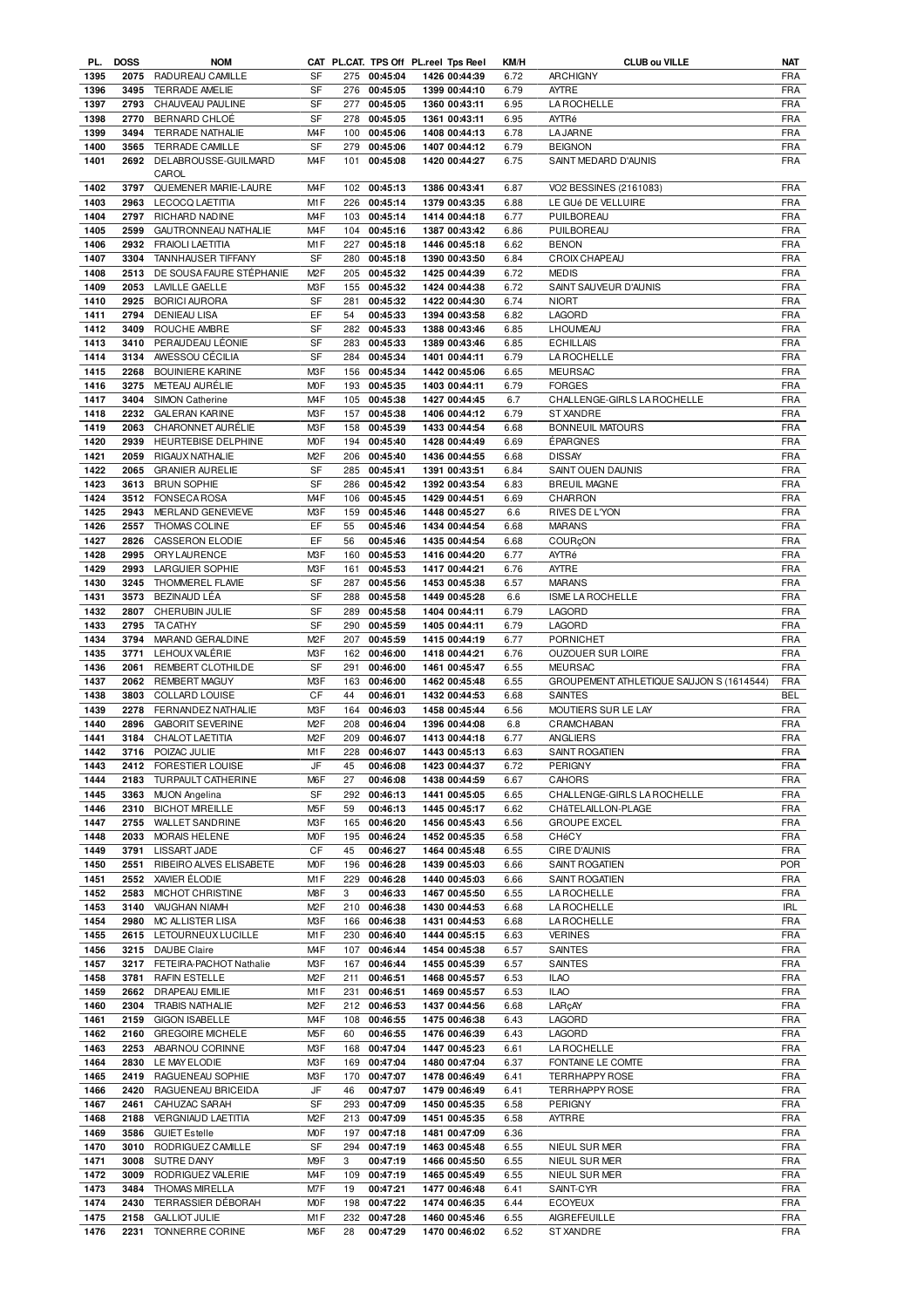| PL.          | <b>DOSS</b>  | <b>NOM</b>                              |                  |           |                      | CAT PL.CAT. TPS Off PL.reel Tps Reel | KM/H | <b>CLUB ou VILLE</b>                     | NAT               |
|--------------|--------------|-----------------------------------------|------------------|-----------|----------------------|--------------------------------------|------|------------------------------------------|-------------------|
| 1395         |              | 2075 RADUREAU CAMILLE                   | <b>SF</b>        |           | 275 00:45:04         | 1426 00:44:39                        | 6.72 | <b>ARCHIGNY</b>                          | <b>FRA</b>        |
| 1396         | 3495         | TERRADE AMELIE                          | SF               |           | 276 00:45:05         | 1399 00:44:10                        | 6.79 | AYTRE                                    | FRA               |
| 1397         |              | 2793 CHAUVEAU PAULINE                   | SF               |           | 277 00:45:05         | 1360 00:43:11                        | 6.95 | LA ROCHELLE                              | FRA               |
|              |              |                                         |                  |           |                      |                                      |      |                                          |                   |
| 1398         | 2770         | BERNARD CHLOÉ                           | SF               | 278       | 00:45:05             | 1361 00:43:11                        | 6.95 | AYTRé                                    | <b>FRA</b>        |
| 1399         | 3494         | <b>TERRADE NATHALIE</b>                 | M <sub>4F</sub>  |           | 100 00:45:06         | 1408 00:44:13                        | 6.78 | <b>LA JARNE</b>                          | <b>FRA</b>        |
| 1400         | 3565         | TERRADE CAMILLE                         | SF               | 279       | 00:45:06             | 1407 00:44:12                        | 6.79 | <b>BEIGNON</b>                           | <b>FRA</b>        |
| 1401         |              | 2692 DELABROUSSE-GUILMARD               | M <sub>4</sub> F |           | 101 00:45:08         | 1420 00:44:27                        | 6.75 | SAINT MEDARD D'AUNIS                     | FRA               |
|              |              | CAROL                                   |                  |           |                      |                                      |      |                                          |                   |
| 1402         | 3797         | QUEMENER MARIE-LAURE                    | M <sub>4</sub> F |           | 102 00:45:13         | 1386 00:43:41                        | 6.87 | VO2 BESSINES (2161083)                   | FRA               |
|              |              |                                         | M1F              |           |                      |                                      |      |                                          | FRA               |
| 1403         |              | 2963 LECOCQ LAETITIA                    |                  |           | 226 00:45:14         | 1379 00:43:35                        | 6.88 | LE GUé DE VELLUIRE                       |                   |
| 1404         | 2797         | RICHARD NADINE                          | M <sub>4</sub> F |           | 103 00:45:14         | 1414 00:44:18                        | 6.77 | PUILBOREAU                               | <b>FRA</b>        |
| 1405         | 2599         | GAUTRONNEAU NATHALIE                    | M <sub>4</sub> F | 104       | 00:45:16             | 1387 00:43:42                        | 6.86 | PUILBOREAU                               | <b>FRA</b>        |
| 1406         |              | 2932 FRAIOLI LAETITIA                   | M1F              | 227       | 00:45:18             | 1446 00:45:18                        | 6.62 | <b>BENON</b>                             | <b>FRA</b>        |
| 1407         | 3304         | TANNHAUSER TIFFANY                      | <b>SF</b>        | 280       | 00:45:18             | 1390 00:43:50                        | 6.84 | CROIX CHAPEAU                            | <b>FRA</b>        |
| 1408         | 2513         | DE SOUSA FAURE STÉPHANIE                | M <sub>2</sub> F |           | 205 00:45:32         | 1425 00:44:39                        | 6.72 | <b>MEDIS</b>                             | <b>FRA</b>        |
|              |              |                                         |                  |           |                      |                                      |      |                                          |                   |
| 1409         | 2053         | <b>LAVILLE GAELLE</b>                   | M3F              | 155       | 00:45:32             | 1424 00:44:38                        | 6.72 | SAINT SAUVEUR D'AUNIS                    | <b>FRA</b>        |
| 1410         | 2925         | <b>BORICI AURORA</b>                    | SF               | 281       | 00:45:32             | 1422 00:44:30                        | 6.74 | <b>NIORT</b>                             | <b>FRA</b>        |
| 1411         | 2794         | DENIEAU LISA                            | EF               | 54        | 00:45:33             | 1394 00:43:58                        | 6.82 | LAGORD                                   | <b>FRA</b>        |
| 1412         | 3409         | ROUCHE AMBRE                            | <b>SF</b>        | 282       | 00:45:33             | 1388 00:43:46                        | 6.85 | <b>LHOUMEAU</b>                          | <b>FRA</b>        |
| 1413         | 3410         | PERAUDEAU LÉONIE                        | SF               | 283       | 00:45:33             | 1389 00:43:46                        | 6.85 | <b>ECHILLAIS</b>                         | <b>FRA</b>        |
| 1414         | 3134         | AWESSOU CECILIA                         | SF               | 284       | 00:45:34             | 1401 00:44:11                        | 6.79 | LA ROCHELLE                              | <b>FRA</b>        |
| 1415         | 2268         | <b>BOUINIERE KARINE</b>                 | M3F              | 156       | 00:45:34             | 1442 00:45:06                        | 6.65 | <b>MEURSAC</b>                           | <b>FRA</b>        |
|              |              |                                         |                  |           |                      |                                      |      |                                          |                   |
| 1416         | 3275         | METEAU AURÉLIE                          | <b>MOF</b>       | 193       | 00:45:35             | 1403 00:44:11                        | 6.79 | <b>FORGES</b>                            | <b>FRA</b>        |
| 1417         | 3404         | SIMON Catherine                         | M <sub>4</sub> F | 105       | 00:45:38             | 1427 00:44:45                        | 6.7  | CHALLENGE-GIRLS LA ROCHELLE              | <b>FRA</b>        |
| 1418         | 2232         | <b>GALERAN KARINE</b>                   | M3F              | 157       | 00:45:38             | 1406 00:44:12                        | 6.79 | ST XANDRE                                | <b>FRA</b>        |
| 1419         | 2063         | CHARONNET AURÉLIE                       | M3F              | 158       | 00:45:39             | 1433 00:44:54                        | 6.68 | <b>BONNEUIL MATOURS</b>                  | <b>FRA</b>        |
| 1420         | 2939         | HEURTEBISE DELPHINE                     | <b>MOF</b>       | 194       | 00:45:40             | 1428 00:44:49                        | 6.69 | ÉPARGNES                                 | <b>FRA</b>        |
| 1421         | 2059         | RIGAUX NATHALIE                         | M <sub>2</sub> F | 206       | 00:45:40             | 1436 00:44:55                        | 6.68 | <b>DISSAY</b>                            | <b>FRA</b>        |
|              |              |                                         |                  |           |                      |                                      |      |                                          |                   |
| 1422         | 2065         | <b>GRANIER AURELIE</b>                  | SF               | 285       | 00:45:41             | 1391 00:43:51                        | 6.84 | SAINT OUEN DAUNIS                        | <b>FRA</b>        |
| 1423         | 3613         | <b>BRUN SOPHIE</b>                      | SF               | 286       | 00:45:42             | 1392 00:43:54                        | 6.83 | <b>BREUIL MAGNE</b>                      | <b>FRA</b>        |
| 1424         | 3512         | <b>FONSECA ROSA</b>                     | M <sub>4</sub> F | 106       | 00:45:45             | 1429 00:44:51                        | 6.69 | CHARRON                                  | <b>FRA</b>        |
| 1425         | 2943         | MERLAND GENEVIEVE                       | M3F              | 159       | 00:45:46             | 1448 00:45:27                        | 6.6  | RIVES DE L'YON                           | <b>FRA</b>        |
| 1426         | 2557         | THOMAS COLINE                           | EF               | 55        | 00:45:46             | 1434 00:44:54                        | 6.68 | <b>MARANS</b>                            | <b>FRA</b>        |
| 1427         | 2826         | CASSERON ELODIE                         | EF               | 56        | 00:45:46             | 1435 00:44:54                        | 6.68 | COURÇON                                  | <b>FRA</b>        |
|              |              |                                         |                  |           |                      |                                      |      |                                          |                   |
| 1428         | 2995         | ORYLAURENCE                             | M3F              | 160       | 00:45:53             | 1416 00:44:20                        | 6.77 | AYTRé                                    | <b>FRA</b>        |
| 1429         | 2993         | LARGUIER SOPHIE                         | M3F              | 161       | 00:45:53             | 1417 00:44:21                        | 6.76 | <b>AYTRE</b>                             | <b>FRA</b>        |
| 1430         | 3245         | THOMMEREL FLAVIE                        | <b>SF</b>        | 287       | 00:45:56             | 1453 00:45:38                        | 6.57 | <b>MARANS</b>                            | <b>FRA</b>        |
| 1431         | 3573         | BEZINAUD LÉA                            | SF               | 288       | 00:45:58             | 1449 00:45:28                        | 6.6  | <b>ISME LA ROCHELLE</b>                  | <b>FRA</b>        |
| 1432         | 2807         | CHERUBIN JULIE                          | <b>SF</b>        | 289       | 00:45:58             | 1404 00:44:11                        | 6.79 | LAGORD                                   | <b>FRA</b>        |
| 1433         | 2795         | <b>TA CATHY</b>                         | <b>SF</b>        | 290       | 00:45:59             | 1405 00:44:11                        | 6.79 | LAGORD                                   | <b>FRA</b>        |
|              |              |                                         |                  |           |                      |                                      |      |                                          |                   |
| 1434         | 3794         | MARAND GERALDINE                        | M <sub>2</sub> F | 207       | 00:45:59             | 1415 00:44:19                        | 6.77 | <b>PORNICHET</b>                         | <b>FRA</b>        |
|              |              |                                         |                  |           |                      |                                      |      |                                          |                   |
| 1435         | 3771         | LEHOUX VALÉRIE                          | M <sub>3</sub> F | 162       | 00:46:00             | 1418 00:44:21                        | 6.76 | OUZOUER SUR LOIRE                        | <b>FRA</b>        |
| 1436         | 2061         | <b>REMBERT CLOTHILDE</b>                | <b>SF</b>        | 291       | 00:46:00             | 1461 00:45:47                        | 6.55 | <b>MEURSAC</b>                           | <b>FRA</b>        |
| 1437         | 2062         | <b>REMBERT MAGUY</b>                    | M3F              | 163       | 00:46:00             | 1462 00:45:48                        | 6.55 | GROUPEMENT ATHLETIQUE SAUJON S (1614544) | <b>FRA</b>        |
|              |              |                                         |                  |           |                      |                                      |      |                                          |                   |
| 1438         | 3803         | COLLARD LOUISE                          | CF               | 44        | 00:46:01             | 1432 00:44:53                        | 6.68 | <b>SAINTES</b>                           | <b>BEL</b>        |
| 1439         | 2278         | FERNANDEZ NATHALIE                      | M3F              | 164       | 00:46:03             | 1458 00:45:44                        | 6.56 | MOUTIERS SUR LE LAY                      | <b>FRA</b>        |
| 1440         | 2896         | <b>GABORIT SEVERINE</b>                 | M <sub>2</sub> F | 208       | 00:46:04             | 1396 00:44:08                        | 6.8  | <b>CRAMCHABAN</b>                        | <b>FRA</b>        |
| 1441         |              | 3184 CHALOT LAETITIA                    | M <sub>2</sub> F |           | 209 00:46:07         | 1413 00:44:18                        | 6.77 | ANGLIERS                                 | <b>FRA</b>        |
| 1442         |              | 3716 POIZAC JULIE                       | M1F              | 228       | 00:46:07             | 1443 00:45:13                        | 6.63 | SAINT ROGATIEN                           | <b>FRA</b>        |
| 1443         |              | 2412 FORESTIER LOUISE                   | JF               | 45        | 00:46:08             | 1423 00:44:37                        | 6.72 | PERIGNY                                  | FRA               |
| 1444         | 2183         | TURPAULT CATHERINE                      | M6F              | 27        | 00:46:08             | 1438 00:44:59                        | 6.67 | <b>CAHORS</b>                            | FRA               |
|              |              |                                         |                  |           |                      |                                      |      |                                          |                   |
| 1445         | 3363         | <b>MUON</b> Angelina                    | SF               | 292       | 00:46:13             | 1441 00:45:05                        | 6.65 | CHALLENGE-GIRLS LA ROCHELLE              | FRA               |
| 1446         | 2310         | <b>BICHOT MIREILLE</b>                  | M <sub>5</sub> F | 59        | 00:46:13             | 1445 00:45:17                        | 6.62 | CHâTELAILLON-PLAGE                       | <b>FRA</b>        |
| 1447         | 2755         | WALLET SANDRINE                         | M3F              | 165       | 00:46:20             | 1456 00:45:43                        | 6.56 | <b>GROUPE EXCEL</b>                      | FRA               |
| 1448         | 2033         | MORAIS HELENE                           | <b>MOF</b>       | 195       | 00:46:24             | 1452 00:45:35                        | 6.58 | <b>CHéCY</b>                             | FRA               |
| 1449         | 3791         | LISSART JADE                            | CF               | 45        | 00:46:27             | 1464 00:45:48                        | 6.55 | CIRE D'AUNIS                             | FRA               |
| 1450         | 2551         | RIBEIRO ALVES ELISABETE                 | <b>MOF</b>       | 196       | 00:46:28             | 1439 00:45:03                        | 6.66 | SAINT ROGATIEN                           | POR               |
| 1451         | 2552         | XAVIER ÉLODIE                           | M1F              | 229       | 00:46:28             | 1440 00:45:03                        | 6.66 | SAINT ROGATIEN                           | FRA               |
| 1452         | 2583         | MICHOT CHRISTINE                        | M8F              | 3         | 00:46:33             | 1467 00:45:50                        | 6.55 | <b>LA ROCHELLE</b>                       | <b>FRA</b>        |
|              |              |                                         |                  |           |                      |                                      |      |                                          |                   |
| 1453         | 3140         | <b>VAUGHAN NIAMH</b>                    | M <sub>2</sub> F | 210       | 00:46:38             | 1430 00:44:53                        | 6.68 | <b>LA ROCHELLE</b>                       | IRL               |
| 1454         | 2980         | MC ALLISTER LISA                        | M3F              | 166       | 00:46:38             | 1431 00:44:53                        | 6.68 | <b>LA ROCHELLE</b>                       | <b>FRA</b>        |
| 1455         | 2615         | LETOURNEUX LUCILLE                      | M1F              | 230       | 00:46:40             | 1444 00:45:15                        | 6.63 | <b>VERINES</b>                           | FRA               |
| 1456         | 3215         | <b>DAUBE Claire</b>                     | M <sub>4</sub> F | 107       | 00:46:44             | 1454 00:45:38                        | 6.57 | <b>SAINTES</b>                           | <b>FRA</b>        |
| 1457         | 3217         | FETEIRA-PACHOT Nathalie                 | M3F              | 167       | 00:46:44             | 1455 00:45:39                        | 6.57 | <b>SAINTES</b>                           | <b>FRA</b>        |
| 1458         | 3781         | RAFIN ESTELLE                           | M <sub>2</sub> F | 211       | 00:46:51             | 1468 00:45:57                        | 6.53 | <b>ILAO</b>                              | <b>FRA</b>        |
| 1459         | 2662         | <b>DRAPEAU EMILIE</b>                   | M1F              | 231       | 00:46:51             | 1469 00:45:57                        | 6.53 | <b>ILAO</b>                              | FRA               |
|              |              |                                         |                  |           |                      |                                      |      |                                          |                   |
| 1460         | 2304         | <b>TRABIS NATHALIE</b>                  | M <sub>2</sub> F | 212       | 00:46:53             | 1437 00:44:56                        | 6.68 | LARçAY                                   | <b>FRA</b>        |
| 1461         | 2159         | <b>GIGON ISABELLE</b>                   | M <sub>4</sub> F | 108       | 00:46:55             | 1475 00:46:38                        | 6.43 | LAGORD                                   | <b>FRA</b>        |
| 1462         | 2160         | <b>GREGOIRE MICHELE</b>                 | M <sub>5</sub> F | 60        | 00:46:55             | 1476 00:46:39                        | 6.43 | LAGORD                                   | <b>FRA</b>        |
| 1463         | 2253         | ABARNOU CORINNE                         | M3F              | 168       | 00:47:04             | 1447 00:45:23                        | 6.61 | LA ROCHELLE                              | <b>FRA</b>        |
| 1464         | 2830         | LE MAY ELODIE                           | M3F              | 169       | 00:47:04             | 1480 00:47:04                        | 6.37 | FONTAINE LE COMTE                        | <b>FRA</b>        |
| 1465         | 2419         | RAGUENEAU SOPHIE                        | M3F              | 170       | 00:47:07             | 1478 00:46:49                        | 6.41 | <b>TERRHAPPY ROSE</b>                    | <b>FRA</b>        |
|              |              |                                         |                  |           |                      |                                      |      |                                          |                   |
| 1466         | 2420         | RAGUENEAU BRICEIDA                      | JF               | 46        | 00:47:07             | 1479 00:46:49                        | 6.41 | <b>TERRHAPPY ROSE</b>                    | <b>FRA</b>        |
| 1467         | 2461         | CAHUZAC SARAH                           | SF               | 293       | 00:47:09             | 1450 00:45:35                        | 6.58 | <b>PERIGNY</b>                           | FRA               |
| 1468         | 2188         | <b>VERGNIAUD LAETITIA</b>               | M <sub>2</sub> F | 213       | 00:47:09             | 1451 00:45:35                        | 6.58 | AYTRRE                                   | <b>FRA</b>        |
| 1469         | 3586         | <b>GUIET Estelle</b>                    | <b>MOF</b>       | 197       | 00:47:18             | 1481 00:47:09                        | 6.36 |                                          | FRA               |
| 1470         | 3010         | RODRIGUEZ CAMILLE                       | <b>SF</b>        | 294       | 00:47:19             | 1463 00:45:48                        | 6.55 | NIEUL SUR MER                            | FRA               |
| 1471         | 3008         | SUTRE DANY                              | M9F              | 3         | 00:47:19             | 1466 00:45:50                        | 6.55 | NIEUL SUR MER                            | FRA               |
|              |              |                                         |                  |           |                      |                                      |      |                                          |                   |
| 1472         | 3009         | RODRIGUEZ VALERIE                       | M <sub>4</sub> F | 109       | 00:47:19             | 1465 00:45:49                        | 6.55 | NIEUL SUR MER                            | <b>FRA</b>        |
| 1473         | 3484         | <b>THOMAS MIRELLA</b>                   | M7F              | 19        | 00:47:21             | 1477 00:46:48                        | 6.41 | SAINT-CYR                                | FRA               |
| 1474         | 2430         | TERRASSIER DÉBORAH                      | <b>MOF</b>       | 198       | 00:47:22             | 1474 00:46:35                        | 6.44 | <b>ECOYEUX</b>                           | FRA               |
| 1475<br>1476 | 2158<br>2231 | <b>GALLIOT JULIE</b><br>TONNERRE CORINE | M1F<br>M6F       | 232<br>28 | 00:47:28<br>00:47:29 | 1460 00:45:46<br>1470 00:46:02       | 6.55 | AIGREFEUILLE<br>ST XANDRE                | FRA<br><b>FRA</b> |